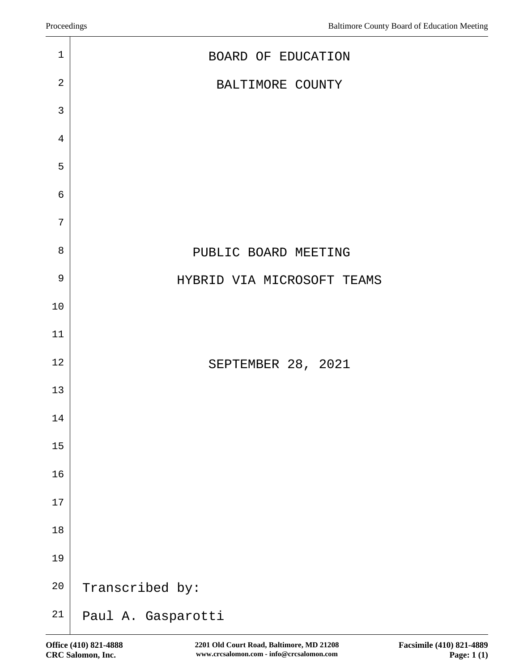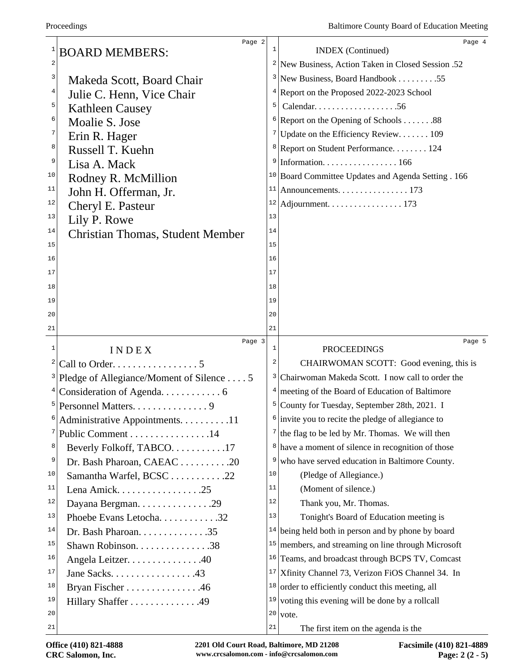|        | Page 2                                                     | 1  | Page 4                                                         |
|--------|------------------------------------------------------------|----|----------------------------------------------------------------|
| 1<br>2 | <b>BOARD MEMBERS:</b>                                      |    | <b>INDEX</b> (Continued)                                       |
|        |                                                            |    | <sup>2</sup> New Business, Action Taken in Closed Session .52  |
| 3      | Makeda Scott, Board Chair                                  |    | <sup>3</sup> New Business, Board Handbook 55                   |
| 4      | Julie C. Henn, Vice Chair                                  |    | <sup>4</sup> Report on the Proposed 2022-2023 School           |
| 5      | <b>Kathleen Causey</b>                                     | 5  |                                                                |
| 6      | Moalie S. Jose                                             |    | $6$ Report on the Opening of Schools 88                        |
| 7      | Erin R. Hager                                              |    | <sup>7</sup> Update on the Efficiency Review 109               |
| 8      | Russell T. Kuehn                                           |    | <sup>8</sup> Report on Student Performance 124                 |
| 9      | Lisa A. Mack                                               | 9  | Information. $\ldots \ldots \ldots \ldots \ldots 166$          |
| 10     | Rodney R. McMillion                                        |    | <sup>10</sup> Board Committee Updates and Agenda Setting . 166 |
| 11     | John H. Offerman, Jr.                                      | 11 | Announcements. 173                                             |
| 12     | Cheryl E. Pasteur                                          |    |                                                                |
| 13     | Lily P. Rowe                                               | 13 |                                                                |
| 14     | <b>Christian Thomas, Student Member</b>                    | 14 |                                                                |
| 15     |                                                            | 15 |                                                                |
| 16     |                                                            | 16 |                                                                |
| 17     |                                                            | 17 |                                                                |
| 18     |                                                            | 18 |                                                                |
| 19     |                                                            | 19 |                                                                |
| 20     |                                                            | 20 |                                                                |
| 21     |                                                            | 21 |                                                                |
| 1      | Page 3<br>INDEX                                            | 1  | Page 5<br><b>PROCEEDINGS</b>                                   |
| 2      | Call to Order. 5                                           | 2  | CHAIRWOMAN SCOTT: Good evening, this is                        |
|        | <sup>3</sup>  Pledge of Allegiance/Moment of Silence 5     | 3  | Chairwoman Makeda Scott. I now call to order the               |
|        |                                                            |    |                                                                |
|        |                                                            |    |                                                                |
|        |                                                            |    | $4$ meeting of the Board of Education of Baltimore             |
| 6      |                                                            |    | <sup>5</sup> County for Tuesday, September 28th, 2021. I       |
|        | Administrative Appointments. 11                            |    | $\frac{1}{2}$ invite you to recite the pledge of allegiance to |
| 7      | Public Comment 14                                          |    | $7$ the flag to be led by Mr. Thomas. We will then             |
| 8      | Beverly Folkoff, TABCO17                                   | 8  | have a moment of silence in recognition of those               |
| 9      | Dr. Bash Pharoan, CAEAC 20                                 | 9  | who have served education in Baltimore County.                 |
| 10     | Samantha Warfel, BCSC 22                                   | 10 | (Pledge of Allegiance.)                                        |
| 11     |                                                            | 11 | (Moment of silence.)                                           |
| 12     | Dayana Bergman. 29                                         | 12 | Thank you, Mr. Thomas.                                         |
| 13     | Phoebe Evans Letocha32                                     | 13 | Tonight's Board of Education meeting is                        |
| 14     | Dr. Bash Pharoan. $\dots \dots \dots \dots \dots \dots$ 35 |    | $14$ being held both in person and by phone by board           |
| 15     | Shawn Robinson. 38                                         |    | $15$ members, and streaming on line through Microsoft          |
| 16     | Angela Leitzer. 40                                         |    | <sup>16</sup> Teams, and broadcast through BCPS TV, Comcast    |
| 17     | Jane Sacks. $\dots$ . 43                                   | 17 | Xfinity Channel 73, Verizon FiOS Channel 34. In                |
| 18     | Bryan Fischer 46                                           | 18 | order to efficiently conduct this meeting, all                 |
| 19     | Hillary Shaffer 49                                         |    | $19$ voting this evening will be done by a rollcall            |
| 20     |                                                            | 21 | $20$ vote.<br>The first item on the agenda is the              |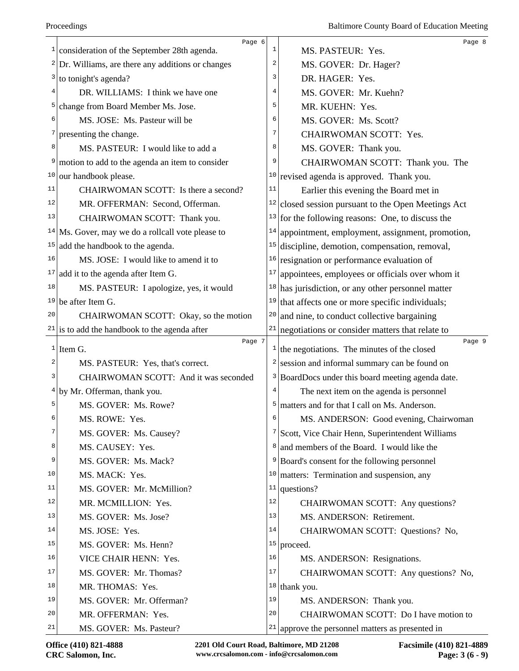|                         | Page 6                                                    |                | Page 8                                                            |
|-------------------------|-----------------------------------------------------------|----------------|-------------------------------------------------------------------|
|                         | $\frac{1}{2}$ consideration of the September 28th agenda. | $\mathbf{1}$   | MS. PASTEUR: Yes.                                                 |
|                         | $2$ Dr. Williams, are there any additions or changes      | 2              | MS. GOVER: Dr. Hager?                                             |
|                         | $3$ to tonight's agenda?                                  | 3              | DR. HAGER: Yes.                                                   |
| 4                       | DR. WILLIAMS: I think we have one                         | $\overline{4}$ | MS. GOVER: Mr. Kuehn?                                             |
| 5                       | change from Board Member Ms. Jose.                        | 5              | MR. KUEHN: Yes.                                                   |
| 6                       | MS. JOSE: Ms. Pasteur will be                             | 6              | MS. GOVER: Ms. Scott?                                             |
| 7                       | presenting the change.                                    | $\overline{7}$ | CHAIRWOMAN SCOTT: Yes.                                            |
| 8                       | MS. PASTEUR: I would like to add a                        | 8              | MS. GOVER: Thank you.                                             |
| 9                       | motion to add to the agenda an item to consider           | 9              | CHAIRWOMAN SCOTT: Thank you. The                                  |
| 10                      | our handbook please.                                      |                | $10$ revised agenda is approved. Thank you.                       |
| 11                      | CHAIRWOMAN SCOTT: Is there a second?                      | 11             | Earlier this evening the Board met in                             |
| 12                      | MR. OFFERMAN: Second, Offerman.                           | 12             | closed session pursuant to the Open Meetings Act                  |
| 13                      | CHAIRWOMAN SCOTT: Thank you.                              | 13             | for the following reasons: One, to discuss the                    |
|                         | $14$ Ms. Gover, may we do a rollcall vote please to       | 14             | appointment, employment, assignment, promotion,                   |
| 15                      | add the handbook to the agenda.                           | 15             | discipline, demotion, compensation, removal,                      |
| 16                      | MS. JOSE: I would like to amend it to                     | 16             | resignation or performance evaluation of                          |
| 17                      | add it to the agenda after Item G.                        | 17             | appointees, employees or officials over whom it                   |
| 18                      | MS. PASTEUR: I apologize, yes, it would                   |                | $18$ has jurisdiction, or any other personnel matter              |
|                         | $19$ be after Item G.                                     |                | $19$ that affects one or more specific individuals;               |
| 20                      | CHAIRWOMAN SCOTT: Okay, so the motion                     | 20             | and nine, to conduct collective bargaining                        |
|                         | $21$ is to add the handbook to the agenda after           | 21             | negotiations or consider matters that relate to                   |
|                         |                                                           |                |                                                                   |
|                         | Page 7                                                    | $\mathbf{I}$   | Page 9                                                            |
| $\overline{\mathbf{c}}$ | $1$ Item G.                                               | 2              | the negotiations. The minutes of the closed                       |
| 3                       | MS. PASTEUR: Yes, that's correct.                         | 3              | session and informal summary can be found on                      |
|                         | CHAIRWOMAN SCOTT: And it was seconded                     | 4              | BoardDocs under this board meeting agenda date.                   |
| 5                       | $4$ by Mr. Offerman, thank you.                           | 5              | The next item on the agenda is personnel                          |
| 6                       | MS. GOVER: Ms. Rowe?                                      | 6              | matters and for that I call on Ms. Anderson.                      |
| 7                       | MS. ROWE: Yes.                                            | 7              | MS. ANDERSON: Good evening, Chairwoman                            |
| 8                       | MS. GOVER: Ms. Causey?                                    | 8              | Scott, Vice Chair Henn, Superintendent Williams                   |
| 9                       | MS. CAUSEY: Yes.                                          |                | and members of the Board. I would like the                        |
| 10                      | MS. GOVER: Ms. Mack?                                      | 10             | <sup>9</sup> Board's consent for the following personnel          |
| 11                      | MS. MACK: Yes.                                            | 11             | matters: Termination and suspension, any                          |
| 12                      | MS. GOVER: Mr. McMillion?                                 | 12             | questions?                                                        |
| 13                      | MR. MCMILLION: Yes.                                       | 13             | CHAIRWOMAN SCOTT: Any questions?                                  |
| 14                      | MS. GOVER: Ms. Jose?                                      | 14             | MS. ANDERSON: Retirement.                                         |
| 15                      | MS. JOSE: Yes.<br>MS. GOVER: Ms. Henn?                    | 15             | CHAIRWOMAN SCOTT: Questions? No,                                  |
| 16                      | VICE CHAIR HENN: Yes.                                     | 16             | proceed.                                                          |
| 17                      | MS. GOVER: Mr. Thomas?                                    | 17             | MS. ANDERSON: Resignations.                                       |
| 18                      | MR. THOMAS: Yes.                                          |                | CHAIRWOMAN SCOTT: Any questions? No,                              |
| 19                      | MS. GOVER: Mr. Offerman?                                  | 19             | $18$ thank you.                                                   |
| 20                      | MR. OFFERMAN: Yes.                                        | 20             | MS. ANDERSON: Thank you.<br>CHAIRWOMAN SCOTT: Do I have motion to |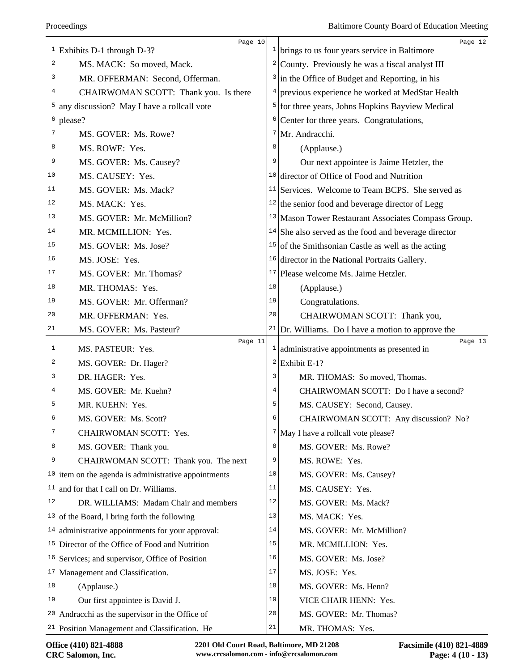|    | Page 10<br><sup>1</sup> Exhibits D-1 through D-3?          |    | Page 12<br>$\frac{1}{2}$ brings to us four years service in Baltimore |
|----|------------------------------------------------------------|----|-----------------------------------------------------------------------|
| 2  | MS. MACK: So moved, Mack.                                  | 2  | County. Previously he was a fiscal analyst III                        |
| 3  | MR. OFFERMAN: Second, Offerman.                            | 3  | in the Office of Budget and Reporting, in his                         |
| 4  | CHAIRWOMAN SCOTT: Thank you. Is there                      | 4  | previous experience he worked at MedStar Health                       |
| 5  | any discussion? May I have a rollcall vote                 | 5  | for three years, Johns Hopkins Bayview Medical                        |
| 6  | please?                                                    | 6  | Center for three years. Congratulations,                              |
| 7  | MS. GOVER: Ms. Rowe?                                       | 7  | Mr. Andracchi.                                                        |
| 8  | MS. ROWE: Yes.                                             | 8  | (Applause.)                                                           |
| 9  | MS. GOVER: Ms. Causey?                                     | 9  | Our next appointee is Jaime Hetzler, the                              |
| 10 | MS. CAUSEY: Yes.                                           |    | <sup>10</sup> director of Office of Food and Nutrition                |
| 11 | MS. GOVER: Ms. Mack?                                       |    | $11$ Services. Welcome to Team BCPS. She served as                    |
| 12 | MS. MACK: Yes.                                             |    | $12$ the senior food and beverage director of Legg                    |
| 13 | MS. GOVER: Mr. McMillion?                                  |    | <sup>13</sup> Mason Tower Restaurant Associates Compass Group.        |
| 14 | MR. MCMILLION: Yes.                                        |    | $14$ She also served as the food and beverage director                |
| 15 | MS. GOVER: Ms. Jose?                                       | 15 | of the Smithsonian Castle as well as the acting                       |
| 16 | MS. JOSE: Yes.                                             | 16 | director in the National Portraits Gallery.                           |
| 17 | MS. GOVER: Mr. Thomas?                                     | 17 | Please welcome Ms. Jaime Hetzler.                                     |
| 18 | MR. THOMAS: Yes.                                           | 18 | (Applause.)                                                           |
| 19 | MS. GOVER: Mr. Offerman?                                   | 19 | Congratulations.                                                      |
| 20 | MR. OFFERMAN: Yes.                                         | 20 | CHAIRWOMAN SCOTT: Thank you,                                          |
| 21 | MS. GOVER: Ms. Pasteur?                                    | 21 | Dr. Williams. Do I have a motion to approve the                       |
| 1  | Page 11<br>MS. PASTEUR: Yes.                               |    | Page 13<br>$\frac{1}{2}$ administrative appointments as presented in  |
| 2  | MS. GOVER: Dr. Hager?                                      |    | $2$ Exhibit E-1?                                                      |
| 3  | DR. HAGER: Yes.                                            | 3  | MR. THOMAS: So moved, Thomas.                                         |
| 4  | MS. GOVER: Mr. Kuehn?                                      | 4  | CHAIRWOMAN SCOTT: Do I have a second?                                 |
| 5  | MR. KUEHN: Yes.                                            | 5  | MS. CAUSEY: Second, Causey.                                           |
| 6  | MS. GOVER: Ms. Scott?                                      | 6  | CHAIRWOMAN SCOTT: Any discussion? No?                                 |
| 7  | CHAIRWOMAN SCOTT: Yes.                                     | 7  | May I have a rollcall vote please?                                    |
| 8  | MS. GOVER: Thank you.                                      | 8  | MS. GOVER: Ms. Rowe?                                                  |
| 9  | CHAIRWOMAN SCOTT: Thank you. The next                      | 9  | MS. ROWE: Yes.                                                        |
|    | $10$ item on the agenda is administrative appointments     | 10 | MS. GOVER: Ms. Causey?                                                |
| 11 | and for that I call on Dr. Williams.                       | 11 | MS. CAUSEY: Yes.                                                      |
| 12 | DR. WILLIAMS: Madam Chair and members                      | 12 | MS. GOVER: Ms. Mack?                                                  |
|    | $13$ of the Board, I bring forth the following             | 13 | MS. MACK: Yes.                                                        |
|    | $14$ administrative appointments for your approval:        | 14 | MS. GOVER: Mr. McMillion?                                             |
|    | <sup>15</sup> Director of the Office of Food and Nutrition | 15 | MR. MCMILLION: Yes.                                                   |
|    | $16$ Services; and supervisor, Office of Position          | 16 | MS. GOVER: Ms. Jose?                                                  |
|    | $17$ Management and Classification.                        | 17 | MS. JOSE: Yes.                                                        |
| 18 | (Applause.)                                                | 18 | MS. GOVER: Ms. Henn?                                                  |
| 19 | Our first appointee is David J.                            | 19 | VICE CHAIR HENN: Yes.                                                 |
| 20 | Andracchi as the supervisor in the Office of               | 20 | MS. GOVER: Mr. Thomas?                                                |
|    | $21$ Position Management and Classification. He            | 21 | MR. THOMAS: Yes.                                                      |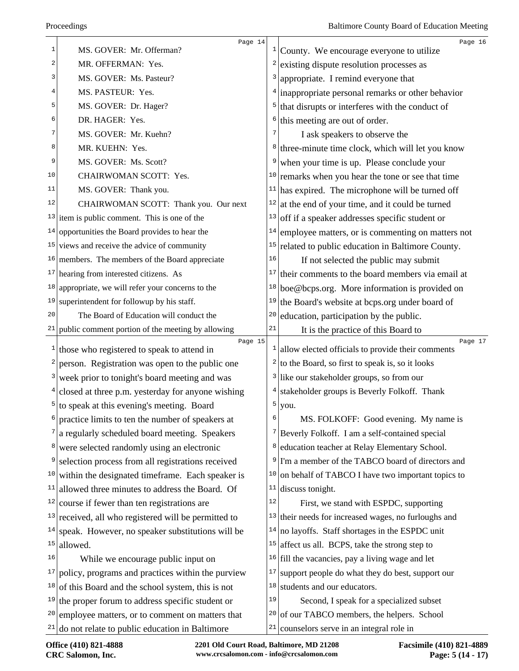| $\mathbf{1}$ | Page 14<br>MS. GOVER: Mr. Offerman?                                 | $\mathbf{1}$ | Page 16<br>County. We encourage everyone to utilize          |
|--------------|---------------------------------------------------------------------|--------------|--------------------------------------------------------------|
| 2            | MR. OFFERMAN: Yes.                                                  | 2            | existing dispute resolution processes as                     |
| 3            | MS. GOVER: Ms. Pasteur?                                             | 3            | appropriate. I remind everyone that                          |
| 4            | MS. PASTEUR: Yes.                                                   | 4            | inappropriate personal remarks or other behavior             |
| 5            | MS. GOVER: Dr. Hager?                                               | 5            | that disrupts or interferes with the conduct of              |
| 6            | DR. HAGER: Yes.                                                     | 6            | this meeting are out of order.                               |
| 7            | MS. GOVER: Mr. Kuehn?                                               |              | I ask speakers to observe the                                |
| 8            | MR. KUEHN: Yes.                                                     | 8            | three-minute time clock, which will let you know             |
| 9            | MS. GOVER: Ms. Scott?                                               | 9            | when your time is up. Please conclude your                   |
| 10           | CHAIRWOMAN SCOTT: Yes.                                              | 10           | remarks when you hear the tone or see that time              |
| 11           | MS. GOVER: Thank you.                                               | 11           | has expired. The microphone will be turned off               |
| 12           | CHAIRWOMAN SCOTT: Thank you. Our next                               | 12           | at the end of your time, and it could be turned              |
| 13           | item is public comment. This is one of the                          | 13           | off if a speaker addresses specific student or               |
| 14           | opportunities the Board provides to hear the                        | 14           | employee matters, or is commenting on matters not            |
|              | $15$ views and receive the advice of community                      | 15           | related to public education in Baltimore County.             |
|              | $16$ members. The members of the Board appreciate                   | 16           | If not selected the public may submit                        |
|              | $17$ hearing from interested citizens. As                           | 17           | their comments to the board members via email at             |
| 18           | appropriate, we will refer your concerns to the                     | 18           | boe@bcps.org. More information is provided on                |
| 19           | superintendent for followup by his staff.                           | 19           | the Board's website at bcps.org under board of               |
| 20           | The Board of Education will conduct the                             | 20           | education, participation by the public.                      |
| 21           | public comment portion of the meeting by allowing                   | 21           | It is the practice of this Board to                          |
|              | Page 15<br>$\frac{1}{1}$ those who registered to speak to attend in | $\mathbf{I}$ | Page 17<br>allow elected officials to provide their comments |
| 2            | person. Registration was open to the public one                     | 2            | to the Board, so first to speak is, so it looks              |
| 3            | week prior to tonight's board meeting and was                       |              | $3$ like our stakeholder groups, so from our                 |
|              | $4$ closed at three p.m. yesterday for anyone wishing               | 4            | stakeholder groups is Beverly Folkoff. Thank                 |
|              | $5$ to speak at this evening's meeting. Board                       | 5            | you.                                                         |
| 6            | practice limits to ten the number of speakers at                    | 6            | MS. FOLKOFF: Good evening. My name is                        |
|              | a regularly scheduled board meeting. Speakers                       |              | $7$ Beverly Folkoff. I am a self-contained special           |
| 8            | were selected randomly using an electronic                          | 8            | education teacher at Relay Elementary School.                |
| 9            | selection process from all registrations received                   | 9            | I'm a member of the TABCO board of directors and             |
| 10           | within the designated timeframe. Each speaker is                    | 10           | on behalf of TABCO I have two important topics to            |
| 11           | allowed three minutes to address the Board. Of                      | 11           | discuss tonight.                                             |
| 12           | course if fewer than ten registrations are                          | 12           | First, we stand with ESPDC, supporting                       |
| 13           | received, all who registered will be permitted to                   | 13           | their needs for increased wages, no furloughs and            |
| 14           | speak. However, no speaker substitutions will be                    | 14           | no layoffs. Staff shortages in the ESPDC unit                |
| 15           | allowed.                                                            | 15           | affect us all. BCPS, take the strong step to                 |
| 16           | While we encourage public input on                                  | 16           | fill the vacancies, pay a living wage and let                |
| 17           | policy, programs and practices within the purview                   | 17           | support people do what they do best, support our             |
| 18           | of this Board and the school system, this is not                    | 18           | students and our educators.                                  |
|              | $19$ the proper forum to address specific student or                | 19           | Second, I speak for a specialized subset                     |
|              | <sup>20</sup> employee matters, or to comment on matters that       | 20           | of our TABCO members, the helpers. School                    |
|              | $21$ do not relate to public education in Baltimore                 | 21           | counselors serve in an integral role in                      |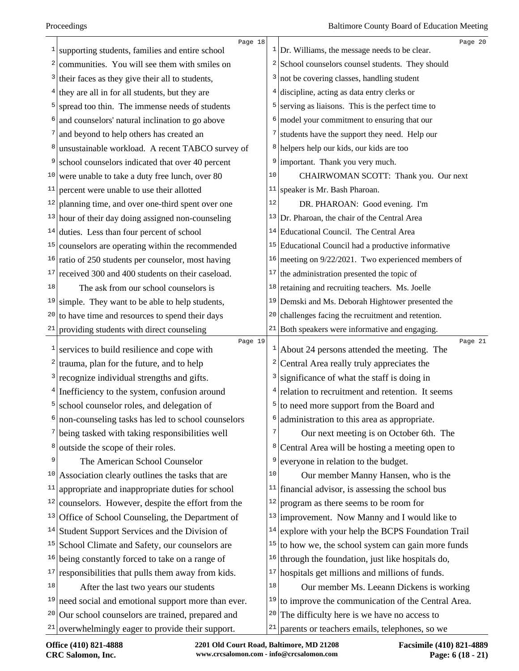| 1               | Page 18<br>supporting students, families and entire school |    | Page 20<br>$\frac{1}{2}$ Dr. Williams, the message needs to be clear. |
|-----------------|------------------------------------------------------------|----|-----------------------------------------------------------------------|
|                 | communities. You will see them with smiles on              |    | $2$ School counselors counsel students. They should                   |
| 3               | their faces as they give their all to students,            |    | $3$ not be covering classes, handling student                         |
|                 | they are all in for all students, but they are             |    | $4$ discipline, acting as data entry clerks or                        |
| 5               | spread too thin. The immense needs of students             |    | $5$ serving as liaisons. This is the perfect time to                  |
|                 | and counselors' natural inclination to go above            | 6  | model your commitment to ensuring that our                            |
|                 | and beyond to help others has created an                   | 7  | students have the support they need. Help our                         |
|                 | unsustainable workload. A recent TABCO survey of           |    | <sup>8</sup> helpers help our kids, our kids are too                  |
|                 |                                                            |    | $9$ important. Thank you very much.                                   |
| 10              | school counselors indicated that over 40 percent           | 10 |                                                                       |
| 11              | were unable to take a duty free lunch, over 80             | 11 | CHAIRWOMAN SCOTT: Thank you. Our next                                 |
|                 | percent were unable to use their allotted                  | 12 | speaker is Mr. Bash Pharoan.                                          |
| 12              | planning time, and over one-third spent over one           |    | DR. PHAROAN: Good evening. I'm                                        |
|                 | $13$ hour of their day doing assigned non-counseling       |    | <sup>13</sup> Dr. Pharoan, the chair of the Central Area              |
| 14              | duties. Less than four percent of school                   |    | <sup>14</sup> Educational Council. The Central Area                   |
| 15              | counselors are operating within the recommended            |    | $15$ Educational Council had a productive informative                 |
| 16              | ratio of 250 students per counselor, most having           |    | $16$ meeting on 9/22/2021. Two experienced members of                 |
| 17              | received 300 and 400 students on their caseload.           | 17 | the administration presented the topic of                             |
| 18              | The ask from our school counselors is                      |    | $18$ retaining and recruiting teachers. Ms. Joelle                    |
| 19              | simple. They want to be able to help students,             |    | $19$ Demski and Ms. Deborah Hightower presented the                   |
| 20              | to have time and resources to spend their days             |    | $20$ challenges facing the recruitment and retention.                 |
| 21              | providing students with direct counseling                  |    | $21$ Both speakers were informative and engaging.                     |
| 1               | Page 19<br>services to build resilience and cope with      |    | Page 21<br>$1$ About 24 persons attended the meeting. The             |
| 2               | trauma, plan for the future, and to help                   | 2  | Central Area really truly appreciates the                             |
|                 | recognize individual strengths and gifts.                  | 3  | significance of what the staff is doing in                            |
|                 | Inefficiency to the system, confusion around               |    | relation to recruitment and retention. It seems                       |
| 5               | school counselor roles, and delegation of                  | 5  | to need more support from the Board and                               |
| 6               | non-counseling tasks has led to school counselors          |    | $6$ administration to this area as appropriate.                       |
|                 | being tasked with taking responsibilities well             |    | Our next meeting is on October 6th. The                               |
| 8               | outside the scope of their roles.                          | 8  | Central Area will be hosting a meeting open to                        |
| 9               | The American School Counselor                              | 9  | everyone in relation to the budget.                                   |
| 10              | Association clearly outlines the tasks that are            | 10 | Our member Manny Hansen, who is the                                   |
| 11              | appropriate and inappropriate duties for school            |    | $11$ financial advisor, is assessing the school bus                   |
| 12              | counselors. However, despite the effort from the           | 12 | program as there seems to be room for                                 |
|                 | $13$ Office of School Counseling, the Department of        |    | $13$ improvement. Now Manny and I would like to                       |
|                 | $14$ Student Support Services and the Division of          | 14 | explore with your help the BCPS Foundation Trail                      |
| 15              | School Climate and Safety, our counselors are              | 15 | to how we, the school system can gain more funds                      |
| 16              | being constantly forced to take on a range of              |    | $16$ through the foundation, just like hospitals do,                  |
| 17              | responsibilities that pulls them away from kids.           |    | $17$ hospitals get millions and millions of funds.                    |
| 18              | After the last two years our students                      | 18 | Our member Ms. Leeann Dickens is working                              |
| 19              | need social and emotional support more than ever.          |    | $19$ to improve the communication of the Central Area.                |
| 20 <sub>1</sub> | Our school counselors are trained, prepared and            | 20 | The difficulty here is we have no access to                           |
|                 | $21$ overwhelmingly eager to provide their support.        | 21 | parents or teachers emails, telephones, so we                         |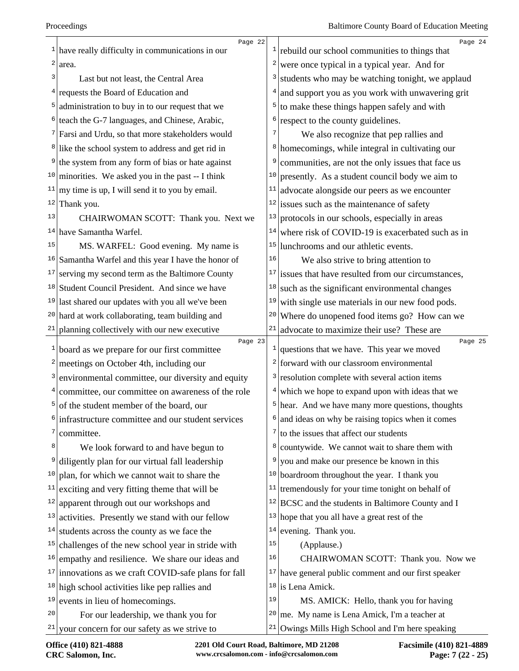|                         | Page 22                                                       |              | Page 24                                                |
|-------------------------|---------------------------------------------------------------|--------------|--------------------------------------------------------|
|                         | $\frac{1}{1}$ have really difficulty in communications in our | 1            | rebuild our school communities to things that          |
| $\overline{\mathbf{c}}$ | area.                                                         | 2            | were once typical in a typical year. And for           |
| 3                       | Last but not least, the Central Area                          | 3            | students who may be watching tonight, we applaud       |
|                         | <sup>4</sup> requests the Board of Education and              | 4            | and support you as you work with unwavering grit       |
|                         | $5$ administration to buy in to our request that we           | 5            | to make these things happen safely and with            |
|                         | <sup>6</sup> teach the G-7 languages, and Chinese, Arabic,    | 6            | respect to the county guidelines.                      |
|                         | <sup>7</sup> Farsi and Urdu, so that more stakeholders would  | 7            | We also recognize that pep rallies and                 |
|                         | <sup>8</sup> like the school system to address and get rid in | 8            | homecomings, while integral in cultivating our         |
| 9                       | the system from any form of bias or hate against              | 9            | communities, are not the only issues that face us      |
|                         | <sup>10</sup> minorities. We asked you in the past -- I think | 10           | presently. As a student council body we aim to         |
| 11                      | my time is up, I will send it to you by email.                | 11           | advocate alongside our peers as we encounter           |
| 12                      | Thank you.                                                    |              | $12$ issues such as the maintenance of safety          |
| 13                      | CHAIRWOMAN SCOTT: Thank you. Next we                          | 13           | protocols in our schools, especially in areas          |
|                         | $14$ have Samantha Warfel.                                    | 14           | where risk of COVID-19 is exacerbated such as in       |
| 15                      | MS. WARFEL: Good evening. My name is                          | 15           | lunchrooms and our athletic events.                    |
|                         | $16$ Samantha Warfel and this year I have the honor of        | 16           | We also strive to bring attention to                   |
| 17                      | serving my second term as the Baltimore County                | 17           | issues that have resulted from our circumstances,      |
|                         | <sup>18</sup> Student Council President. And since we have    | 18           | such as the significant environmental changes          |
|                         | $19$ last shared our updates with you all we've been          | 19           | with single use materials in our new food pods.        |
|                         | <sup>20</sup> hard at work collaborating, team building and   | 20           | Where do unopened food items go? How can we            |
|                         | $21$ planning collectively with our new executive             | $21\,$       | advocate to maximize their use? These are              |
| $\mathbf{1}$            | Page 23<br>board as we prepare for our first committee        | $\mathbf{I}$ | Page 25<br>questions that we have. This year we moved  |
|                         | $2$ meetings on October 4th, including our                    |              | $2$ forward with our classroom environmental           |
| $\frac{3}{2}$           | environmental committee, our diversity and equity             | 3            | resolution complete with several action items          |
|                         |                                                               |              |                                                        |
| 5                       | $4$ committee, our committee on awareness of the role         | 5            | $4$ which we hope to expand upon with ideas that we    |
|                         | of the student member of the board, our                       | 6            | hear. And we have many more questions, thoughts        |
| 7                       | infrastructure committee and our student services             |              | and ideas on why be raising topics when it comes       |
|                         | committee.                                                    | 7            | to the issues that affect our students                 |
| 8                       | We look forward to and have begun to                          | 8            | countywide. We cannot wait to share them with          |
| 9                       | diligently plan for our virtual fall leadership               | 9            | you and make our presence be known in this             |
| 10                      | plan, for which we cannot wait to share the                   | 10           | boardroom throughout the year. I thank you             |
| 11                      | exciting and very fitting theme that will be                  | 11           | tremendously for your time tonight on behalf of        |
| 12                      | apparent through out our workshops and                        | 12           | BCSC and the students in Baltimore County and I        |
| 13                      | activities. Presently we stand with our fellow                | 13           | hope that you all have a great rest of the             |
| 14                      | students across the county as we face the                     | 14           | evening. Thank you.                                    |
| 15                      | challenges of the new school year in stride with              | 15           | (Applause.)                                            |
| 16                      | empathy and resilience. We share our ideas and                | 16           | CHAIRWOMAN SCOTT: Thank you. Now we                    |
| 17                      | innovations as we craft COVID-safe plans for fall             |              | $17$ have general public comment and our first speaker |
|                         | <sup>18</sup> high school activities like pep rallies and     |              | $18$ is Lena Amick.                                    |
| 19                      |                                                               |              |                                                        |
|                         | events in lieu of homecomings.                                | 19           | MS. AMICK: Hello, thank you for having                 |
| 20                      | For our leadership, we thank you for                          | 20           | me. My name is Lena Amick, I'm a teacher at            |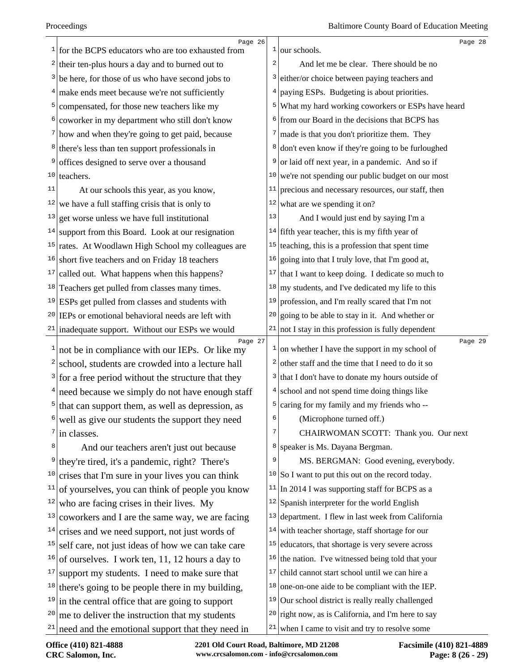|                 | Page 26                                                                                                               |    | Page 28                                                        |
|-----------------|-----------------------------------------------------------------------------------------------------------------------|----|----------------------------------------------------------------|
|                 | $\frac{1}{1}$ for the BCPS educators who are too exhausted from                                                       |    | $1$ our schools.                                               |
|                 | $2$ their ten-plus hours a day and to burned out to                                                                   | 2  | And let me be clear. There should be no                        |
|                 | $3$ be here, for those of us who have second jobs to                                                                  | 3  | either/or choice between paying teachers and                   |
|                 | $4$ make ends meet because we're not sufficiently                                                                     |    | paying ESPs. Budgeting is about priorities.                    |
| $\mathsf{5}$    | compensated, for those new teachers like my                                                                           | 5  | What my hard working coworkers or ESPs have heard              |
|                 | $6$ coworker in my department who still don't know                                                                    |    | <sup>6</sup> from our Board in the decisions that BCPS has     |
|                 | $7$ how and when they're going to get paid, because                                                                   | 7  | made is that you don't prioritize them. They                   |
|                 | <sup>8</sup> there's less than ten support professionals in                                                           | 8  | don't even know if they're going to be furloughed              |
| 9               | offices designed to serve over a thousand                                                                             |    | or laid off next year, in a pandemic. And so if                |
| 10 <sub>1</sub> | teachers.                                                                                                             | 10 | we're not spending our public budget on our most               |
| 11              | At our schools this year, as you know,                                                                                |    | $11$ precious and necessary resources, our staff, then         |
|                 | $12$ we have a full staffing crisis that is only to                                                                   | 12 | what are we spending it on?                                    |
| 13              | get worse unless we have full institutional                                                                           | 13 | And I would just end by saying I'm a                           |
| 14              | support from this Board. Look at our resignation                                                                      |    | $14$ fifth year teacher, this is my fifth year of              |
| 15              | rates. At Woodlawn High School my colleagues are                                                                      |    | $15$ teaching, this is a profession that spent time            |
| 16              | short five teachers and on Friday 18 teachers                                                                         | 16 | going into that I truly love, that I'm good at,                |
| 17              | called out. What happens when this happens?                                                                           | 17 | that I want to keep doing. I dedicate so much to               |
|                 | <sup>18</sup> Teachers get pulled from classes many times.                                                            |    | $18 \, \text{my}$ students, and I've dedicated my life to this |
|                 | $19$ ESPs get pulled from classes and students with                                                                   | 19 | profession, and I'm really scared that I'm not                 |
|                 | $20$ IEPs or emotional behavioral needs are left with                                                                 | 20 | going to be able to stay in it. And whether or                 |
|                 | $21$ inadequate support. Without our ESPs we would                                                                    | 21 | not I stay in this profession is fully dependent               |
| 1               | Page 27<br>not be in compliance with our IEPs. Or like my                                                             | T, | Page 29<br>on whether I have the support in my school of       |
| 2               | school, students are crowded into a lecture hall                                                                      |    | $2$ other staff and the time that I need to do it so           |
|                 | $3$ for a free period without the structure that they                                                                 | 3  | that I don't have to donate my hours outside of                |
|                 |                                                                                                                       |    | school and not spend time doing things like                    |
|                 | $4$ need because we simply do not have enough staff<br>$\frac{5}{1}$ that can support them, as well as depression, as |    | caring for my family and my friends who --                     |
|                 |                                                                                                                       |    | (Microphone turned off.)                                       |
| 7               | well as give our students the support they need<br>in classes.                                                        | 7  | CHAIRWOMAN SCOTT: Thank you. Our next                          |
| 8               |                                                                                                                       | 8  | speaker is Ms. Dayana Bergman.                                 |
| 9               | And our teachers aren't just out because<br>they're tired, it's a pandemic, right? There's                            | 9  | MS. BERGMAN: Good evening, everybody.                          |
| 10              |                                                                                                                       |    | $10$ So I want to put this out on the record today.            |
| 11              | crises that I'm sure in your lives you can think<br>of yourselves, you can think of people you know                   |    | $11$ In 2014 I was supporting staff for BCPS as a              |
| 12              |                                                                                                                       |    | $12$ Spanish interpreter for the world English                 |
| 13              | who are facing crises in their lives. My                                                                              |    | $13$ department. I flew in last week from California           |
| 14              | coworkers and I are the same way, we are facing                                                                       |    | $14$ with teacher shortage, staff shortage for our             |
| 15              | crises and we need support, not just words of                                                                         |    | $15$ educators, that shortage is very severe across            |
| 16              | self care, not just ideas of how we can take care                                                                     |    |                                                                |
| 17              | of ourselves. I work ten, 11, 12 hours a day to                                                                       | 17 | $16$ the nation. I've witnessed being told that your           |
|                 | support my students. I need to make sure that                                                                         |    | child cannot start school until we can hire a                  |
| 18              | there's going to be people there in my building,                                                                      |    | $18$ one-on-one aide to be compliant with the IEP.             |
| 19              | in the central office that are going to support                                                                       |    | $19$ Our school district is really really challenged           |
| 20              | me to deliver the instruction that my students                                                                        |    | $20$ right now, as is California, and I'm here to say          |
|                 | $21$ need and the emotional support that they need in                                                                 |    | $21$ when I came to visit and try to resolve some              |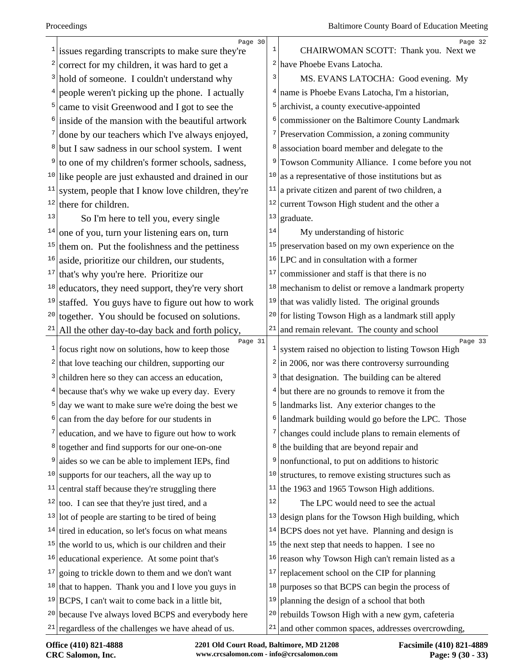|    | Page 30<br>issues regarding transcripts to make sure they're               | $\mathbf{1}$ | Page 32<br>CHAIRWOMAN SCOTT: Thank you. Next we              |
|----|----------------------------------------------------------------------------|--------------|--------------------------------------------------------------|
|    | correct for my children, it was hard to get a                              |              | $2$ have Phoebe Evans Latocha.                               |
|    | <sup>3</sup> hold of someone. I couldn't understand why                    | 3            | MS. EVANS LATOCHA: Good evening. My                          |
| 4  | people weren't picking up the phone. I actually                            |              | $4$ name is Phoebe Evans Latocha, I'm a historian,           |
| 5  | came to visit Greenwood and I got to see the                               | 5            | archivist, a county executive-appointed                      |
|    | inside of the mansion with the beautiful artwork                           | 6            | commissioner on the Baltimore County Landmark                |
|    | done by our teachers which I've always enjoyed,                            |              | $\frac{7}{2}$ Preservation Commission, a zoning community    |
|    | but I saw sadness in our school system. I went                             | 8            | association board member and delegate to the                 |
| 9  | to one of my children's former schools, sadness,                           | 9            | Towson Community Alliance. I come before you not             |
|    | $10$ like people are just exhausted and drained in our                     | 10           | as a representative of those institutions but as             |
| 11 | system, people that I know love children, they're                          | 11           | a private citizen and parent of two children, a              |
| 12 | there for children.                                                        | 12           | current Towson High student and the other a                  |
| 13 | So I'm here to tell you, every single                                      | 13           | graduate.                                                    |
| 14 | one of you, turn your listening ears on, turn                              | 14           | My understanding of historic                                 |
| 15 | them on. Put the foolishness and the pettiness                             | 15           | preservation based on my own experience on the               |
| 16 | aside, prioritize our children, our students,                              |              | $16$ LPC and in consultation with a former                   |
| 17 | that's why you're here. Prioritize our                                     | 17           | commissioner and staff is that there is no                   |
|    | $18$ educators, they need support, they're very short                      | 18           | mechanism to delist or remove a landmark property            |
| 19 | staffed. You guys have to figure out how to work                           |              | $19$ that was validly listed. The original grounds           |
| 20 | together. You should be focused on solutions.                              | 20           | for listing Towson High as a landmark still apply            |
| 21 | All the other day-to-day back and forth policy,                            | 21           | and remain relevant. The county and school                   |
|    | Page 31<br>$\frac{1}{\pi}$ focus right now on solutions, how to keep those | $\mathbf{1}$ | Page 33<br>system raised no objection to listing Towson High |
| 2  | that love teaching our children, supporting our                            | 2            | in 2006, nor was there controversy surrounding               |
| 3  | children here so they can access an education,                             | 3            | that designation. The building can be altered                |
|    | $4$ because that's why we wake up every day. Every                         |              | but there are no grounds to remove it from the               |
|    | day we want to make sure we're doing the best we                           | 5            | landmarks list. Any exterior changes to the                  |
|    | can from the day before for our students in                                | 6            | landmark building would go before the LPC. Those             |
|    | education, and we have to figure out how to work                           | 7            | changes could include plans to remain elements of            |
|    | <sup>8</sup> together and find supports for our one-on-one                 | 8            | the building that are beyond repair and                      |
| 9  | aides so we can be able to implement IEPs, find                            | 9            | nonfunctional, to put on additions to historic               |
| 10 | supports for our teachers, all the way up to                               | 10           | structures, to remove existing structures such as            |
| 11 | central staff because they're struggling there                             | 11           | the 1963 and 1965 Towson High additions.                     |
| 12 | too. I can see that they're just tired, and a                              | 12           | The LPC would need to see the actual                         |
|    | $13$ lot of people are starting to be tired of being                       | 13           | design plans for the Towson High building, which             |
|    | $14$ tired in education, so let's focus on what means                      | 14           | BCPS does not yet have. Planning and design is               |
|    | $15$ the world to us, which is our children and their                      | 15           | the next step that needs to happen. I see no                 |
|    | <sup>16</sup> educational experience. At some point that's                 | 16           | reason why Towson High can't remain listed as a              |
|    | $17$ going to trickle down to them and we don't want                       | 17           | replacement school on the CIP for planning                   |
|    | $18$ that to happen. Thank you and I love you guys in                      | 18           | purposes so that BCPS can begin the process of               |
|    | $19 BCPS$ , I can't wait to come back in a little bit,                     | 19           | planning the design of a school that both                    |
|    | <sup>20</sup> because I've always loved BCPS and everybody here            | 20           | rebuilds Towson High with a new gym, cafeteria               |
|    | $21$ regardless of the challenges we have ahead of us.                     |              | $21$ and other common spaces, addresses overcrowding,        |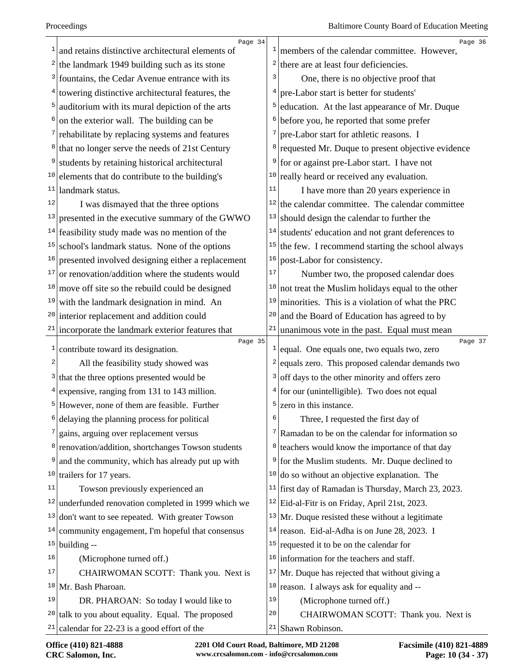|    | Page 34                                                        |              | Page 36                                                                                       |
|----|----------------------------------------------------------------|--------------|-----------------------------------------------------------------------------------------------|
|    | and retains distinctive architectural elements of              |              | members of the calendar committee. However,                                                   |
| 2  | the landmark 1949 building such as its stone                   | 2            | there are at least four deficiencies.                                                         |
| 3  | fountains, the Cedar Avenue entrance with its                  | 3            | One, there is no objective proof that                                                         |
| 4  | towering distinctive architectural features, the               |              | pre-Labor start is better for students'                                                       |
|    | auditorium with its mural depiction of the arts                | 5            | education. At the last appearance of Mr. Duque                                                |
|    | on the exterior wall. The building can be                      | 6            | before you, he reported that some prefer                                                      |
|    | rehabilitate by replacing systems and features                 | 7            | pre-Labor start for athletic reasons. I                                                       |
| 8  | that no longer serve the needs of 21st Century                 | 8            | requested Mr. Duque to present objective evidence                                             |
|    | students by retaining historical architectural                 | 9            | for or against pre-Labor start. I have not                                                    |
| 10 | elements that do contribute to the building's                  | 10           | really heard or received any evaluation.                                                      |
| 11 | landmark status.                                               | 11           | I have more than 20 years experience in                                                       |
| 12 | I was dismayed that the three options                          | 12           | the calendar committee. The calendar committee                                                |
| 13 | presented in the executive summary of the GWWO                 | 13           | should design the calendar to further the                                                     |
| 14 | feasibility study made was no mention of the                   | 14           | students' education and not grant deferences to                                               |
| 15 | school's landmark status. None of the options                  | 15           | the few. I recommend starting the school always                                               |
| 16 | presented involved designing either a replacement              | 16           | post-Labor for consistency.                                                                   |
| 17 | or renovation/addition where the students would                | $17\,$       | Number two, the proposed calendar does                                                        |
| 18 | move off site so the rebuild could be designed                 | 18           | not treat the Muslim holidays equal to the other                                              |
| 19 | with the landmark designation in mind. An                      | 19           | minorities. This is a violation of what the PRC                                               |
| 20 | interior replacement and addition could                        | 20           | and the Board of Education has agreed to by                                                   |
|    | $21$ incorporate the landmark exterior features that           | $21\,$       | unanimous vote in the past. Equal must mean                                                   |
|    |                                                                |              |                                                                                               |
| 1  | Page 35                                                        | $\mathbf{1}$ | Page 37                                                                                       |
| 2  | contribute toward its designation.                             | 2            | equal. One equals one, two equals two, zero                                                   |
| 3  | All the feasibility study showed was                           | 3            | equals zero. This proposed calendar demands two                                               |
|    | that the three options presented would be                      | 4            | off days to the other minority and offers zero                                                |
|    | expensive, ranging from 131 to 143 million.                    | 5            | for our (unintelligible). Two does not equal<br>zero in this instance.                        |
|    | However, none of them are feasible. Further                    | ь            | Three, I requested the first day of                                                           |
|    | delaying the planning process for political                    | 7            |                                                                                               |
|    | gains, arguing over replacement versus                         | 8            | Ramadan to be on the calendar for information so                                              |
| 9  | <sup>8</sup> renovation/addition, shortchanges Towson students | 9            | teachers would know the importance of that day                                                |
| 10 | and the community, which has already put up with               | 10           | for the Muslim students. Mr. Duque declined to<br>do so without an objective explanation. The |
| 11 | trailers for 17 years.<br>Towson previously experienced an     | 11           |                                                                                               |
| 12 |                                                                | 12           | first day of Ramadan is Thursday, March 23, 2023.                                             |
| 13 | underfunded renovation completed in 1999 which we              | 13           | Eid-al-Fitr is on Friday, April 21st, 2023.                                                   |
| 14 | don't want to see repeated. With greater Towson                |              | Mr. Duque resisted these without a legitimate                                                 |
|    | community engagement, I'm hopeful that consensus               | 15           | $14$ reason. Eid-al-Adha is on June 28, 2023. I                                               |
| 16 | $15$ building --<br>(Microphone turned off.)                   | 16           | requested it to be on the calendar for<br>information for the teachers and staff.             |
| 17 | CHAIRWOMAN SCOTT: Thank you. Next is                           | 17           | Mr. Duque has rejected that without giving a                                                  |
| 18 | Mr. Bash Pharoan.                                              | 18           | reason. I always ask for equality and --                                                      |
| 19 | DR. PHAROAN: So today I would like to                          | 19           | (Microphone turned off.)                                                                      |
| 20 | talk to you about equality. Equal. The proposed                | 20           | CHAIRWOMAN SCOTT: Thank you. Next is                                                          |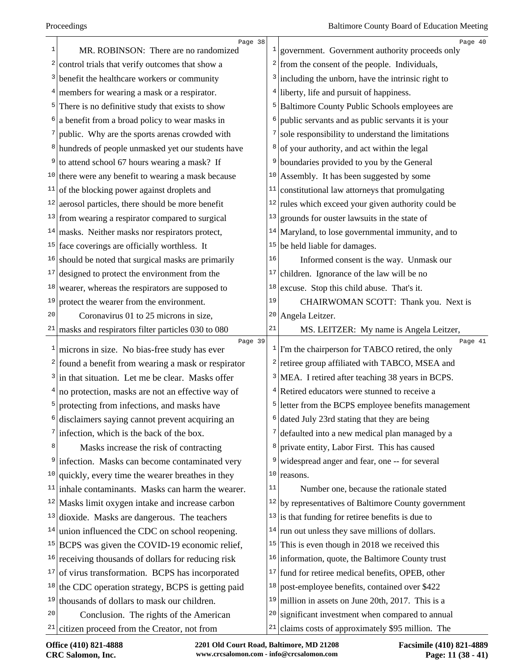|              | Page 38                                                        |               | Page 40                                                        |
|--------------|----------------------------------------------------------------|---------------|----------------------------------------------------------------|
| 1            | MR. ROBINSON: There are no randomized                          |               | $\frac{1}{2}$ government. Government authority proceeds only   |
|              | $2$ control trials that verify outcomes that show a            |               | $\frac{2}{\pi}$ from the consent of the people. Individuals,   |
|              | <sup>3</sup> benefit the healthcare workers or community       |               | $3$ including the unborn, have the intrinsic right to          |
|              | $4$ members for wearing a mask or a respirator.                | 4             | liberty, life and pursuit of happiness.                        |
|              | $5$ There is no definitive study that exists to show           |               | <sup>5</sup> Baltimore County Public Schools employees are     |
|              | $\frac{1}{2}$ a benefit from a broad policy to wear masks in   | 6             | public servants and as public servants it is your              |
|              | public. Why are the sports arenas crowded with                 | 7             | sole responsibility to understand the limitations              |
|              | <sup>8</sup> hundreds of people unmasked yet our students have | 8             | of your authority, and act within the legal                    |
|              | $9$ to attend school 67 hours wearing a mask? If               | 9             | boundaries provided to you by the General                      |
|              | $10$ there were any benefit to wearing a mask because          | 10            | Assembly. It has been suggested by some                        |
|              | $11$ of the blocking power against droplets and                | 11            | constitutional law attorneys that promulgating                 |
|              | $12$ aerosol particles, there should be more benefit           | 12            | rules which exceed your given authority could be               |
|              | $13$ from wearing a respirator compared to surgical            | 13            | grounds for ouster lawsuits in the state of                    |
|              | $14$ masks. Neither masks nor respirators protect,             | 14            | Maryland, to lose governmental immunity, and to                |
|              | $15$ face coverings are officially worthless. It               | 15            | be held liable for damages.                                    |
|              | $16$ should be noted that surgical masks are primarily         | 16            | Informed consent is the way. Unmask our                        |
|              | $17$ designed to protect the environment from the              | 17            | children. Ignorance of the law will be no                      |
|              | $18$ wearer, whereas the respirators are supposed to           | 18            | excuse. Stop this child abuse. That's it.                      |
| 19           | protect the wearer from the environment.                       | 19            | CHAIRWOMAN SCOTT: Thank you. Next is                           |
| 20           | Coronavirus 01 to 25 microns in size,                          | 20            | Angela Leitzer.                                                |
|              | $21$ masks and respirators filter particles 030 to 080         | 21            | MS. LEITZER: My name is Angela Leitzer,                        |
| $\mathbf{1}$ | Page 39<br>microns in size. No bias-free study has ever        |               | Page 41<br>$1$ I'm the chairperson for TABCO retired, the only |
|              | $2$ found a benefit from wearing a mask or respirator          |               | <sup>2</sup> retiree group affiliated with TABCO, MSEA and     |
|              | $3$ in that situation. Let me be clear. Masks offer            | $\frac{3}{ }$ | MEA. I retired after teaching 38 years in BCPS.                |
|              | $4 no$ protection, masks are not an effective way of           |               | $4$ Retired educators were stunned to receive a                |
|              | <sup>5</sup> protecting from infections, and masks have        |               | <sup>5</sup> letter from the BCPS employee benefits management |
|              | disclaimers saying cannot prevent acquiring an                 |               | dated July 23rd stating that they are being                    |
| 7            | infection, which is the back of the box.                       | 7             | defaulted into a new medical plan managed by a                 |
| 8            | Masks increase the risk of contracting                         | 8             | private entity, Labor First. This has caused                   |
| 9            | infection. Masks can become contaminated very                  | 9             | widespread anger and fear, one -- for several                  |
| 10           | quickly, every time the wearer breathes in they                | 10            | reasons.                                                       |
|              | $11$ inhale contaminants. Masks can harm the wearer.           | 11            | Number one, because the rationale stated                       |
|              | $12$ Masks limit oxygen intake and increase carbon             | 12            | by representatives of Baltimore County government              |
|              | $13$ dioxide. Masks are dangerous. The teachers                | 13            | is that funding for retiree benefits is due to                 |
| 14           | union influenced the CDC on school reopening.                  |               | $14$ run out unless they save millions of dollars.             |
|              | $15$ BCPS was given the COVID-19 economic relief,              |               | $15$ This is even though in 2018 we received this              |
|              | $16$ receiving thousands of dollars for reducing risk          | 16            | information, quote, the Baltimore County trust                 |
|              | $17$ of virus transformation. BCPS has incorporated            | 17            | fund for retiree medical benefits, OPEB, other                 |
| 18           | the CDC operation strategy, BCPS is getting paid               | 18            | post-employee benefits, contained over \$422                   |
| 19           | thousands of dollars to mask our children.                     | 19            | million in assets on June 20th, 2017. This is a                |
| 20           | Conclusion. The rights of the American                         | 20            | significant investment when compared to annual                 |
| 21           | citizen proceed from the Creator, not from                     | 21            | claims costs of approximately \$95 million. The                |
|              |                                                                |               |                                                                |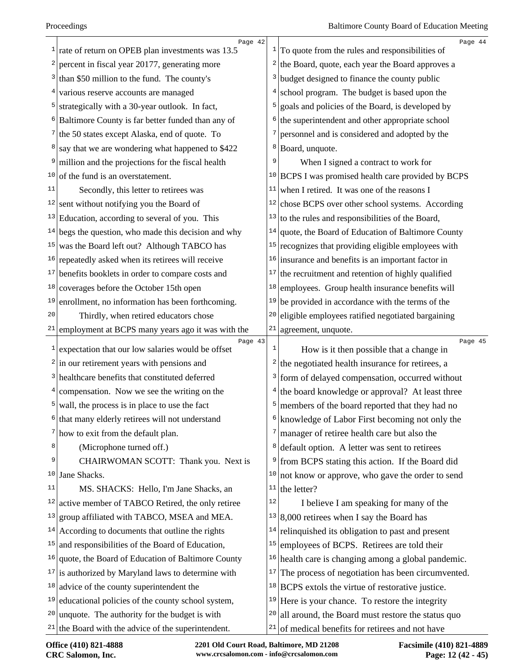|    | Page 42                                                      |                | Page 44                                                       |
|----|--------------------------------------------------------------|----------------|---------------------------------------------------------------|
| 1  | rate of return on OPEB plan investments was 13.5             |                | $\frac{1}{1}$ To quote from the rules and responsibilities of |
| 2  | percent in fiscal year 20177, generating more                | 2              | the Board, quote, each year the Board approves a              |
| 3  | than \$50 million to the fund. The county's                  | 3              | budget designed to finance the county public                  |
| 4  | various reserve accounts are managed                         | $\overline{4}$ | school program. The budget is based upon the                  |
| 5  | strategically with a 30-year outlook. In fact,               | 5              | goals and policies of the Board, is developed by              |
|    | Baltimore County is far better funded than any of            | 6              | the superintendent and other appropriate school               |
| 7  | the 50 states except Alaska, end of quote. To                | 7              | personnel and is considered and adopted by the                |
| 8  | say that we are wondering what happened to \$422             | 8              | Board, unquote.                                               |
| 9  | million and the projections for the fiscal health            | 9              | When I signed a contract to work for                          |
|    | $10$ of the fund is an overstatement.                        |                | $10$ BCPS I was promised health care provided by BCPS         |
| 11 | Secondly, this letter to retirees was                        | 11             | when I retired. It was one of the reasons I                   |
| 12 | sent without notifying you the Board of                      | 12             | chose BCPS over other school systems. According               |
|    | $13$ Education, according to several of you. This            | 13             | to the rules and responsibilities of the Board,               |
|    | $14$ begs the question, who made this decision and why       | 14             | quote, the Board of Education of Baltimore County             |
| 15 | was the Board left out? Although TABCO has                   | 15             | recognizes that providing eligible employees with             |
| 16 | repeatedly asked when its retirees will receive              |                | $16$ insurance and benefits is an important factor in         |
| 17 | benefits booklets in order to compare costs and              | 17             | the recruitment and retention of highly qualified             |
| 18 | coverages before the October 15th open                       | 18             | employees. Group health insurance benefits will               |
| 19 | enrollment, no information has been forthcoming.             | 19             | be provided in accordance with the terms of the               |
| 20 | Thirdly, when retired educators chose                        | 20             | eligible employees ratified negotiated bargaining             |
| 21 | employment at BCPS many years ago it was with the            | $21\,$         | agreement, unquote.                                           |
| 1  | Page 43<br>expectation that our low salaries would be offset | 1              | Page 45<br>How is it then possible that a change in           |
|    | $2$ in our retirement years with pensions and                | 2              | the negotiated health insurance for retirees, a               |
|    | <sup>3</sup> healthcare benefits that constituted deferred   | 3              | form of delayed compensation, occurred without                |
|    | $4$ compensation. Now we see the writing on the              | 4              | the board knowledge or approval? At least three               |
| 5  | wall, the process is in place to use the fact                | 5              | members of the board reported that they had no                |
| 6  | that many elderly retirees will not understand               | 6              | knowledge of Labor First becoming not only the                |
|    | $7$ how to exit from the default plan.                       | 7              | manager of retiree health care but also the                   |
| 8  | (Microphone turned off.)                                     | 8              | default option. A letter was sent to retirees                 |
| 9  | CHAIRWOMAN SCOTT: Thank you. Next is                         | 9              | from BCPS stating this action. If the Board did               |
| 10 | Jane Shacks.                                                 | 10             | not know or approve, who gave the order to send               |
| 11 | MS. SHACKS: Hello, I'm Jane Shacks, an                       | 11             | the letter?                                                   |
| 12 | active member of TABCO Retired, the only retiree             | $1\,2$         | I believe I am speaking for many of the                       |
| 13 | group affiliated with TABCO, MSEA and MEA.                   | 13             | 8,000 retirees when I say the Board has                       |
| 14 | According to documents that outline the rights               | 14             | relinquished its obligation to past and present               |
| 15 | and responsibilities of the Board of Education,              | 15             | employees of BCPS. Retirees are told their                    |
| 16 | quote, the Board of Education of Baltimore County            | 16             | health care is changing among a global pandemic.              |
|    |                                                              | 17             | The process of negotiation has been circumvented.             |
|    | $17$ is authorized by Maryland laws to determine with        |                |                                                               |
| 18 | advice of the county superintendent the                      | 18             | BCPS extols the virtue of restorative justice.                |
| 19 | educational policies of the county school system,            | 19             | Here is your chance. To restore the integrity                 |
| 20 | unquote. The authority for the budget is with                | 20             | all around, the Board must restore the status quo             |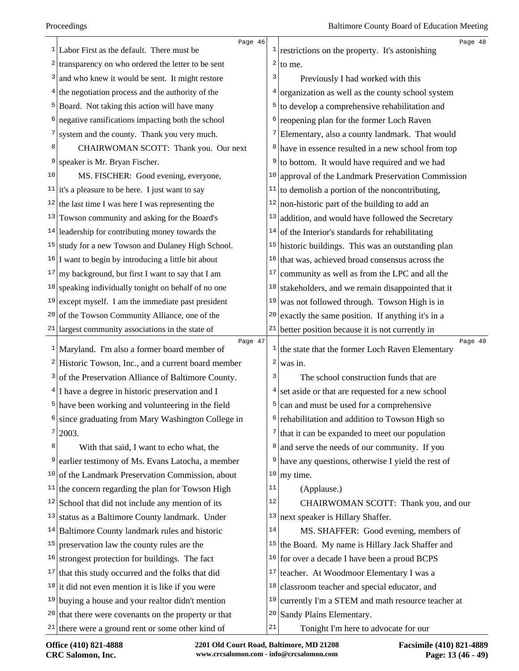|    | Page 46                                                         |                         | Page 48                                                                  |
|----|-----------------------------------------------------------------|-------------------------|--------------------------------------------------------------------------|
|    | $\frac{1}{2}$ Labor First as the default. There must be         | $\mathbf{1}$            | restrictions on the property. It's astonishing                           |
|    | $2$ transparency on who ordered the letter to be sent           | 2                       | to me.                                                                   |
|    | $3$ and who knew it would be sent. It might restore             | 3                       | Previously I had worked with this                                        |
|    | $4$ the negotiation process and the authority of the            | 4                       | organization as well as the county school system                         |
|    | <sup>5</sup> Board. Not taking this action will have many       | 5                       | to develop a comprehensive rehabilitation and                            |
|    | negative ramifications impacting both the school                | 6                       | reopening plan for the former Loch Raven                                 |
| 7  | system and the county. Thank you very much.                     | 7                       | Elementary, also a county landmark. That would                           |
| 8  | CHAIRWOMAN SCOTT: Thank you. Our next                           | 8                       | have in essence resulted in a new school from top                        |
| 9  | speaker is Mr. Bryan Fischer.                                   | 9                       | to bottom. It would have required and we had                             |
| 10 | MS. FISCHER: Good evening, everyone,                            | 10                      | approval of the Landmark Preservation Commission                         |
|    | $11$ it's a pleasure to be here. I just want to say             | 11                      | to demolish a portion of the noncontributing,                            |
| 12 | the last time I was here I was representing the                 | 12                      | non-historic part of the building to add an                              |
| 13 | Towson community and asking for the Board's                     | 13                      | addition, and would have followed the Secretary                          |
|    | $14$ leadership for contributing money towards the              | 14                      | of the Interior's standards for rehabilitating                           |
|    | $15$ study for a new Towson and Dulaney High School.            | 15                      | historic buildings. This was an outstanding plan                         |
|    | $16$ I want to begin by introducing a little bit about          | 16                      | that was, achieved broad consensus across the                            |
|    | $17 \, \text{my background, but first I want to say that I am}$ | 17                      | community as well as from the LPC and all the                            |
| 18 | speaking individually tonight on behalf of no one               | 18                      | stakeholders, and we remain disappointed that it                         |
| 19 | except myself. I am the immediate past president                | 19                      | was not followed through. Towson High is in                              |
| 20 | of the Towson Community Alliance, one of the                    | 20                      | exactly the same position. If anything it's in a                         |
|    | $21$ largest community associations in the state of             | 21                      | better position because it is not currently in                           |
|    | Page 47<br>$1$ Maryland. I'm also a former board member of      |                         | Page 49<br>$\frac{1}{1}$ the state that the former Loch Raven Elementary |
|    | <sup>2</sup> Historic Towson, Inc., and a current board member  | $\overline{\mathbf{c}}$ | was in.                                                                  |
|    | <sup>3</sup> of the Preservation Alliance of Baltimore County.  | 3                       | The school construction funds that are                                   |
|    | $4$ I have a degree in historic preservation and I              | 4                       | set aside or that are requested for a new school                         |
|    | $5$ have been working and volunteering in the field             | 5                       | can and must be used for a comprehensive                                 |
|    | since graduating from Mary Washington College in                |                         | $6$ rehabilitation and addition to Towson High so                        |
| 7  | 2003.                                                           | 7                       | that it can be expanded to meet our population                           |
| 8  | With that said, I want to echo what, the                        | 8                       | and serve the needs of our community. If you                             |
| 9  | earlier testimony of Ms. Evans Latocha, a member                | 9                       | have any questions, otherwise I yield the rest of                        |
| 10 | of the Landmark Preservation Commission, about                  | 10                      | my time.                                                                 |
| 11 | the concern regarding the plan for Towson High                  | 11                      | (Applause.)                                                              |
|    | $12$ School that did not include any mention of its             | 12                      | CHAIRWOMAN SCOTT: Thank you, and our                                     |
| 13 | status as a Baltimore County landmark. Under                    | 13                      | next speaker is Hillary Shaffer.                                         |
|    | $14$ Baltimore County landmark rules and historic               | 14                      | MS. SHAFFER: Good evening, members of                                    |
| 15 | preservation law the county rules are the                       |                         | <sup>15</sup> the Board. My name is Hillary Jack Shaffer and             |
|    | $16$ strongest protection for buildings. The fact               | $16 \vert$              | for over a decade I have been a proud BCPS                               |
| 17 | that this study occurred and the folks that did                 | 17                      | teacher. At Woodmoor Elementary I was a                                  |
|    | $18$ it did not even mention it is like if you were             | 18                      | classroom teacher and special educator, and                              |
|    | $19$ buying a house and your realtor didn't mention             | 19                      | currently I'm a STEM and math resource teacher at                        |
| 20 | that there were covenants on the property or that               |                         | <sup>20</sup> Sandy Plains Elementary.                                   |
|    | $21$ there were a ground rent or some other kind of             | 21                      | Tonight I'm here to advocate for our                                     |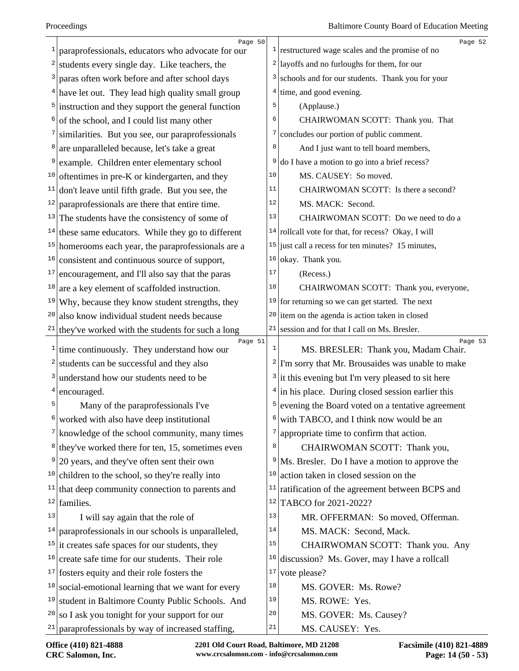|              | Page 50                                                       |          | Page 52                                                       |
|--------------|---------------------------------------------------------------|----------|---------------------------------------------------------------|
| 1            | paraprofessionals, educators who advocate for our             |          | $\frac{1}{2}$ restructured wage scales and the promise of no  |
| 2            | students every single day. Like teachers, the                 |          | $2$ layoffs and no furloughs for them, for our                |
| 3            | paras often work before and after school days                 |          | <sup>3</sup> schools and for our students. Thank you for your |
|              | $4$ have let out. They lead high quality small group          | 4        | time, and good evening.                                       |
| 5            | instruction and they support the general function             | 5        | (Applause.)                                                   |
| 6            | of the school, and I could list many other                    | 6        | CHAIRWOMAN SCOTT: Thank you. That                             |
|              | similarities. But you see, our paraprofessionals              | 7        | concludes our portion of public comment.                      |
| 8            | are unparalleled because, let's take a great                  | 8        | And I just want to tell board members,                        |
| 9            | example. Children enter elementary school                     | 9        | do I have a motion to go into a brief recess?                 |
|              | $10$ oftentimes in pre-K or kindergarten, and they            | 10       | MS. CAUSEY: So moved.                                         |
| 11           | don't leave until fifth grade. But you see, the               | 11       | CHAIRWOMAN SCOTT: Is there a second?                          |
| 12           | paraprofessionals are there that entire time.                 | 12       | MS. MACK: Second.                                             |
|              | $13$ The students have the consistency of some of             | 13       | CHAIRWOMAN SCOTT: Do we need to do a                          |
|              | $14$ these same educators. While they go to different         |          | $14$ rollcall vote for that, for recess? Okay, I will         |
| 15           | homerooms each year, the paraprofessionals are a              |          | <sup>15</sup> just call a recess for ten minutes? 15 minutes, |
| 16           | consistent and continuous source of support,                  | 16       | okay. Thank you.                                              |
| 17           | encouragement, and I'll also say that the paras               | 17       | (Recess.)                                                     |
| 18           | are a key element of scaffolded instruction.                  | 18       | CHAIRWOMAN SCOTT: Thank you, everyone,                        |
| 19           | Why, because they know student strengths, they                |          | $19$ for returning so we can get started. The next            |
| 20           | also know individual student needs because                    |          | $20$ item on the agenda is action taken in closed             |
| 21           | they've worked with the students for such a long              | 21       | session and for that I call on Ms. Bresler.                   |
| $\mathbf{1}$ | Page 51<br>time continuously. They understand how our         | 1        | Page 53<br>MS. BRESLER: Thank you, Madam Chair.               |
| 2            | students can be successful and they also                      |          | $2$ I'm sorry that Mr. Brousaides was unable to make          |
| 3            | understand how our students need to be                        |          | $3$ it this evening but I'm very pleased to sit here          |
| 4            | encouraged.                                                   |          | $4$ in his place. During closed session earlier this          |
| 5            | Many of the paraprofessionals I've                            | 5        | evening the Board voted on a tentative agreement              |
| 6            | worked with also have deep institutional                      | 6        | with TABCO, and I think now would be an                       |
|              | $7$ knowledge of the school community, many times             | 7        | appropriate time to confirm that action.                      |
|              | $8$ they've worked there for ten, 15, sometimes even          | 8        | CHAIRWOMAN SCOTT: Thank you,                                  |
| 9            | 20 years, and they've often sent their own                    | 9        | Ms. Bresler. Do I have a motion to approve the                |
|              | $10$ children to the school, so they're really into           | 10       | action taken in closed session on the                         |
|              | $11$ that deep community connection to parents and            | 11       | ratification of the agreement between BCPS and                |
| 12           | families.                                                     | 12       | TABCO for 2021-2022?                                          |
| 13           |                                                               | 13       | MR. OFFERMAN: So moved, Offerman.                             |
|              | I will say again that the role of                             | 14       |                                                               |
|              | $14$ paraprofessionals in our schools is unparalleled,        | 15       | MS. MACK: Second, Mack.                                       |
|              | $15$ it creates safe spaces for our students, they            |          | CHAIRWOMAN SCOTT: Thank you. Any                              |
| 16           | create safe time for our students. Their role                 | 16<br>17 | discussion? Ms. Gover, may I have a rollcall                  |
|              | $17$ fosters equity and their role fosters the                | 18       | vote please?                                                  |
|              | $18$ social-emotional learning that we want for every         |          | MS. GOVER: Ms. Rowe?                                          |
|              | <sup>19</sup> student in Baltimore County Public Schools. And | 19       | MS. ROWE: Yes.                                                |
| 20           | so I ask you tonight for your support for our                 | 20       | MS. GOVER: Ms. Causey?                                        |
|              | $21$ paraprofessionals by way of increased staffing,          | 21       | MS. CAUSEY: Yes.                                              |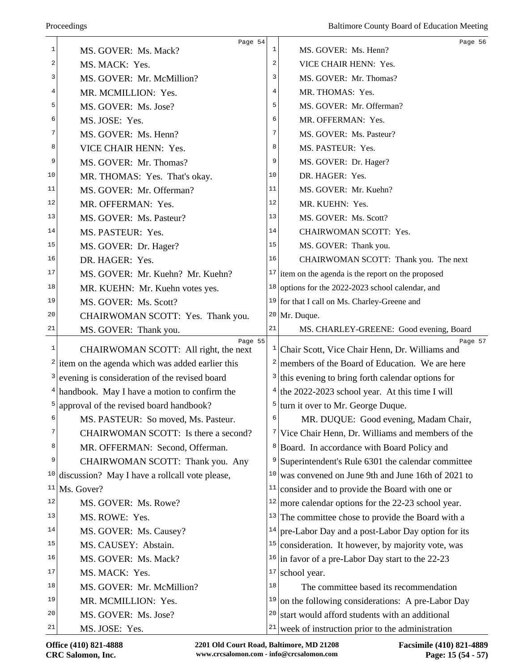|    | Page 54                                                    |                | Page 56                                                                                                      |
|----|------------------------------------------------------------|----------------|--------------------------------------------------------------------------------------------------------------|
| 1  | MS. GOVER: Ms. Mack?                                       | $\mathbf{1}$   | MS. GOVER: Ms. Henn?                                                                                         |
| 2  | MS. MACK: Yes.                                             | $\overline{a}$ | VICE CHAIR HENN: Yes.                                                                                        |
| 3  | MS. GOVER: Mr. McMillion?                                  | 3              | MS. GOVER: Mr. Thomas?                                                                                       |
| 4  | MR. MCMILLION: Yes.                                        | 4              | MR. THOMAS: Yes.                                                                                             |
| 5  | MS. GOVER: Ms. Jose?                                       | 5              | MS. GOVER: Mr. Offerman?                                                                                     |
| 6  | MS. JOSE: Yes.                                             | 6              | MR. OFFERMAN: Yes.                                                                                           |
| 7  | MS. GOVER: Ms. Henn?                                       | 7              | MS. GOVER: Ms. Pasteur?                                                                                      |
| 8  | VICE CHAIR HENN: Yes.                                      | 8              | MS. PASTEUR: Yes.                                                                                            |
| 9  | MS. GOVER: Mr. Thomas?                                     | 9              | MS. GOVER: Dr. Hager?                                                                                        |
| 10 | MR. THOMAS: Yes. That's okay.                              | 10             | DR. HAGER: Yes.                                                                                              |
| 11 | MS. GOVER: Mr. Offerman?                                   | 11             | MS. GOVER: Mr. Kuehn?                                                                                        |
| 12 | MR. OFFERMAN: Yes.                                         | 12             | MR. KUEHN: Yes.                                                                                              |
| 13 | MS. GOVER: Ms. Pasteur?                                    | 13             | MS. GOVER: Ms. Scott?                                                                                        |
| 14 | MS. PASTEUR: Yes.                                          | 14             | CHAIRWOMAN SCOTT: Yes.                                                                                       |
| 15 | MS. GOVER: Dr. Hager?                                      | 15             | MS. GOVER: Thank you.                                                                                        |
| 16 | DR. HAGER: Yes.                                            | 16             | CHAIRWOMAN SCOTT: Thank you. The next                                                                        |
| 17 | MS. GOVER: Mr. Kuehn? Mr. Kuehn?                           |                | $17$ item on the agenda is the report on the proposed                                                        |
| 18 | MR. KUEHN: Mr. Kuehn votes yes.                            | 18             | options for the 2022-2023 school calendar, and                                                               |
| 19 | MS. GOVER: Ms. Scott?                                      |                | <sup>19</sup> for that I call on Ms. Charley-Greene and                                                      |
| 20 | CHAIRWOMAN SCOTT: Yes. Thank you.                          |                | $20$ Mr. Duque.                                                                                              |
| 21 | MS. GOVER: Thank you.                                      | 21             | MS. CHARLEY-GREENE: Good evening, Board                                                                      |
| 1  | Page 55<br>CHAIRWOMAN SCOTT: All right, the next           | 1              | Page 57<br>Chair Scott, Vice Chair Henn, Dr. Williams and                                                    |
|    | $2$ item on the agenda which was added earlier this        | 2              | members of the Board of Education. We are here                                                               |
|    | <sup>3</sup> evening is consideration of the revised board | 3              | this evening to bring forth calendar options for                                                             |
|    | $4$ handbook. May I have a motion to confirm the           |                | $4$ the 2022-2023 school year. At this time I will                                                           |
| 5  | approval of the revised board handbook?                    | 5              | turn it over to Mr. George Duque.                                                                            |
| 6  | MS. PASTEUR: So moved, Ms. Pasteur.                        | 6              |                                                                                                              |
| 7  | CHAIRWOMAN SCOTT: Is there a second?                       |                | MR. DUQUE: Good evening, Madam Chair,<br><sup>7</sup> Vice Chair Henn, Dr. Williams and members of the       |
| 8  |                                                            |                |                                                                                                              |
| 9  | MR. OFFERMAN: Second, Offerman.                            | 9 <sup>1</sup> | <sup>8</sup> Board. In accordance with Board Policy and<br>Superintendent's Rule 6301 the calendar committee |
| 10 | CHAIRWOMAN SCOTT: Thank you. Any                           | 10             | was convened on June 9th and June 16th of 2021 to                                                            |
| 11 | discussion? May I have a rollcall vote please,             | 11             |                                                                                                              |
| 12 | Ms. Gover?                                                 | 12             | consider and to provide the Board with one or                                                                |
| 13 | MS. GOVER: Ms. Rowe?                                       |                | more calendar options for the 22-23 school year.                                                             |
|    | MS. ROWE: Yes.                                             | 13             | The committee chose to provide the Board with a                                                              |
| 14 | MS. GOVER: Ms. Causey?                                     | 14             | pre-Labor Day and a post-Labor Day option for its                                                            |
| 15 | MS. CAUSEY: Abstain.                                       | 15             | consideration. It however, by majority vote, was                                                             |
| 16 | MS. GOVER: Ms. Mack?                                       |                | $16$ in favor of a pre-Labor Day start to the 22-23                                                          |
| 17 | MS. MACK: Yes.                                             | 17             | school year.                                                                                                 |
| 18 | MS. GOVER: Mr. McMillion?                                  | 18             | The committee based its recommendation                                                                       |
| 19 | MR. MCMILLION: Yes.                                        | 19             | on the following considerations: A pre-Labor Day                                                             |
| 20 | MS. GOVER: Ms. Jose?                                       | 20             | start would afford students with an additional                                                               |
| 21 | MS. JOSE: Yes.                                             | 21             | week of instruction prior to the administration                                                              |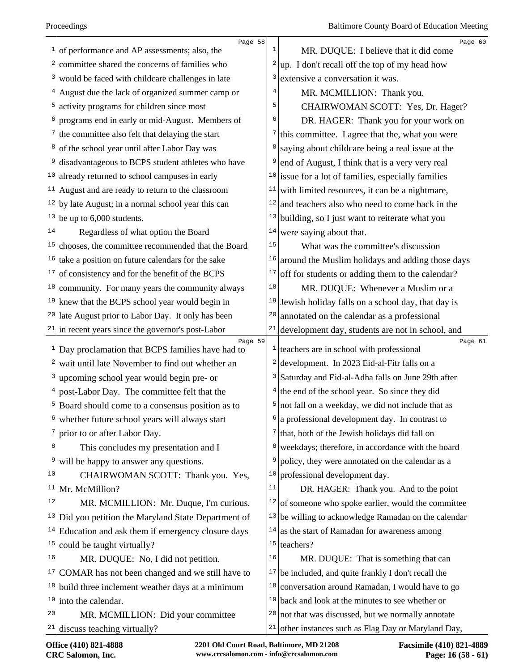| 1   | Page 58<br>of performance and AP assessments; also, the        | $\mathbf{1}$ | Page 60<br>MR. DUQUE: I believe that it did come               |
|-----|----------------------------------------------------------------|--------------|----------------------------------------------------------------|
| 2   | committee shared the concerns of families who                  | 2            | up. I don't recall off the top of my head how                  |
| 3   | would be faced with childcare challenges in late               | 3            | extensive a conversation it was.                               |
|     | August due the lack of organized summer camp or                | 4            | MR. MCMILLION: Thank you.                                      |
| 5   | activity programs for children since most                      | 5            | CHAIRWOMAN SCOTT: Yes, Dr. Hager?                              |
|     | programs end in early or mid-August. Members of                | 6            | DR. HAGER: Thank you for your work on                          |
|     | $\frac{7}{1}$ the committee also felt that delaying the start  | 7            | this committee. I agree that the, what you were                |
| 8   | of the school year until after Labor Day was                   | 8            | saying about childcare being a real issue at the               |
| 9   | disadvantageous to BCPS student athletes who have              | 9            | end of August, I think that is a very very real                |
| 10  | already returned to school campuses in early                   |              | $10$ issue for a lot of families, especially families          |
| 11  | August and are ready to return to the classroom                | 11           | with limited resources, it can be a nightmare,                 |
|     | $12$ by late August; in a normal school year this can          | 12           | and teachers also who need to come back in the                 |
|     | $13$ be up to 6,000 students.                                  | 13           | building, so I just want to reiterate what you                 |
| 14  | Regardless of what option the Board                            | 14           | were saying about that.                                        |
| 15  | chooses, the committee recommended that the Board              | 15           | What was the committee's discussion                            |
| 16  | take a position on future calendars for the sake               | 16           | around the Muslim holidays and adding those days               |
| 17  | of consistency and for the benefit of the BCPS                 | 17           | off for students or adding them to the calendar?               |
| 18  | community. For many years the community always                 | 18           | MR. DUQUE: Whenever a Muslim or a                              |
|     | $19$ knew that the BCPS school year would begin in             | 19           | Jewish holiday falls on a school day, that day is              |
|     | <sup>20</sup> late August prior to Labor Day. It only has been | 20           | annotated on the calendar as a professional                    |
|     | $21$ in recent years since the governor's post-Labor           | 21           | development day, students are not in school, and               |
|     | Page 59<br>$1$ Day proclamation that BCPS families have had to | $\mathbf{1}$ | Page 61<br>teachers are in school with professional            |
| 2   | wait until late November to find out whether an                |              | <sup>2</sup> development. In 2023 Eid-al-Fitr falls on a       |
| 3   | upcoming school year would begin pre- or                       |              | <sup>3</sup> Saturday and Eid-al-Adha falls on June 29th after |
|     | post-Labor Day. The committee felt that the                    |              | $4$ the end of the school year. So since they did              |
|     | Board should come to a consensus position as to                |              | $5 \text{ not fall on a weekly, we did not include that as}$   |
| 6   | whether future school years will always start                  | 6            | a professional development day. In contrast to                 |
|     | prior to or after Labor Day.                                   |              | $7$ that, both of the Jewish holidays did fall on              |
| 8   | This concludes my presentation and I                           | 8            | weekdays; therefore, in accordance with the board              |
| 9   | will be happy to answer any questions.                         | 9            | policy, they were annotated on the calendar as a               |
| 10  | CHAIRWOMAN SCOTT: Thank you. Yes,                              | 10           | professional development day.                                  |
| 11  | Mr. McMillion?                                                 | 11           | DR. HAGER: Thank you. And to the point                         |
| 12  | MR. MCMILLION: Mr. Duque, I'm curious.                         | 12           | of someone who spoke earlier, would the committee              |
| 13  | Did you petition the Maryland State Department of              | 13           | be willing to acknowledge Ramadan on the calendar              |
| 14  | Education and ask them if emergency closure days               | 14           | as the start of Ramadan for awareness among                    |
| 15  | could be taught virtually?                                     | 15           | teachers?                                                      |
| 16  | MR. DUQUE: No, I did not petition.                             | 16           | MR. DUQUE: That is something that can                          |
| T.V | COMAR has not been changed and we still have to                |              | $17$ be included, and quite frankly I don't recall the         |
|     | $18$ build three inclement weather days at a minimum           | 18           | conversation around Ramadan, I would have to go                |
|     | $19$ into the calendar.                                        | 19           | back and look at the minutes to see whether or                 |
| 20  | MR. MCMILLION: Did your committee                              | 20           | not that was discussed, but we normally annotate               |
| 21  | discuss teaching virtually?                                    | 21           | other instances such as Flag Day or Maryland Day,              |
|     |                                                                |              |                                                                |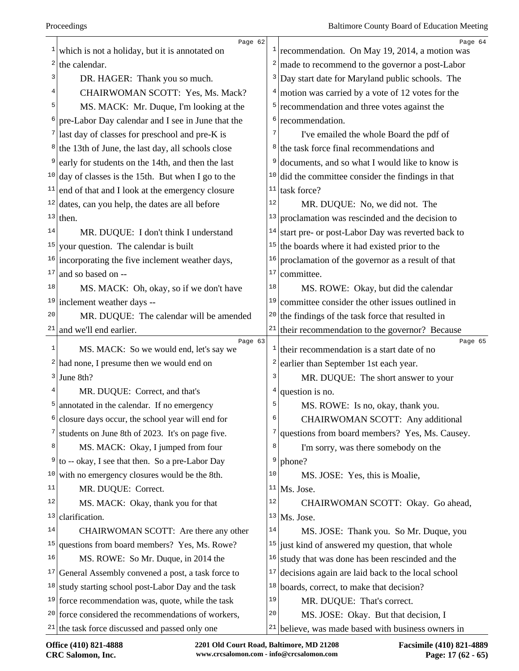|          | Page 62                                                        |              | Page 64                                                                                 |
|----------|----------------------------------------------------------------|--------------|-----------------------------------------------------------------------------------------|
| 1        | which is not a holiday, but it is annotated on                 | $\mathbf{1}$ | recommendation. On May 19, 2014, a motion was                                           |
| 2        | the calendar.                                                  | 2            | made to recommend to the governor a post-Labor                                          |
| 3        | DR. HAGER: Thank you so much.                                  | 3            | Day start date for Maryland public schools. The                                         |
| 4        | CHAIRWOMAN SCOTT: Yes, Ms. Mack?                               | 4            | motion was carried by a vote of 12 votes for the                                        |
| 5        | MS. MACK: Mr. Duque, I'm looking at the                        | 5            | recommendation and three votes against the                                              |
| 6        | pre-Labor Day calendar and I see in June that the              | 6            | recommendation.                                                                         |
|          | $7$ last day of classes for preschool and pre-K is             | 7            | I've emailed the whole Board the pdf of                                                 |
|          | <sup>8</sup> the 13th of June, the last day, all schools close | 8            | the task force final recommendations and                                                |
| 9        | early for students on the 14th, and then the last              | 9            | documents, and so what I would like to know is                                          |
|          | <sup>10</sup> day of classes is the 15th. But when I go to the | 10           | did the committee consider the findings in that                                         |
| 11       | end of that and I look at the emergency closure                | $11\,$       | task force?                                                                             |
|          | $12$ dates, can you help, the dates are all before             | 12           | MR. DUQUE: No, we did not. The                                                          |
|          | $13$ then.                                                     | 13           | proclamation was rescinded and the decision to                                          |
| 14       | MR. DUQUE: I don't think I understand                          | 14           | start pre- or post-Labor Day was reverted back to                                       |
| 15       | your question. The calendar is built                           | 15           | the boards where it had existed prior to the                                            |
| 16       | incorporating the five inclement weather days,                 | 16           | proclamation of the governor as a result of that                                        |
| 17       | and so based on --                                             | 17           | committee.                                                                              |
| 18       | MS. MACK: Oh, okay, so if we don't have                        | 18           | MS. ROWE: Okay, but did the calendar                                                    |
| 19       | inclement weather days --                                      | 19           | committee consider the other issues outlined in                                         |
| 20       | MR. DUQUE: The calendar will be amended                        | 20           | the findings of the task force that resulted in                                         |
|          | $21$ and we'll end earlier.                                    | $21\,$       | their recommendation to the governor? Because                                           |
| 1        | Page 63<br>MS. MACK: So we would end, let's say we             | $\mathbf{1}$ | Page 65<br>their recommendation is a start date of no                                   |
|          | $2$ had none, I presume then we would end on                   | 2            | earlier than September 1st each year.                                                   |
|          | $3$ June 8th?                                                  | 3            | MR. DUQUE: The short answer to your                                                     |
| 4        | MR. DUQUE: Correct, and that's                                 | 4            | question is no.                                                                         |
| 5        | annotated in the calendar. If no emergency                     | 5            | MS. ROWE: Is no, okay, thank you.                                                       |
| 6        | closure days occur, the school year will end for               | 6            | CHAIRWOMAN SCOTT: Any additional                                                        |
| $7\vert$ | students on June 8th of 2023. It's on page five.               | 7            | questions from board members? Yes, Ms. Causey.                                          |
| 8        | MS. MACK: Okay, I jumped from four                             | 8            | I'm sorry, was there somebody on the                                                    |
| 9        | to -- okay, I see that then. So a pre-Labor Day                | 9            | phone?                                                                                  |
| 10       | with no emergency closures would be the 8th.                   | 10           | MS. JOSE: Yes, this is Moalie,                                                          |
| 11       | MR. DUQUE: Correct.                                            | 11           | Ms. Jose.                                                                               |
| 12       | MS. MACK: Okay, thank you for that                             | 12           | CHAIRWOMAN SCOTT: Okay. Go ahead,                                                       |
| 13       |                                                                |              | Ms. Jose.                                                                               |
| 14       | clarification.                                                 | 13           |                                                                                         |
|          | CHAIRWOMAN SCOTT: Are there any other                          | 14           |                                                                                         |
| 15       | questions from board members? Yes, Ms. Rowe?                   | 15           | MS. JOSE: Thank you. So Mr. Duque, you<br>just kind of answered my question, that whole |
| 16       | MS. ROWE: So Mr. Duque, in 2014 the                            | 16           | study that was done has been rescinded and the                                          |
|          | $17$ General Assembly convened a post, a task force to         | 17           | decisions again are laid back to the local school                                       |
|          | $18$ study starting school post-Labor Day and the task         | 18           | boards, correct, to make that decision?                                                 |
|          | $19$ force recommendation was, quote, while the task           | 19           | MR. DUQUE: That's correct.                                                              |
|          | $20$ force considered the recommendations of workers,          | 20           | MS. JOSE: Okay. But that decision, I                                                    |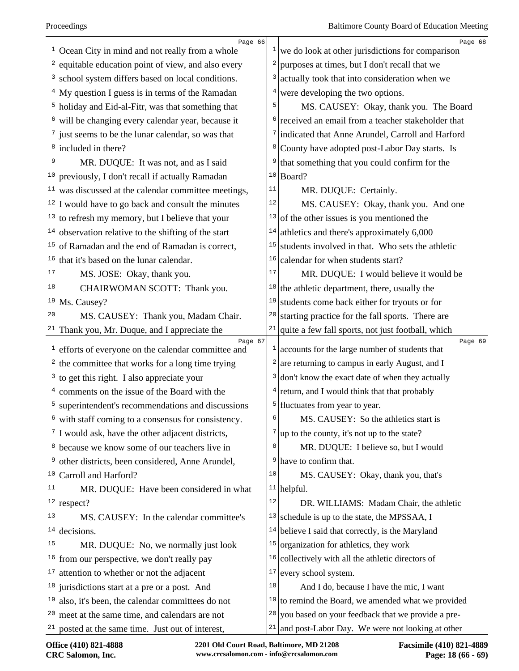| $\mathbf{1}$ | Page 66<br>Ocean City in mind and not really from a whole    | $\mathbf{1}$    | Page 68<br>we do look at other jurisdictions for comparison             |
|--------------|--------------------------------------------------------------|-----------------|-------------------------------------------------------------------------|
| 2            | equitable education point of view, and also every            | 2               | purposes at times, but I don't recall that we                           |
| 3            | school system differs based on local conditions.             | 3               | actually took that into consideration when we                           |
| 4            | My question I guess is in terms of the Ramadan               | 4               | were developing the two options.                                        |
| 5            | holiday and Eid-al-Fitr, was that something that             | 5               | MS. CAUSEY: Okay, thank you. The Board                                  |
| 6            | will be changing every calendar year, because it             |                 | <sup>6</sup> received an email from a teacher stakeholder that          |
| 7            | just seems to be the lunar calendar, so was that             |                 | 7 indicated that Anne Arundel, Carroll and Harford                      |
| 8            | included in there?                                           | 8               | County have adopted post-Labor Day starts. Is                           |
| 9            | MR. DUQUE: It was not, and as I said                         | 9               | that something that you could confirm for the                           |
| 10           | previously, I don't recall if actually Ramadan               | 10 <sub>1</sub> | Board?                                                                  |
| 11           | was discussed at the calendar committee meetings,            | $11\,$          | MR. DUQUE: Certainly.                                                   |
|              | $12$ I would have to go back and consult the minutes         | 12              | MS. CAUSEY: Okay, thank you. And one                                    |
| 13           | to refresh my memory, but I believe that your                | 13              | of the other issues is you mentioned the                                |
| 14           | observation relative to the shifting of the start            | 14              | athletics and there's approximately 6,000                               |
| 15           | of Ramadan and the end of Ramadan is correct,                | 15              | students involved in that. Who sets the athletic                        |
| 16           | that it's based on the lunar calendar.                       | 16              | calendar for when students start?                                       |
| 17           | MS. JOSE: Okay, thank you.                                   | 17              | MR. DUQUE: I would believe it would be                                  |
| 18           | CHAIRWOMAN SCOTT: Thank you.                                 | 18              | the athletic department, there, usually the                             |
| 19           | Ms. Causey?                                                  | 19              | students come back either for tryouts or for                            |
| 20           | MS. CAUSEY: Thank you, Madam Chair.                          | 20              | starting practice for the fall sports. There are                        |
| 21           | Thank you, Mr. Duque, and I appreciate the                   | 21              | quite a few fall sports, not just football, which                       |
| $\mathbf{1}$ | Page 67<br>efforts of everyone on the calendar committee and |                 | Page 69<br>$\frac{1}{2}$ accounts for the large number of students that |
| 2            | the committee that works for a long time trying              | 2               | are returning to campus in early August, and I                          |
| 3            | to get this right. I also appreciate your                    | 3               | don't know the exact date of when they actually                         |
| 4            | comments on the issue of the Board with the                  | 4               | return, and I would think that that probably                            |
| 5            | superintendent's recommendations and discussions             |                 | $5$ fluctuates from year to year.                                       |
| 6            | with staff coming to a consensus for consistency.            | 6               | MS. CAUSEY: So the athletics start is                                   |
| 7            | I would ask, have the other adjacent districts,              | 7               | up to the county, it's not up to the state?                             |
| 8            | because we know some of our teachers live in                 | 8               | MR. DUQUE: I believe so, but I would                                    |
| 9            | other districts, been considered, Anne Arundel,              |                 | $9$ have to confirm that.                                               |
| 10           | Carroll and Harford?                                         | $10$            | MS. CAUSEY: Okay, thank you, that's                                     |
| 11           | MR. DUQUE: Have been considered in what                      |                 | $11$ helpful.                                                           |
| 12           | respect?                                                     | $1\,2$          | DR. WILLIAMS: Madam Chair, the athletic                                 |
| 13           | MS. CAUSEY: In the calendar committee's                      | 13              | schedule is up to the state, the MPSSAA, I                              |
| 14           | decisions.                                                   | 14              | believe I said that correctly, is the Maryland                          |
| 15           | MR. DUQUE: No, we normally just look                         | 15              | organization for athletics, they work                                   |
| 16           | from our perspective, we don't really pay                    | 16              | collectively with all the athletic directors of                         |
| 17           | attention to whether or not the adjacent                     | 17              | every school system.                                                    |
|              | $18$ jurisdictions start at a pre or a post. And             | 18              | And I do, because I have the mic, I want                                |
| 19           | also, it's been, the calendar committees do not              |                 | $19$ to remind the Board, we amended what we provided                   |
| 20           | meet at the same time, and calendars are not                 | 20              | you based on your feedback that we provide a pre-                       |
| 21           | posted at the same time. Just out of interest,               | 21              | and post-Labor Day. We were not looking at other                        |
|              |                                                              |                 |                                                                         |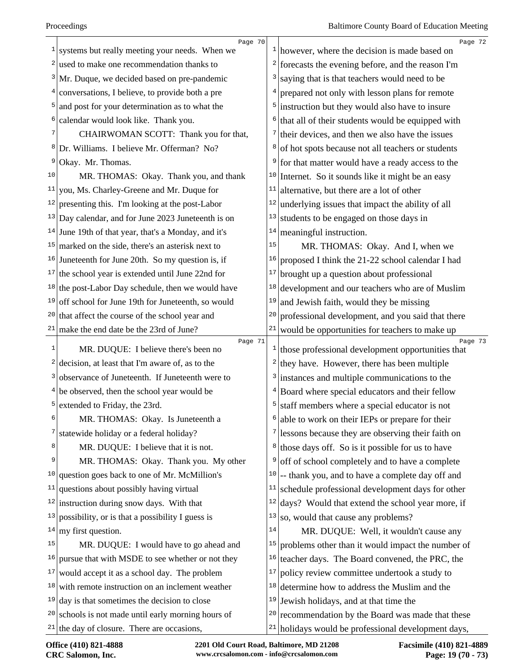|    | Page 70                                               |        | Page 72                                                                    |
|----|-------------------------------------------------------|--------|----------------------------------------------------------------------------|
|    | systems but really meeting your needs. When we        |        | $\frac{1}{1}$ however, where the decision is made based on                 |
|    | used to make one recommendation thanks to             | 2      | forecasts the evening before, and the reason I'm                           |
|    | $3$ Mr. Duque, we decided based on pre-pandemic       | 3      | saying that is that teachers would need to be                              |
| 4  | conversations, I believe, to provide both a pre       | 4      | prepared not only with lesson plans for remote                             |
| 5  | and post for your determination as to what the        | 5      | instruction but they would also have to insure                             |
|    | calendar would look like. Thank you.                  | 6      | that all of their students would be equipped with                          |
|    | CHAIRWOMAN SCOTT: Thank you for that,                 | 7      | their devices, and then we also have the issues                            |
| 8  | Dr. Williams. I believe Mr. Offerman? No?             | 8      | of hot spots because not all teachers or students                          |
| 9  | Okay. Mr. Thomas.                                     | 9      | for that matter would have a ready access to the                           |
| 10 | MR. THOMAS: Okay. Thank you, and thank                |        | $10$ Internet. So it sounds like it might be an easy                       |
| 11 | you, Ms. Charley-Greene and Mr. Duque for             | 11     | alternative, but there are a lot of other                                  |
| 12 | presenting this. I'm looking at the post-Labor        | 12     | underlying issues that impact the ability of all                           |
|    | $13$ Day calendar, and for June 2023 Juneteenth is on | 13     | students to be engaged on those days in                                    |
| 14 | June 19th of that year, that's a Monday, and it's     | 14     | meaningful instruction.                                                    |
| 15 | marked on the side, there's an asterisk next to       | 15     | MR. THOMAS: Okay. And I, when we                                           |
| 16 | Juneteenth for June 20th. So my question is, if       | 16     | proposed I think the 21-22 school calendar I had                           |
|    | $17$ the school year is extended until June 22nd for  | $17\,$ | brought up a question about professional                                   |
|    | $18$ the post-Labor Day schedule, then we would have  | 18     | development and our teachers who are of Muslim                             |
| 19 | off school for June 19th for Juneteenth, so would     | 19     | and Jewish faith, would they be missing                                    |
| 20 | that affect the course of the school year and         | 20     | professional development, and you said that there                          |
| 21 | make the end date be the 23rd of June?                | 21     | would be opportunities for teachers to make up                             |
| 1  | Page 71<br>MR. DUQUE: I believe there's been no       |        | Page 73<br>$\frac{1}{1}$ those professional development opportunities that |
| 2  | decision, at least that I'm aware of, as to the       | 2      | they have. However, there has been multiple                                |
| 3  | observance of Juneteenth. If Juneteenth were to       | 3      | instances and multiple communications to the                               |
|    | $4$ be observed, then the school year would be        | 4      | Board where special educators and their fellow                             |
| 5  | extended to Friday, the 23rd.                         | 5      | staff members where a special educator is not                              |
| 6  | MR. THOMAS: Okay. Is Juneteenth a                     | 6      | able to work on their IEPs or prepare for their                            |
| 7  | statewide holiday or a federal holiday?               | 7      | lessons because they are observing their faith on                          |
| 8  | MR. DUQUE: I believe that it is not.                  | 8      | those days off. So is it possible for us to have                           |
| 9  | MR. THOMAS: Okay. Thank you. My other                 | 9      | off of school completely and to have a complete                            |
| 10 | question goes back to one of Mr. McMillion's          | 10     | -- thank you, and to have a complete day off and                           |
| 11 | questions about possibly having virtual               | 11     | schedule professional development days for other                           |
| 12 | instruction during snow days. With that               | 12     | days? Would that extend the school year more, if                           |
| 13 | possibility, or is that a possibility I guess is      | 13     | so, would that cause any problems?                                         |
| 14 | my first question.                                    | 14     | MR. DUQUE: Well, it wouldn't cause any                                     |
| 15 | MR. DUQUE: I would have to go ahead and               | 15     | problems other than it would impact the number of                          |
| 16 | pursue that with MSDE to see whether or not they      | 16     | teacher days. The Board convened, the PRC, the                             |
| 17 | would accept it as a school day. The problem          | 17     | policy review committee undertook a study to                               |
| 18 | with remote instruction on an inclement weather       | 18     | determine how to address the Muslim and the                                |
|    | $19$ day is that sometimes the decision to close      | 19     | Jewish holidays, and at that time the                                      |
| 20 | schools is not made until early morning hours of      | 20     | recommendation by the Board was made that these                            |
|    | $21$ the day of closure. There are occasions,         |        | $21$ holidays would be professional development days,                      |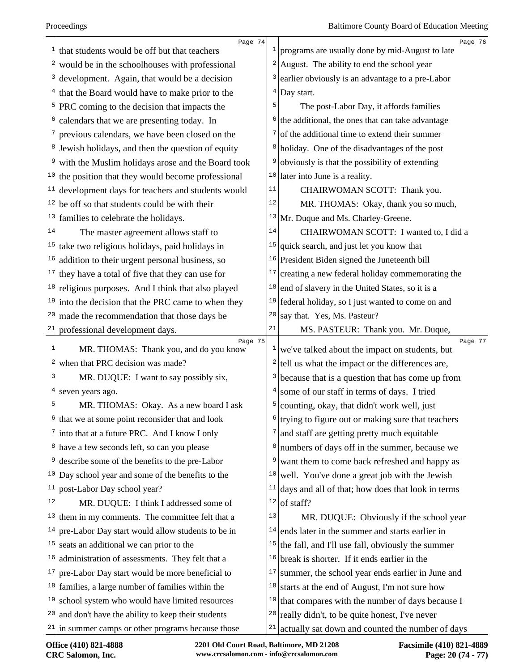|    | Page 74                                                                    |                  | Page 76                                                                                            |
|----|----------------------------------------------------------------------------|------------------|----------------------------------------------------------------------------------------------------|
|    | $\frac{1}{1}$ that students would be off but that teachers                 | $\mathbf{1}$     | programs are usually done by mid-August to late                                                    |
|    | $2 \vert$ would be in the schoolhouses with professional                   |                  | <sup>2</sup> August. The ability to end the school year                                            |
|    | $3$ development. Again, that would be a decision                           |                  | $\frac{3}{2}$ earlier obviously is an advantage to a pre-Labor                                     |
|    | $4$ that the Board would have to make prior to the                         | 4                | Day start.                                                                                         |
|    | $5$ PRC coming to the decision that impacts the                            | 5                | The post-Labor Day, it affords families                                                            |
| 6  | calendars that we are presenting today. In                                 | $6 \mid$         | the additional, the ones that can take advantage                                                   |
|    | previous calendars, we have been closed on the                             | 7                | of the additional time to extend their summer                                                      |
|    | <sup>8</sup> Jewish holidays, and then the question of equity              | 8                | holiday. One of the disadvantages of the post                                                      |
| 9  | with the Muslim holidays arose and the Board took                          | 9                | obviously is that the possibility of extending                                                     |
|    | $10$ the position that they would become professional                      |                  | $10$ later into June is a reality.                                                                 |
|    | $11$ development days for teachers and students would                      | 11               | CHAIRWOMAN SCOTT: Thank you.                                                                       |
|    | $12$ be off so that students could be with their                           | 12               | MR. THOMAS: Okay, thank you so much,                                                               |
|    | $13$ families to celebrate the holidays.                                   | 13               | Mr. Duque and Ms. Charley-Greene.                                                                  |
| 14 | The master agreement allows staff to                                       | 14               | CHAIRWOMAN SCOTT: I wanted to, I did a                                                             |
|    | <sup>15</sup> take two religious holidays, paid holidays in                | 15               | quick search, and just let you know that                                                           |
|    | $16$ addition to their urgent personal business, so                        |                  | $16$ President Biden signed the Juneteenth bill                                                    |
|    | $17$ they have a total of five that they can use for                       | 17               | creating a new federal holiday commemorating the                                                   |
|    | $18$ religious purposes. And I think that also played                      | 18               | end of slavery in the United States, so it is a                                                    |
|    | $19$ into the decision that the PRC came to when they                      |                  | $19$ federal holiday, so I just wanted to come on and                                              |
| 20 | made the recommendation that those days be                                 | 20               | say that. Yes, Ms. Pasteur?                                                                        |
| 21 | professional development days.                                             | 21               | MS. PASTEUR: Thank you. Mr. Duque,                                                                 |
|    |                                                                            |                  |                                                                                                    |
| 1  | Page 75                                                                    |                  | Page 77                                                                                            |
| 2  | MR. THOMAS: Thank you, and do you know<br>when that PRC decision was made? | $\left  \right $ | $\frac{1}{x}$ we've talked about the impact on students, but                                       |
| 3  | MR. DUQUE: I want to say possibly six,                                     | 3                | tell us what the impact or the differences are,                                                    |
| 4  | seven years ago.                                                           | 4                | because that is a question that has come up from<br>some of our staff in terms of days. I tried    |
| 5  | MR. THOMAS: Okay. As a new board I ask                                     | 5                |                                                                                                    |
|    | that we at some point reconsider that and look                             | 6                | counting, okay, that didn't work well, just                                                        |
|    | $7$ into that at a future PRC. And I know I only                           | 7                | trying to figure out or making sure that teachers<br>and staff are getting pretty much equitable   |
|    | <sup>8</sup> have a few seconds left, so can you please                    | 8                | numbers of days off in the summer, because we                                                      |
| 9  | describe some of the benefits to the pre-Labor                             | 9                | want them to come back refreshed and happy as                                                      |
|    | $10$ Day school year and some of the benefits to the                       | 10               |                                                                                                    |
| 11 | post-Labor Day school year?                                                | 11               | well. You've done a great job with the Jewish<br>days and all of that; how does that look in terms |
| 12 | MR. DUQUE: I think I addressed some of                                     | 12               | of staff?                                                                                          |
| 13 | them in my comments. The committee felt that a                             | 13               | MR. DUQUE: Obviously if the school year                                                            |
| 14 | pre-Labor Day start would allow students to be in                          | 14               | ends later in the summer and starts earlier in                                                     |
|    | $15$ seats an additional we can prior to the                               | 15               | the fall, and I'll use fall, obviously the summer                                                  |
|    | $16$ administration of assessments. They felt that a                       | 16               | break is shorter. If it ends earlier in the                                                        |
| 17 | pre-Labor Day start would be more beneficial to                            | 17               | summer, the school year ends earlier in June and                                                   |
|    | $18$ families, a large number of families within the                       | 18               | starts at the end of August, I'm not sure how                                                      |
|    | $19$ school system who would have limited resources                        | 19               | that compares with the number of days because I                                                    |
| 20 | and don't have the ability to keep their students                          | 20               | really didn't, to be quite honest, I've never                                                      |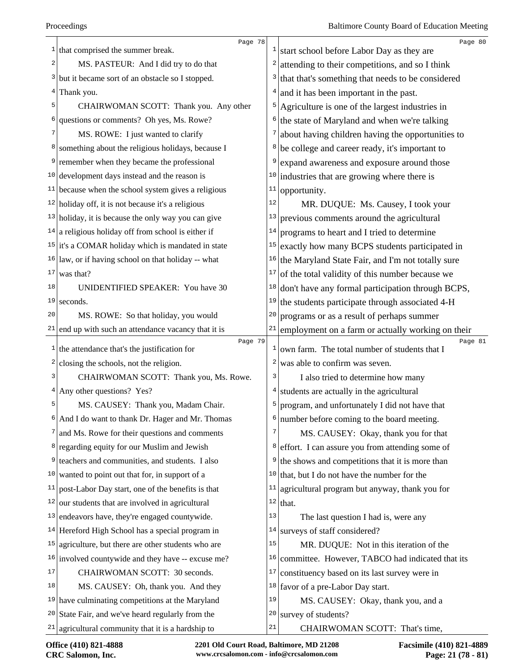|        | Page 78                                                              |              | Page 80                                                  |
|--------|----------------------------------------------------------------------|--------------|----------------------------------------------------------|
|        | $\frac{1}{1}$ that comprised the summer break.                       | 1            | start school before Labor Day as they are                |
| 2      | MS. PASTEUR: And I did try to do that                                | 2            | attending to their competitions, and so I think          |
|        | <sup>3</sup> but it became sort of an obstacle so I stopped.         | 3            | that that's something that needs to be considered        |
| 4      | Thank you.                                                           | 4            | and it has been important in the past.                   |
| 5      | CHAIRWOMAN SCOTT: Thank you. Any other                               | 5            | Agriculture is one of the largest industries in          |
| 6      | questions or comments? Oh yes, Ms. Rowe?                             | 6            | the state of Maryland and when we're talking             |
| 7      | MS. ROWE: I just wanted to clarify                                   | 7            | about having children having the opportunities to        |
|        | <sup>8</sup> something about the religious holidays, because I       | 8            | be college and career ready, it's important to           |
| 9      | remember when they became the professional                           | 9            | expand awareness and exposure around those               |
|        | $10$ development days instead and the reason is                      | 10           | industries that are growing where there is               |
|        | $11$ because when the school system gives a religious                | 11           | opportunity.                                             |
|        | $12$ holiday off, it is not because it's a religious                 | 12           | MR. DUQUE: Ms. Causey, I took your                       |
|        | $13$ holiday, it is because the only way you can give                | 13           | previous comments around the agricultural                |
|        | $14$ a religious holiday off from school is either if                | 14           | programs to heart and I tried to determine               |
|        | $15$ it's a COMAR holiday which is mandated in state                 | 15           | exactly how many BCPS students participated in           |
|        | $16$ law, or if having school on that holiday -- what                | 16           | the Maryland State Fair, and I'm not totally sure        |
| 17     | was that?                                                            | 17           | of the total validity of this number because we          |
| 18     | UNIDENTIFIED SPEAKER: You have 30                                    | 18           | don't have any formal participation through BCPS,        |
| 19     | seconds.                                                             | 19           | the students participate through associated 4-H          |
| 20     | MS. ROWE: So that holiday, you would                                 | 20           | programs or as a result of perhaps summer                |
|        | $21$ end up with such an attendance vacancy that it is               | 21           | employment on a farm or actually working on their        |
|        | Page 79<br>$\frac{1}{1}$ the attendance that's the justification for | $\mathbf{1}$ | Page 81<br>own farm. The total number of students that I |
| 2      | closing the schools, not the religion.                               | 2            | was able to confirm was seven.                           |
| 3      | CHAIRWOMAN SCOTT: Thank you, Ms. Rowe.                               | 3            | I also tried to determine how many                       |
| 4      | Any other questions? Yes?                                            | 4            | students are actually in the agricultural                |
| 5      | MS. CAUSEY: Thank you, Madam Chair.                                  | 5            | program, and unfortunately I did not have that           |
| 6      | And I do want to thank Dr. Hager and Mr. Thomas                      | 6            | number before coming to the board meeting.               |
|        | $\frac{7}{1}$ and Ms. Rowe for their questions and comments          | 7            | MS. CAUSEY: Okay, thank you for that                     |
|        | <sup>8</sup> regarding equity for our Muslim and Jewish              | 8            | effort. I can assure you from attending some of          |
| 9      | teachers and communities, and students. I also                       | 9            | the shows and competitions that it is more than          |
| 10     | wanted to point out that for, in support of a                        | 10           | that, but I do not have the number for the               |
| 11     | post-Labor Day start, one of the benefits is that                    | 11           | agricultural program but anyway, thank you for           |
|        | $12$ our students that are involved in agricultural                  |              | $12$ that.                                               |
|        | $13$ endeavors have, they're engaged countywide.                     | 13           | The last question I had is, were any                     |
|        | $14$ Hereford High School has a special program in                   | 14           | surveys of staff considered?                             |
|        | $15$ agriculture, but there are other students who are               | 15           | MR. DUQUE: Not in this iteration of the                  |
|        | $16$ involved countywide and they have -- excuse me?                 | 16           | committee. However, TABCO had indicated that its         |
| $17\,$ | CHAIRWOMAN SCOTT: 30 seconds.                                        | 17           | constituency based on its last survey were in            |
| 18     | MS. CAUSEY: Oh, thank you. And they                                  | 18           | favor of a pre-Labor Day start.                          |
|        | $19$ have culminating competitions at the Maryland                   | 19           | MS. CAUSEY: Okay, thank you, and a                       |
|        | $20$ State Fair, and we've heard regularly from the                  | 20           | survey of students?                                      |
|        | $21$ agricultural community that it is a hardship to                 | 21           | CHAIRWOMAN SCOTT: That's time,                           |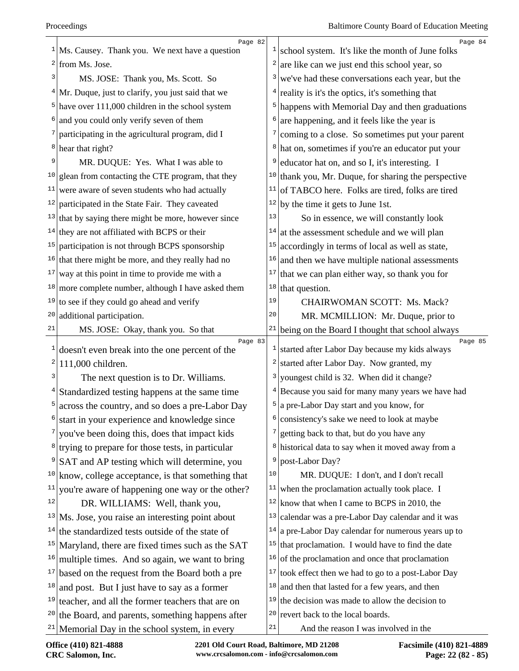|                | Page 82<br>$1$ Ms. Causey. Thank you. We next have a question  | 1                 | Page 84<br>school system. It's like the month of June folks   |
|----------------|----------------------------------------------------------------|-------------------|---------------------------------------------------------------|
|                | $2$ from Ms. Jose.                                             | 2                 | are like can we just end this school year, so                 |
| 3              | MS. JOSE: Thank you, Ms. Scott. So                             | 3                 | we've had these conversations each year, but the              |
|                | $4$ Mr. Duque, just to clarify, you just said that we          | 4                 | reality is it's the optics, it's something that               |
|                | $5$ have over 111,000 children in the school system            | 5                 | happens with Memorial Day and then graduations                |
|                | and you could only verify seven of them                        | 6                 | are happening, and it feels like the year is                  |
|                | $\frac{7}{2}$ participating in the agricultural program, did I | 7                 | coming to a close. So sometimes put your parent               |
|                | $8$ hear that right?                                           | 8                 | hat on, sometimes if you're an educator put your              |
| 9              | MR. DUQUE: Yes. What I was able to                             | 9                 | educator hat on, and so I, it's interesting. I                |
| 10             | glean from contacting the CTE program, that they               | 10                | thank you, Mr. Duque, for sharing the perspective             |
| 11             | were aware of seven students who had actually                  | 11                | of TABCO here. Folks are tired, folks are tired               |
| 12             | participated in the State Fair. They caveated                  | 12                | by the time it gets to June 1st.                              |
|                | $13$ that by saying there might be more, however since         | 13                | So in essence, we will constantly look                        |
|                | $14$ they are not affiliated with BCPS or their                | 14                | at the assessment schedule and we will plan                   |
|                | $15$ participation is not through BCPS sponsorship             | 15                | accordingly in terms of local as well as state,               |
| 16             | that there might be more, and they really had no               | 16                | and then we have multiple national assessments                |
| 17             | way at this point in time to provide me with a                 | 17                | that we can plan either way, so thank you for                 |
|                | $18 \text{ more complete number, although I have asked them}$  | 18                | that question.                                                |
| 19             | to see if they could go ahead and verify                       | 19                | CHAIRWOMAN SCOTT: Ms. Mack?                                   |
| 20             | additional participation.                                      | 20                | MR. MCMILLION: Mr. Duque, prior to                            |
| 21             | MS. JOSE: Okay, thank you. So that                             |                   | $21$ being on the Board I thought that school always          |
|                | Page 83                                                        |                   | Page 85                                                       |
| 2              | doesn't even break into the one percent of the                 | $\mathbf{1}$<br>2 | started after Labor Day because my kids always                |
|                | 111,000 children.                                              |                   | started after Labor Day. Now granted, my                      |
| 3              | The next question is to Dr. Williams.                          | 3                 | youngest child is 32. When did it change?                     |
|                | $4$ Standardized testing happens at the same time              |                   | <sup>4</sup> Because you said for many many years we have had |
| $\overline{5}$ | across the country, and so does a pre-Labor Day                |                   | $5$ a pre-Labor Day start and you know, for                   |
|                | start in your experience and knowledge since                   |                   | $6$ consistency's sake we need to look at maybe               |
|                | $\frac{7}{2}$ you've been doing this, does that impact kids    | 7                 | getting back to that, but do you have any                     |
|                | $\frac{8}{3}$ trying to prepare for those tests, in particular |                   | <sup>8</sup> historical data to say when it moved away from a |
| 9              | SAT and AP testing which will determine, you                   | 9                 | post-Labor Day?                                               |
|                | $10$ know, college acceptance, is that something that          | 10                | MR. DUQUE: I don't, and I don't recall                        |
| 11             | you're aware of happening one way or the other?                | 11                | when the proclamation actually took place. I                  |
| 12             | DR. WILLIAMS: Well, thank you,                                 | 12                | know that when I came to BCPS in 2010, the                    |
|                | $13$ Ms. Jose, you raise an interesting point about            | 13                | calendar was a pre-Labor Day calendar and it was              |
| 14             | the standardized tests outside of the state of                 | 14                | a pre-Labor Day calendar for numerous years up to             |
|                | $15$ Maryland, there are fixed times such as the SAT           | 15                | that proclamation. I would have to find the date              |
| 16             | multiple times. And so again, we want to bring                 | 16                | of the proclamation and once that proclamation                |
| 17             | based on the request from the Board both a pre                 | $17\,$            | took effect then we had to go to a post-Labor Day             |
| 18             | and post. But I just have to say as a former                   | 18                | and then that lasted for a few years, and then                |
| 19             | teacher, and all the former teachers that are on               |                   | $19$ the decision was made to allow the decision to           |
| 20             | the Board, and parents, something happens after                |                   | $20$ revert back to the local boards.                         |
|                | $21$ Memorial Day in the school system, in every               | 21                | And the reason I was involved in the                          |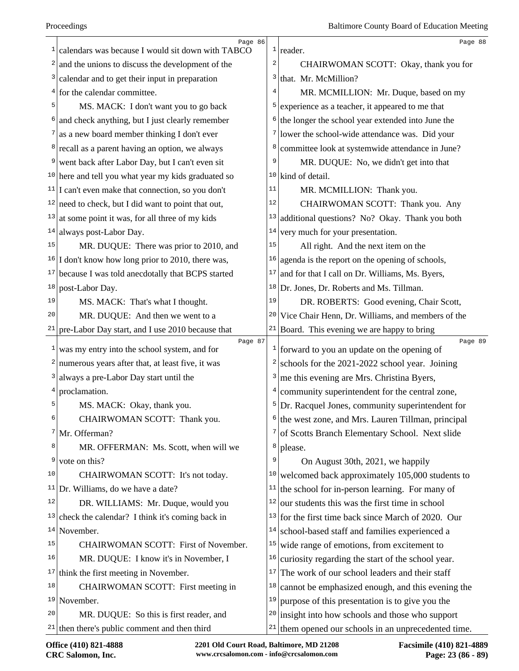|    | Page 86                                                     |        | Page 88                                                             |
|----|-------------------------------------------------------------|--------|---------------------------------------------------------------------|
| 1  | calendars was because I would sit down with TABCO           | 2      | $1$ reader.                                                         |
| 2  | and the unions to discuss the development of the            |        | CHAIRWOMAN SCOTT: Okay, thank you for                               |
| 3  | calendar and to get their input in preparation              | 3<br>4 | that. Mr. McMillion?                                                |
|    | $4$ for the calendar committee.                             |        | MR. MCMILLION: Mr. Duque, based on my                               |
| 5  | MS. MACK: I don't want you to go back                       | 5      | experience as a teacher, it appeared to me that                     |
| 6  | and check anything, but I just clearly remember             | 6      | the longer the school year extended into June the                   |
| 7  | as a new board member thinking I don't ever                 | 7      | lower the school-wide attendance was. Did your                      |
|    | <sup>8</sup> recall as a parent having an option, we always | 8      | committee look at systemwide attendance in June?                    |
|    | went back after Labor Day, but I can't even sit             | 9      | MR. DUQUE: No, we didn't get into that                              |
|    | $10$ here and tell you what year my kids graduated so       |        | <sup>10</sup> kind of detail.                                       |
|    | $11$ I can't even make that connection, so you don't        | 11     | MR. MCMILLION: Thank you.                                           |
|    | $12$ need to check, but I did want to point that out,       | 12     | CHAIRWOMAN SCOTT: Thank you. Any                                    |
|    | $13$ at some point it was, for all three of my kids         | 13     | additional questions? No? Okay. Thank you both                      |
| 14 | always post-Labor Day.                                      | 14     | very much for your presentation.                                    |
| 15 | MR. DUQUE: There was prior to 2010, and                     | 15     | All right. And the next item on the                                 |
|    | $16$ I don't know how long prior to 2010, there was,        | 16     | agenda is the report on the opening of schools,                     |
| 17 | because I was told anecdotally that BCPS started            | 17     | and for that I call on Dr. Williams, Ms. Byers,                     |
| 18 | post-Labor Day.                                             | 18     | Dr. Jones, Dr. Roberts and Ms. Tillman.                             |
| 19 | MS. MACK: That's what I thought.                            | 19     | DR. ROBERTS: Good evening, Chair Scott,                             |
| 20 | MR. DUQUE: And then we went to a                            | 20     | Vice Chair Henn, Dr. Williams, and members of the                   |
| 21 | pre-Labor Day start, and I use 2010 because that            |        | $21$ Board. This evening we are happy to bring                      |
| 1  | Page 87<br>was my entry into the school system, and for     |        | Page 89<br>$\frac{1}{2}$ forward to you an update on the opening of |
| 2  | numerous years after that, at least five, it was            | 2      | schools for the 2021-2022 school year. Joining                      |
| 3  | always a pre-Labor Day start until the                      | 3      | me this evening are Mrs. Christina Byers,                           |
|    | proclamation.                                               | 4      | community superintendent for the central zone,                      |
| 5  |                                                             |        |                                                                     |
| 6  | MS. MACK: Okay, thank you.                                  | 6      | $5$ Dr. Racquel Jones, community superintendent for                 |
| 7  | CHAIRWOMAN SCOTT: Thank you.                                | 7      | the west zone, and Mrs. Lauren Tillman, principal                   |
| 8  | Mr. Offerman?                                               | 8      | of Scotts Branch Elementary School. Next slide                      |
| 9  | MR. OFFERMAN: Ms. Scott, when will we                       | 9      | please.                                                             |
| 10 | vote on this?                                               |        | On August 30th, 2021, we happily                                    |
|    | CHAIRWOMAN SCOTT: It's not today.                           | 10     | welcomed back approximately 105,000 students to                     |
| 11 | Dr. Williams, do we have a date?                            | 11     | the school for in-person learning. For many of                      |
| 12 | DR. WILLIAMS: Mr. Duque, would you                          | 12     | our students this was the first time in school                      |
| 13 | check the calendar? I think it's coming back in             | 13     | for the first time back since March of 2020. Our                    |
|    | $14$ November.                                              | 14     | school-based staff and families experienced a                       |
| 15 | CHAIRWOMAN SCOTT: First of November.                        | 15     | wide range of emotions, from excitement to                          |
| 16 | MR. DUQUE: I know it's in November, I                       | 16     | curiosity regarding the start of the school year.                   |
| 17 | think the first meeting in November.                        | 17     | The work of our school leaders and their staff                      |
| 18 | CHAIRWOMAN SCOTT: First meeting in                          | 18     | cannot be emphasized enough, and this evening the                   |
|    | $19$ November.                                              | 19     | purpose of this presentation is to give you the                     |
| 20 | MR. DUQUE: So this is first reader, and                     | 20     | insight into how schools and those who support                      |
|    | $21$ then there's public comment and then third             | 21     | them opened our schools in an unprecedented time.                   |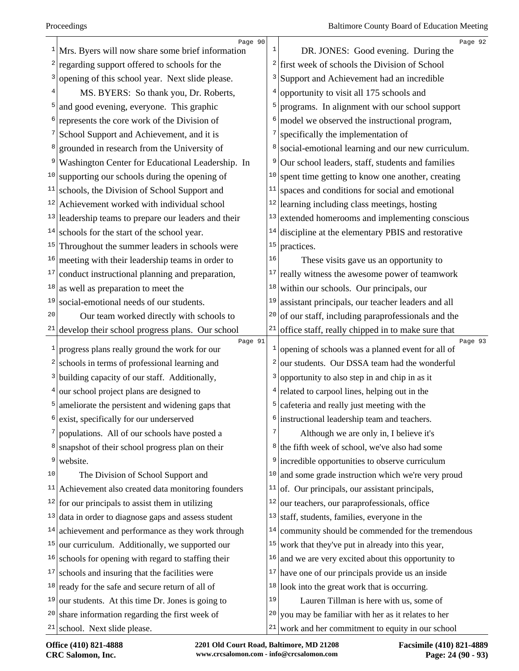| $\mathbf{1}$ | Page 90<br>Mrs. Byers will now share some brief information | $\mathbf{1}$ | Page 92<br>DR. JONES: Good evening. During the                             |
|--------------|-------------------------------------------------------------|--------------|----------------------------------------------------------------------------|
| 2            | regarding support offered to schools for the                |              | first week of schools the Division of School                               |
|              | opening of this school year. Next slide please.             | 3            | Support and Achievement had an incredible                                  |
|              | MS. BYERS: So thank you, Dr. Roberts,                       | 4            | opportunity to visit all 175 schools and                                   |
| 5            | and good evening, everyone. This graphic                    | 5            | programs. In alignment with our school support                             |
| 6            | represents the core work of the Division of                 | 6            | model we observed the instructional program,                               |
|              | School Support and Achievement, and it is                   | 7            | specifically the implementation of                                         |
|              | grounded in research from the University of                 | 8            | social-emotional learning and our new curriculum.                          |
| 9            | Washington Center for Educational Leadership. In            | 9            | Our school leaders, staff, students and families                           |
| 10           | supporting our schools during the opening of                | 10           | spent time getting to know one another, creating                           |
| 11           | schools, the Division of School Support and                 | 11           | spaces and conditions for social and emotional                             |
| 12           | Achievement worked with individual school                   |              | $12$ learning including class meetings, hosting                            |
| 13           | leadership teams to prepare our leaders and their           | 13           | extended homerooms and implementing conscious                              |
| 14           | schools for the start of the school year.                   | 14           | discipline at the elementary PBIS and restorative                          |
| 15           | Throughout the summer leaders in schools were               | 15           | practices.                                                                 |
| 16           | meeting with their leadership teams in order to             | 16           | These visits gave us an opportunity to                                     |
| 17           | conduct instructional planning and preparation,             | 17           | really witness the awesome power of teamwork                               |
| 18           | as well as preparation to meet the                          | 18           | within our schools. Our principals, our                                    |
| 19           | social-emotional needs of our students.                     | 19           | assistant principals, our teacher leaders and all                          |
| 20           | Our team worked directly with schools to                    |              | $20$ of our staff, including paraprofessionals and the                     |
| 21           | develop their school progress plans. Our school             | 21           | office staff, really chipped in to make sure that                          |
| 1            | Page 91<br>progress plans really ground the work for our    |              | Page 93<br>$\frac{1}{2}$ opening of schools was a planned event for all of |
| 2            | schools in terms of professional learning and               | 2            | our students. Our DSSA team had the wonderful                              |
| 3            | building capacity of our staff. Additionally,               | 3            | opportunity to also step in and chip in as it                              |
| 4            | our school project plans are designed to                    |              | $4$ related to carpool lines, helping out in the                           |
| 5            | ameliorate the persistent and widening gaps that            | 5            | cafeteria and really just meeting with the                                 |
| 6            | exist, specifically for our underserved                     |              | $6$ instructional leadership team and teachers.                            |
|              | populations. All of our schools have posted a               | 7            | Although we are only in, I believe it's                                    |
| 8            | snapshot of their school progress plan on their             |              | <sup>8</sup> the fifth week of school, we've also had some                 |
| 9            | website.                                                    |              | <sup>9</sup> incredible opportunities to observe curriculum                |
| 10           | The Division of School Support and                          | 10           | and some grade instruction which we're very proud                          |
| 11           | Achievement also created data monitoring founders           | 11           | of. Our principals, our assistant principals,                              |
|              | $12$ for our principals to assist them in utilizing         | 12           | our teachers, our paraprofessionals, office                                |
| 13           | data in order to diagnose gaps and assess student           | 13           | staff, students, families, everyone in the                                 |
|              | $14$ achievement and performance as they work through       | 14           | community should be commended for the tremendous                           |
| 15           | our curriculum. Additionally, we supported our              |              | $15$ work that they've put in already into this year,                      |
| 16           | schools for opening with regard to staffing their           |              | $16$ and we are very excited about this opportunity to                     |
| 17           | schools and insuring that the facilities were               | 17           | have one of our principals provide us an inside                            |
|              | $18$ ready for the safe and secure return of all of         |              | $18$ look into the great work that is occurring.                           |
| 19           | our students. At this time Dr. Jones is going to            | 19           | Lauren Tillman is here with us, some of                                    |
| 20           | share information regarding the first week of               | 20           | you may be familiar with her as it relates to her                          |
|              | $21$ school. Next slide please.                             | 21           | work and her commitment to equity in our school                            |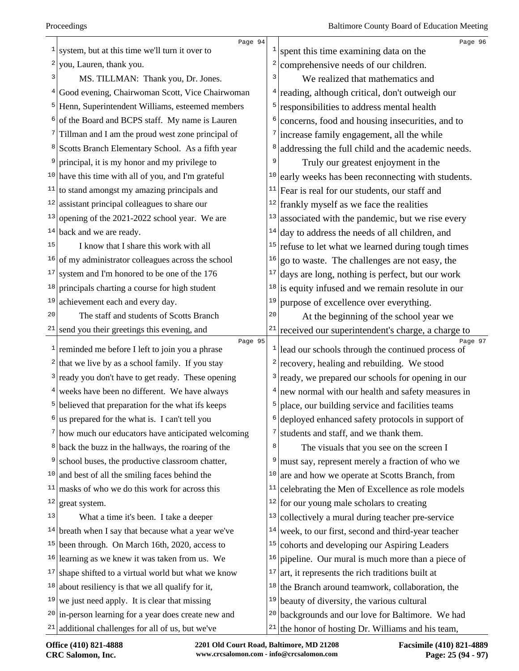|                 | Page 94                                                              |                  | Page 96                                                                                          |
|-----------------|----------------------------------------------------------------------|------------------|--------------------------------------------------------------------------------------------------|
| 1               | system, but at this time we'll turn it over to                       |                  | spent this time examining data on the                                                            |
| 2               | you, Lauren, thank you.                                              | 2                | comprehensive needs of our children.                                                             |
| 3               | MS. TILLMAN: Thank you, Dr. Jones.                                   | 3                | We realized that mathematics and                                                                 |
| $\vert 4 \vert$ | Good evening, Chairwoman Scott, Vice Chairwoman                      | 4                | reading, although critical, don't outweigh our                                                   |
|                 | <sup>5</sup> Henn, Superintendent Williams, esteemed members         | 5                | responsibilities to address mental health                                                        |
|                 | $6$ of the Board and BCPS staff. My name is Lauren                   | 6                | concerns, food and housing insecurities, and to                                                  |
| 7               | Tillman and I am the proud west zone principal of                    | 7                | increase family engagement, all the while                                                        |
|                 | <sup>8</sup> Scotts Branch Elementary School. As a fifth year        | 8                | addressing the full child and the academic needs.                                                |
| 9               | principal, it is my honor and my privilege to                        | 9                | Truly our greatest enjoyment in the                                                              |
|                 | $10$ have this time with all of you, and I'm grateful                | 10               | early weeks has been reconnecting with students.                                                 |
| 11              | to stand amongst my amazing principals and                           | 11               | Fear is real for our students, our staff and                                                     |
| 12              | assistant principal colleagues to share our                          | 12               | frankly myself as we face the realities                                                          |
| 13              | opening of the 2021-2022 school year. We are                         | 13               | associated with the pandemic, but we rise every                                                  |
| 14              | back and we are ready.                                               | 14               | day to address the needs of all children, and                                                    |
| 15              | I know that I share this work with all                               | 15               | refuse to let what we learned during tough times                                                 |
| 16              | of my administrator colleagues across the school                     | 16               | go to waste. The challenges are not easy, the                                                    |
| 17              | system and I'm honored to be one of the 176                          | 17               | days are long, nothing is perfect, but our work                                                  |
| 18              | principals charting a course for high student                        | 18               | is equity infused and we remain resolute in our                                                  |
| 19              | achievement each and every day.                                      | 19               | purpose of excellence over everything.                                                           |
| 20              | The staff and students of Scotts Branch                              | $20$             | At the beginning of the school year we                                                           |
| $21 \mid$       | send you their greetings this evening, and                           | 21               | received our superintendent's charge, a charge to                                                |
|                 | Page 95<br>reminded me before I left to join you a phrase            |                  | Page 97<br>$\frac{1}{2}$ lead our schools through the continued process of                       |
|                 | $2$ that we live by as a school family. If you stay                  | $\left  \right $ | recovery, healing and rebuilding. We stood                                                       |
|                 | $3$ ready you don't have to get ready. These opening                 | $\vert$ 3        | ready, we prepared our schools for opening in our                                                |
|                 | $4$ weeks have been no different. We have always                     |                  | new normal with our health and safety measures in                                                |
| 5               | believed that preparation for the what ifs keeps                     | 5                | place, our building service and facilities teams                                                 |
|                 | us prepared for the what is. I can't tell you                        | 6                | deployed enhanced safety protocols in support of                                                 |
|                 | $\frac{7}{\text{how}}$ much our educators have anticipated welcoming | 7                | students and staff, and we thank them.                                                           |
| $8 \mid$        | back the buzz in the hallways, the roaring of the                    | 8                | The visuals that you see on the screen I                                                         |
| 9               | school buses, the productive classroom chatter,                      | 9                |                                                                                                  |
| 10              | and best of all the smiling faces behind the                         | 10               | must say, represent merely a fraction of who we<br>are and how we operate at Scotts Branch, from |
| 11              | masks of who we do this work for across this                         | 11               | celebrating the Men of Excellence as role models                                                 |
| 12              |                                                                      | 12               | for our young male scholars to creating                                                          |
| 13              | great system.                                                        | 13               |                                                                                                  |
| 14              | What a time it's been. I take a deeper                               | 14               | collectively a mural during teacher pre-service                                                  |
| 15              | breath when I say that because what a year we've                     | 15               | week, to our first, second and third-year teacher                                                |
|                 | been through. On March 16th, 2020, access to                         |                  | cohorts and developing our Aspiring Leaders                                                      |
| 16              | learning as we knew it was taken from us. We                         | 16               | pipeline. Our mural is much more than a piece of                                                 |
| 17              | shape shifted to a virtual world but what we know                    | 17               | art, it represents the rich traditions built at                                                  |
| 18              | about resiliency is that we all qualify for it,                      | 18               | the Branch around teamwork, collaboration, the                                                   |
| 19              | we just need apply. It is clear that missing                         | 19               | beauty of diversity, the various cultural                                                        |
|                 | $20$ in-person learning for a year does create new and               | 20               | backgrounds and our love for Baltimore. We had                                                   |
|                 | $21$ additional challenges for all of us, but we've                  |                  | <sup>21</sup> the honor of hosting Dr. Williams and his team,                                    |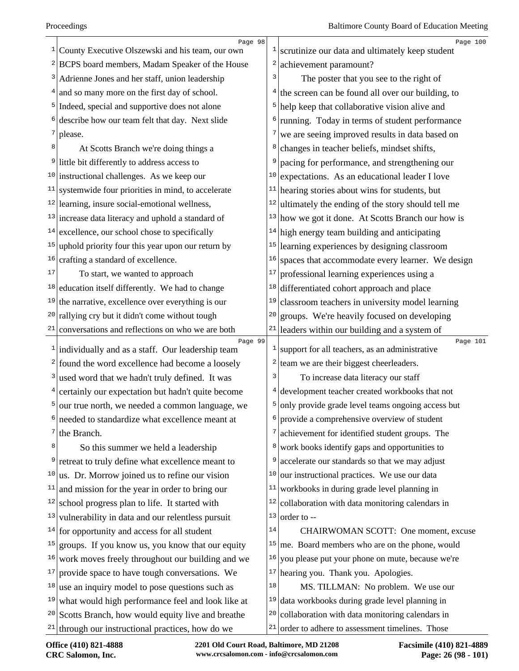| $\mathbf{1}$  | Page 98                                                                   |    | Page 100                                                   |
|---------------|---------------------------------------------------------------------------|----|------------------------------------------------------------|
|               | County Executive Olszewski and his team, our own                          |    | scrutinize our data and ultimately keep student            |
|               | <sup>2</sup> BCPS board members, Madam Speaker of the House               |    | achievement paramount?                                     |
|               | $3$ Adrienne Jones and her staff, union leadership                        | 3  | The poster that you see to the right of                    |
|               | $4$ and so many more on the first day of school.                          |    | $4$ the screen can be found all over our building, to      |
|               | <sup>5</sup> Indeed, special and supportive does not alone                |    | <sup>5</sup> help keep that collaborative vision alive and |
|               | $6$ describe how our team felt that day. Next slide                       |    | running. Today in terms of student performance             |
| $7\vert$      | please.                                                                   | 7  | we are seeing improved results in data based on            |
| 8             | At Scotts Branch we're doing things a                                     |    | changes in teacher beliefs, mindset shifts,                |
| 9             | little bit differently to address access to                               |    | pacing for performance, and strengthening our              |
|               | $10$ instructional challenges. As we keep our                             | 10 | expectations. As an educational leader I love              |
|               | $11$ systemwide four priorities in mind, to accelerate                    |    | $11$ hearing stories about wins for students, but          |
|               | $12$ learning, insure social-emotional wellness,                          |    | $12$ ultimately the ending of the story should tell me     |
|               | $13$ increase data literacy and uphold a standard of                      |    | $13$ how we got it done. At Scotts Branch our how is       |
| 14            | excellence, our school chose to specifically                              |    | $14$ high energy team building and anticipating            |
| 15            | uphold priority four this year upon our return by                         | 15 | learning experiences by designing classroom                |
| 16            | crafting a standard of excellence.                                        | 16 | spaces that accommodate every learner. We design           |
| 17            | To start, we wanted to approach                                           | 17 | professional learning experiences using a                  |
| 18            | education itself differently. We had to change                            | 18 | differentiated cohort approach and place                   |
| 19            | the narrative, excellence over everything is our                          | 19 | classroom teachers in university model learning            |
|               | <sup>20</sup> rallying cry but it didn't come without tough               | 20 | groups. We're heavily focused on developing                |
| 21            | conversations and reflections on who we are both                          |    | $21$ leaders within our building and a system of           |
|               | Page 99<br>$\frac{1}{2}$ individually and as a staff. Our leadership team |    | Page 101<br>support for all teachers, as an administrative |
|               | $2$ found the word excellence had become a loosely                        |    | $2$ team we are their biggest cheerleaders.                |
| $\frac{3}{ }$ | used word that we hadn't truly defined. It was                            |    | To increase data literacy our staff                        |
|               |                                                                           |    | development teacher created workbooks that not             |
| 5             | $4$ certainly our expectation but hadn't quite become                     |    |                                                            |
|               | our true north, we needed a common language, we                           |    | only provide grade level teams ongoing access but          |
|               | needed to standardize what excellence meant at                            |    | $6$ provide a comprehensive overview of student            |
| 7             | the Branch.                                                               |    | achievement for identified student groups. The             |
| 8             | So this summer we held a leadership                                       | 8  | work books identify gaps and opportunities to              |
| 9             | retreat to truly define what excellence meant to                          | 9  | accelerate our standards so that we may adjust             |
| 10            | us. Dr. Morrow joined us to refine our vision                             | 10 | our instructional practices. We use our data               |
| 11            | and mission for the year in order to bring our                            | 11 | workbooks in during grade level planning in                |
| 12            | school progress plan to life. It started with                             | 12 | collaboration with data monitoring calendars in            |
| 13            | vulnerability in data and our relentless pursuit                          | 13 | order to --                                                |
| 14            | for opportunity and access for all student                                | 14 | CHAIRWOMAN SCOTT: One moment, excuse                       |
| 15            | groups. If you know us, you know that our equity                          |    | $15$ me. Board members who are on the phone, would         |
| 16            | work moves freely throughout our building and we                          | 16 | you please put your phone on mute, because we're           |
| 17            | provide space to have tough conversations. We                             |    | $17$ hearing you. Thank you. Apologies.                    |
| 18            | use an inquiry model to pose questions such as                            | 18 | MS. TILLMAN: No problem. We use our                        |
| 19            |                                                                           |    |                                                            |
|               | what would high performance feel and look like at                         |    | $19$ data workbooks during grade level planning in         |
|               | $20$ Scotts Branch, how would equity live and breathe                     | 20 | collaboration with data monitoring calendars in            |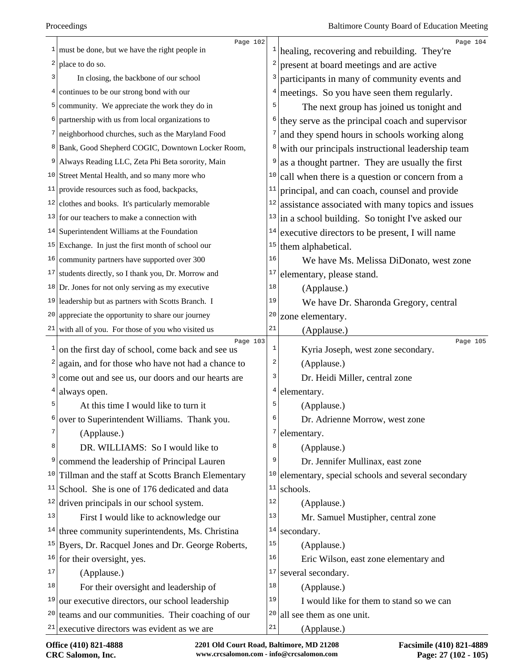|           | Page 102                                                       |                | Page 104                                          |
|-----------|----------------------------------------------------------------|----------------|---------------------------------------------------|
|           | $\frac{1}{2}$ must be done, but we have the right people in    | $\mathbf{I}$   | healing, recovering and rebuilding. They're       |
| 2         | place to do so.                                                | 2              | present at board meetings and are active          |
| 3         | In closing, the backbone of our school                         | 3              | participants in many of community events and      |
| 4         | continues to be our strong bond with our                       | $\overline{4}$ | meetings. So you have seen them regularly.        |
| 5         | community. We appreciate the work they do in                   | 5              | The next group has joined us tonight and          |
|           | partnership with us from local organizations to                | 6              | they serve as the principal coach and supervisor  |
|           | neighborhood churches, such as the Maryland Food               | 7              | and they spend hours in schools working along     |
| 8         | Bank, Good Shepherd COGIC, Downtown Locker Room,               | 8              | with our principals instructional leadership team |
| 9         | Always Reading LLC, Zeta Phi Beta sorority, Main               | 9              | as a thought partner. They are usually the first  |
|           | <sup>10</sup> Street Mental Health, and so many more who       | 10             | call when there is a question or concern from a   |
|           | $11$ provide resources such as food, backpacks,                | 11             | principal, and can coach, counsel and provide     |
|           | $12$ clothes and books. It's particularly memorable            | 12             | assistance associated with many topics and issues |
|           | $13$ for our teachers to make a connection with                | 13             | in a school building. So tonight I've asked our   |
|           | $14$ Superintendent Williams at the Foundation                 | 14             | executive directors to be present, I will name    |
|           | $15$ Exchange. In just the first month of school our           | 15             | them alphabetical.                                |
| 16        | community partners have supported over 300                     | 16             | We have Ms. Melissa DiDonato, west zone           |
| T.V       | students directly, so I thank you, Dr. Morrow and              | 17             | elementary, please stand.                         |
|           | $18$ Dr. Jones for not only serving as my executive            | 18             | (Applause.)                                       |
|           | <sup>19</sup> leadership but as partners with Scotts Branch. I | 19             | We have Dr. Sharonda Gregory, central             |
| 20        | appreciate the opportunity to share our journey                | 20             | zone elementary.                                  |
| 21        | with all of you. For those of you who visited us               | 21             | (Applause.)                                       |
| 1         | Page 103<br>on the first day of school, come back and see us   | $\mathbf{1}$   | Page 105<br>Kyria Joseph, west zone secondary.    |
| 2         | again, and for those who have not had a chance to              | $\overline{c}$ | (Applause.)                                       |
| 3         |                                                                | 3              | Dr. Heidi Miller, central zone                    |
| 4         | come out and see us, our doors and our hearts are              | $\overline{4}$ |                                                   |
| 5         | always open.                                                   | 5              | elementary.                                       |
| 6         | At this time I would like to turn it                           | 6              | (Applause.)                                       |
|           | over to Superintendent Williams. Thank you.                    | 7              | Dr. Adrienne Morrow, west zone                    |
| 8         | (Applause.)                                                    | 8              | elementary.                                       |
| 9         | DR. WILLIAMS: So I would like to                               | 9              | (Applause.)                                       |
|           | commend the leadership of Principal Lauren                     | 10             | Dr. Jennifer Mullinax, east zone                  |
| 10 <br>11 | Tillman and the staff at Scotts Branch Elementary              | 11             | elementary, special schools and several secondary |
| 12        | School. She is one of 176 dedicated and data                   | 12             | schools.                                          |
|           | driven principals in our school system.                        | 13             | (Applause.)                                       |
| 13        | First I would like to acknowledge our                          |                | Mr. Samuel Mustipher, central zone                |
|           | $14$ three community superintendents, Ms. Christina            | 14             | secondary.                                        |
| 15        | Byers, Dr. Racquel Jones and Dr. George Roberts,               | $15$           | (Applause.)                                       |
| 16        | for their oversight, yes.                                      | 16             | Eric Wilson, east zone elementary and             |
| 17        | (Applause.)                                                    | 17             | several secondary.                                |
| 18        | For their oversight and leadership of                          | 18             | (Applause.)                                       |
| 19        | our executive directors, our school leadership                 | 19             | I would like for them to stand so we can          |
| 20        | teams and our communities. Their coaching of our               | 20             | all see them as one unit.                         |
| 21        | executive directors was evident as we are                      | $2\sqrt{1}$    | (Applause.)                                       |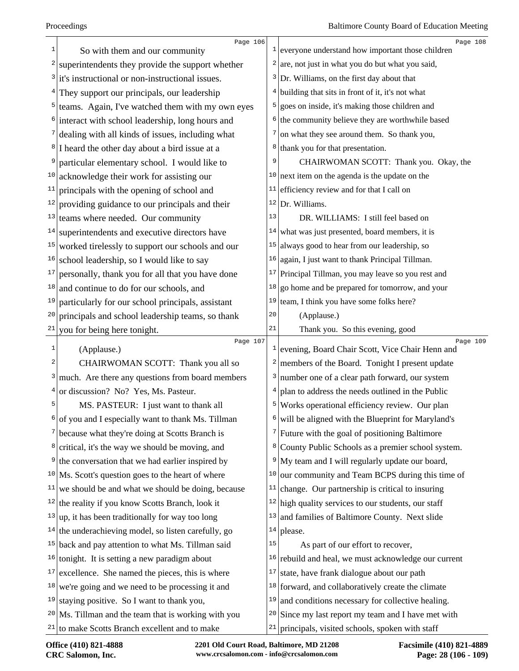| $\mathbf 1$ | Page 106<br>So with them and our community                    |    | Page 108<br>$\frac{1}{2}$ everyone understand how important those children |
|-------------|---------------------------------------------------------------|----|----------------------------------------------------------------------------|
| 2           | superintendents they provide the support whether              |    | $2 \vert$ are, not just in what you do but what you said,                  |
|             | it's instructional or non-instructional issues.               |    | $3$ Dr. Williams, on the first day about that                              |
|             | They support our principals, our leadership                   |    | $4$ building that sits in front of it, it's not what                       |
| 5           | teams. Again, I've watched them with my own eyes              | 5  | goes on inside, it's making those children and                             |
|             | interact with school leadership, long hours and               | 6  | the community believe they are worthwhile based                            |
|             | dealing with all kinds of issues, including what              | 7  | on what they see around them. So thank you,                                |
| 8           | I heard the other day about a bird issue at a                 | 8  | thank you for that presentation.                                           |
|             | particular elementary school. I would like to                 | 9  | CHAIRWOMAN SCOTT: Thank you. Okay, the                                     |
| 10          | acknowledge their work for assisting our                      |    | $10$ next item on the agenda is the update on the                          |
| 11          | principals with the opening of school and                     | 11 | efficiency review and for that I call on                                   |
| 12          | providing guidance to our principals and their                |    | $12$ Dr. Williams.                                                         |
| 13          | teams where needed. Our community                             | 13 | DR. WILLIAMS: I still feel based on                                        |
| 14          | superintendents and executive directors have                  | 14 | what was just presented, board members, it is                              |
| 15          | worked tirelessly to support our schools and our              | 15 | always good to hear from our leadership, so                                |
| 16          | school leadership, so I would like to say                     | 16 | again, I just want to thank Principal Tillman.                             |
| 17          | personally, thank you for all that you have done              | 17 | Principal Tillman, you may leave so you rest and                           |
| 18          | and continue to do for our schools, and                       | 18 | go home and be prepared for tomorrow, and your                             |
| 19          | particularly for our school principals, assistant             | 19 | team, I think you have some folks here?                                    |
| 20          | principals and school leadership teams, so thank              | 20 | (Applause.)                                                                |
| 21          | you for being here tonight.                                   | 21 | Thank you. So this evening, good                                           |
| $1\,$       | Page 107<br>(Applause.)                                       |    | Page 109<br>$\frac{1}{2}$ evening, Board Chair Scott, Vice Chair Henn and  |
| 2           | CHAIRWOMAN SCOTT: Thank you all so                            |    | members of the Board. Tonight I present update                             |
| 3           | much. Are there any questions from board members              | 3  | number one of a clear path forward, our system                             |
| 4           | or discussion? No? Yes, Ms. Pasteur.                          |    | plan to address the needs outlined in the Public                           |
| 5           | MS. PASTEUR: I just want to thank all                         | 5  | Works operational efficiency review. Our plan                              |
| 6           | of you and I especially want to thank Ms. Tillman             | 6  | will be aligned with the Blueprint for Maryland's                          |
|             | because what they're doing at Scotts Branch is                |    | $\frac{7}{1}$ Future with the goal of positioning Baltimore                |
| 8           | critical, it's the way we should be moving, and               | 8  | County Public Schools as a premier school system.                          |
| 9           | the conversation that we had earlier inspired by              | 9  | My team and I will regularly update our board,                             |
|             | $10$ Ms. Scott's question goes to the heart of where          | 10 | our community and Team BCPS during this time of                            |
| 11          | we should be and what we should be doing, because             | 11 | change. Our partnership is critical to insuring                            |
| 12          | the reality if you know Scotts Branch, look it                |    | $12$ high quality services to our students, our staff                      |
| 13          | up, it has been traditionally for way too long                | 13 | and families of Baltimore County. Next slide                               |
|             | $14$ the underachieving model, so listen carefully, go        |    | $14$ please.                                                               |
|             | <sup>15</sup> back and pay attention to what Ms. Tillman said | 15 | As part of our effort to recover,                                          |
|             | $16$ tonight. It is setting a new paradigm about              | 16 | rebuild and heal, we must acknowledge our current                          |
| 17          | excellence. She named the pieces, this is where               | 17 | state, have frank dialogue about our path                                  |
|             | $18$ we're going and we need to be processing it and          |    | $18$ forward, and collaboratively create the climate                       |
| 19          | staying positive. So I want to thank you,                     | 19 | and conditions necessary for collective healing.                           |
|             | $20$ Ms. Tillman and the team that is working with you        |    | $20$ Since my last report my team and I have met with                      |
|             | $21$ to make Scotts Branch excellent and to make              |    | $21$ principals, visited schools, spoken with staff                        |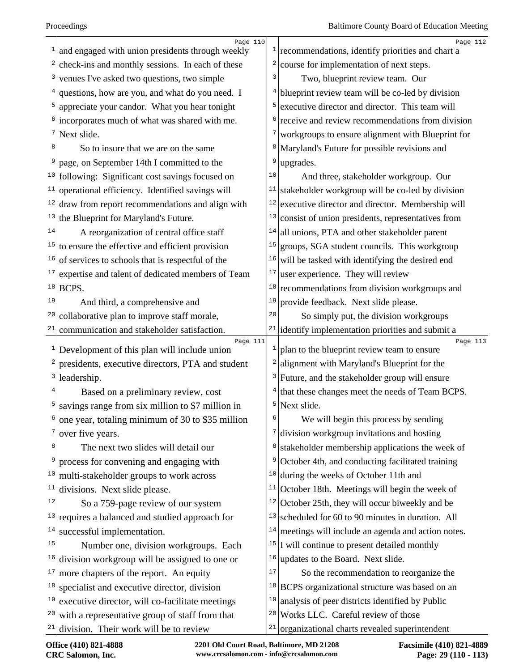|              | Page 110                                             |    | Page 112                                                       |
|--------------|------------------------------------------------------|----|----------------------------------------------------------------|
|              | and engaged with union presidents through weekly     |    | $\frac{1}{2}$ recommendations, identify priorities and chart a |
|              | check-ins and monthly sessions. In each of these     | 2  | course for implementation of next steps.                       |
| 3            | venues I've asked two questions, two simple          | 3  | Two, blueprint review team. Our                                |
| 4            | questions, how are you, and what do you need. I      |    | $4$ blueprint review team will be co-led by division           |
| 5            | appreciate your candor. What you hear tonight        |    | $5$ executive director and director. This team will            |
|              | incorporates much of what was shared with me.        | 6  | receive and review recommendations from division               |
| 7            | Next slide.                                          | 7  | workgroups to ensure alignment with Blueprint for              |
| 8            | So to insure that we are on the same                 | 8  | Maryland's Future for possible revisions and                   |
|              | page, on September 14th I committed to the           | 9  | upgrades.                                                      |
|              | $10$ following: Significant cost savings focused on  | 10 | And three, stakeholder workgroup. Our                          |
| 11           | operational efficiency. Identified savings will      | 11 | stakeholder workgroup will be co-led by division               |
| 12           | draw from report recommendations and align with      | 12 | executive director and director. Membership will               |
| 13           | the Blueprint for Maryland's Future.                 | 13 | consist of union presidents, representatives from              |
| 14           | A reorganization of central office staff             | 14 | all unions, PTA and other stakeholder parent                   |
|              | $15$ to ensure the effective and efficient provision | 15 | groups, SGA student councils. This workgroup                   |
| 16           | of services to schools that is respectful of the     | 16 | will be tasked with identifying the desired end                |
| 17           | expertise and talent of dedicated members of Team    | 17 | user experience. They will review                              |
| 18           | BCPS.                                                | 18 | recommendations from division workgroups and                   |
| 19           | And third, a comprehensive and                       | 19 | provide feedback. Next slide please.                           |
| 20           | collaborative plan to improve staff morale,          | 20 | So simply put, the division workgroups                         |
| 21           | communication and stakeholder satisfaction.          |    | $21$ identify implementation priorities and submit a           |
| $\mathbf{1}$ | Page 111                                             |    | Page 113<br>plan to the blueprint review team to ensure        |
| 2            | Development of this plan will include union          | 2  | alignment with Maryland's Blueprint for the                    |
| 3            | presidents, executive directors, PTA and student     |    |                                                                |
|              | leadership.                                          |    | <sup>3</sup> Future, and the stakeholder group will ensure     |
| 5            | Based on a preliminary review, cost                  | 5  | that these changes meet the needs of Team BCPS.                |
|              | savings range from six million to \$7 million in     | 6  | Next slide.                                                    |
|              | one year, totaling minimum of 30 to \$35 million     |    | We will begin this process by sending                          |
|              | over five years.                                     |    | division workgroup invitations and hosting                     |
| 8            | The next two slides will detail our                  | 8  | stakeholder membership applications the week of                |
|              | process for convening and engaging with              | 9  | October 4th, and conducting facilitated training               |
| 10           | multi-stakeholder groups to work across              | 10 | during the weeks of October 11th and                           |
| 11           | divisions. Next slide please.                        |    | $11$ October 18th. Meetings will begin the week of             |
| 12           | So a 759-page review of our system                   |    | $12$ October 25th, they will occur biweekly and be             |
|              | $13$ requires a balanced and studied approach for    | 13 | scheduled for 60 to 90 minutes in duration. All                |
| 14           | successful implementation.                           | 14 | meetings will include an agenda and action notes.              |
| 15           | Number one, division workgroups. Each                |    | $15$ I will continue to present detailed monthly               |
| 16           | division workgroup will be assigned to one or        | 16 | updates to the Board. Next slide.                              |
| 17           | more chapters of the report. An equity               | 17 | So the recommendation to reorganize the                        |
| 18           | specialist and executive director, division          |    | <sup>18</sup> BCPS organizational structure was based on an    |
| 19           | executive director, will co-facilitate meetings      | 19 | analysis of peer districts identified by Public                |
| 20           | with a representative group of staff from that       |    | $20$ Works LLC. Careful review of those                        |
|              | $21$ division. Their work will be to review          | 21 | organizational charts revealed superintendent                  |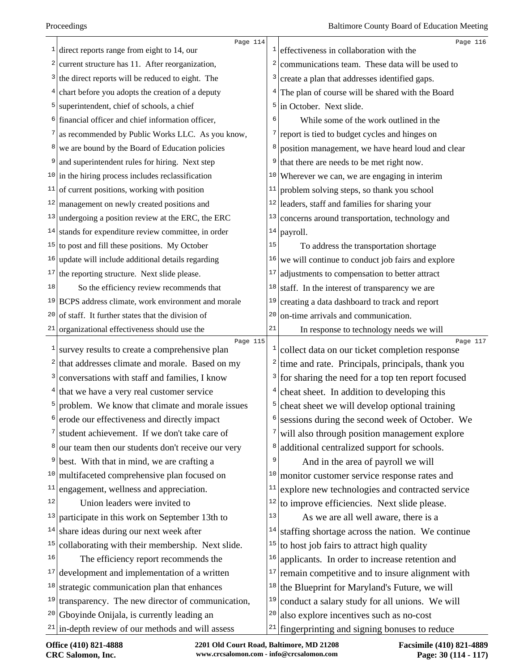| current structure has 11. After reorganization,<br>communications team. These data will be used to<br>2<br>2<br>$3$ the direct reports will be reduced to eight. The<br>create a plan that addresses identified gaps.<br>3<br>The plan of course will be shared with the Board<br>$4$ chart before you adopts the creation of a deputy<br>$\overline{4}$<br>in October. Next slide.<br>$5$ superintendent, chief of schools, a chief<br>5 <br><sup>6</sup> financial officer and chief information officer,<br>While some of the work outlined in the<br>6<br>as recommended by Public Works LLC. As you know,<br>report is tied to budget cycles and hinges on<br>7  <br>$7\vert$<br><sup>8</sup> we are bound by the Board of Education policies<br>position management, we have heard loud and clear<br>8<br>that there are needs to be met right now.<br>and superintendent rules for hiring. Next step<br>9<br>9<br>$10$ in the hiring process includes reclassification<br>Wherever we can, we are engaging in interim<br>10 <br>of current positions, working with position<br>problem solving steps, so thank you school<br>11<br>11<br>$12$ management on newly created positions and<br>leaders, staff and families for sharing your<br>12 <br>$13$ undergoing a position review at the ERC, the ERC<br>13<br>concerns around transportation, technology and<br>$14$ stands for expenditure review committee, in order<br>14<br>payroll.<br>$15$ to post and fill these positions. My October<br>15<br>To address the transportation shortage<br>$16$ update will include additional details regarding<br>we will continue to conduct job fairs and explore<br>16<br>the reporting structure. Next slide please.<br>17<br>adjustments to compensation to better attract<br>17 <br>staff. In the interest of transparency we are<br>So the efficiency review recommends that<br>18<br>18<br>$19$ BCPS address climate, work environment and morale<br>creating a data dashboard to track and report<br>19<br>of staff. It further states that the division of<br>on-time arrivals and communication.<br>20<br>20<br>21<br>organizational effectiveness should use the<br>21 <br>In response to technology needs we will<br>Page 115<br>$\mathbf{1}$<br>survey results to create a comprehensive plan<br>collect data on our ticket completion response<br>1<br>$\mathbf{2}$<br>that addresses climate and morale. Based on my<br>time and rate. Principals, principals, thank you<br>2<br>for sharing the need for a top ten report focused<br>conversations with staff and families, I know<br>3<br>$\vert$ 3<br>cheat sheet. In addition to developing this<br>$4$ that we have a very real customer service<br>problem. We know that climate and morale issues<br>5<br>cheat sheet we will develop optional training<br>5<br>erode our effectiveness and directly impact<br>sessions during the second week of October. We<br>student achievement. If we don't take care of<br>will also through position management explore<br>7<br>additional centralized support for schools.<br>our team then our students don't receive our very<br>8<br>8<br>best. With that in mind, we are crafting a<br>9<br>And in the area of payroll we will<br>9<br>10<br>multifaceted comprehensive plan focused on<br>monitor customer service response rates and<br>10<br>11<br>explore new technologies and contracted service<br>engagement, wellness and appreciation.<br>11<br>12<br>Union leaders were invited to<br>to improve efficiencies. Next slide please.<br>12 | Page 114                                            | Page 116                                     |
|-------------------------------------------------------------------------------------------------------------------------------------------------------------------------------------------------------------------------------------------------------------------------------------------------------------------------------------------------------------------------------------------------------------------------------------------------------------------------------------------------------------------------------------------------------------------------------------------------------------------------------------------------------------------------------------------------------------------------------------------------------------------------------------------------------------------------------------------------------------------------------------------------------------------------------------------------------------------------------------------------------------------------------------------------------------------------------------------------------------------------------------------------------------------------------------------------------------------------------------------------------------------------------------------------------------------------------------------------------------------------------------------------------------------------------------------------------------------------------------------------------------------------------------------------------------------------------------------------------------------------------------------------------------------------------------------------------------------------------------------------------------------------------------------------------------------------------------------------------------------------------------------------------------------------------------------------------------------------------------------------------------------------------------------------------------------------------------------------------------------------------------------------------------------------------------------------------------------------------------------------------------------------------------------------------------------------------------------------------------------------------------------------------------------------------------------------------------------------------------------------------------------------------------------------------------------------------------------------------------------------------------------------------------------------------------------------------------------------------------------------------------------------------------------------------------------------------------------------------------------------------------------------------------------------------------------------------------------------------------------------------------------------------------------------------------------------------------------------------------------------------------------------------------------------------------------------------------------------------------------------------------------------------------------------------------------------------------------------------------------------------------------------------------------------------------------------------------------------------------------------------------------------------------------------------------------------|-----------------------------------------------------|----------------------------------------------|
|                                                                                                                                                                                                                                                                                                                                                                                                                                                                                                                                                                                                                                                                                                                                                                                                                                                                                                                                                                                                                                                                                                                                                                                                                                                                                                                                                                                                                                                                                                                                                                                                                                                                                                                                                                                                                                                                                                                                                                                                                                                                                                                                                                                                                                                                                                                                                                                                                                                                                                                                                                                                                                                                                                                                                                                                                                                                                                                                                                                                                                                                                                                                                                                                                                                                                                                                                                                                                                                                                                                                                                         | direct reports range from eight to 14, our          | effectiveness in collaboration with the      |
|                                                                                                                                                                                                                                                                                                                                                                                                                                                                                                                                                                                                                                                                                                                                                                                                                                                                                                                                                                                                                                                                                                                                                                                                                                                                                                                                                                                                                                                                                                                                                                                                                                                                                                                                                                                                                                                                                                                                                                                                                                                                                                                                                                                                                                                                                                                                                                                                                                                                                                                                                                                                                                                                                                                                                                                                                                                                                                                                                                                                                                                                                                                                                                                                                                                                                                                                                                                                                                                                                                                                                                         |                                                     |                                              |
|                                                                                                                                                                                                                                                                                                                                                                                                                                                                                                                                                                                                                                                                                                                                                                                                                                                                                                                                                                                                                                                                                                                                                                                                                                                                                                                                                                                                                                                                                                                                                                                                                                                                                                                                                                                                                                                                                                                                                                                                                                                                                                                                                                                                                                                                                                                                                                                                                                                                                                                                                                                                                                                                                                                                                                                                                                                                                                                                                                                                                                                                                                                                                                                                                                                                                                                                                                                                                                                                                                                                                                         |                                                     |                                              |
|                                                                                                                                                                                                                                                                                                                                                                                                                                                                                                                                                                                                                                                                                                                                                                                                                                                                                                                                                                                                                                                                                                                                                                                                                                                                                                                                                                                                                                                                                                                                                                                                                                                                                                                                                                                                                                                                                                                                                                                                                                                                                                                                                                                                                                                                                                                                                                                                                                                                                                                                                                                                                                                                                                                                                                                                                                                                                                                                                                                                                                                                                                                                                                                                                                                                                                                                                                                                                                                                                                                                                                         |                                                     |                                              |
|                                                                                                                                                                                                                                                                                                                                                                                                                                                                                                                                                                                                                                                                                                                                                                                                                                                                                                                                                                                                                                                                                                                                                                                                                                                                                                                                                                                                                                                                                                                                                                                                                                                                                                                                                                                                                                                                                                                                                                                                                                                                                                                                                                                                                                                                                                                                                                                                                                                                                                                                                                                                                                                                                                                                                                                                                                                                                                                                                                                                                                                                                                                                                                                                                                                                                                                                                                                                                                                                                                                                                                         |                                                     |                                              |
|                                                                                                                                                                                                                                                                                                                                                                                                                                                                                                                                                                                                                                                                                                                                                                                                                                                                                                                                                                                                                                                                                                                                                                                                                                                                                                                                                                                                                                                                                                                                                                                                                                                                                                                                                                                                                                                                                                                                                                                                                                                                                                                                                                                                                                                                                                                                                                                                                                                                                                                                                                                                                                                                                                                                                                                                                                                                                                                                                                                                                                                                                                                                                                                                                                                                                                                                                                                                                                                                                                                                                                         |                                                     |                                              |
|                                                                                                                                                                                                                                                                                                                                                                                                                                                                                                                                                                                                                                                                                                                                                                                                                                                                                                                                                                                                                                                                                                                                                                                                                                                                                                                                                                                                                                                                                                                                                                                                                                                                                                                                                                                                                                                                                                                                                                                                                                                                                                                                                                                                                                                                                                                                                                                                                                                                                                                                                                                                                                                                                                                                                                                                                                                                                                                                                                                                                                                                                                                                                                                                                                                                                                                                                                                                                                                                                                                                                                         |                                                     |                                              |
|                                                                                                                                                                                                                                                                                                                                                                                                                                                                                                                                                                                                                                                                                                                                                                                                                                                                                                                                                                                                                                                                                                                                                                                                                                                                                                                                                                                                                                                                                                                                                                                                                                                                                                                                                                                                                                                                                                                                                                                                                                                                                                                                                                                                                                                                                                                                                                                                                                                                                                                                                                                                                                                                                                                                                                                                                                                                                                                                                                                                                                                                                                                                                                                                                                                                                                                                                                                                                                                                                                                                                                         |                                                     |                                              |
|                                                                                                                                                                                                                                                                                                                                                                                                                                                                                                                                                                                                                                                                                                                                                                                                                                                                                                                                                                                                                                                                                                                                                                                                                                                                                                                                                                                                                                                                                                                                                                                                                                                                                                                                                                                                                                                                                                                                                                                                                                                                                                                                                                                                                                                                                                                                                                                                                                                                                                                                                                                                                                                                                                                                                                                                                                                                                                                                                                                                                                                                                                                                                                                                                                                                                                                                                                                                                                                                                                                                                                         |                                                     |                                              |
|                                                                                                                                                                                                                                                                                                                                                                                                                                                                                                                                                                                                                                                                                                                                                                                                                                                                                                                                                                                                                                                                                                                                                                                                                                                                                                                                                                                                                                                                                                                                                                                                                                                                                                                                                                                                                                                                                                                                                                                                                                                                                                                                                                                                                                                                                                                                                                                                                                                                                                                                                                                                                                                                                                                                                                                                                                                                                                                                                                                                                                                                                                                                                                                                                                                                                                                                                                                                                                                                                                                                                                         |                                                     |                                              |
|                                                                                                                                                                                                                                                                                                                                                                                                                                                                                                                                                                                                                                                                                                                                                                                                                                                                                                                                                                                                                                                                                                                                                                                                                                                                                                                                                                                                                                                                                                                                                                                                                                                                                                                                                                                                                                                                                                                                                                                                                                                                                                                                                                                                                                                                                                                                                                                                                                                                                                                                                                                                                                                                                                                                                                                                                                                                                                                                                                                                                                                                                                                                                                                                                                                                                                                                                                                                                                                                                                                                                                         |                                                     |                                              |
|                                                                                                                                                                                                                                                                                                                                                                                                                                                                                                                                                                                                                                                                                                                                                                                                                                                                                                                                                                                                                                                                                                                                                                                                                                                                                                                                                                                                                                                                                                                                                                                                                                                                                                                                                                                                                                                                                                                                                                                                                                                                                                                                                                                                                                                                                                                                                                                                                                                                                                                                                                                                                                                                                                                                                                                                                                                                                                                                                                                                                                                                                                                                                                                                                                                                                                                                                                                                                                                                                                                                                                         |                                                     |                                              |
|                                                                                                                                                                                                                                                                                                                                                                                                                                                                                                                                                                                                                                                                                                                                                                                                                                                                                                                                                                                                                                                                                                                                                                                                                                                                                                                                                                                                                                                                                                                                                                                                                                                                                                                                                                                                                                                                                                                                                                                                                                                                                                                                                                                                                                                                                                                                                                                                                                                                                                                                                                                                                                                                                                                                                                                                                                                                                                                                                                                                                                                                                                                                                                                                                                                                                                                                                                                                                                                                                                                                                                         |                                                     |                                              |
|                                                                                                                                                                                                                                                                                                                                                                                                                                                                                                                                                                                                                                                                                                                                                                                                                                                                                                                                                                                                                                                                                                                                                                                                                                                                                                                                                                                                                                                                                                                                                                                                                                                                                                                                                                                                                                                                                                                                                                                                                                                                                                                                                                                                                                                                                                                                                                                                                                                                                                                                                                                                                                                                                                                                                                                                                                                                                                                                                                                                                                                                                                                                                                                                                                                                                                                                                                                                                                                                                                                                                                         |                                                     |                                              |
|                                                                                                                                                                                                                                                                                                                                                                                                                                                                                                                                                                                                                                                                                                                                                                                                                                                                                                                                                                                                                                                                                                                                                                                                                                                                                                                                                                                                                                                                                                                                                                                                                                                                                                                                                                                                                                                                                                                                                                                                                                                                                                                                                                                                                                                                                                                                                                                                                                                                                                                                                                                                                                                                                                                                                                                                                                                                                                                                                                                                                                                                                                                                                                                                                                                                                                                                                                                                                                                                                                                                                                         |                                                     |                                              |
|                                                                                                                                                                                                                                                                                                                                                                                                                                                                                                                                                                                                                                                                                                                                                                                                                                                                                                                                                                                                                                                                                                                                                                                                                                                                                                                                                                                                                                                                                                                                                                                                                                                                                                                                                                                                                                                                                                                                                                                                                                                                                                                                                                                                                                                                                                                                                                                                                                                                                                                                                                                                                                                                                                                                                                                                                                                                                                                                                                                                                                                                                                                                                                                                                                                                                                                                                                                                                                                                                                                                                                         |                                                     |                                              |
|                                                                                                                                                                                                                                                                                                                                                                                                                                                                                                                                                                                                                                                                                                                                                                                                                                                                                                                                                                                                                                                                                                                                                                                                                                                                                                                                                                                                                                                                                                                                                                                                                                                                                                                                                                                                                                                                                                                                                                                                                                                                                                                                                                                                                                                                                                                                                                                                                                                                                                                                                                                                                                                                                                                                                                                                                                                                                                                                                                                                                                                                                                                                                                                                                                                                                                                                                                                                                                                                                                                                                                         |                                                     |                                              |
|                                                                                                                                                                                                                                                                                                                                                                                                                                                                                                                                                                                                                                                                                                                                                                                                                                                                                                                                                                                                                                                                                                                                                                                                                                                                                                                                                                                                                                                                                                                                                                                                                                                                                                                                                                                                                                                                                                                                                                                                                                                                                                                                                                                                                                                                                                                                                                                                                                                                                                                                                                                                                                                                                                                                                                                                                                                                                                                                                                                                                                                                                                                                                                                                                                                                                                                                                                                                                                                                                                                                                                         |                                                     |                                              |
|                                                                                                                                                                                                                                                                                                                                                                                                                                                                                                                                                                                                                                                                                                                                                                                                                                                                                                                                                                                                                                                                                                                                                                                                                                                                                                                                                                                                                                                                                                                                                                                                                                                                                                                                                                                                                                                                                                                                                                                                                                                                                                                                                                                                                                                                                                                                                                                                                                                                                                                                                                                                                                                                                                                                                                                                                                                                                                                                                                                                                                                                                                                                                                                                                                                                                                                                                                                                                                                                                                                                                                         |                                                     |                                              |
|                                                                                                                                                                                                                                                                                                                                                                                                                                                                                                                                                                                                                                                                                                                                                                                                                                                                                                                                                                                                                                                                                                                                                                                                                                                                                                                                                                                                                                                                                                                                                                                                                                                                                                                                                                                                                                                                                                                                                                                                                                                                                                                                                                                                                                                                                                                                                                                                                                                                                                                                                                                                                                                                                                                                                                                                                                                                                                                                                                                                                                                                                                                                                                                                                                                                                                                                                                                                                                                                                                                                                                         |                                                     |                                              |
|                                                                                                                                                                                                                                                                                                                                                                                                                                                                                                                                                                                                                                                                                                                                                                                                                                                                                                                                                                                                                                                                                                                                                                                                                                                                                                                                                                                                                                                                                                                                                                                                                                                                                                                                                                                                                                                                                                                                                                                                                                                                                                                                                                                                                                                                                                                                                                                                                                                                                                                                                                                                                                                                                                                                                                                                                                                                                                                                                                                                                                                                                                                                                                                                                                                                                                                                                                                                                                                                                                                                                                         |                                                     |                                              |
|                                                                                                                                                                                                                                                                                                                                                                                                                                                                                                                                                                                                                                                                                                                                                                                                                                                                                                                                                                                                                                                                                                                                                                                                                                                                                                                                                                                                                                                                                                                                                                                                                                                                                                                                                                                                                                                                                                                                                                                                                                                                                                                                                                                                                                                                                                                                                                                                                                                                                                                                                                                                                                                                                                                                                                                                                                                                                                                                                                                                                                                                                                                                                                                                                                                                                                                                                                                                                                                                                                                                                                         |                                                     | Page 117                                     |
|                                                                                                                                                                                                                                                                                                                                                                                                                                                                                                                                                                                                                                                                                                                                                                                                                                                                                                                                                                                                                                                                                                                                                                                                                                                                                                                                                                                                                                                                                                                                                                                                                                                                                                                                                                                                                                                                                                                                                                                                                                                                                                                                                                                                                                                                                                                                                                                                                                                                                                                                                                                                                                                                                                                                                                                                                                                                                                                                                                                                                                                                                                                                                                                                                                                                                                                                                                                                                                                                                                                                                                         |                                                     |                                              |
|                                                                                                                                                                                                                                                                                                                                                                                                                                                                                                                                                                                                                                                                                                                                                                                                                                                                                                                                                                                                                                                                                                                                                                                                                                                                                                                                                                                                                                                                                                                                                                                                                                                                                                                                                                                                                                                                                                                                                                                                                                                                                                                                                                                                                                                                                                                                                                                                                                                                                                                                                                                                                                                                                                                                                                                                                                                                                                                                                                                                                                                                                                                                                                                                                                                                                                                                                                                                                                                                                                                                                                         |                                                     |                                              |
|                                                                                                                                                                                                                                                                                                                                                                                                                                                                                                                                                                                                                                                                                                                                                                                                                                                                                                                                                                                                                                                                                                                                                                                                                                                                                                                                                                                                                                                                                                                                                                                                                                                                                                                                                                                                                                                                                                                                                                                                                                                                                                                                                                                                                                                                                                                                                                                                                                                                                                                                                                                                                                                                                                                                                                                                                                                                                                                                                                                                                                                                                                                                                                                                                                                                                                                                                                                                                                                                                                                                                                         |                                                     |                                              |
|                                                                                                                                                                                                                                                                                                                                                                                                                                                                                                                                                                                                                                                                                                                                                                                                                                                                                                                                                                                                                                                                                                                                                                                                                                                                                                                                                                                                                                                                                                                                                                                                                                                                                                                                                                                                                                                                                                                                                                                                                                                                                                                                                                                                                                                                                                                                                                                                                                                                                                                                                                                                                                                                                                                                                                                                                                                                                                                                                                                                                                                                                                                                                                                                                                                                                                                                                                                                                                                                                                                                                                         |                                                     |                                              |
|                                                                                                                                                                                                                                                                                                                                                                                                                                                                                                                                                                                                                                                                                                                                                                                                                                                                                                                                                                                                                                                                                                                                                                                                                                                                                                                                                                                                                                                                                                                                                                                                                                                                                                                                                                                                                                                                                                                                                                                                                                                                                                                                                                                                                                                                                                                                                                                                                                                                                                                                                                                                                                                                                                                                                                                                                                                                                                                                                                                                                                                                                                                                                                                                                                                                                                                                                                                                                                                                                                                                                                         |                                                     |                                              |
|                                                                                                                                                                                                                                                                                                                                                                                                                                                                                                                                                                                                                                                                                                                                                                                                                                                                                                                                                                                                                                                                                                                                                                                                                                                                                                                                                                                                                                                                                                                                                                                                                                                                                                                                                                                                                                                                                                                                                                                                                                                                                                                                                                                                                                                                                                                                                                                                                                                                                                                                                                                                                                                                                                                                                                                                                                                                                                                                                                                                                                                                                                                                                                                                                                                                                                                                                                                                                                                                                                                                                                         |                                                     |                                              |
|                                                                                                                                                                                                                                                                                                                                                                                                                                                                                                                                                                                                                                                                                                                                                                                                                                                                                                                                                                                                                                                                                                                                                                                                                                                                                                                                                                                                                                                                                                                                                                                                                                                                                                                                                                                                                                                                                                                                                                                                                                                                                                                                                                                                                                                                                                                                                                                                                                                                                                                                                                                                                                                                                                                                                                                                                                                                                                                                                                                                                                                                                                                                                                                                                                                                                                                                                                                                                                                                                                                                                                         |                                                     |                                              |
|                                                                                                                                                                                                                                                                                                                                                                                                                                                                                                                                                                                                                                                                                                                                                                                                                                                                                                                                                                                                                                                                                                                                                                                                                                                                                                                                                                                                                                                                                                                                                                                                                                                                                                                                                                                                                                                                                                                                                                                                                                                                                                                                                                                                                                                                                                                                                                                                                                                                                                                                                                                                                                                                                                                                                                                                                                                                                                                                                                                                                                                                                                                                                                                                                                                                                                                                                                                                                                                                                                                                                                         |                                                     |                                              |
|                                                                                                                                                                                                                                                                                                                                                                                                                                                                                                                                                                                                                                                                                                                                                                                                                                                                                                                                                                                                                                                                                                                                                                                                                                                                                                                                                                                                                                                                                                                                                                                                                                                                                                                                                                                                                                                                                                                                                                                                                                                                                                                                                                                                                                                                                                                                                                                                                                                                                                                                                                                                                                                                                                                                                                                                                                                                                                                                                                                                                                                                                                                                                                                                                                                                                                                                                                                                                                                                                                                                                                         |                                                     |                                              |
|                                                                                                                                                                                                                                                                                                                                                                                                                                                                                                                                                                                                                                                                                                                                                                                                                                                                                                                                                                                                                                                                                                                                                                                                                                                                                                                                                                                                                                                                                                                                                                                                                                                                                                                                                                                                                                                                                                                                                                                                                                                                                                                                                                                                                                                                                                                                                                                                                                                                                                                                                                                                                                                                                                                                                                                                                                                                                                                                                                                                                                                                                                                                                                                                                                                                                                                                                                                                                                                                                                                                                                         |                                                     |                                              |
|                                                                                                                                                                                                                                                                                                                                                                                                                                                                                                                                                                                                                                                                                                                                                                                                                                                                                                                                                                                                                                                                                                                                                                                                                                                                                                                                                                                                                                                                                                                                                                                                                                                                                                                                                                                                                                                                                                                                                                                                                                                                                                                                                                                                                                                                                                                                                                                                                                                                                                                                                                                                                                                                                                                                                                                                                                                                                                                                                                                                                                                                                                                                                                                                                                                                                                                                                                                                                                                                                                                                                                         |                                                     |                                              |
| 13<br>13<br>participate in this work on September 13th to<br>As we are all well aware, there is a                                                                                                                                                                                                                                                                                                                                                                                                                                                                                                                                                                                                                                                                                                                                                                                                                                                                                                                                                                                                                                                                                                                                                                                                                                                                                                                                                                                                                                                                                                                                                                                                                                                                                                                                                                                                                                                                                                                                                                                                                                                                                                                                                                                                                                                                                                                                                                                                                                                                                                                                                                                                                                                                                                                                                                                                                                                                                                                                                                                                                                                                                                                                                                                                                                                                                                                                                                                                                                                                       |                                                     |                                              |
| 14<br>share ideas during our next week after<br>staffing shortage across the nation. We continue<br>14                                                                                                                                                                                                                                                                                                                                                                                                                                                                                                                                                                                                                                                                                                                                                                                                                                                                                                                                                                                                                                                                                                                                                                                                                                                                                                                                                                                                                                                                                                                                                                                                                                                                                                                                                                                                                                                                                                                                                                                                                                                                                                                                                                                                                                                                                                                                                                                                                                                                                                                                                                                                                                                                                                                                                                                                                                                                                                                                                                                                                                                                                                                                                                                                                                                                                                                                                                                                                                                                  |                                                     |                                              |
| 15<br>collaborating with their membership. Next slide.<br>15<br>to host job fairs to attract high quality                                                                                                                                                                                                                                                                                                                                                                                                                                                                                                                                                                                                                                                                                                                                                                                                                                                                                                                                                                                                                                                                                                                                                                                                                                                                                                                                                                                                                                                                                                                                                                                                                                                                                                                                                                                                                                                                                                                                                                                                                                                                                                                                                                                                                                                                                                                                                                                                                                                                                                                                                                                                                                                                                                                                                                                                                                                                                                                                                                                                                                                                                                                                                                                                                                                                                                                                                                                                                                                               |                                                     |                                              |
| applicants. In order to increase retention and<br>16<br>The efficiency report recommends the<br>16                                                                                                                                                                                                                                                                                                                                                                                                                                                                                                                                                                                                                                                                                                                                                                                                                                                                                                                                                                                                                                                                                                                                                                                                                                                                                                                                                                                                                                                                                                                                                                                                                                                                                                                                                                                                                                                                                                                                                                                                                                                                                                                                                                                                                                                                                                                                                                                                                                                                                                                                                                                                                                                                                                                                                                                                                                                                                                                                                                                                                                                                                                                                                                                                                                                                                                                                                                                                                                                                      |                                                     |                                              |
| development and implementation of a written<br>17<br>remain competitive and to insure alignment with<br>17                                                                                                                                                                                                                                                                                                                                                                                                                                                                                                                                                                                                                                                                                                                                                                                                                                                                                                                                                                                                                                                                                                                                                                                                                                                                                                                                                                                                                                                                                                                                                                                                                                                                                                                                                                                                                                                                                                                                                                                                                                                                                                                                                                                                                                                                                                                                                                                                                                                                                                                                                                                                                                                                                                                                                                                                                                                                                                                                                                                                                                                                                                                                                                                                                                                                                                                                                                                                                                                              |                                                     |                                              |
| the Blueprint for Maryland's Future, we will<br>strategic communication plan that enhances<br>18<br>18                                                                                                                                                                                                                                                                                                                                                                                                                                                                                                                                                                                                                                                                                                                                                                                                                                                                                                                                                                                                                                                                                                                                                                                                                                                                                                                                                                                                                                                                                                                                                                                                                                                                                                                                                                                                                                                                                                                                                                                                                                                                                                                                                                                                                                                                                                                                                                                                                                                                                                                                                                                                                                                                                                                                                                                                                                                                                                                                                                                                                                                                                                                                                                                                                                                                                                                                                                                                                                                                  |                                                     |                                              |
| transparency. The new director of communication,<br>19<br>conduct a salary study for all unions. We will<br>19                                                                                                                                                                                                                                                                                                                                                                                                                                                                                                                                                                                                                                                                                                                                                                                                                                                                                                                                                                                                                                                                                                                                                                                                                                                                                                                                                                                                                                                                                                                                                                                                                                                                                                                                                                                                                                                                                                                                                                                                                                                                                                                                                                                                                                                                                                                                                                                                                                                                                                                                                                                                                                                                                                                                                                                                                                                                                                                                                                                                                                                                                                                                                                                                                                                                                                                                                                                                                                                          |                                                     |                                              |
| Gboyinde Onijala, is currently leading an<br>20<br>also explore incentives such as no-cost<br>20                                                                                                                                                                                                                                                                                                                                                                                                                                                                                                                                                                                                                                                                                                                                                                                                                                                                                                                                                                                                                                                                                                                                                                                                                                                                                                                                                                                                                                                                                                                                                                                                                                                                                                                                                                                                                                                                                                                                                                                                                                                                                                                                                                                                                                                                                                                                                                                                                                                                                                                                                                                                                                                                                                                                                                                                                                                                                                                                                                                                                                                                                                                                                                                                                                                                                                                                                                                                                                                                        |                                                     |                                              |
|                                                                                                                                                                                                                                                                                                                                                                                                                                                                                                                                                                                                                                                                                                                                                                                                                                                                                                                                                                                                                                                                                                                                                                                                                                                                                                                                                                                                                                                                                                                                                                                                                                                                                                                                                                                                                                                                                                                                                                                                                                                                                                                                                                                                                                                                                                                                                                                                                                                                                                                                                                                                                                                                                                                                                                                                                                                                                                                                                                                                                                                                                                                                                                                                                                                                                                                                                                                                                                                                                                                                                                         | $21$ in-depth review of our methods and will assess | fingerprinting and signing bonuses to reduce |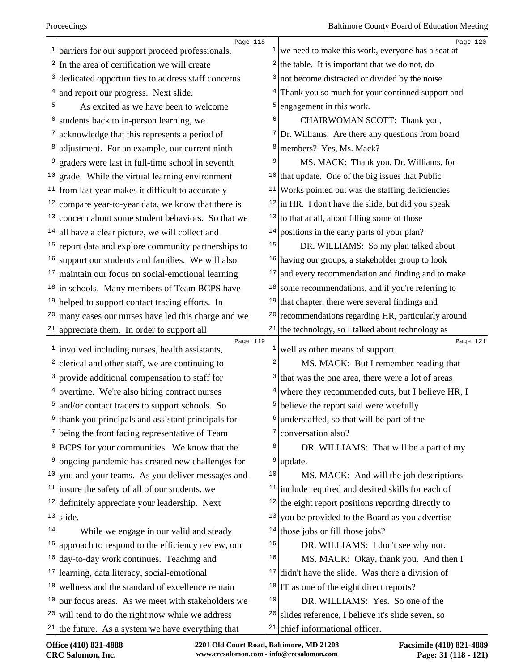|    | Page 118<br>$1$ barriers for our support proceed professionals. |                | Page 120<br>$\frac{1}{x}$ we need to make this work, everyone has a seat at |
|----|-----------------------------------------------------------------|----------------|-----------------------------------------------------------------------------|
|    | $2 \vert$ In the area of certification we will create           |                | <sup>2</sup> the table. It is important that we do not, do                  |
|    | <sup>3</sup> dedicated opportunities to address staff concerns  | 3              | not become distracted or divided by the noise.                              |
| 4  | and report our progress. Next slide.                            | 4              | Thank you so much for your continued support and                            |
| 5  | As excited as we have been to welcome                           | 5              | engagement in this work.                                                    |
| 6  | students back to in-person learning, we                         | 6              | CHAIRWOMAN SCOTT: Thank you,                                                |
|    | acknowledge that this represents a period of                    |                | $7$ Dr. Williams. Are there any questions from board                        |
|    | adjustment. For an example, our current ninth                   | 8              | members? Yes, Ms. Mack?                                                     |
|    | graders were last in full-time school in seventh                | 9              | MS. MACK: Thank you, Dr. Williams, for                                      |
|    | $10 \text{ grad}$ . While the virtual learning environment      |                | <sup>10</sup> that update. One of the big issues that Public                |
|    | $11$ from last year makes it difficult to accurately            | 11             | Works pointed out was the staffing deficiencies                             |
|    | $12$ compare year-to-year data, we know that there is           |                | $12$ in HR. I don't have the slide, but did you speak                       |
| 13 | concern about some student behaviors. So that we                | 13             | to that at all, about filling some of those                                 |
|    | $14$   all have a clear picture, we will collect and            | 14             | positions in the early parts of your plan?                                  |
|    | $15$ report data and explore community partnerships to          | 15             | DR. WILLIAMS: So my plan talked about                                       |
|    | $16$ support our students and families. We will also            |                | $16$ having our groups, a stakeholder group to look                         |
|    | $17$ maintain our focus on social-emotional learning            | 17             | and every recommendation and finding and to make                            |
|    | $18$ in schools. Many members of Team BCPS have                 | 18             | some recommendations, and if you're referring to                            |
|    | $19$ helped to support contact tracing efforts. In              | 19             | that chapter, there were several findings and                               |
| 20 | many cases our nurses have led this charge and we               | 20             | recommendations regarding HR, particularly around                           |
|    | $21$ appreciate them. In order to support all                   | 21             | the technology, so I talked about technology as                             |
|    | Page 119<br>$1$ involved including nurses, health assistants,   | $\mathbf{1}$   | Page 121<br>well as other means of support.                                 |
|    | $2$ clerical and other staff, we are continuing to              | $\overline{c}$ | MS. MACK: But I remember reading that                                       |
|    | $3$ provide additional compensation to staff for                | 3              | that was the one area, there were a lot of areas                            |
|    | $4$ overtime. We're also hiring contract nurses                 | 4              | where they recommended cuts, but I believe HR, I                            |
|    | $5$ and/or contact tracers to support schools. So               | 5              | believe the report said were woefully                                       |
| 6  | thank you principals and assistant principals for               | 6              | understaffed, so that will be part of the                                   |
|    | <sup>7</sup> being the front facing representative of Team      | 7              | conversation also?                                                          |
|    | <sup>8</sup> BCPS for your communities. We know that the        | 8              | DR. WILLIAMS: That will be a part of my                                     |
|    | <sup>9</sup> ongoing pandemic has created new challenges for    | 9              | update.                                                                     |
|    | $10$ you and your teams. As you deliver messages and            | $10$           | MS. MACK: And will the job descriptions                                     |
|    | $11$ insure the safety of all of our students, we               |                | $11$ include required and desired skills for each of                        |
|    | $12$ definitely appreciate your leadership. Next                | 12             | the eight report positions reporting directly to                            |
|    | $13$ slide.                                                     | 13             | you be provided to the Board as you advertise                               |
| 14 | While we engage in our valid and steady                         | 14             | those jobs or fill those jobs?                                              |
|    | $15$ approach to respond to the efficiency review, our          | 15             | DR. WILLIAMS: I don't see why not.                                          |
|    | $16$ day-to-day work continues. Teaching and                    | 16             | MS. MACK: Okay, thank you. And then I                                       |
|    | $17$  learning, data literacy, social-emotional                 | 17             | didn't have the slide. Was there a division of                              |
|    | $18$ wellness and the standard of excellence remain             | 18             | IT as one of the eight direct reports?                                      |
|    | $19$ our focus areas. As we meet with stakeholders we           | 19             | DR. WILLIAMS: Yes. So one of the                                            |
|    | $20$ will tend to do the right now while we address             | 20             | slides reference, I believe it's slide seven, so                            |
|    | $21$ the future. As a system we have everything that            | 21             | chief informational officer.                                                |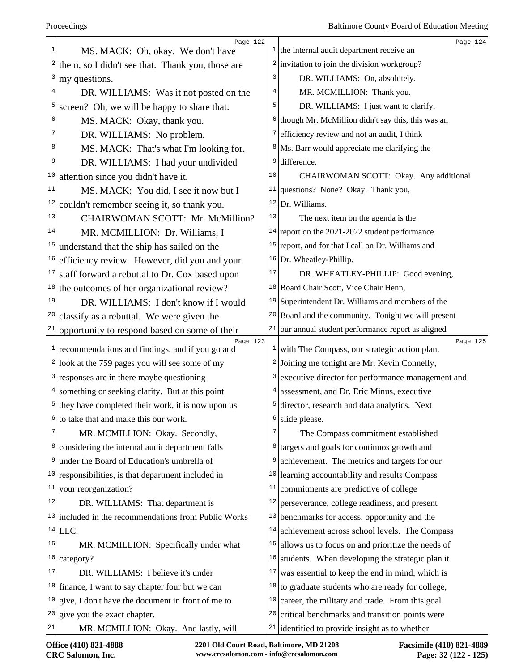|               | Page 122                                                    |    | Page 124                                                               |
|---------------|-------------------------------------------------------------|----|------------------------------------------------------------------------|
| 1             | MS. MACK: Oh, okay. We don't have                           |    | $1$ the internal audit department receive an                           |
| $\frac{2}{ }$ | them, so I didn't see that. Thank you, those are            |    | $2$ invitation to join the division workgroup?                         |
| 3             | my questions.                                               | 3  | DR. WILLIAMS: On, absolutely.                                          |
| 4             | DR. WILLIAMS: Was it not posted on the                      | 4  | MR. MCMILLION: Thank you.                                              |
| 5             | screen? Oh, we will be happy to share that.                 | 5  | DR. WILLIAMS: I just want to clarify,                                  |
| 6             | MS. MACK: Okay, thank you.                                  |    | $6$ though Mr. McMillion didn't say this, this was an                  |
| 7             | DR. WILLIAMS: No problem.                                   | 7  | efficiency review and not an audit, I think                            |
| 8             | MS. MACK: That's what I'm looking for.                      |    | $8$ Ms. Barr would appreciate me clarifying the                        |
| 9             | DR. WILLIAMS: I had your undivided                          | 9  | difference.                                                            |
| 10            | attention since you didn't have it.                         | 10 | CHAIRWOMAN SCOTT: Okay. Any additional                                 |
| 11            | MS. MACK: You did, I see it now but I                       |    | $11$ questions? None? Okay. Thank you,                                 |
| 12            | couldn't remember seeing it, so thank you.                  |    | $12$ Dr. Williams.                                                     |
| 13            | CHAIRWOMAN SCOTT: Mr. McMillion?                            | 13 | The next item on the agenda is the                                     |
| 14            | MR. MCMILLION: Dr. Williams, I                              |    | $14$ report on the 2021-2022 student performance                       |
| 15            | understand that the ship has sailed on the                  |    | $15$ report, and for that I call on Dr. Williams and                   |
| 16            | efficiency review. However, did you and your                |    | $16$ Dr. Wheatley-Phillip.                                             |
| 17            | staff forward a rebuttal to Dr. Cox based upon              | 17 | DR. WHEATLEY-PHILLIP: Good evening,                                    |
| 18            | the outcomes of her organizational review?                  |    | <sup>18</sup> Board Chair Scott, Vice Chair Henn,                      |
| 19            | DR. WILLIAMS: I don't know if I would                       |    | $19$ Superintendent Dr. Williams and members of the                    |
| 20            | classify as a rebuttal. We were given the                   |    | $20$ Board and the community. Tonight we will present                  |
| 21            | opportunity to respond based on some of their               | 21 | our annual student performance report as aligned                       |
| $\mathbf{1}$  | Page 123<br>recommendations and findings, and if you go and |    | Page 125<br>$\frac{1}{x}$ with The Compass, our strategic action plan. |
|               | $2$ look at the 759 pages you will see some of my           |    | $2$ Joining me tonight are Mr. Kevin Connelly,                         |
|               | $3$ responses are in there maybe questioning                |    | <sup>3</sup> executive director for performance management and         |
|               | $4$ something or seeking clarity. But at this point         |    | assessment, and Dr. Eric Minus, executive                              |
|               | $5$ they have completed their work, it is now upon us       | 5  | director, research and data analytics. Next                            |
|               | to take that and make this our work.                        |    | slide please.                                                          |
| 7             | MR. MCMILLION: Okay. Secondly,                              | 7  | The Compass commitment established                                     |
| 8             | considering the internal audit department falls             |    | <sup>8</sup> targets and goals for continuos growth and                |
| 9             | under the Board of Education's umbrella of                  | 9  | achievement. The metrics and targets for our                           |
| 10            | responsibilities, is that department included in            | 10 | learning accountability and results Compass                            |
| 11            | your reorganization?                                        | 11 | commitments are predictive of college                                  |
| 12            | DR. WILLIAMS: That department is                            | 12 | perseverance, college readiness, and present                           |
| 13            | included in the recommendations from Public Works           | 13 | benchmarks for access, opportunity and the                             |
|               | $14$ LLC.                                                   |    | $14$ achievement across school levels. The Compass                     |
| 15            | MR. MCMILLION: Specifically under what                      |    | $15$ allows us to focus on and prioritize the needs of                 |
| 16            | category?                                                   | 16 | students. When developing the strategic plan it                        |
| 17            | DR. WILLIAMS: I believe it's under                          | 17 | was essential to keep the end in mind, which is                        |
|               | $18$ finance, I want to say chapter four but we can         |    | $18$ to graduate students who are ready for college,                   |
| 19            | give, I don't have the document in front of me to           | 19 | career, the military and trade. From this goal                         |
| 20            | give you the exact chapter.                                 | 20 | critical benchmarks and transition points were                         |
| 21            | MR. MCMILLION: Okay. And lastly, will                       |    | $21$ identified to provide insight as to whether                       |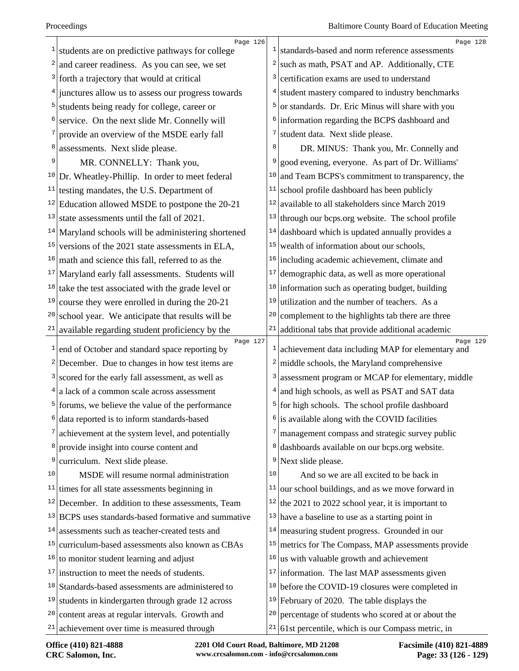| 1             | Page 126<br>students are on predictive pathways for college  |                | Page 128<br>$\frac{1}{1}$ standards-based and norm reference assessments |
|---------------|--------------------------------------------------------------|----------------|--------------------------------------------------------------------------|
| 2             | and career readiness. As you can see, we set                 |                | $2$ such as math, PSAT and AP. Additionally, CTE                         |
| 3             | forth a trajectory that would at critical                    | 3              | certification exams are used to understand                               |
| $\frac{4}{ }$ | junctures allow us to assess our progress towards            | 4              | student mastery compared to industry benchmarks                          |
| 5             | students being ready for college, career or                  | $\overline{5}$ | or standards. Dr. Eric Minus will share with you                         |
|               | service. On the next slide Mr. Connelly will                 | $6 \mid$       | information regarding the BCPS dashboard and                             |
|               | provide an overview of the MSDE early fall                   | 7              | student data. Next slide please.                                         |
| 8             | assessments. Next slide please.                              | 8              | DR. MINUS: Thank you, Mr. Connelly and                                   |
| 9             | MR. CONNELLY: Thank you,                                     |                | good evening, everyone. As part of Dr. Williams'                         |
| 10            | Dr. Wheatley-Phillip. In order to meet federal               | 10             | and Team BCPS's commitment to transparency, the                          |
| 11            | testing mandates, the U.S. Department of                     | 11             | school profile dashboard has been publicly                               |
|               | $12$ Education allowed MSDE to postpone the 20-21            | 12             | available to all stakeholders since March 2019                           |
| 13            | state assessments until the fall of 2021.                    | 13             | through our bcps.org website. The school profile                         |
|               | $14$ Maryland schools will be administering shortened        | 14             | dashboard which is updated annually provides a                           |
| 15            | versions of the 2021 state assessments in ELA,               | 15             | wealth of information about our schools,                                 |
| 16            | math and science this fall, referred to as the               |                | $16$ including academic achievement, climate and                         |
| 17            | Maryland early fall assessments. Students will               | 17             | demographic data, as well as more operational                            |
|               | $18$ take the test associated with the grade level or        | 18             | information such as operating budget, building                           |
| 19            | course they were enrolled in during the 20-21                | 19             | utilization and the number of teachers. As a                             |
| 20            | school year. We anticipate that results will be              | 20             | complement to the highlights tab there are three                         |
| 21            | available regarding student proficiency by the               | 21             | additional tabs that provide additional academic                         |
| $\mathbf{1}$  | Page 127<br>end of October and standard space reporting by   | $\mathbf{1}$   | Page 129<br>achievement data including MAP for elementary and            |
| $\mathbf{2}$  | December. Due to changes in how test items are               | $\frac{2}{ }$  | middle schools, the Maryland comprehensive                               |
| 3             | scored for the early fall assessment, as well as             | 3              | assessment program or MCAP for elementary, middle                        |
|               | $4$ a lack of a common scale across assessment               |                | $4$ and high schools, as well as PSAT and SAT data                       |
|               | <sup>5</sup> forums, we believe the value of the performance |                | $5$ for high schools. The school profile dashboard                       |
| 6             | data reported is to inform standards-based                   |                | $6$ is available along with the COVID facilities                         |
| 7             | achievement at the system level, and potentially             | 7              | management compass and strategic survey public                           |
| 8             | provide insight into course content and                      | 8              | dashboards available on our bcps.org website.                            |
| 9             | curriculum. Next slide please.                               | 9              | Next slide please.                                                       |
| 10            | MSDE will resume normal administration                       | 10             | And so we are all excited to be back in                                  |
| 11            | times for all state assessments beginning in                 | 11             | our school buildings, and as we move forward in                          |
|               | $12$ December. In addition to these assessments, Team        |                | $12$ the 2021 to 2022 school year, it is important to                    |
|               | $13$ BCPS uses standards-based formative and summative       | 13             | have a baseline to use as a starting point in                            |
| 14            | assessments such as teacher-created tests and                | 14             | measuring student progress. Grounded in our                              |
| 15            | curriculum-based assessments also known as CBAs              | 15             | metrics for The Compass, MAP assessments provide                         |
|               | $16$ to monitor student learning and adjust                  | 16             | us with valuable growth and achievement                                  |
|               | $17$ instruction to meet the needs of students.              | 17             | information. The last MAP assessments given                              |
|               | $18$ Standards-based assessments are administered to         | 18             | before the COVID-19 closures were completed in                           |
| 19            | students in kindergarten through grade 12 across             |                | $19$ February of 2020. The table displays the                            |
| 20            | content areas at regular intervals. Growth and               | 20             | percentage of students who scored at or about the                        |
|               | $21$ achievement over time is measured through               | 21             | 61st percentile, which is our Compass metric, in                         |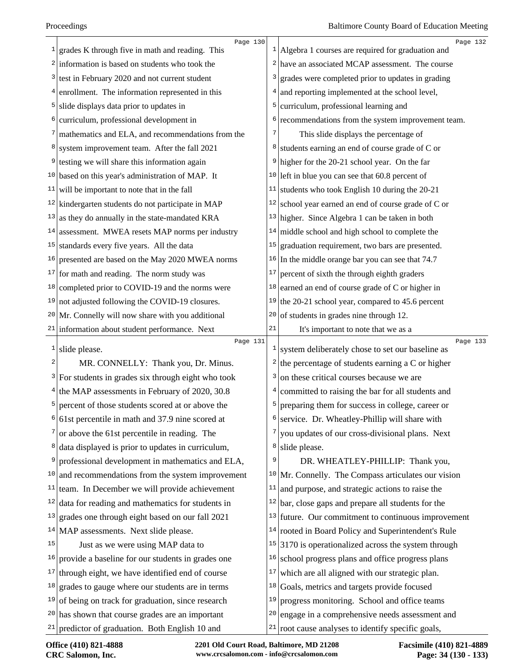| grades K through five in math and reading. This<br>$2$ information is based on students who took the<br>$2$ have an associated MCAP assessment. The course<br>$3$ test in February 2020 and not current student<br>grades were completed prior to updates in grading<br>3<br>enrollment. The information represented in this<br>and reporting implemented at the school level,<br>4 | Page 132                                                                                       |
|-------------------------------------------------------------------------------------------------------------------------------------------------------------------------------------------------------------------------------------------------------------------------------------------------------------------------------------------------------------------------------------|------------------------------------------------------------------------------------------------|
|                                                                                                                                                                                                                                                                                                                                                                                     | $1$   Algebra 1 courses are required for graduation and                                        |
|                                                                                                                                                                                                                                                                                                                                                                                     |                                                                                                |
|                                                                                                                                                                                                                                                                                                                                                                                     |                                                                                                |
|                                                                                                                                                                                                                                                                                                                                                                                     |                                                                                                |
| slide displays data prior to updates in<br>curriculum, professional learning and<br>5<br>5                                                                                                                                                                                                                                                                                          |                                                                                                |
| curriculum, professional development in<br>6                                                                                                                                                                                                                                                                                                                                        | recommendations from the system improvement team.                                              |
| mathematics and ELA, and recommendations from the<br>7<br>7                                                                                                                                                                                                                                                                                                                         | This slide displays the percentage of                                                          |
| system improvement team. After the fall 2021<br>8<br>8                                                                                                                                                                                                                                                                                                                              | students earning an end of course grade of C or                                                |
| $9$ higher for the 20-21 school year. On the far<br>testing we will share this information again<br>9                                                                                                                                                                                                                                                                               |                                                                                                |
| $10$ based on this year's administration of MAP. It<br>$10$ left in blue you can see that 60.8 percent of                                                                                                                                                                                                                                                                           |                                                                                                |
| $11$ students who took English 10 during the 20-21<br>will be important to note that in the fall<br>11                                                                                                                                                                                                                                                                              |                                                                                                |
| $12$ kindergarten students do not participate in MAP<br>$12$ school year earned an end of course grade of C or                                                                                                                                                                                                                                                                      |                                                                                                |
| as they do annually in the state-mandated KRA<br>$13$ higher. Since Algebra 1 can be taken in both<br> 13                                                                                                                                                                                                                                                                           |                                                                                                |
| assessment. MWEA resets MAP norms per industry<br>middle school and high school to complete the<br>14<br>14                                                                                                                                                                                                                                                                         |                                                                                                |
| $15$ graduation requirement, two bars are presented.<br>$15$ standards every five years. All the data                                                                                                                                                                                                                                                                               |                                                                                                |
| presented are based on the May 2020 MWEA norms<br>$16$ In the middle orange bar you can see that 74.7<br>16                                                                                                                                                                                                                                                                         |                                                                                                |
| $17$ for math and reading. The norm study was<br>percent of sixth the through eighth graders<br>17                                                                                                                                                                                                                                                                                  |                                                                                                |
| earned an end of course grade of C or higher in<br>$18$ completed prior to COVID-19 and the norms were<br>18                                                                                                                                                                                                                                                                        |                                                                                                |
| $19$ not adjusted following the COVID-19 closures.<br>19                                                                                                                                                                                                                                                                                                                            | the 20-21 school year, compared to 45.6 percent                                                |
| of students in grades nine through 12.<br>$20$ Mr. Connelly will now share with you additional<br>20                                                                                                                                                                                                                                                                                |                                                                                                |
| $21$ information about student performance. Next<br>21<br>It's important to note that we as a                                                                                                                                                                                                                                                                                       |                                                                                                |
| Page 131<br>$\mathbf{1}$<br>slide please.                                                                                                                                                                                                                                                                                                                                           | Page 133<br>$\frac{1}{2}$ system deliberately chose to set our baseline as                     |
| MR. CONNELLY: Thank you, Dr. Minus.<br>2                                                                                                                                                                                                                                                                                                                                            | <sup>2</sup> the percentage of students earning a C or higher                                  |
| on these critical courses because we are<br>$3$ For students in grades six through eight who took<br>3                                                                                                                                                                                                                                                                              |                                                                                                |
| $4$ the MAP assessments in February of 2020, 30.8<br>4                                                                                                                                                                                                                                                                                                                              | committed to raising the bar for all students and                                              |
| percent of those students scored at or above the<br>5<br>5                                                                                                                                                                                                                                                                                                                          | preparing them for success in college, career or                                               |
| $6$ service. Dr. Wheatley-Phillip will share with<br>61st percentile in math and 37.9 nine scored at<br>6                                                                                                                                                                                                                                                                           |                                                                                                |
| or above the 61st percentile in reading. The<br>7<br>7                                                                                                                                                                                                                                                                                                                              | you updates of our cross-divisional plans. Next                                                |
| data displayed is prior to updates in curriculum,<br>$8$ slide please.<br>8                                                                                                                                                                                                                                                                                                         |                                                                                                |
| 9<br>professional development in mathematics and ELA,<br>9                                                                                                                                                                                                                                                                                                                          | DR. WHEATLEY-PHILLIP: Thank you,                                                               |
|                                                                                                                                                                                                                                                                                                                                                                                     | $10$ Mr. Connelly. The Compass articulates our vision                                          |
| 10                                                                                                                                                                                                                                                                                                                                                                                  |                                                                                                |
| and recommendations from the system improvement<br>11                                                                                                                                                                                                                                                                                                                               |                                                                                                |
| $11$ team. In December we will provide achievement<br>and purpose, and strategic actions to raise the<br>12                                                                                                                                                                                                                                                                         |                                                                                                |
| data for reading and mathematics for students in<br>$12$ bar, close gaps and prepare all students for the<br>13                                                                                                                                                                                                                                                                     |                                                                                                |
| grades one through eight based on our fall 2021                                                                                                                                                                                                                                                                                                                                     | $13$ future. Our commitment to continuous improvement                                          |
| $14$ MAP assessments. Next slide please.<br>15                                                                                                                                                                                                                                                                                                                                      | $14$ rooted in Board Policy and Superintendent's Rule                                          |
| Just as we were using MAP data to<br>16<br>$16 \vert$                                                                                                                                                                                                                                                                                                                               | $15$ 3170 is operationalized across the system through                                         |
| provide a baseline for our students in grades one<br>17<br>17                                                                                                                                                                                                                                                                                                                       | school progress plans and office progress plans                                                |
| through eight, we have identified end of course<br>which are all aligned with our strategic plan.<br>18                                                                                                                                                                                                                                                                             |                                                                                                |
| <sup>18</sup> Goals, metrics and targets provide focused<br>grades to gauge where our students are in terms<br>19<br>19                                                                                                                                                                                                                                                             |                                                                                                |
| of being on track for graduation, since research<br>$20$ has shown that course grades are an important<br>20                                                                                                                                                                                                                                                                        | progress monitoring. School and office teams<br>engage in a comprehensive needs assessment and |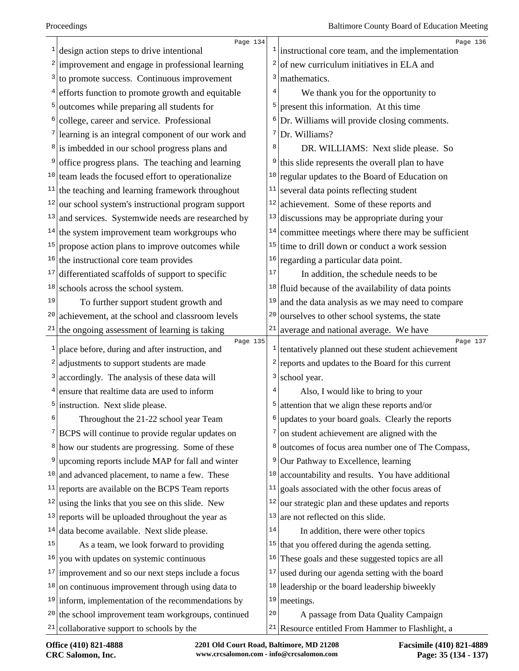|    | Page 134<br>$\frac{1}{1}$ design action steps to drive intentional        | $\mathbf{1}$   | Page 136<br>instructional core team, and the implementation    |
|----|---------------------------------------------------------------------------|----------------|----------------------------------------------------------------|
|    | $2$ improvement and engage in professional learning                       | 2              | of new curriculum initiatives in ELA and                       |
|    | $3$ to promote success. Continuous improvement                            | 3              | mathematics.                                                   |
|    | $4$ efforts function to promote growth and equitable                      | $\overline{4}$ | We thank you for the opportunity to                            |
|    | <sup>5</sup> outcomes while preparing all students for                    | 5              | present this information. At this time                         |
| 6  | college, career and service. Professional                                 | 6              | Dr. Williams will provide closing comments.                    |
|    | $\frac{7}{2}$ learning is an integral component of our work and           |                | $7$ Dr. Williams?                                              |
|    | <sup>8</sup> is imbedded in our school progress plans and                 | 8              | DR. WILLIAMS: Next slide please. So                            |
| 9  | office progress plans. The teaching and learning                          | 9              | this slide represents the overall plan to have                 |
|    | $10$ team leads the focused effort to operationalize                      | 10             | regular updates to the Board of Education on                   |
|    | $11$ the teaching and learning framework throughout                       | 11             | several data points reflecting student                         |
|    | $12$ our school system's instructional program support                    | 12             | achievement. Some of these reports and                         |
| 13 | and services. Systemwide needs are researched by                          | 13             | discussions may be appropriate during your                     |
|    | $14$ the system improvement team workgroups who                           | 14             | committee meetings where there may be sufficient               |
|    | $15$ propose action plans to improve outcomes while                       | 15             | time to drill down or conduct a work session                   |
| 16 | the instructional core team provides                                      | 16             | regarding a particular data point.                             |
| 17 | differentiated scaffolds of support to specific                           | 17             | In addition, the schedule needs to be                          |
| 18 | schools across the school system.                                         | 18             | fluid because of the availability of data points               |
| 19 | To further support student growth and                                     | 19             | and the data analysis as we may need to compare                |
| 20 | achievement, at the school and classroom levels                           | 20             | ourselves to other school systems, the state                   |
| 21 | the ongoing assessment of learning is taking                              | 21             | average and national average. We have                          |
|    | Page 135<br>$\frac{1}{2}$ place before, during and after instruction, and | 1              | Page 137<br>tentatively planned out these student achievement  |
|    | $2$ adjustments to support students are made                              | 2              | reports and updates to the Board for this current              |
| 3  | accordingly. The analysis of these data will                              | 3              | school year.                                                   |
|    | $4$ ensure that realtime data are used to inform                          | 4              | Also, I would like to bring to your                            |
|    | $5$ instruction. Next slide please.                                       | 5              | attention that we align these reports and/or                   |
| 6  | Throughout the 21-22 school year Team                                     |                | $\frac{1}{2}$ updates to your board goals. Clearly the reports |
|    | <sup>7</sup> BCPS will continue to provide regular updates on             | 7              | on student achievement are aligned with the                    |
|    | <sup>8</sup> how our students are progressing. Some of these              | 8              | outcomes of focus area number one of The Compass,              |
| 9  | upcoming reports include MAP for fall and winter                          | 9              | Our Pathway to Excellence, learning                            |
|    | $10$ and advanced placement, to name a few. These                         | 10             | accountability and results. You have additional                |
| 11 | reports are available on the BCPS Team reports                            | 11             | goals associated with the other focus areas of                 |
|    | $12$ using the links that you see on this slide. New                      | 12             | our strategic plan and these updates and reports               |
|    | $13$ reports will be uploaded throughout the year as                      | 13             | are not reflected on this slide.                               |
|    | $14$ data become available. Next slide please.                            | 14             | In addition, there were other topics                           |
| 15 | As a team, we look forward to providing                                   | 15             | that you offered during the agenda setting.                    |
| 16 | you with updates on systemic continuous                                   | 16             | These goals and these suggested topics are all                 |
|    | $17$ improvement and so our next steps include a focus                    | 17             | used during our agenda setting with the board                  |
|    | $18$ on continuous improvement through using data to                      | 18             | leadership or the board leadership biweekly                    |
|    | $19$ inform, implementation of the recommendations by                     | 19             | meetings.                                                      |
|    | $20$ the school improvement team workgroups, continued                    | 20             | A passage from Data Quality Campaign                           |
|    | $21$ collaborative support to schools by the                              |                | $21$ Resource entitled From Hammer to Flashlight, a            |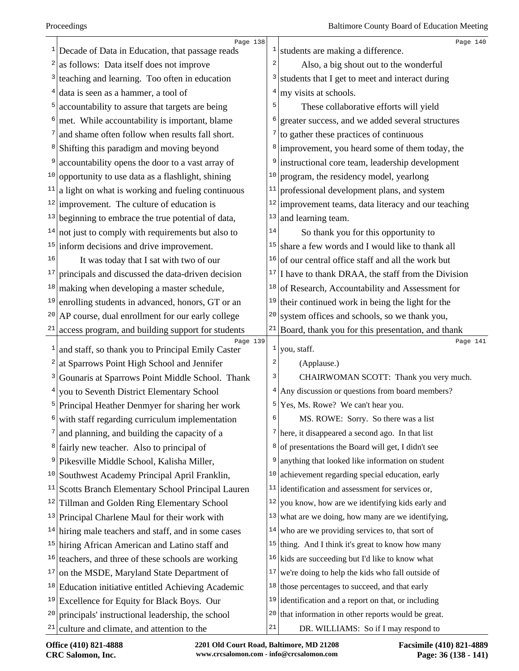|    | Page 138                                                      |                         | Page 140                                               |
|----|---------------------------------------------------------------|-------------------------|--------------------------------------------------------|
|    | Decade of Data in Education, that passage reads               | $\mathbf{1}$            | students are making a difference.                      |
|    | as follows: Data itself does not improve                      | $\overline{a}$          | Also, a big shout out to the wonderful                 |
| 3  | teaching and learning. Too often in education                 | 3                       | students that I get to meet and interact during        |
|    | data is seen as a hammer, a tool of                           | $\overline{4}$          | my visits at schools.                                  |
| 5  | accountability to assure that targets are being               | 5                       | These collaborative efforts will yield                 |
|    | met. While accountability is important, blame                 | 6                       | greater success, and we added several structures       |
|    | and shame often follow when results fall short.               | 7                       | to gather these practices of continuous                |
|    | Shifting this paradigm and moving beyond                      | 8                       | improvement, you heard some of them today, the         |
|    | accountability opens the door to a vast array of              | 9                       | instructional core team, leadership development        |
| 10 | opportunity to use data as a flashlight, shining              | 10                      | program, the residency model, yearlong                 |
| 11 | a light on what is working and fueling continuous             | 11                      | professional development plans, and system             |
|    | $12$ improvement. The culture of education is                 | 12                      | improvement teams, data literacy and our teaching      |
|    | $13$ beginning to embrace the true potential of data,         | 13                      | and learning team.                                     |
| 14 | not just to comply with requirements but also to              | 14                      | So thank you for this opportunity to                   |
|    | $15$ inform decisions and drive improvement.                  | 15                      | share a few words and I would like to thank all        |
| 16 | It was today that I sat with two of our                       | 16                      | of our central office staff and all the work but       |
| 17 | principals and discussed the data-driven decision             | 17                      | I have to thank DRAA, the staff from the Division      |
| 18 | making when developing a master schedule,                     | 18                      | of Research, Accountability and Assessment for         |
| 19 | enrolling students in advanced, honors, GT or an              | 19                      | their continued work in being the light for the        |
| 20 | AP course, dual enrollment for our early college              | 20                      | system offices and schools, so we thank you,           |
| 21 | access program, and building support for students             |                         | $21$ Board, thank you for this presentation, and thank |
| 1  | Page 139<br>and staff, so thank you to Principal Emily Caster | 1                       | Page 141<br>you, staff.                                |
| 2  | at Sparrows Point High School and Jennifer                    | $\overline{\mathbf{c}}$ | (Applause.)                                            |
| 3  | Gounaris at Sparrows Point Middle School. Thank               | 3                       | CHAIRWOMAN SCOTT: Thank you very much.                 |
| 4  | you to Seventh District Elementary School                     | 4                       | Any discussion or questions from board members?        |
|    | Principal Heather Denmyer for sharing her work                |                         | $5$ Yes, Ms. Rowe? We can't hear you.                  |
|    | with staff regarding curriculum implementation                | 6                       | MS. ROWE: Sorry. So there was a list                   |
|    | and planning, and building the capacity of a                  |                         | $7$ here, it disappeared a second ago. In that list    |
|    | <sup>8</sup> fairly new teacher. Also to principal of         | 8                       | of presentations the Board will get, I didn't see      |
| 9  | Pikesville Middle School, Kalisha Miller,                     | 9                       | anything that looked like information on student       |
| 10 | Southwest Academy Principal April Franklin,                   | 10                      | achievement regarding special education, early         |
| 11 | Scotts Branch Elementary School Principal Lauren              | 11                      | identification and assessment for services or,         |
| 12 | Tillman and Golden Ring Elementary School                     | 12                      | you know, how are we identifying kids early and        |
|    | $13$ Principal Charlene Maul for their work with              | 13                      | what are we doing, how many are we identifying,        |
|    | $14$ hiring male teachers and staff, and in some cases        | 14                      | who are we providing services to, that sort of         |
|    | <sup>15</sup> hiring African American and Latino staff and    |                         | $15$ thing. And I think it's great to know how many    |
| 16 | teachers, and three of these schools are working              |                         | $16$ kids are succeeding but I'd like to know what     |
| 17 | on the MSDE, Maryland State Department of                     | 17                      | we're doing to help the kids who fall outside of       |
| 18 | Education initiative entitled Achieving Academic              |                         | $18$ those percentages to succeed, and that early      |
| 19 | Excellence for Equity for Black Boys. Our                     |                         | $19$ identification and a report on that, or including |
| 20 | principals' instructional leadership, the school              | 20                      | that information in other reports would be great.      |
|    | $21$ culture and climate, and attention to the                | 21                      | DR. WILLIAMS: So if I may respond to                   |
|    |                                                               |                         |                                                        |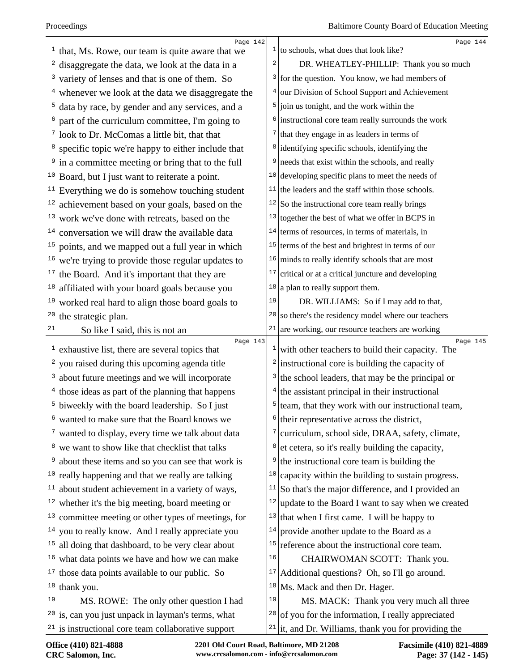| 1            | Page 142                                                   |              | Page 144                                                       |
|--------------|------------------------------------------------------------|--------------|----------------------------------------------------------------|
|              | that, Ms. Rowe, our team is quite aware that we            |              | $\frac{1}{1}$ to schools, what does that look like?            |
| 2            | disaggregate the data, we look at the data in a            | 2            | DR. WHEATLEY-PHILLIP: Thank you so much                        |
| 3            | variety of lenses and that is one of them. So              |              | $3$ for the question. You know, we had members of              |
| 4            | whenever we look at the data we disaggregate the           |              | <sup>4</sup> our Division of School Support and Achievement    |
| 5            | data by race, by gender and any services, and a            |              | $5$ join us tonight, and the work within the                   |
| 6            | part of the curriculum committee, I'm going to             |              | <sup>6</sup> instructional core team really surrounds the work |
| 7            | look to Dr. McComas a little bit, that that                |              | $\frac{7}{1}$ that they engage in as leaders in terms of       |
| 8            | specific topic we're happy to either include that          |              | <sup>8</sup> identifying specific schools, identifying the     |
| 9            | in a committee meeting or bring that to the full           | 9            | needs that exist within the schools, and really                |
|              | $10$ Board, but I just want to reiterate a point.          |              | $10$ developing specific plans to meet the needs of            |
| 11           | Everything we do is somehow touching student               |              | $11$ the leaders and the staff within those schools.           |
| 12           | achievement based on your goals, based on the              |              | $12$ So the instructional core team really brings              |
| 13           | work we've done with retreats, based on the                |              | $13$ together the best of what we offer in BCPS in             |
| 14           | conversation we will draw the available data               |              | $14$ terms of resources, in terms of materials, in             |
| 15           | points, and we mapped out a full year in which             |              | $15$ terms of the best and brightest in terms of our           |
| 16           | we're trying to provide those regular updates to           |              | $16$ minds to really identify schools that are most            |
| 17           | the Board. And it's important that they are                | 17           | critical or at a critical juncture and developing              |
| 18           | affiliated with your board goals because you               | 18           | a plan to really support them.                                 |
| 19           | worked real hard to align those board goals to             | 19           | DR. WILLIAMS: So if I may add to that,                         |
| 20           | the strategic plan.                                        | 20           | so there's the residency model where our teachers              |
| 21           | So like I said, this is not an                             | 21           | are working, our resource teachers are working                 |
| $\mathbf{I}$ | Page 143<br>exhaustive list, there are several topics that | $\mathbf{1}$ | Page 145<br>with other teachers to build their capacity. The   |
| 2            | you raised during this upcoming agenda title               | 2            | instructional core is building the capacity of                 |
| 3            | about future meetings and we will incorporate              | 3            | the school leaders, that may be the principal or               |
| 4            |                                                            |              |                                                                |
| 5            | those ideas as part of the planning that happens           | 5            | the assistant principal in their instructional                 |
|              | biweekly with the board leadership. So I just              |              | team, that they work with our instructional team,              |
| 6            | wanted to make sure that the Board knows we                | 6            | their representative across the district,                      |
| 7            | wanted to display, every time we talk about data           | 7            | curriculum, school side, DRAA, safety, climate,                |
| 8            | we want to show like that checklist that talks             | 8            | et cetera, so it's really building the capacity,               |
| 9            | about these items and so you can see that work is          | 9            | the instructional core team is building the                    |
| 10           | really happening and that we really are talking            | 10           | capacity within the building to sustain progress.              |
| 11           | about student achievement in a variety of ways,            | 11           | So that's the major difference, and I provided an              |
| 12           | whether it's the big meeting, board meeting or             | 12           | update to the Board I want to say when we created              |
| 13           | committee meeting or other types of meetings, for          | 13           | that when I first came. I will be happy to                     |
| 14           | you to really know. And I really appreciate you            | 14           | provide another update to the Board as a                       |
| 15           | all doing that dashboard, to be very clear about           | <b>15</b>    | reference about the instructional core team.                   |
| 16           | what data points we have and how we can make               | 16           | CHAIRWOMAN SCOTT: Thank you.                                   |
| 17           | those data points available to our public. So              | 17           | Additional questions? Oh, so I'll go around.                   |
|              | $18$ thank you.                                            | 18           | Ms. Mack and then Dr. Hager.                                   |
| 19           | MS. ROWE: The only other question I had                    | 19           | MS. MACK: Thank you very much all three                        |
|              | $20$ is, can you just unpack in layman's terms, what       | 20           | of you for the information, I really appreciated               |
|              | $21$ is instructional core team collaborative support      |              | $21$ it, and Dr. Williams, thank you for providing the         |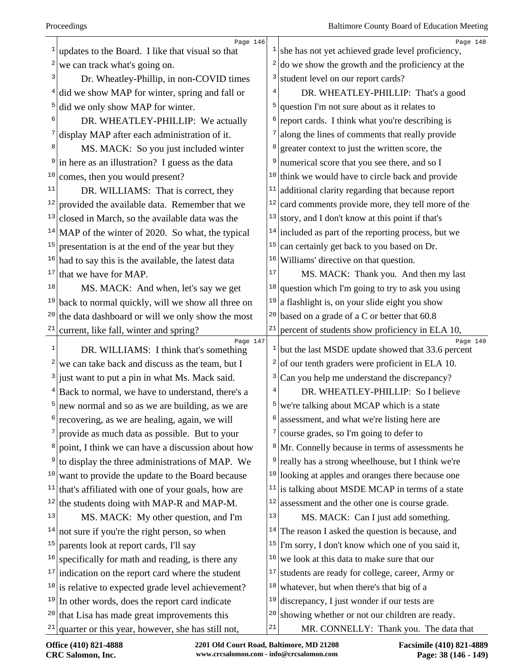|    | Page 146                                                        |                | Page 148                                                      |
|----|-----------------------------------------------------------------|----------------|---------------------------------------------------------------|
|    | updates to the Board. I like that visual so that                | $\mathbf{1}$   | she has not yet achieved grade level proficiency,             |
| 2  | we can track what's going on.                                   | 2              | do we show the growth and the proficiency at the              |
| 3  | Dr. Wheatley-Phillip, in non-COVID times                        | 3              | student level on our report cards?                            |
|    | did we show MAP for winter, spring and fall or                  | $\overline{4}$ | DR. WHEATLEY-PHILLIP: That's a good                           |
|    | did we only show MAP for winter.                                | 5              | question I'm not sure about as it relates to                  |
|    | DR. WHEATLEY-PHILLIP: We actually                               | 6              | report cards. I think what you're describing is               |
|    | display MAP after each administration of it.                    | 7              | along the lines of comments that really provide               |
| 8  | MS. MACK: So you just included winter                           | 8              | greater context to just the written score, the                |
|    | in here as an illustration? I guess as the data                 | 9              | numerical score that you see there, and so I                  |
| 10 | comes, then you would present?                                  |                | $10$ think we would have to circle back and provide           |
| 11 | DR. WILLIAMS: That is correct, they                             | 11             | additional clarity regarding that because report              |
|    | $12$ provided the available data. Remember that we              | 12             | card comments provide more, they tell more of the             |
| 13 | closed in March, so the available data was the                  | 13             | story, and I don't know at this point if that's               |
|    | <sup>14</sup> MAP of the winter of 2020. So what, the typical   | 14             | included as part of the reporting process, but we             |
| 15 | presentation is at the end of the year but they                 | 15             | can certainly get back to you based on Dr.                    |
| 16 | had to say this is the available, the latest data               | 16             | Williams' directive on that question.                         |
| 17 | that we have for MAP.                                           | 17             | MS. MACK: Thank you. And then my last                         |
| 18 | MS. MACK: And when, let's say we get                            | 18             | question which I'm going to try to ask you using              |
|    | $19$ back to normal quickly, will we show all three on          | 19             | a flashlight is, on your slide eight you show                 |
| 20 | the data dashboard or will we only show the most                | 20             | based on a grade of a C or better that 60.8                   |
| 21 | current, like fall, winter and spring?                          | 21             | percent of students show proficiency in ELA 10,               |
| 1  | Page 147<br>DR. WILLIAMS: I think that's something              |                | Page 149<br>but the last MSDE update showed that 33.6 percent |
|    | we can take back and discuss as the team, but I                 | 2              | of our tenth graders were proficient in ELA 10.               |
| 3  | just want to put a pin in what Ms. Mack said.                   | 3              | Can you help me understand the discrepancy?                   |
|    | Back to normal, we have to understand, there's a                |                | DR. WHEATLEY-PHILLIP: So I believe                            |
|    | $\frac{5}{2}$ new normal and so as we are building, as we are   |                | $5$ we're talking about MCAP which is a state                 |
| 6  | recovering, as we are healing, again, we will                   |                | assessment, and what we're listing here are                   |
|    | $\frac{7}{2}$ provide as much data as possible. But to your     | 7              | course grades, so I'm going to defer to                       |
| 8  | point, I think we can have a discussion about how               |                | <sup>8</sup> Mr. Connelly because in terms of assessments he  |
|    | to display the three administrations of MAP. We                 | 9              | really has a strong wheelhouse, but I think we're             |
| 10 | want to provide the update to the Board because                 | 10             | looking at apples and oranges there because one               |
|    | $11$ that's affiliated with one of your goals, how are          | 11             | is talking about MSDE MCAP in terms of a state                |
|    | $12$ the students doing with MAP-R and MAP-M.                   | 12             | assessment and the other one is course grade.                 |
| 13 | MS. MACK: My other question, and I'm                            | 13             | MS. MACK: Can I just add something.                           |
| 14 | not sure if you're the right person, so when                    | 14             | The reason I asked the question is because, and               |
| 15 | parents look at report cards, I'll say                          | 15             | I'm sorry, I don't know which one of you said it,             |
| 16 | specifically for math and reading, is there any                 | 16             | we look at this data to make sure that our                    |
|    | $17$ indication on the report card where the student            | 17             | students are ready for college, career, Army or               |
|    | $18$ is relative to expected grade level achievement?           | 18             | whatever, but when there's that big of a                      |
| 19 | In other words, does the report card indicate                   | 19             | discrepancy, I just wonder if our tests are                   |
|    | $20$ that Lisa has made great improvements this                 | 20             | showing whether or not our children are ready.                |
|    | <sup>21</sup> quarter or this year, however, she has still not, | 21             | MR. CONNELLY: Thank you. The data that                        |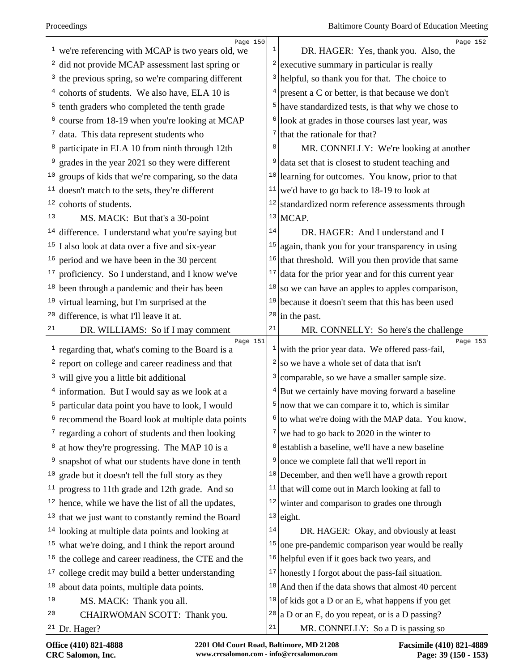|    | Page 150                                                                 |              | Page 152                                                     |
|----|--------------------------------------------------------------------------|--------------|--------------------------------------------------------------|
|    | $1$ we're referencing with MCAP is two years old, we                     | 1            | DR. HAGER: Yes, thank you. Also, the                         |
|    | $2$ did not provide MCAP assessment last spring or                       |              | executive summary in particular is really                    |
|    | $3$ the previous spring, so we're comparing different                    | 3            | helpful, so thank you for that. The choice to                |
|    | $4$ cohorts of students. We also have, ELA 10 is                         | 4            | present a C or better, is that because we don't              |
|    | $5$ tenth graders who completed the tenth grade                          |              | have standardized tests, is that why we chose to             |
|    | $6$ course from 18-19 when you're looking at MCAP                        | 6            | look at grades in those courses last year, was               |
|    | $7$ data. This data represent students who                               | 7            | that the rationale for that?                                 |
| 8  | participate in ELA 10 from ninth through 12th                            | 8            | MR. CONNELLY: We're looking at another                       |
| 9  | grades in the year 2021 so they were different                           |              | data set that is closest to student teaching and             |
|    | $10$ groups of kids that we're comparing, so the data                    |              | <sup>10</sup> learning for outcomes. You know, prior to that |
| 11 | doesn't match to the sets, they're different                             | 11           | we'd have to go back to 18-19 to look at                     |
|    | $12$ cohorts of students.                                                | 12           | standardized norm reference assessments through              |
| 13 | MS. MACK: But that's a 30-point                                          |              | $13$ MCAP.                                                   |
|    | <sup>14</sup> difference. I understand what you're saying but            | 14           | DR. HAGER: And I understand and I                            |
|    | $15$ I also look at data over a five and six-year                        | 15           | again, thank you for your transparency in using              |
| 16 | period and we have been in the 30 percent                                | 16           | that threshold. Will you then provide that same              |
| 17 | proficiency. So I understand, and I know we've                           | 17           | data for the prior year and for this current year            |
|    | $18$ been through a pandemic and their has been                          | 18           | so we can have an apples to apples comparison,               |
|    | $19$ virtual learning, but I'm surprised at the                          | 19           | because it doesn't seem that this has been used              |
| 20 | difference, is what I'll leave it at.                                    | 20           | in the past.                                                 |
| 21 | DR. WILLIAMS: So if I may comment                                        | 21           | MR. CONNELLY: So here's the challenge                        |
|    | Page 151<br><sup>1</sup> regarding that, what's coming to the Board is a | $\mathbf{1}$ | Page 153<br>with the prior year data. We offered pass-fail,  |
|    | $2$ report on college and career readiness and that                      | 2            | so we have a whole set of data that isn't                    |
|    | $3$ will give you a little bit additional                                | 3            | comparable, so we have a smaller sample size.                |
|    | $4$ information. But I would say as we look at a                         |              | But we certainly have moving forward a baseline              |
|    | $5$ particular data point you have to look, I would                      | 5            | now that we can compare it to, which is similar              |
| 6  | recommend the Board look at multiple data points                         |              | $6$ to what we're doing with the MAP data. You know,         |
|    | $\frac{7}{2}$ regarding a cohort of students and then looking            |              | we had to go back to 2020 in the winter to                   |
|    | $\frac{8}{3}$ at how they're progressing. The MAP 10 is a                | 8            | establish a baseline, we'll have a new baseline              |
| 9  | snapshot of what our students have done in tenth                         | 9            | once we complete fall that we'll report in                   |
|    | <sup>10</sup> grade but it doesn't tell the full story as they           |              | $10$ December, and then we'll have a growth report           |
| 11 | progress to 11th grade and 12th grade. And so                            |              | $11$ that will come out in March looking at fall to          |
|    | $12$ hence, while we have the list of all the updates,                   | 12           | winter and comparison to grades one through                  |
|    | $13$ that we just want to constantly remind the Board                    |              | $13$ eight.                                                  |
|    | $14$ looking at multiple data points and looking at                      | 14           | DR. HAGER: Okay, and obviously at least                      |
|    | $15$ what we're doing, and I think the report around                     | 15           | one pre-pandemic comparison year would be really             |
| 16 | the college and career readiness, the CTE and the                        |              | $16$ helpful even if it goes back two years, and             |
| 17 | college credit may build a better understanding                          |              | $17$ honestly I forgot about the pass-fail situation.        |
|    | $18$ about data points, multiple data points.                            |              | $18$ And then if the data shows that almost 40 percent       |
| 19 | MS. MACK: Thank you all.                                                 | 19           | of kids got a D or an E, what happens if you get             |
| 20 | CHAIRWOMAN SCOTT: Thank you.                                             | 20           | $ a D$ or an E, do you repeat, or is a D passing?            |
|    | $21$ Dr. Hager?                                                          | $2\sqrt{1}$  | MR. CONNELLY: So a D is passing so                           |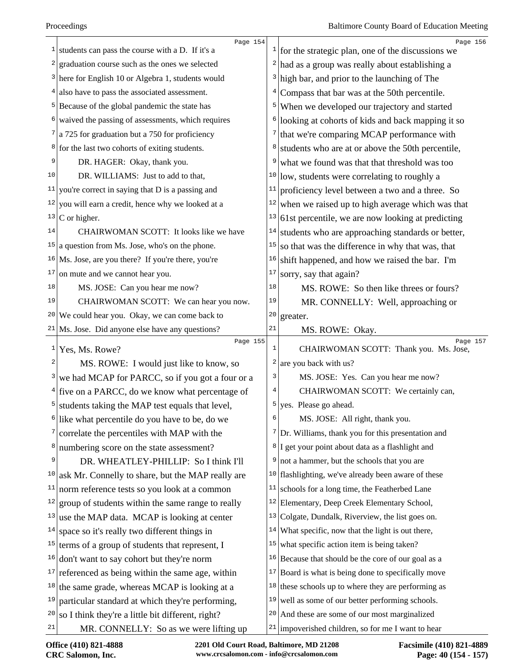|              | Page 154<br>$\frac{1}{1}$ students can pass the course with a D. If it's a |                | Page 156<br>$\frac{1}{1}$ for the strategic plan, one of the discussions we |
|--------------|----------------------------------------------------------------------------|----------------|-----------------------------------------------------------------------------|
|              | $2 $ graduation course such as the ones we selected                        | 2              | had as a group was really about establishing a                              |
|              | $3$ here for English 10 or Algebra 1, students would                       | 3              | high bar, and prior to the launching of The                                 |
|              | $4$ also have to pass the associated assessment.                           | 4              | Compass that bar was at the 50th percentile.                                |
|              | <sup>5</sup> Because of the global pandemic the state has                  | 5              | When we developed our trajectory and started                                |
|              | $6$ waived the passing of assessments, which requires                      | 6              | looking at cohorts of kids and back mapping it so                           |
|              | $7$ a 725 for graduation but a 750 for proficiency                         | 7              | that we're comparing MCAP performance with                                  |
|              | <sup>8</sup> for the last two cohorts of exiting students.                 | 8              | students who are at or above the 50th percentile,                           |
| 9            | DR. HAGER: Okay, thank you.                                                | 9              | what we found was that that threshold was too                               |
| 10           | DR. WILLIAMS: Just to add to that,                                         | 10             | low, students were correlating to roughly a                                 |
|              | $11$ you're correct in saying that D is a passing and                      | 11             | proficiency level between a two and a three. So                             |
|              | $12$ you will earn a credit, hence why we looked at a                      | 12             | when we raised up to high average which was that                            |
|              | $13$ C or higher.                                                          | 13             | 61st percentile, we are now looking at predicting                           |
| 14           | CHAIRWOMAN SCOTT: It looks like we have                                    | 14             | students who are approaching standards or better,                           |
|              | $15$ a question from Ms. Jose, who's on the phone.                         | 15             | so that was the difference in why that was, that                            |
|              | <sup>16</sup>   Ms. Jose, are you there? If you're there, you're           | 16             | shift happened, and how we raised the bar. I'm                              |
|              | $17$ on mute and we cannot hear you.                                       | 17             | sorry, say that again?                                                      |
| 18           | MS. JOSE: Can you hear me now?                                             | 18             | MS. ROWE: So then like threes or fours?                                     |
| 19           | CHAIRWOMAN SCOTT: We can hear you now.                                     | 19             | MR. CONNELLY: Well, approaching or                                          |
|              | $20$ We could hear you. Okay, we can come back to                          | 20             | greater.                                                                    |
|              | $21$ Ms. Jose. Did anyone else have any questions?                         | 21             | MS. ROWE: Okay.                                                             |
| $\mathbf{1}$ | Page 155<br>Yes, Ms. Rowe?                                                 | $\mathbf{1}$   | Page 157<br>CHAIRWOMAN SCOTT: Thank you. Ms. Jose,                          |
| 2            | MS. ROWE: I would just like to know, so                                    | $\overline{c}$ | are you back with us?                                                       |
|              | <sup>3</sup> we had MCAP for PARCC, so if you got a four or a              | 3              | MS. JOSE: Yes. Can you hear me now?                                         |
|              | $4$ five on a PARCC, do we know what percentage of                         | 4              | CHAIRWOMAN SCOTT: We certainly can,                                         |
|              | $5$ students taking the MAP test equals that level,                        | 5              | yes. Please go ahead.                                                       |
|              | <sup>6</sup> like what percentile do you have to be, do we                 | 6              | MS. JOSE: All right, thank you.                                             |
|              | correlate the percentiles with MAP with the                                |                | $7$ Dr. Williams, thank you for this presentation and                       |
|              | <sup>8</sup> numbering score on the state assessment?                      |                | $8 \vert$ I get your point about data as a flashlight and                   |
| 9            | DR. WHEATLEY-PHILLIP: So I think I'll                                      | 9              | not a hammer, but the schools that you are                                  |
| 10           | ask Mr. Connelly to share, but the MAP really are                          | 10             | flashlighting, we've already been aware of these                            |
| 11           | norm reference tests so you look at a common                               | 11             | schools for a long time, the Featherbed Lane                                |
| 12           | group of students within the same range to really                          | 12             | Elementary, Deep Creek Elementary School,                                   |
| 13           | use the MAP data. MCAP is looking at center                                | 13             | Colgate, Dundalk, Riverview, the list goes on.                              |
| 14           | space so it's really two different things in                               | 14             | What specific, now that the light is out there,                             |
| 15           | terms of a group of students that represent, I                             | 15             | what specific action item is being taken?                                   |
|              | $16$ don't want to say cohort but they're norm                             | 16             | Because that should be the core of our goal as a                            |
|              | $17$ referenced as being within the same age, within                       | 17             | Board is what is being done to specifically move                            |
|              | $18$ the same grade, whereas MCAP is looking at a                          | 18             | these schools up to where they are performing as                            |
| 19           | particular standard at which they're performing,                           | 19             | well as some of our better performing schools.                              |
| 20           | so I think they're a little bit different, right?                          | 20             | And these are some of our most marginalized                                 |
| 21           | MR. CONNELLY: So as we were lifting up                                     |                | $21$ impoverished children, so for me I want to hear                        |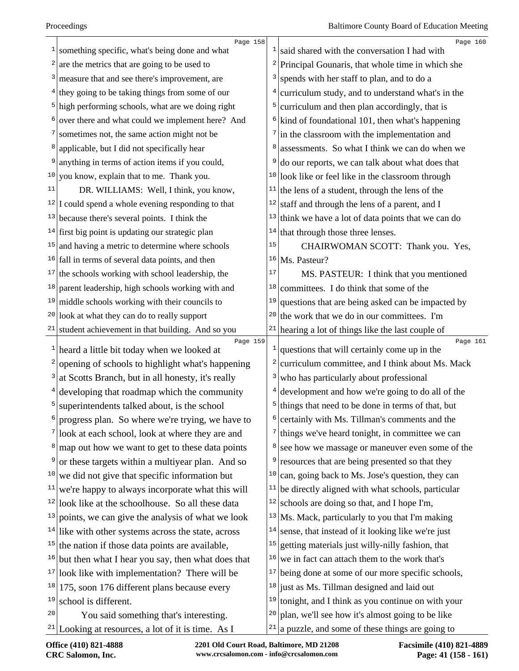|    | Page 158                                                       |    | Page 160                                                               |
|----|----------------------------------------------------------------|----|------------------------------------------------------------------------|
| 1  | something specific, what's being done and what                 |    | <sup>1</sup> said shared with the conversation I had with              |
|    | are the metrics that are going to be used to                   |    | $2$ Principal Gounaris, that whole time in which she                   |
| 3  | measure that and see there's improvement, are                  | 3  | spends with her staff to plan, and to do a                             |
|    | $4$ they going to be taking things from some of our            | 4  | curriculum study, and to understand what's in the                      |
|    | $5$ high performing schools, what are we doing right           | 5  | curriculum and then plan accordingly, that is                          |
|    | over there and what could we implement here? And               |    | $6$ kind of foundational 101, then what's happening                    |
|    | sometimes not, the same action might not be                    |    | $\frac{7}{\text{ln}}$ the classroom with the implementation and        |
|    | applicable, but I did not specifically hear                    | 8  | assessments. So what I think we can do when we                         |
| 9  | anything in terms of action items if you could,                | 9  | do our reports, we can talk about what does that                       |
| 10 | you know, explain that to me. Thank you.                       |    | <sup>10</sup> look like or feel like in the classroom through          |
| 11 | DR. WILLIAMS: Well, I think, you know,                         | 11 | the lens of a student, through the lens of the                         |
|    | $12$ I could spend a whole evening responding to that          | 12 | staff and through the lens of a parent, and I                          |
|    | $13$ because there's several points. I think the               | 13 | think we have a lot of data points that we can do                      |
|    | $14$ first big point is updating our strategic plan            | 14 | that through those three lenses.                                       |
| 15 | and having a metric to determine where schools                 | 15 | CHAIRWOMAN SCOTT: Thank you. Yes,                                      |
|    | $16$ fall in terms of several data points, and then            | 16 | Ms. Pasteur?                                                           |
|    | $17$ the schools working with school leadership, the           | 17 | MS. PASTEUR: I think that you mentioned                                |
| 18 | parent leadership, high schools working with and               | 18 | committees. I do think that some of the                                |
|    | $19$ middle schools working with their councils to             | 19 | questions that are being asked can be impacted by                      |
|    | $20$ look at what they can do to really support                | 20 | the work that we do in our committees. I'm                             |
|    | $21$ student achievement in that building. And so you          |    | $21$ hearing a lot of things like the last couple of                   |
| 1  | Page 159<br>heard a little bit today when we looked at         |    | Page 161<br>$\frac{1}{2}$ questions that will certainly come up in the |
| 2  | opening of schools to highlight what's happening               | 2  | curriculum committee, and I think about Ms. Mack                       |
|    | at Scotts Branch, but in all honesty, it's really              | 3  | who has particularly about professional                                |
|    | developing that roadmap which the community                    |    | $4$ development and how we're going to do all of the                   |
| 5  | superintendents talked about, is the school                    | 5  | things that need to be done in terms of that, but                      |
| 6  | progress plan. So where we're trying, we have to               |    | $\frac{1}{2}$ certainly with Ms. Tillman's comments and the            |
|    | look at each school, look at where they are and                | 7  | things we've heard tonight, in committee we can                        |
| 8  | map out how we want to get to these data points                |    | <sup>8</sup> see how we massage or maneuver even some of the           |
| 9  | or these targets within a multiyear plan. And so               | 9  | resources that are being presented so that they                        |
| 10 | we did not give that specific information but                  |    | $10$ can, going back to Ms. Jose's question, they can                  |
| 11 | we're happy to always incorporate what this will               | 11 | be directly aligned with what schools, particular                      |
| 12 | look like at the schoolhouse. So all these data                | 12 | schools are doing so that, and I hope I'm,                             |
|    | $13$ points, we can give the analysis of what we look          |    | $13$ Ms. Mack, particularly to you that I'm making                     |
|    | $14$ like with other systems across the state, across          | 14 | sense, that instead of it looking like we're just                      |
|    | $15$ the nation if those data points are available,            | 15 | getting materials just willy-nilly fashion, that                       |
|    | $16$ but then what I hear you say, then what does that         |    | $16$ we in fact can attach them to the work that's                     |
| 17 | look like with implementation? There will be                   | 17 | being done at some of our more specific schools,                       |
| 18 | 175, soon 176 different plans because every                    |    | $18$ just as Ms. Tillman designed and laid out                         |
| 19 | school is different.                                           |    | $19$ tonight, and I think as you continue on with your                 |
| 20 | You said something that's interesting.                         | 20 | plan, we'll see how it's almost going to be like                       |
|    | <sup>21</sup>  Looking at resources, a lot of it is time. As I |    | $21$ a puzzle, and some of these things are going to                   |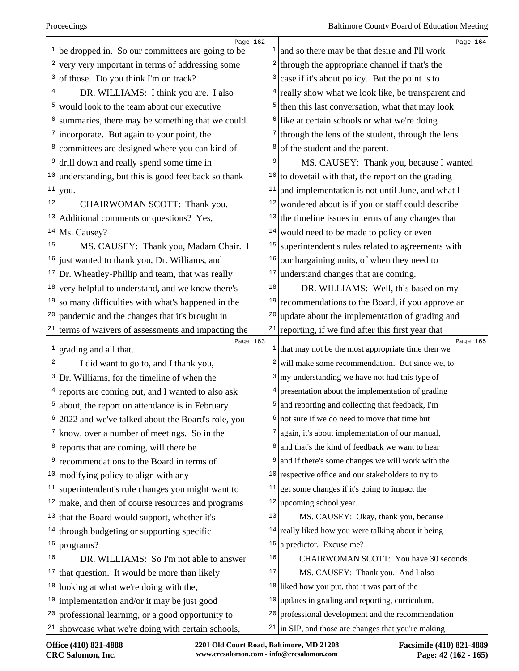| 1  | Page 162<br>be dropped in. So our committees are going to be     |    | Page 164<br>$\frac{1}{2}$ and so there may be that desire and I'll work     |
|----|------------------------------------------------------------------|----|-----------------------------------------------------------------------------|
| 2  | very very important in terms of addressing some                  |    | through the appropriate channel if that's the                               |
| 3  | of those. Do you think I'm on track?                             | 3  | case if it's about policy. But the point is to                              |
|    | DR. WILLIAMS: I think you are. I also                            |    | $4$ really show what we look like, be transparent and                       |
| 5  | would look to the team about our executive                       |    | then this last conversation, what that may look                             |
| 6  | summaries, there may be something that we could                  | 6  | like at certain schools or what we're doing                                 |
|    | incorporate. But again to your point, the                        |    | $\frac{7}{1}$ through the lens of the student, through the lens             |
| 8  | committees are designed where you can kind of                    | 8  | of the student and the parent.                                              |
| 9  | drill down and really spend some time in                         |    | MS. CAUSEY: Thank you, because I wanted                                     |
|    | $10$ understanding, but this is good feedback so thank           |    | $10$ to dovetail with that, the report on the grading                       |
| 11 | you.                                                             | 11 | and implementation is not until June, and what I                            |
| 12 | CHAIRWOMAN SCOTT: Thank you.                                     | 12 | wondered about is if you or staff could describe                            |
| 13 | Additional comments or questions? Yes,                           | 13 | the timeline issues in terms of any changes that                            |
| 14 | Ms. Causey?                                                      | 14 | would need to be made to policy or even                                     |
| 15 | MS. CAUSEY: Thank you, Madam Chair. I                            | 15 | superintendent's rules related to agreements with                           |
| 16 | just wanted to thank you, Dr. Williams, and                      | 16 | our bargaining units, of when they need to                                  |
| 17 | Dr. Wheatley-Phillip and team, that was really                   | 17 | understand changes that are coming.                                         |
| 18 | very helpful to understand, and we know there's                  | 18 | DR. WILLIAMS: Well, this based on my                                        |
| 19 | so many difficulties with what's happened in the                 |    | $19$ recommendations to the Board, if you approve an                        |
| 20 | pandemic and the changes that it's brought in                    | 20 | update about the implementation of grading and                              |
| 21 | terms of waivers of assessments and impacting the                |    | $21$ reporting, if we find after this first year that                       |
| 1  | Page 163<br>grading and all that.                                |    | Page 165<br>$\frac{1}{1}$ that may not be the most appropriate time then we |
| 2  | I did want to go to, and I thank you,                            |    | will make some recommendation. But since we, to                             |
| 3  | Dr. Williams, for the timeline of when the                       |    | $3 \vert \text{my understanding we have not had this type of}$              |
|    | $4$ reports are coming out, and I wanted to also ask             |    | presentation about the implementation of grading                            |
| 5  | about, the report on attendance is in February                   | 5  | and reporting and collecting that feedback, I'm                             |
| 6  | 2022 and we've talked about the Board's role, you                |    | $6$ not sure if we do need to move that time but                            |
|    | $\frac{7}{\text{km}}$ know, over a number of meetings. So in the |    | again, it's about implementation of our manual,                             |
|    | <sup>8</sup> reports that are coming, will there be              |    | and that's the kind of feedback we want to hear                             |
| 9  | recommendations to the Board in terms of                         | 9  | and if there's some changes we will work with the                           |
| 10 | modifying policy to align with any                               |    | $10$ respective office and our stakeholders to try to                       |
| 11 | superintendent's rule changes you might want to                  | 11 | get some changes if it's going to impact the                                |
| 12 | make, and then of course resources and programs                  |    | $12$ upcoming school year.                                                  |
|    | $13$ that the Board would support, whether it's                  | 13 | MS. CAUSEY: Okay, thank you, because I                                      |
|    | $14$ through budgeting or supporting specific                    |    | $14$ really liked how you were talking about it being                       |
| 15 | programs?                                                        | 15 | a predictor. Excuse me?                                                     |
| 16 | DR. WILLIAMS: So I'm not able to answer                          | 16 | CHAIRWOMAN SCOTT: You have 30 seconds.                                      |
|    | $17$ that question. It would be more than likely                 | 17 | MS. CAUSEY: Thank you. And I also                                           |
| 18 | looking at what we're doing with the,                            |    | $18$ liked how you put, that it was part of the                             |
|    | $19$ implementation and/or it may be just good                   | 19 | updates in grading and reporting, curriculum,                               |
| 20 |                                                                  |    | <sup>20</sup> professional development and the recommendation               |
|    | professional learning, or a good opportunity to                  |    |                                                                             |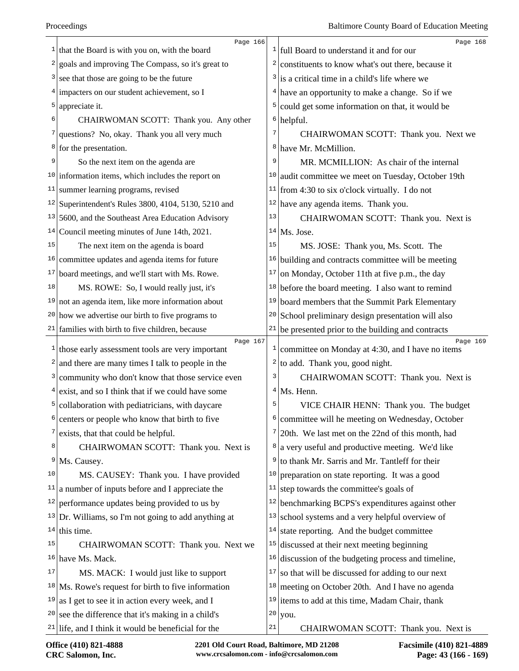|    | Page 166<br>$\frac{1}{1}$ that the Board is with you on, with the board |    | Page 168<br>$\frac{1}{1}$ full Board to understand it and for our         |
|----|-------------------------------------------------------------------------|----|---------------------------------------------------------------------------|
| 2  | goals and improving The Compass, so it's great to                       |    | $2$ constituents to know what's out there, because it                     |
| 3  | see that those are going to be the future                               |    | $3$ is a critical time in a child's life where we                         |
|    | $4$ impacters on our student achievement, so I                          |    | $4$ have an opportunity to make a change. So if we                        |
| 5  | appreciate it.                                                          | 5  | could get some information on that, it would be                           |
| 6  | CHAIRWOMAN SCOTT: Thank you. Any other                                  |    | $6$ helpful.                                                              |
| 7  | questions? No, okay. Thank you all very much                            | 7  | CHAIRWOMAN SCOTT: Thank you. Next we                                      |
|    | $8$ for the presentation.                                               |    | <sup>8</sup> have Mr. McMillion.                                          |
| 9  | So the next item on the agenda are                                      | 9  | MR. MCMILLION: As chair of the internal                                   |
|    | $10$ information items, which includes the report on                    |    | $10$ audit committee we meet on Tuesday, October 19th                     |
| 11 | summer learning programs, revised                                       |    | <sup>11</sup> from 4:30 to six o'clock virtually. I do not                |
|    | $12$ Superintendent's Rules 3800, 4104, 5130, 5210 and                  |    | $12$ have any agenda items. Thank you.                                    |
|    | $13 5600$ , and the Southeast Area Education Advisory                   | 13 | CHAIRWOMAN SCOTT: Thank you. Next is                                      |
|    | $14$ Council meeting minutes of June 14th, 2021.                        |    | $14$ Ms. Jose.                                                            |
| 15 | The next item on the agenda is board                                    | 15 | MS. JOSE: Thank you, Ms. Scott. The                                       |
|    | $16$ committee updates and agenda items for future                      |    | $16$ building and contracts committee will be meeting                     |
| 17 | board meetings, and we'll start with Ms. Rowe.                          | 17 | on Monday, October 11th at five p.m., the day                             |
| 18 | MS. ROWE: So, I would really just, it's                                 |    | $18$ before the board meeting. I also want to remind                      |
|    | $19$ not an agenda item, like more information about                    |    | $19$ board members that the Summit Park Elementary                        |
|    | $20$ how we advertise our birth to five programs to                     |    | <sup>20</sup> School preliminary design presentation will also            |
|    | $21$ families with birth to five children, because                      | 21 | be presented prior to the building and contracts                          |
|    | Page 167<br>$1$ those early assessment tools are very important         |    | Page 169<br><sup>1</sup> committee on Monday at 4:30, and I have no items |
| 2  | and there are many times I talk to people in the                        | 2  | to add. Thank you, good night.                                            |
| 3  | community who don't know that those service even                        | 3  | CHAIRWOMAN SCOTT: Thank you. Next is                                      |
|    | $4$ exist, and so I think that if we could have some                    |    | $4$ Ms. Henn.                                                             |
|    | $5$ collaboration with pediatricians, with daycare                      | 5  | VICE CHAIR HENN: Thank you. The budget                                    |
| 6  | centers or people who know that birth to five                           |    | $\frac{1}{2}$ committee will he meeting on Wednesday, October             |
| 7  | exists, that that could be helpful.                                     |    | $\frac{7}{20}$ th. We last met on the 22nd of this month, had             |
| 8  | CHAIRWOMAN SCOTT: Thank you. Next is                                    |    | $\frac{8}{9}$ a very useful and productive meeting. We'd like             |
| 9  | Ms. Causey.                                                             | 9  | to thank Mr. Sarris and Mr. Tantleff for their                            |
| 10 | MS. CAUSEY: Thank you. I have provided                                  | 10 | preparation on state reporting. It was a good                             |
| 11 | a number of inputs before and I appreciate the                          | 11 | step towards the committee's goals of                                     |
| 12 | performance updates being provided to us by                             | 12 | benchmarking BCPS's expenditures against other                            |
|    | $13$ Dr. Williams, so I'm not going to add anything at                  | 13 | school systems and a very helpful overview of                             |
|    | $14$ this time.                                                         | 14 | state reporting. And the budget committee                                 |
| 15 | CHAIRWOMAN SCOTT: Thank you. Next we                                    | 15 | discussed at their next meeting beginning                                 |
|    | <sup>16</sup> have Ms. Mack.                                            | 16 | discussion of the budgeting process and timeline,                         |
| 17 | MS. MACK: I would just like to support                                  | 17 | so that will be discussed for adding to our next                          |
|    | $18$ Ms. Rowe's request for birth to five information                   |    | $18$ meeting on October 20th. And I have no agenda                        |
| 19 | as I get to see it in action every week, and I                          |    | $19$ items to add at this time, Madam Chair, thank                        |
|    | $20$ see the difference that it's making in a child's                   |    | $20$ you.                                                                 |
|    | $21$ life, and I think it would be beneficial for the                   | 21 | CHAIRWOMAN SCOTT: Thank you. Next is                                      |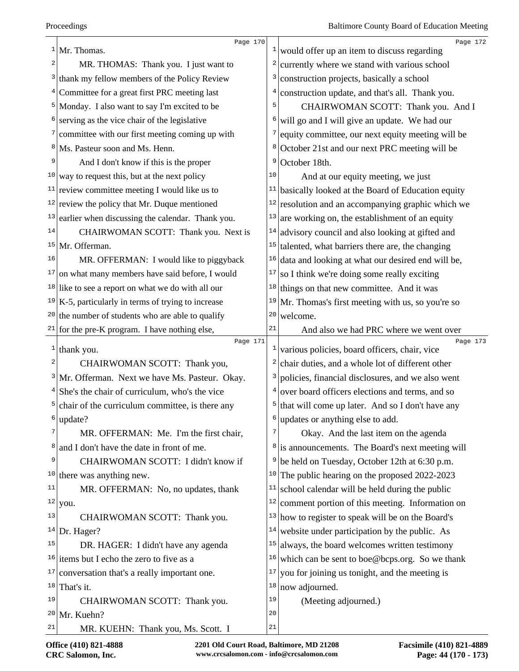|    | Page 170<br>$1$ Mr. Thomas.                               | $\frac{1}{2}$ | Page 172<br>would offer up an item to discuss regarding                 |
|----|-----------------------------------------------------------|---------------|-------------------------------------------------------------------------|
| 2  | MR. THOMAS: Thank you. I just want to                     | 2             | currently where we stand with various school                            |
| 3  | thank my fellow members of the Policy Review              | 3             | construction projects, basically a school                               |
| 4  | Committee for a great first PRC meeting last              | 4             | construction update, and that's all. Thank you.                         |
|    | <sup>5</sup> Monday. I also want to say I'm excited to be | 5             | CHAIRWOMAN SCOTT: Thank you. And I                                      |
|    | serving as the vice chair of the legislative              | 6             | will go and I will give an update. We had our                           |
|    | committee with our first meeting coming up with           | 7             | equity committee, our next equity meeting will be                       |
|    | Ms. Pasteur soon and Ms. Henn.                            |               | <sup>8</sup> October 21st and our next PRC meeting will be              |
| 9  | And I don't know if this is the proper                    | 9             | October 18th.                                                           |
| 10 | way to request this, but at the next policy               | 10            | And at our equity meeting, we just                                      |
|    | <sup>11</sup> review committee meeting I would like us to |               | $11$ basically looked at the Board of Education equity                  |
|    | $12$ review the policy that Mr. Duque mentioned           |               | $12$ resolution and an accompanying graphic which we                    |
| 13 | earlier when discussing the calendar. Thank you.          | 13            | are working on, the establishment of an equity                          |
| 14 | CHAIRWOMAN SCOTT: Thank you. Next is                      | 14            | advisory council and also looking at gifted and                         |
|    | $15$ Mr. Offerman.                                        | 15            | talented, what barriers there are, the changing                         |
| 16 | MR. OFFERMAN: I would like to piggyback                   |               | $16$ data and looking at what our desired end will be,                  |
| 17 | on what many members have said before, I would            | 17            | so I think we're doing some really exciting                             |
|    | $18$ like to see a report on what we do with all our      | 18            | things on that new committee. And it was                                |
|    | $19$ K-5, particularly in terms of trying to increase     | 19            | Mr. Thomas's first meeting with us, so you're so                        |
|    | $20$ the number of students who are able to qualify       | 20            | welcome.                                                                |
|    | $21$ for the pre-K program. I have nothing else,          | 21            | And also we had PRC where we went over                                  |
|    | Page 171<br>$1$ thank you.                                |               | Page 173<br>$\frac{1}{2}$ various policies, board officers, chair, vice |
| 2  | CHAIRWOMAN SCOTT: Thank you,                              | 2             | chair duties, and a whole lot of different other                        |
| 3  | Mr. Offerman. Next we have Ms. Pasteur. Okay.             | 3             | policies, financial disclosures, and we also went                       |
|    | She's the chair of curriculum, who's the vice             | 4             | over board officers elections and terms, and so                         |
|    | chair of the curriculum committee, is there any           | 5             | that will come up later. And so I don't have any                        |
| 6  | update?                                                   |               | $6$ updates or anything else to add.                                    |
|    | MR. OFFERMAN: Me. I'm the first chair,                    | 7             | Okay. And the last item on the agenda                                   |
| 8  | and I don't have the date in front of me.                 |               | <sup>8</sup> is announcements. The Board's next meeting will            |
| 9  | CHAIRWOMAN SCOTT: I didn't know if                        | 9             | be held on Tuesday, October 12th at 6:30 p.m.                           |
| 10 | there was anything new.                                   | 10            | The public hearing on the proposed 2022-2023                            |
| 11 | MR. OFFERMAN: No, no updates, thank                       | 11            | school calendar will be held during the public                          |
|    | $12$ you.                                                 | 12            | comment portion of this meeting. Information on                         |
| 13 | CHAIRWOMAN SCOTT: Thank you.                              | 13            | how to register to speak will be on the Board's                         |
| 14 | Dr. Hager?                                                | 14            | website under participation by the public. As                           |
| 15 | DR. HAGER: I didn't have any agenda                       | 15            | always, the board welcomes written testimony                            |
| 16 | items but I echo the zero to five as a                    | 16            | which can be sent to boe@bcps.org. So we thank                          |
| 17 | conversation that's a really important one.               | 17            | you for joining us tonight, and the meeting is                          |
| 18 | That's it.                                                | 18            | now adjourned.                                                          |
| 19 | CHAIRWOMAN SCOTT: Thank you.                              | 19            | (Meeting adjourned.)                                                    |
| 20 | Mr. Kuehn?                                                | 20            |                                                                         |
| 21 | MR. KUEHN: Thank you, Ms. Scott. I                        | 21            |                                                                         |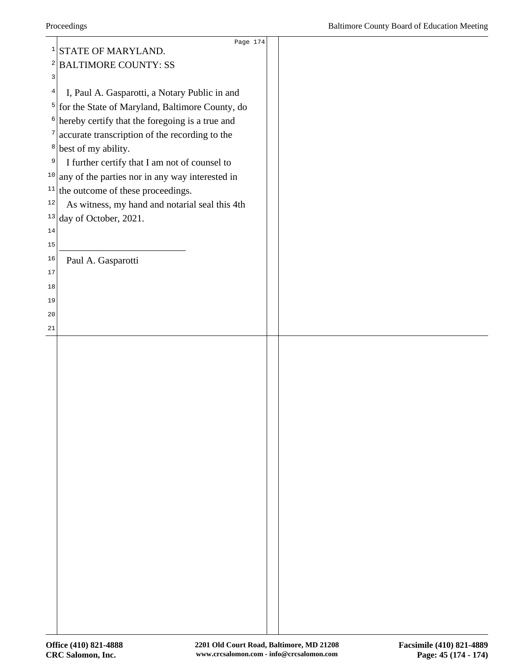|                | Page 174                                             |  |
|----------------|------------------------------------------------------|--|
|                | $1$ STATE OF MARYLAND.                               |  |
|                | <sup>2</sup> BALTIMORE COUNTY: SS                    |  |
| 3              |                                                      |  |
| $\overline{4}$ | I, Paul A. Gasparotti, a Notary Public in and        |  |
|                | $5$ for the State of Maryland, Baltimore County, do  |  |
|                | $6$ hereby certify that the foregoing is a true and  |  |
| 7              | accurate transcription of the recording to the       |  |
|                | $\frac{8}{1}$ best of my ability.                    |  |
| 9              | I further certify that I am not of counsel to        |  |
|                | $10$ any of the parties nor in any way interested in |  |
|                | $11$ the outcome of these proceedings.               |  |
| $12$           | As witness, my hand and notarial seal this 4th       |  |
|                | $13$ day of October, 2021.                           |  |
| $1\,4$         |                                                      |  |
| 15             |                                                      |  |
| 16             | Paul A. Gasparotti                                   |  |
| 17             |                                                      |  |
| 18             |                                                      |  |
| 19             |                                                      |  |
| 20             |                                                      |  |
| 21             |                                                      |  |
|                |                                                      |  |
|                |                                                      |  |
|                |                                                      |  |
|                |                                                      |  |
|                |                                                      |  |
|                |                                                      |  |
|                |                                                      |  |
|                |                                                      |  |
|                |                                                      |  |
|                |                                                      |  |
|                |                                                      |  |
|                |                                                      |  |
|                |                                                      |  |
|                |                                                      |  |
|                |                                                      |  |
|                |                                                      |  |
|                |                                                      |  |
|                |                                                      |  |
|                |                                                      |  |
|                |                                                      |  |
|                |                                                      |  |
|                |                                                      |  |
|                |                                                      |  |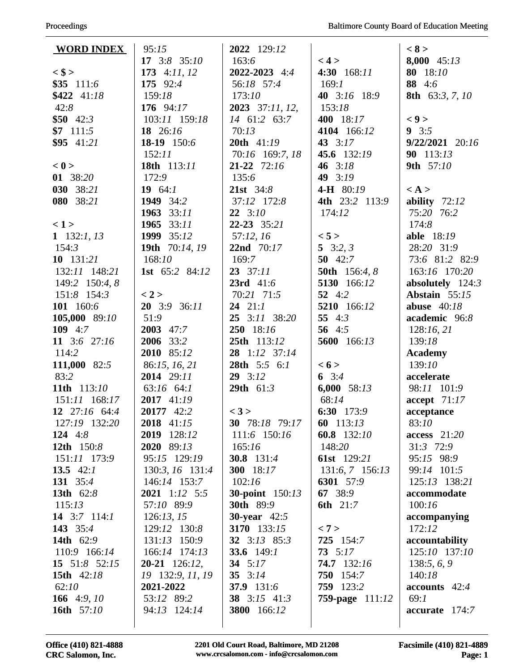| <b>WORD INDEX</b>        | 95:15                         | 2022 129:12                      |                            | < 8 >                        |
|--------------------------|-------------------------------|----------------------------------|----------------------------|------------------------------|
|                          | $17 \quad 3:8 \quad 35:10$    | 163:6                            | < 4 >                      | 8,000 45:13                  |
| $<$ \$ >                 | 173 $4:11, 12$                | 2022-2023 4:4                    | 4:30 168:11                | 80 18:10                     |
| \$35 111:6               | 175 92:4                      | 56:18 57:4                       | 169:1                      | 88 4:6                       |
| $$422$ 41:18             | 159:18                        | 173:10                           | 40 $3:16$ 18:9             | 8th 63:3, 7, 10              |
| 42:8                     | 176 $94:17$                   | 2023 37:11, 12,                  | 153:18                     |                              |
| $$50$ 42:3               | 103:11 159:18                 | 14 61:2 63:7                     | 400 18:17                  | < 9                          |
| $$7$ 111:5               | 18 $26:16$                    | 70:13                            | 4104 166:12                | $9 \t3:5$                    |
| $$95$ 41:21              | 18-19 150:6                   | 20th 41:19                       | 43 $3:17$                  | $9/22/2021$ 20:16            |
|                          | 152:11                        | 70:16 169:7, 18                  | 45.6 132:19                | 90 113:13                    |
| < 0                      | 18th 113:11                   | 21-22 72:16                      | 46 $3:18$                  | 9th 57:10                    |
| 01 38:20                 | 172:9                         | 135:6                            | 49 $3:19$                  |                              |
| 030 38:21                | 19 $64:1$                     | <b>21st</b> $34:8$               | <b>4-H</b> 80:19           | $\langle A \rangle$          |
| 080 38:21                | 1949 34:2                     | 37:12 172:8                      | 4th 23:2 113:9             | ability $72:12$              |
|                          | 1963 33:11                    | $22 \quad 3:10$                  | 174:12                     | 75:20 76:2                   |
| < 1>                     | 1965 33:11                    | 22-23 35:21                      |                            | 174:8                        |
| 1 $132:1, 13$            | 1999 35:12                    | 57:12, 16                        | < 5 >                      | <b>able</b> 18:19            |
| 154:3                    | 19th 70:14, 19                | 22nd 70:17                       | 5 $3:2, 3$                 | 28:20 31:9                   |
| $10$ 131:21              | 168:10                        | 169:7                            | 50 $42:7$                  | 73:6 81:2 82:9               |
| 132:11 148:21            | <b>1st</b> 65:2 84:12         | $23 \quad 37:11$                 | 50th 156:4, 8              | 163:16 170:20                |
| 149:2 150:4, 8           |                               | <b>23rd</b> $41:6$               | 5130 166:12                | absolutely $124:3$           |
| 151:8 154:3              | < 2 >                         | 70:21 71:5                       | 52 $4:2$                   | Abstain 55:15                |
| 101 160:6                | $20$ 3:9 36:11                | $24$ 21:1                        | 5210 166:12                | abuse $40:18$                |
| 105,000 89:10            | 51:9                          | 25 3:11 38:20                    | 55 $4:3$                   | academic 96:8                |
| 109 $4:7$                | 2003 47:7                     | 250 18:16                        | 56 $4:5$                   | 128:16,21                    |
| 11 3:6 27:16             | 2006 33:2                     | 25th 113:12                      | 5600 166:13                | 139:18                       |
| 114:2                    | 2010 85:12                    | 28 1:12 37:14                    |                            | <b>Academy</b>               |
| 111,000 82:5             | 86:15, 16, 21                 | 28th 5:5 6:1                     | < 6 >                      | 139:10                       |
| 83:2                     | 2014 29:11                    | $29 \quad 3:12$                  | 6 $3:4$                    | accelerate                   |
| 11th 113:10              | 63:16 64:1                    | 29th 61:3                        | 6,000 $58:13$              | 98:11 101:9                  |
| 151:11 168:17            | 2017 41:19                    |                                  | 68:14                      | accept 71:17                 |
| 12 27:16 64:4            | 20177 42:2                    | < 3 >                            | 6:30 173:9                 | acceptance                   |
| 127:19 132:20            | 2018 41:15                    | 30 78:18 79:17                   | 60 113:13                  | 83:10                        |
| 124 $4:8$                | 2019 128:12                   | 111:6 150:16                     | 60.8 132:10                | $access$ 21:20               |
| 12th 150:8               | 2020 89:13                    | 165:16                           | 148:20                     | $31:3$ 72:9                  |
| 151:11 173:9             | 95:15 129:19                  | <b>30.8</b> 131:4                | <b>61st</b> 129:21         | 95:15 98:9                   |
| 13.5 $42:1$              | 130:3, 16 131:4               | <b>300</b> 18:17                 | 131:6, 7 156:13            | 99:14 101:5<br>125:13 138:21 |
| 131 35:4<br>13th 62:8    | 146:14 153:7<br>2021 1:12 5:5 | 102:16<br><b>30-point</b> 150:13 | 6301 57:9                  | accommodate                  |
|                          | 57:10 89:9                    | <b>30th</b> 89:9                 | 67 38:9<br><b>6th</b> 21:7 | 100:16                       |
| 115:13<br>14 $3:7$ 114:1 | 126:13, 15                    | <b>30-year</b> $42:5$            |                            |                              |
| 143 35:4                 | 129:12 130:8                  | 3170 133:15                      | < 7 >                      | accompanying<br>172:12       |
| 14th 62:9                | 131:13 150:9                  | 32 3:13 85:3                     | 725 154:7                  | accountability               |
| 110:9 166:14             | 166:14 174:13                 | 33.6 $149:1$                     | $73 \t5:17$                | 125:10 137:10                |
| 15 $51:8$ $52:15$        | $20-21$ 126:12,               | 34 $5:17$                        | <b>74.7</b> 132:16         | 138:5, 6, 9                  |
| 15th 42:18               | 19 132:9, 11, 19              | 35 $3:14$                        | 750 154:7                  | 140:18                       |
| 62:10                    | 2021-2022                     | 37.9 131:6                       | 759 123:2                  | $accounts$ 42:4              |
| 166 $4:9,10$             | 53:12 89:2                    | 38 3:15 41:3                     | <b>759-page</b> 111:12     | 69:1                         |
| 16th 57:10               | 94:13 124:14                  | 3800 166:12                      |                            | $accurate$ 174:7             |
|                          |                               |                                  |                            |                              |
|                          |                               |                                  |                            |                              |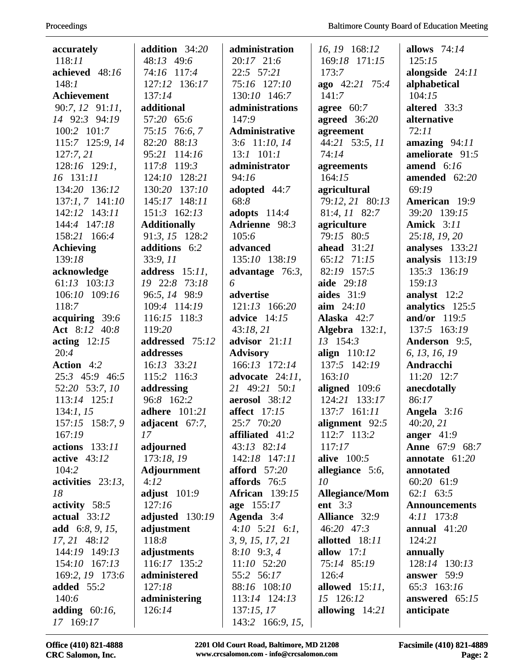| Proceedings |
|-------------|
|-------------|

| accurately           | addition $34:20$    | administration        | 16, 19 168:12        | allows $74:14$        |
|----------------------|---------------------|-----------------------|----------------------|-----------------------|
| 118:11               | 48:13 49:6          | 20:17 21:6            | 169:18 171:15        | 125:15                |
| achieved 48:16       | 74:16 117:4         | $22:5$ 57:21          | 173:7                | alongside $24:11$     |
| 148:1                | 127:12 136:17       | 75:16 127:10          | ago 42:21 75:4       | alphabetical          |
| <b>Achievement</b>   | 137:14              | 130:10 146:7          | 141:7                | 104:15                |
| 90:7, 12 91:11,      | additional          | administrations       | agree $60:7$         | altered $33:3$        |
| 14 92:3 94:19        | 57:20 65:6          | 147:9                 | agreed $36:20$       | alternative           |
| 100:2 101:7          | 75:15 76:6, 7       | <b>Administrative</b> | agreement            | 72:11                 |
| 115:7 125:9, 14      | 82:20 88:13         | 3:6 11:10, 14         | 44:21 53:5, 11       | amazing $94:11$       |
| 127:7,21             | 95:21 114:16        | $13:1$ $101:1$        | 74:14                | ameliorate $91:5$     |
| 128:16 129:1,        | 117:8 119:3         | administrator         | agreements           | amend $6:16$          |
| 16 131:11            | 124:10 128:21       | 94:16                 | 164:15               | amended 62:20         |
| 134:20 136:12        | 130:20 137:10       | adopted 44:7          | agricultural         | 69:19                 |
| 137:1, 7 141:10      | 145:17 148:11       | 68:8                  | 79:12, 21 80:13      | American 19:9         |
| 142:12 143:11        | 151:3 162:13        | adopts $114:4$        | 81:4, 11 82:7        | 39:20 139:15          |
| 144:4 147:18         | <b>Additionally</b> | Adrienne 98:3         | agriculture          | <b>Amick</b> 3:11     |
| 158:21 166:4         | 91:3, 15 128:2      | 105:6                 | 79:15 80:5           | 25:18, 19, 20         |
| <b>Achieving</b>     | additions 6:2       | advanced              | ahead $31:21$        | analyses 133:21       |
| 139:18               | 33:9, 11            | 135:10 138:19         | 65:12 71:15          | analysis 113:19       |
| acknowledge          | address $15:11$ ,   | advantage $76:3$ ,    | 82:19 157:5          | 135:3 136:19          |
| $61:13$ $103:13$     | 19 22:8 73:18       | 6                     | aide 29:18           | 159:13                |
| 106:10 109:16        | 96:5, 14 98:9       | advertise             | aides $31:9$         | analyst 12:2          |
| 118:7                | 109:4 114:19        | 121:13 166:20         | $\lim_{24:10}$       | analytics 125:5       |
| acquiring 39:6       | 116:15 118:3        | advice 14:15          | Alaska $42:7$        | and/or $119:5$        |
| Act 8:12 40:8        | 119:20              | 43:18,21              | Algebra $132:1$ ,    | 137:5 163:19          |
| acting $12:15$       | addressed 75:12     | advisor $21:11$       | 13 154:3             | Anderson 9:5,         |
| 20:4                 | addresses           | <b>Advisory</b>       | align $110:12$       | 6, 13, 16, 19         |
| Action 4:2           | $16:13$ 33:21       | 166:13 172:14         | 137:5 142:19         | Andracchi             |
| 25:3 45:9 46:5       | 115:2 116:3         | advocate $24:11$ ,    | 163:10               | 11:20 12:7            |
| 52:20 53:7, 10       | addressing          | 21 49:21 50:1         | aligned 109:6        | anecdotally           |
| 113:14 125:1         | 96:8 162:2          | aerosol 38:12         | 124:21 133:17        | 86:17                 |
| 134:1, 15            | adhere 101:21       | <b>affect</b> 17:15   | 137:7 161:11         | Angela $3:16$         |
| 157:15 158:7, 9      | adjacent 67:7,      | 25:7 70:20            | alignment 92:5       | 40:20, 21             |
| 167:19               | 17                  | affiliated 41:2       | 112:7 113:2          | anger $41:9$          |
| actions 133:11       | adjourned           | 43:13 82:14           | 117:17               | <b>Anne</b> 67:9 68:7 |
| active $43:12$       | 173:18, 19          | 142:18 147:11         | alive $100:5$        | annotate $61:20$      |
| 104:2                | Adjournment         | afford $57:20$        | allegiance $5:6$ ,   | annotated             |
| activities $23:13$ , | 4:12                | affords 76:5          | 10                   | 60:20 61:9            |
| 18                   | adjust $101:9$      | <b>African</b> 139:15 | Allegiance/Mom       | $62:1$ $63:5$         |
| activity $58:5$      | 127:16              | age 155:17            | ent $3:3$            | <b>Announcements</b>  |
| actual $33:12$       | adjusted 130:19     | Agenda $3:4$          | <b>Alliance</b> 32:9 | $4:11$ 173:8          |
| add $6:8, 9, 15,$    | adjustment          | $4:10$ 5:21 6:1,      | 46:20 47:3           | annual $41:20$        |
| 17, 21 48:12         | 118:8               | 3, 9, 15, 17, 21      | allotted 18:11       | 124:21                |
| 144:19 149:13        | adjustments         | $8:10$ $9:3,4$        | allow $17:1$         | annually              |
| 154:10 167:13        | 116:17 135:2        | 11:10 52:20           | 75:14 85:19          | 128:14 130:13         |
| 169:2, 19 173:6      | administered        | 55:2 56:17            | 126:4                | answer 59:9           |
| added 55:2           | 127:18              | 88:16 108:10          | allowed $15:11$ ,    | 65:3 163:16           |
| 140:6                | administering       | 113:14 124:13         | 15 126:12            | answered $65:15$      |
| adding $60:16$ ,     | 126:14              | 137:15,17             | allowing $14:21$     | anticipate            |
| 17 169:17            |                     | 143:2 166:9, 15,      |                      |                       |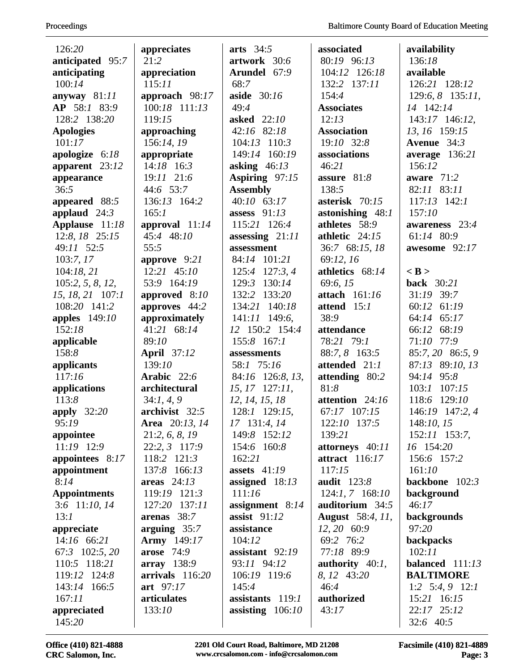| 126:20              | appreciates        | arts $34:5$        | associated         | availability       |
|---------------------|--------------------|--------------------|--------------------|--------------------|
| anticipated 95:7    | 21:2               | artwork 30:6       | 80:19 96:13        | 136:18             |
| anticipating        | appreciation       | Arundel 67:9       | 104:12 126:18      | available          |
| 100:14              | 115:11             | 68:7               | 132:2 137:11       | 126:21 128:12      |
| anyway 81:11        | approach 98:17     | aside 30:16        | 154:4              | $129:6, 8$ 135:11, |
| AP 58:1 83:9        | 100:18 111:13      | 49:4               | <b>Associates</b>  | 14 142:14          |
| 128:2 138:20        | 119:15             | asked 22:10        | 12:13              | 143:17 146:12,     |
| <b>Apologies</b>    | approaching        | 42:16 82:18        | <b>Association</b> | 13, 16 159:15      |
| 101:17              | 156:14, 19         | 104:13 110:3       | 19:10 32:8         | Avenue $34:3$      |
| apologize $6:18$    | appropriate        | 149:14 160:19      | associations       | average $136:21$   |
| apparent $23:12$    | $14:18$ 16:3       | asking $46:13$     | 46:21              | 156:12             |
| appearance          | 19:11 21:6         | Aspiring 97:15     | assure 81:8        | aware 71:2         |
| 36:5                | 44:6 53:7          | <b>Assembly</b>    | 138:5              | 82:11 83:11        |
| appeared 88:5       | 136:13 164:2       | $40:10$ 63:17      | asterisk 70:15     | $117:13$ $142:1$   |
| applaud $24:3$      | 165:1              | assess $91:13$     | astonishing 48:1   | 157:10             |
| Applause 11:18      | approval $11:14$   | 115:21 126:4       | athletes 58:9      | awareness 23:4     |
| 12:8, 18 25:15      | 45:4 48:10         | assessing $21:11$  | athletic 24:15     | 61:14 80:9         |
| 49:11 52:5          | 55:5               | assessment         | 36:7 68:15, 18     | awesome 92:17      |
| 103:7,17            | approve $9:21$     | 84:14 101:21       | 69:12, 16          |                    |
| 104:18, 21          | 12:21 45:10        | 125:4 127:3, 4     | athletics 68:14    | $<$ B $>$          |
| 105:2, 5, 8, 12,    | 53:9 164:19        | 130:14<br>129:3    | 69:6, 15           | <b>back</b> 30:21  |
| 15, 18, 21 107:1    | approved 8:10      | 132:2 133:20       | attach 161:16      | 31:19 39:7         |
| 108:20 141:2        | approves 44:2      | 134:21 140:18      | attend 15:1        | 60:12 61:19        |
| apples $149:10$     | approximately      | 141:11 149:6,      | 38:9               | 64:14 65:17        |
| 152:18              | 41:21 68:14        | 12 150:2 154:4     | attendance         | 68:19<br>66:12     |
| applicable          | 89:10              | 155:8 167:1        | 78:21 79:1         | 71:10 77:9         |
| 158:8               | <b>April</b> 37:12 | assessments        | 88:7, 8 163:5      | 85:7, 20 86:5, 9   |
| applicants          | 139:10             | 58:1 75:16         | attended 21:1      | 87:13 89:10, 13    |
| 117:16              | Arabic 22:6        | 84:16 126:8, 13,   | attending 80:2     | 94:14 95:8         |
| applications        | architectural      | $15, 17$ 127:11,   | 81:8               | $103:1$ $107:15$   |
| 113:8               | 34:1, 4, 9         | 12, 14, 15, 18     | attention 24:16    | 118:6 129:10       |
| apply $32:20$       | archivist 32:5     | 128:1 129:15,      | 67:17 107:15       | 146:19 147:2, 4    |
| 95:19               | Area 20:13, 14     | 17 131:4, 14       | 122:10 137:5       | 148:10, 15         |
| appointee           | 21:2, 6, 8, 19     | 149:8 152:12       | 139:21             | 152:11 153:7,      |
| 11:19 12:9          | 22:2, 3 117:9      | 154:6 160:8        | attorneys 40:11    | 16 154:20          |
| appointees 8:17     | 118:2 121:3        | 162:21             | attract $116:17$   | 156:6 157:2        |
| appointment         | 137:8 166:13       | assets $41:19$     | 117:15             | 161:10             |
| 8:14                | areas $24:13$      | assigned $18:13$   | <b>audit</b> 123:8 | backbone $102:3$   |
| <b>Appointments</b> | 119:19 121:3       | 111:16             | $124:1, 7$ 168:10  | background         |
| 3:6 11:10, 14       | 127:20 137:11      | assignment $8:14$  | auditorium 34:5    | 46:17              |
| 13:1                | arenas 38:7        | assist $91:12$     | August 58:4, 11,   | backgrounds        |
| appreciate          | arguing $35:7$     | assistance         | 12, 20 60:9        | 97:20              |
| 14:16 66:21         | <b>Army</b> 149:17 | 104:12             | 69:2 76:2          | backpacks          |
| 67:3 102:5, 20      | <b>arose</b> 74:9  | assistant $92:19$  | 77:18 89:9         | 102:11             |
| 110:5 118:21        | array 138:9        | 93:11 94:12        | authority $40:1$ , | balanced $111:13$  |
| 119:12 124:8        | $arrivals$ 116:20  | 106:19 119:6       | 8, 12 43:20        | <b>BALTIMORE</b>   |
| 143:14 166:5        | art 97:17          | 145:4              | 46:4               | 1:2 $5:4, 9$ 12:1  |
| 167:11              | articulates        | assistants 119:1   | authorized         | 15:21 16:15        |
| appreciated         | 133:10             | assisting $106:10$ | 43:17              | 22:17 25:12        |
| 145:20              |                    |                    |                    | 32:6 40:5          |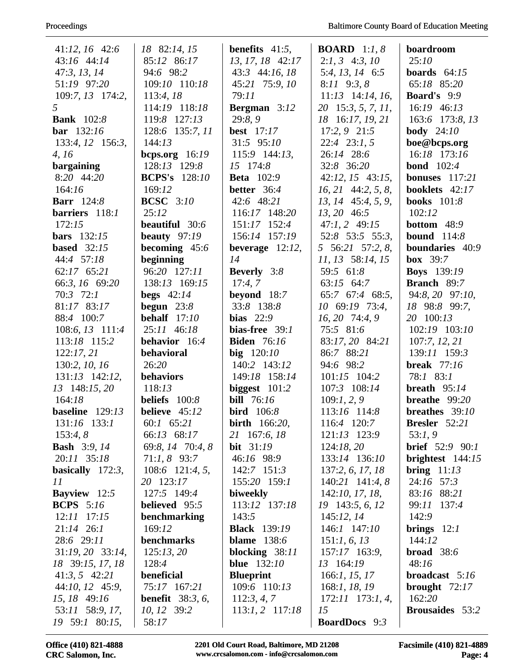| $41:12, 16$ 42:6    | 18 82:14, 15               | <b>benefits</b> $41:5$ , | <b>BOARD</b> 1:1, 8   | boardroom                  |
|---------------------|----------------------------|--------------------------|-----------------------|----------------------------|
| 43:16 44:14         | 85:12 86:17                | 13, 17, 18 42:17         | $2:1, 3$ 4:3, 10      | 25:10                      |
| 47:3, 13, 14        | 94:6 98:2                  | 43:3 44:16, 18           | 5:4, 13, 14 6:5       | boards $64:15$             |
| 51:19 97:20         | 109:10 110:18              | 45:21 75:9, 10           | $8:11$ $9:3,8$        | 65:18 85:20                |
| $109:7, 13$ 174:2,  | 113:4, 18                  | 79:11                    | $11:13$ 14:14, 16,    | <b>Board's</b> 9:9         |
| 5                   | 114:19 118:18              | <b>Bergman</b> $3:12$    | 20 15:3, 5, 7, 11,    | 16:19 46:13                |
| <b>Bank</b> 102:8   | 119:8 127:13               | 29:8,9                   | 18 16:17, 19, 21      | 163:6 173:8, 13            |
| <b>bar</b> 132:16   | 128:6 135:7, 11            | <b>best</b> 17:17        | $17:2, 9$ $21:5$      | <b>body</b> $24:10$        |
| 133:4, 12 156:3,    | 144:13                     | 31:5 95:10               | $22:4$ $23:1, 5$      | boe@bcps.org               |
| 4, 16               | bcps.org $16:19$           | 115:9 144:13,            | 26:14 28:6            | 16:18 173:16               |
| bargaining          | 128:13 129:8               | 15 174:8                 | 32:8 36:20            | <b>bond</b> $102:4$        |
| 8:20 44:20          | <b>BCPS's</b> 128:10       | <b>Beta</b> 102:9        | $42:12, 15$ $43:15,$  | bonuses $117:21$           |
| 164:16              | 169:12                     | better 36:4              | $16, 21$ 44:2, 5, 8,  | booklets 42:17             |
| <b>Barr</b> 124:8   | <b>BCSC</b> 3:10           | 42:6 48:21               | 13, 14 45:4, 5, 9,    | <b>books</b> 101:8         |
| barriers 118:1      | 25:12                      | 116:17 148:20            | 13, 20 46:5           | 102:12                     |
| 172:15              | beautiful 30:6             | 151:17 152:4             | $47:1, 2$ $49:15$     | <b>bottom</b> $48:9$       |
| bars $132:15$       | beauty $97:19$             | 156:14 157:19            | 52:8 53:5 55:3,       | <b>bound</b> $114:8$       |
| based $32:15$       | becoming 45:6              | beverage $12:12$ ,       | 5 56:21 57:2, 8,      | boundaries 40:9            |
| 44:4 57:18          | beginning                  | 14                       | 11, 13 58:14, 15      | box $39:7$                 |
| 62:17 65:21         | 96:20 127:11               | <b>Beverly</b> 3:8       | 59:5 61:8             | <b>Boys</b> 139:19         |
| 66:3, 16 69:20      | 138:13 169:15              | 17:4,7                   | 63:15 64:7            | <b>Branch</b> 89:7         |
| 70:3 72:1           | begs $42:14$               | beyond 18:7              | 65:7 67:4 68:5,       | 94:8, 20 97:10,            |
| 81:17 83:17         | begun $23:8$               | 33:8 138:8               | 10 69:19 73:4,        | 18 98:8 99:7,              |
| 88:4 100:7          | behalf $17:10$             | bias $22:9$              | 16, 20 74:4, 9        | 20 100:13                  |
| 108:6, 13 111:4     | 25:11 46:18                | bias-free $39:1$         | 75:5 81:6             | 102:19 103:10              |
| 113:18 115:2        | behavior 16:4              | <b>Biden</b> 76:16       | 83:17, 20 84:21       | 107:7, 12, 21              |
| 122:17,21           | behavioral                 | $big$ 120:10             | 86:7 88:21            | 139:11 159:3               |
| 130:2, 10, 16       | 26:20                      | 140:2 143:12             | 94:6 98:2             | <b>break</b> 77:16         |
| $131:13$ $142:12$ , | behaviors                  | 149:18 158:14            | 101:15 104:2          | 78:1 83:1                  |
| 13 148:15, 20       | 118:13                     | biggest $101:2$          | 107:3 108:14          | breath $95:14$             |
| 164:18              | beliefs $100:8$            | <b>bill</b> 76:16        | 109:1, 2, 9           | breathe $99:20$            |
| baseline $129:13$   | believe $45:12$            | <b>bird</b> $106:8$      | 113:16 114:8          | breathes 39:10             |
| 131:16 133:1        | 60:1 65:21                 | <b>birth</b> 166:20,     | 116:4 120:7           | <b>Bresler</b> 52:21       |
| 153:4,8             | 66:13 68:17                | 21 167:6, 18             | 121:13 123:9          | 53:1,9                     |
| <b>Bash</b> 3:9, 14 | 69:8, 14 70:4, 8           | <b>bit</b> $31:19$       | 124:18,20             | <b>brief</b> $52:9$ $90:1$ |
| 20:11 35:18         | $71:1, 8$ 93:7             | 46:16 98:9               | 133:14 136:10         | brightest $144:15$         |
| basically $172:3$ , | 108:6 121:4, 5,            | $142:7$ $151:3$          | 137:2, 6, 17, 18      | bring $11:13$              |
| 11                  | 20 123:17                  | 155:20 159:1             | $140:21$ $141:4,8$    | 24:16 57:3                 |
| <b>Bayview</b> 12:5 | 127:5 149:4                | biweekly                 | 142:10, 17, 18,       | 83:16 88:21                |
| <b>BCPS</b> $5:16$  | <b>believed</b> 95:5       | 113:12 137:18            | 19 143:5, 6, 12       | 99:11 137:4                |
| $12:11$ $17:15$     | benchmarking               | 143:5                    | 145:12,14             | 142:9                      |
| $21:14$ 26:1        | 169:12                     | <b>Black</b> 139:19      | 146:1 147:10          | brings $12:1$              |
| 28:6 29:11          | benchmarks                 | blame $138:6$            | 151:1, 6, 13          | 144:12                     |
| 31:19, 20 33:14,    | 125:13,20                  | blocking $38:11$         | 157:17 163:9,         | broad $38:6$               |
| 18 39:15, 17, 18    | 128:4                      | <b>blue</b> 132:10       | 13 164:19             | 48:16                      |
| $41:3, 5$ $42:21$   | beneficial                 | <b>Blueprint</b>         | 166:1, 15, 17         | broadcast 5:16             |
| 44:10, 12 45:9,     | 75:17 167:21               | 109:6 110:13             | 168:1, 18, 19         | brought $72:17$            |
| 15, 18 49:16        | <b>benefit</b> $38:3, 6$ , | 112:3, 4, 7              | $172:11$ $173:1, 4$ , | 162:20                     |
| 53:11 58:9, 17,     | 10, 12 39:2                | $113:1, 2$ 117:18        | 15                    | <b>Brousaides</b> 53:2     |
| 19 59:1 80:15,      | 58:17                      |                          | <b>BoardDocs</b> 9:3  |                            |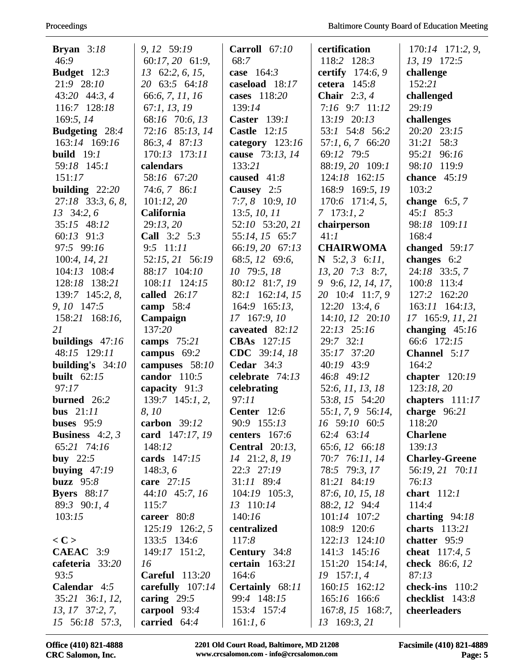| <b>Bryan</b> $3:18$    | 9, 12 59:19            | Carroll $67:10$          | certification        | 170:14 171:2, 9,        |
|------------------------|------------------------|--------------------------|----------------------|-------------------------|
| 46:9                   | 60:17, 20 61:9,        | 68:7                     | 118:2 128:3          | 13, 19 172:5            |
| <b>Budget</b> $12:3$   | $13\quad 62:2, 6, 15,$ | case $164:3$             | certify 174:6, 9     | challenge               |
| 21:9 28:10             | 20 63:5 64:18          | caseload 18:17           | cetera $145:8$       | 152:21                  |
| 43:20 44:3, 4          | 66:6, 7, 11, 16        | cases 118:20             | Chair $2:3,4$        | challenged              |
| 116:7 128:18           | 67:1, 13, 19           | 139:14                   | 7:16 9:7 11:12       | 29:19                   |
| 169:5, 14              | 68:16 70:6, 13         | <b>Caster</b> 139:1      | 13:19 20:13          | challenges              |
| <b>Budgeting</b> 28:4  | 72:16 85:13, 14        | <b>Castle</b> 12:15      | 53:1 54:8 56:2       | 20:20 23:15             |
| 163:14 169:16          | 86:3, 4 87:13          | category $123:16$        | 57:1, 6, 7 66:20     | 31:21 58:3              |
| <b>build</b> $19:1$    | 170:13 173:11          | cause 73:13, 14          | 69:12 79:5           | 95:21 96:16             |
| 59:18 145:1            | calendars              | 133:21                   | 88:19, 20 109:1      | 98:10 119:9             |
| 151:17                 | 58:16 67:20            | caused 41:8              | 124:18 162:15        | chance $45:19$          |
| building $22:20$       | 74:6, 786:1            | Causey $2:5$             | 168:9 169:5, 19      | 103:2                   |
| $27:18$ 33:3, 6, 8,    | 101:12,20              | $7:7, 8$ 10:9, 10        | $170:6$ $171:4, 5$ , | change $6:5, 7$         |
| $13 \quad 34:2, 6$     | <b>California</b>      | 13:5, 10, 11             | $7 \quad 173:1,2$    | $45:1$ 85:3             |
| 35:15 48:12            | 29:13,20               | 52:10 53:20, 21          | chairperson          | 98:18 109:11            |
| 60:13 91:3             | Call 3:2 5:3           | 55:14, 15 65:7           | 41:1                 | 168:4                   |
| 97:5 99:16             | 9:5 11:11              | 66:19, 20 67:13          | <b>CHAIRWOMA</b>     | changed 59:17           |
| 100:4, 14, 21          | 52:15, 21 56:19        | 68:5, 12 69:6,           | N $5:2, 3$ 6:11,     | changes 6:2             |
| 104:13 108:4           | 88:17 104:10           | 10 79:5, 18              | $13, 20$ 7:3 8:7,    | 24:18 33:5, 7           |
| 128:18 138:21          | 108:11 124:15          | 80:12 81:7, 19           | 9 9:6, 12, 14, 17,   | 100:8 113:4             |
| 139:7 145:2, 8,        | called 26:17           | 82:1 162:14, 15          | 20 10:4 11:7, 9      | 127:2 162:20            |
| 9, 10 147:5            | camp $58:4$            | 164:9 165:13,            | $12:20$ 13:4, 6      | 163:11 164:13,          |
| 158:21 168:16,         | Campaign               | 17 167:9, 10             | 14:10, 12 20:10      | 17 165:9, 11, 21        |
| 21                     | 137:20                 | caveated 82:12           | $22:13$ $25:16$      | changing $45:16$        |
| buildings $47:16$      | camps $75:21$          | <b>CBAs</b> 127:15       | $29:7$ 32:1          | 66:6 172:15             |
| 48:15 129:11           | campus 69:2            | CDC 39:14, 18            | 35:17 37:20          | <b>Channel</b> $5:17$   |
| building's $34:10$     | campuses 58:10         | Cedar $34:3$             | 40:19 43:9           | 164:2                   |
| built $62:15$          | candor $110:5$         | celebrate 74:13          | 46:8 49:12           | chapter $120:19$        |
| 97:17                  | capacity $91:3$        | celebrating              | 52:6, 11, 13, 18     | 123:18,20               |
| burned $26:2$          | $139:7$ $145:1, 2$ ,   | 97:11                    | 53:8, 15 54:20       | chapters $111:17$       |
| bus $21:11$            | 8, 10                  | Center 12:6              | 55:1, 7, 9 56:14,    | charge $96:21$          |
| buses $95:9$           | carbon $39:12$         | 90:9 155:13              | 16 59:10 60:5        | 118:20                  |
| <b>Business</b> 4:2, 3 | card 147:17, 19        | centers 167:6            | 62:4 63:14           | <b>Charlene</b>         |
| 65:21 74:16            | 148:12                 | <b>Central</b> $20:13$ , | 65:6, 12 66:18       | 139:13                  |
| buy $22:5$             | cards 147:15           | 14 21:2, 8, 19           | 70:7 76:11, 14       | <b>Charley-Greene</b>   |
| buying $47:19$         | 148:3,6                | 22:3 27:19               | 78:5 79:3, 17        | 56:19, 21 70:11         |
| buzz $95:8$            | care 27:15             | $31:11$ 89:4             | 81:21 84:19          | 76:13                   |
| <b>Byers</b> 88:17     | 44:10 45:7, 16         | $104:19$ $105:3$ ,       | 87:6, 10, 15, 18     | chart $112:1$           |
| 89:3 90:1, 4           | 115:7                  | 13 110:14                | 88:2, 12 94:4        | 114:4                   |
| 103:15                 | career 80:8            | 140:16                   | 101:14 107:2         | charting $94:18$        |
|                        | 125:19 126:2, 5        | centralized              | 108:9 120:6          | charts $113:21$         |
| $<$ C $>$              | 133:5 134:6            | 117:8                    | $122:13$ $124:10$    | chatter 95:9            |
| <b>CAEAC</b> 3:9       | 149:17 151:2,          | Century 34:8             | $141:3$ $145:16$     | <b>cheat</b> $117:4, 5$ |
| cafeteria 33:20        | 16                     | certain $163:21$         | 151:20 154:14,       | check 86:6, 12          |
| 93:5                   | <b>Careful</b> 113:20  | 164:6                    | $19$ 157:1, 4        | 87:13                   |
| Calendar 4:5           | carefully $107:14$     | Certainly 68:11          | 160:15 162:12        | check-ins $110:2$       |
| 35:21 36:1, 12,        | caring $29:5$          | 99:4 148:15              | 165:16 166:6         | checklist 143:8         |
| 13, 17 37:2, 7,        | carpool $93:4$         | 153:4 157:4              | 167:8, 15 168:7,     | cheerleaders            |
| 15 56:18 57:3,         | carried 64:4           | 161:1, 6                 | 13 169:3, 21         |                         |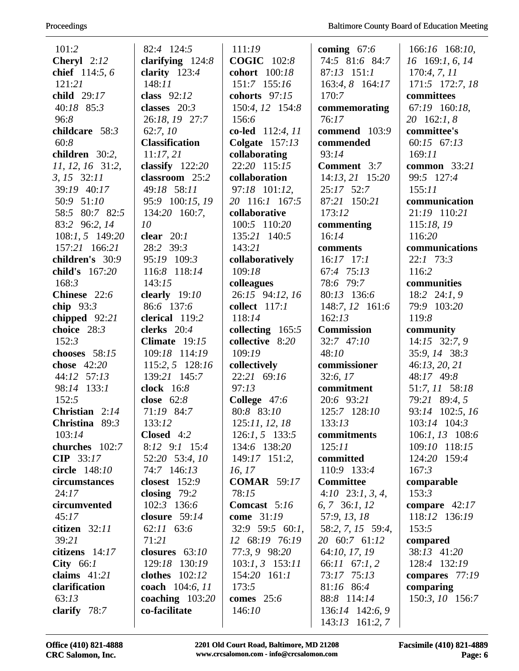| 101:2              | 82:4 124:5            | 111:19                | coming $67:6$         | 166:16 168:10,    |
|--------------------|-----------------------|-----------------------|-----------------------|-------------------|
| Cheryl 2:12        | clarifying $124:8$    | <b>COGIC</b> 102:8    | 74:5 81:6 84:7        | 16 169:1, 6, 14   |
| chief 114:5, 6     | clarity $123:4$       | cohort 100:18         | $87:13$ 151:1         | 170:4, 7, 11      |
| 121:21             | 148:11                | 151:7 155:16          | 163:4, 8 164:17       | 171:5 172:7, 18   |
| child 29:17        | class $92:12$         | cohorts $97:15$       | 170:7                 | committees        |
| 40:18 85:3         | classes $20:3$        | 150:4, 12 154:8       | commemorating         | 67:19 160:18,     |
| 96:8               | 26:18, 19 27:7        | 156:6                 | 76:17                 | 20 162:1, 8       |
| childcare 58:3     | 62:7,10               | co-led 112:4, 11      | commend 103:9         | committee's       |
| 60:8               | <b>Classification</b> | Colgate $157:13$      | commended             | 60:15 67:13       |
| children 30:2,     | 11:17,21              | collaborating         | 93:14                 | 169:11            |
| $11, 12, 16$ 31:2, | classify $122:20$     | 22:20 115:15          | <b>Comment</b> 3:7    | common 33:21      |
| $3, 15$ $32:11$    | classroom 25:2        | collaboration         | 14:13, 21 15:20       | 99:5 127:4        |
| 39:19 40:17        | 49:18 58:11           | 97:18 101:12,         | 25:17 52:7            | 155:11            |
| 50:9 51:10         | 95:9 100:15, 19       | 20 116:1 167:5        | 87:21 150:21          | communication     |
| 58:5 80:7 82:5     | 134:20 160:7,         | collaborative         | 173:12                | 21:19 110:21      |
| 83:2 96:2, 14      | 10                    | 100:5 110:20          | commenting            | 115:18, 19        |
| 108:1, 5 149:20    | clear $20:1$          | 135:21 140:5          | 16:14                 | 116:20            |
| 157:21 166:21      | 28:2 39:3             | 143:21                | comments              | communications    |
| children's 30:9    | 95:19 109:3           | collaboratively       | $16:17$ 17:1          | 22:1 73:3         |
| child's 167:20     | 116:8 118:14          | 109:18                | 67:4 75:13            | 116:2             |
| 168:3              | 143:15                | colleagues            | 78:6 79:7             | communities       |
| Chinese 22:6       | clearly $19:10$       | 26:15 94:12, 16       | 80:13 136:6           | 18:2 $24:1, 9$    |
| chip $93:3$        | 86:6 137:6            | collect 117:1         | 148:7, 12 161:6       | 79:9 103:20       |
| chipped $92:21$    | clerical 119:2        | 118:14                | 162:13                | 119:8             |
| choice 28:3        | clerks $20:4$         | collecting 165:5      | <b>Commission</b>     | community         |
| 152:3              | Climate $19:15$       | collective 8:20       | 32:7 47:10            | 14:15 32:7, 9     |
| chooses 58:15      | 109:18 114:19         | 109:19                | 48:10                 | 35:9, 14 38:3     |
| chose 42:20        | 115:2, 5 128:16       | collectively          | commissioner          | 46:13, 20, 21     |
| 44:12 57:13        | 139:21 145:7          | 22:21 69:16           | 32:6, 17              | 48:17 49:8        |
| 98:14 133:1        | clock $16:8$          | 97:13                 | commitment            | 51:7, 11 58:18    |
| 152:5              | close $62:8$          | College 47:6          | 20:6 93:21            | 79:21 89:4, 5     |
| Christian $2:14$   | 71:19 84:7            | 80:8 83:10            | 125:7 128:10          | 93:14 102:5, 16   |
| Christina 89:3     | 133:12                | 125:11, 12, 18        | 133:13                | 103:14 104:3      |
| 103:14             | Closed 4:2            | $126:1, 5$ 133:5      | commitments           | $106:1, 13$ 108:6 |
| churches 102:7     | $8:12$ $9:1$ $15:4$   | 134:6 138:20          | 125:11                | 109:10 118:15     |
| <b>CIP</b> 33:17   | 52:20 53:4, 10        | $149:17$ 151:2,       | committed             | 124:20 159:4      |
| circle 148:10      | 74:7 146:13           | 16, 17                | 110:9 133:4           | 167:3             |
| circumstances      | <b>closest</b> 152:9  | <b>COMAR</b> 59:17    | <b>Committee</b>      | comparable        |
| 24:17              | closing $79:2$        | 78:15                 | $4:10$ $23:1, 3, 4$ , | 153:3             |
| circumvented       | 102:3 136:6           | <b>Comcast</b> $5:16$ | 6, 7, 36:1, 12        | compare $42:17$   |
| 45:17              | closure $59:14$       | come 31:19            | 57:9, 13, 18          | 118:12 136:19     |
| citizen $32:11$    | 62:11 63:6            | $32:9$ 59:5 60:1,     | 58:2, 7, 15 59:4,     | 153:5             |
| 39:21              | 71:21                 | 12 68:19 76:19        | 20 60:7 61:12         | compared          |
| citizens $14:17$   | closures $63:10$      | 77:3, 9 98:20         | 64:10, 17, 19         | 38:13 41:20       |
| City $66:1$        | 129:18 130:19         | $103:1, 3$ 153:11     | 66:11 67:1, 2         | 128:4 132:19      |
| claims $41:21$     | <b>clothes</b> 102:12 | $154:20$ $161:1$      | 73:17 75:13           | compares $77:19$  |
| clarification      | coach 104:6, 11       | 173:5                 | 81:16 86:4            | comparing         |
| 63:13              | coaching $103:20$     | <b>comes</b> 25:6     | 88:8 114:14           | 150:3, 10 156:7   |
| clarify $78:7$     | co-facilitate         | 146:10                | 136:14 142:6, 9       |                   |
|                    |                       |                       | $143:13$ 161:2, 7     |                   |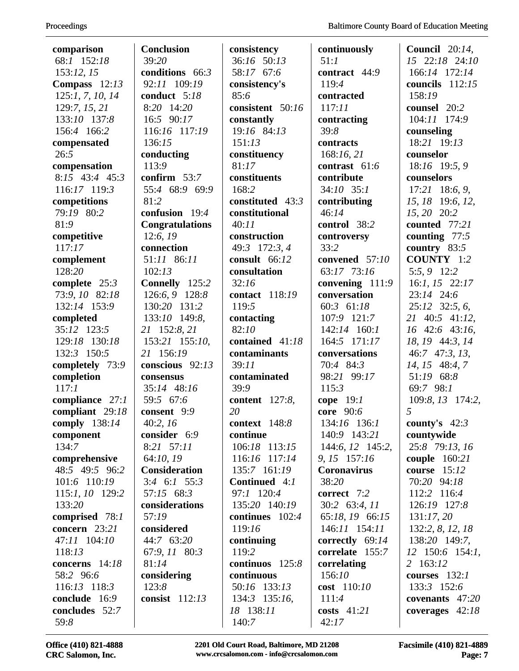| comparison        | <b>Conclusion</b>      | consistency           | continuously       | Council $20:14$ , |
|-------------------|------------------------|-----------------------|--------------------|-------------------|
| 68:1 152:18       | 39:20                  | 36:16 50:13           | 51:1               | 15 22:18 24:10    |
| 153:12, 15        | conditions 66:3        | 58:17 67:6            | contract 44:9      | 166:14 172:14     |
| Compass $12:13$   | 92:11 109:19           | consistency's         | 119:4              | councils $112:15$ |
| 125:1, 7, 10, 14  | conduct $5:18$         | 85:6                  | contracted         | 158:19            |
| 129:7, 15, 21     | 8:20 14:20             | consistent 50:16      | 117:11             | counsel 20:2      |
| 133:10 137:8      | 16:5 90:17             | constantly            | contracting        | 104:11 174:9      |
| 156:4 166:2       | 116:16 117:19          | 19:16 84:13           | 39:8               | counseling        |
| compensated       | 136:15                 | 151:13                | contracts          | 18:21 19:13       |
| 26:5              | conducting             | constituency          | 168:16,21          | counselor         |
| compensation      | 113:9                  | 81:17                 | contrast 61:6      | 18:16 19:5, 9     |
| $8:15$ 43:4 45:3  | confirm $53:7$         | constituents          | contribute         | counselors        |
| 116:17 119:3      | 55:4 68:9 69:9         | 168:2                 | $34:10$ $35:1$     | $17:21$ 18:6, 9,  |
| competitions      | 81:2                   | constituted 43:3      | contributing       | 15, 18 19:6, 12,  |
| 79:19 80:2        | confusion 19:4         | constitutional        | 46:14              | 15, 20 20:2       |
| 81:9              | <b>Congratulations</b> | 40:11                 | control 38:2       | counted 77:21     |
| competitive       | 12:6,19                | construction          | controversy        | counting $77:5$   |
| 117:17            | connection             | 49:3 172:3, 4         | 33:2               | country $83:5$    |
| complement        | 51:11 86:11            | consult 66:12         | convened 57:10     | <b>COUNTY</b> 1:2 |
| 128:20            | 102:13                 | consultation          | 63:17 73:16        | 5:5, 9 12:2       |
| complete 25:3     | Connelly 125:2         | 32:16                 | convening 111:9    | $16:1, 15$ 22:17  |
| 73:9, 10 82:18    | 126:6, 9 128:8         | contact 118:19        | conversation       | 23:14 24:6        |
| 132:14 153:9      | 130:20 131:2           | 119:5                 | 60:3 61:18         | 25:12 32:5, 6,    |
| completed         | 133:10 149:8,          | contacting            | 107:9 121:7        | 21 40:5 41:12,    |
| 35:12 123:5       | 21 152:8, 21           | 82:10                 | 142:14 160:1       | 16 42:6 43:16,    |
| 129:18 130:18     | 153:21 155:10,         | contained 41:18       | 164:5 171:17       | 18, 19 44:3, 14   |
| 132:3 150:5       | 21 156:19              | contaminants          | conversations      | 46:7 47:3, 13,    |
| completely 73:9   | conscious 92:13        | 39:11                 | 70:4 84:3          | 14, 15 48:4, 7    |
| completion        | consensus              | contaminated          | 98:21 99:17        | 51:19 68:8        |
| 117:1             | 35:14 48:16            | 39:9                  | 115:3              | 69:7 98:1         |
| compliance $27:1$ | 59:5 67:6              | <b>content</b> 127:8, | cope $19:1$        | 109:8, 13 174:2,  |
| compliant 29:18   | consent 9:9            | 20                    | core 90:6          | 5                 |
| comply 138:14     | 40:2,16                | context $148:8$       | 134:16 136:1       | county's $42:3$   |
| component         | consider 6:9           | continue              | 140:9 143:21       | countywide        |
| 134:7             | 8:21 57:11             | 106:18 113:15         | 144:6, 12 145:2,   | 25:8 79:13, 16    |
| comprehensive     | 64:10, 19              | 116:16 117:14         | 9, 15 157:16       | couple $160:21$   |
| 48:5 49:5 96:2    | <b>Consideration</b>   | 135:7 161:19          | <b>Coronavirus</b> | course 15:12      |
| 101:6 110:19      | $3:4$ 6:1 55:3         | Continued 4:1         | 38:20              | 70:20 94:18       |
| 115:1, 10 129:2   | 57:15 68:3             | 97:1 120:4            | correct 7:2        | 112:2 116:4       |
| 133:20            | considerations         | 135:20 140:19         | $30:2$ 63:4, 11    | 126:19 127:8      |
| comprised 78:1    | 57:19                  | continues $102:4$     | 65:18, 19 66:15    | 131:17,20         |
| concern $23:21$   | considered             | 119:16                | $146:11$ $154:11$  | 132:2, 8, 12, 18  |
| 47:11 104:10      | 44:7 63:20             | continuing            | correctly $69:14$  | 138:20 149:7,     |
| 118:13            | 67:9, 11 80:3          | 119:2                 | correlate 155:7    | $12$ 150:6 154:1, |
| concerns 14:18    | 81:14                  | continuos 125:8       | correlating        | 2 163:12          |
| 58:2 96:6         | considering            | continuous            | 156:10             | courses $132:1$   |
| 116:13 118:3      | 123:8                  | 50:16 133:13          | cost $110:10$      | 133:3 152:6       |
| conclude 16:9     | consist 112:13         | 134:3 135:16,         | 111:4              | covenants $47:20$ |
| concludes $52:7$  |                        | 18 138:11             | costs $41:21$      | coverages $42:18$ |
| 59:8              |                        | 140:7                 | 42:17              |                   |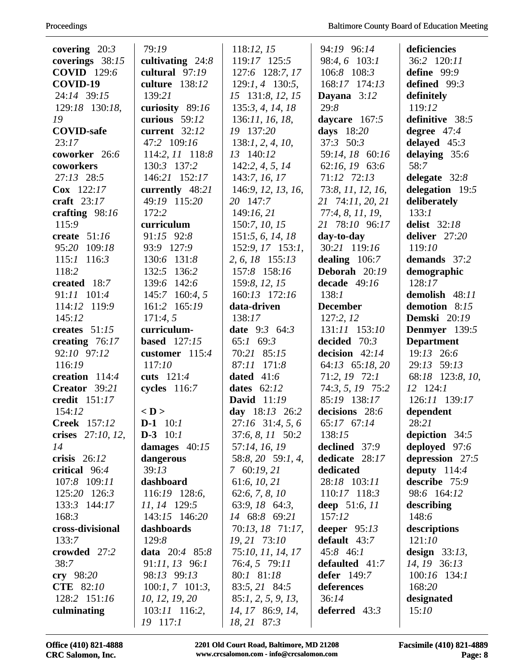| covering $20:3$    | 79:19               | 118:12, 15             | 94:19 96:14        | deficiencies        |
|--------------------|---------------------|------------------------|--------------------|---------------------|
| coverings 38:15    | cultivating $24:8$  | 119:17 125:5           | 98:4, 6 103:1      | 36:2 120:11         |
| <b>COVID</b> 129:6 | cultural $97:19$    | 127:6 128:7, 17        | 106:8 108:3        | define 99:9         |
| COVID-19           | culture 138:12      | $129:1, 4$ 130:5,      | 168:17 174:13      | defined 99:3        |
| 24:14 39:15        | 139:21              | 15 131:8, 12, 15       | Dayana $3:12$      | definitely          |
| 129:18 130:18,     | curiosity 89:16     | 135:3, 4, 14, 18       | 29:8               | 119:12              |
| 19                 | curious $59:12$     | 136:11, 16, 18,        | daycare 167:5      | definitive 38:5     |
| <b>COVID-safe</b>  | current 32:12       | 19 137:20              | days 18:20         | degree $47:4$       |
| 23:17              | 47:2 109:16         | 138:1, 2, 4, 10,       | $37:3$ $50:3$      | delayed $45:3$      |
| coworker 26:6      | 114:2, 11 118:8     | 13 140:12              | 59:14, 18 60:16    | delaying 35:6       |
| coworkers          | 130:3 137:2         | 142:2, 4, 5, 14        | 62:16, 19 63:6     | 58:7                |
| $27:13$ $28:5$     | 146:21 152:17       | 143:7, 16, 17          | 71:12 72:13        | delegate $32:8$     |
| Cox 122:17         | currently 48:21     | 146:9, 12, 13, 16,     | 73:8, 11, 12, 16,  | delegation 19:5     |
| craft $23:17$      | 49:19 115:20        | 20 147:7               | 21 74:11, 20, 21   | deliberately        |
| crafting $98:16$   | 172:2               | 149:16, 21             | 77:4, 8, 11, 19,   | 133:1               |
| 115:9              | curriculum          | 150:7, 10, 15          | 21 78:10 96:17     | <b>delist</b> 32:18 |
| create $51:16$     | 91:15 92:8          | 151:5, 6, 14, 18       | day-to-day         | deliver 27:20       |
| 95:20 109:18       | 93:9 127:9          | 152:9, 17 153:1,       | 30:21 119:16       | 119:10              |
| $115:1$ 116:3      | 130:6 131:8         | 2, 6, 18 155:13        | dealing $106:7$    | demands 37:2        |
| 118:2              | 132:5 136:2         | 157:8 158:16           | Deborah 20:19      | demographic         |
| created 18:7       | 139:6 142:6         | 159:8, 12, 15          | decade $49:16$     | 128:17              |
| 91:11 101:4        | 145:7 160:4, 5      | 160:13 172:16          | 138:1              | demolish 48:11      |
| 114:12 119:9       | 161:2 165:19        | data-driven            | <b>December</b>    | demotion 8:15       |
| 145:12             | 171:4,5             | 138:17                 | 127:2, 12          | <b>Demski</b> 20:19 |
| creates $51:15$    | curriculum-         | <b>date</b> $9:3$ 64:3 | 131:11 153:10      | Denmyer 139:5       |
| creating $76:17$   | <b>based</b> 127:15 | 65:1 69:3              | decided $70:3$     | <b>Department</b>   |
| 92:10 97:12        | customer $115:4$    | 70:21 85:15            | decision $42:14$   | 19:13 26:6          |
| 116:19             | 117:10              | 87:11 171:8            | 64:13 65:18, 20    | 29:13 59:13         |
| creation 114:4     | cuts $121:4$        | dated $41:6$           | 71:2, 19 72:1      | 68:18 123:8, 10,    |
| Creator 39:21      | cycles $116:7$      | dates $62:12$          | 74:3, 5, 19 75:2   | 12 124:1            |
| credit 151:17      |                     | <b>David</b> 11:19     | 85:19 138:17       | 126:11 139:17       |
| 154:12             | $<$ D $>$           | day 18:13 26:2         | decisions 28:6     | dependent           |
| Creek 157:12       | $D-1$ 10:1          | $27:16$ 31:4, 5, 6     | 65:17 67:14        | 28:21               |
| crises 27:10, 12,  | $D-3$ 10:1          | 37:6, 8, 11 50:2       | 138:15             | depiction $34:5$    |
| 14                 | damages $40:15$     | 57:14, 16, 19          | declined 37:9      | deployed 97:6       |
| crisis $26:12$     | dangerous           | 58:8, 20 59:1, 4,      | dedicate 28:17     | depression 27:5     |
| critical 96:4      | 39:13               | $7\,60:19,21$          | dedicated          | deputy $114:4$      |
| 107:8 109:11       | dashboard           | 61:6, 10, 21           | 28:18 103:11       | describe 75:9       |
| 125:20 126:3       | 116:19 128:6,       | 62:6, 7, 8, 10         | 110:17 118:3       | 98:6 164:12         |
| 133:3 144:17       | 11, 14 129:5        | 63:9, 18 64:3,         | deep 51:6, 11      | describing          |
| 168:3              | 143:15 146:20       | 14 68:8 69:21          | 157:12             | 148:6               |
| cross-divisional   | dashboards          | 70:13, 18 71:17,       | deeper $95:13$     | descriptions        |
| 133:7              | 129:8               | 19, 21 73:10           | default $43:7$     | 121:10              |
| crowded 27:2       | data $20:4$ 85:8    | 75:10, 11, 14, 17      | 45:8 46:1          | design $33:13$ ,    |
| 38:7               | $91:11, 13$ 96:1    | 76:4, 5 79:11          | defaulted 41:7     | 14, 19 36:13        |
| cry $98:20$        | 98:13 99:13         | 80:1 81:18             | <b>defer</b> 149:7 | $100:16$ 134:1      |
| <b>CTE</b> 82:10   | $100:1, 7$ 101:3,   | 83:5, 21 84:5          | deferences         | 168:20              |
| 128:2 151:16       | 10, 12, 19, 20      | 85:1, 2, 5, 9, 13,     | 36:14              | designated          |
| culminating        | 103:11 116:2,       | 14, 17 86:9, 14,       | deferred $43:3$    | 15:10               |
|                    | 19 117:1            | 18, 21 87:3            |                    |                     |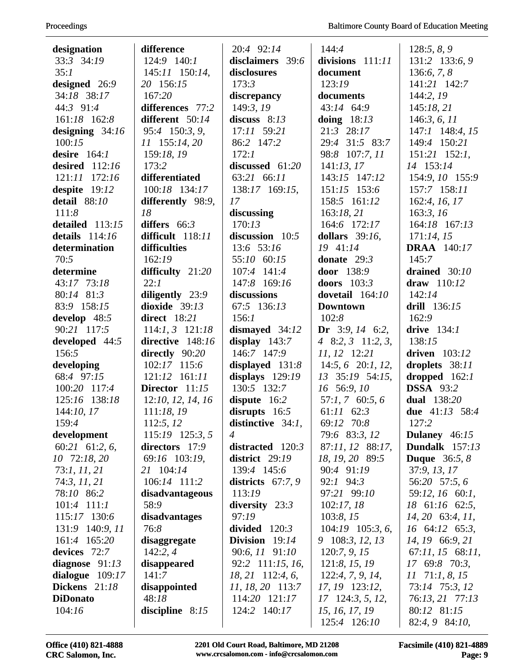| designation       | difference            | 20:4 92:14           | 144:4                          | 128:5, 8, 9                   |
|-------------------|-----------------------|----------------------|--------------------------------|-------------------------------|
| 33:3 34:19        | 124:9 140:1           | disclaimers 39:6     | divisions 111:11               | 131:2 133:6, 9                |
| 35:1              | 145:11 150:14,        | disclosures          | document                       | 136:6, 7, 8                   |
| designed 26:9     | 20 156:15             | 173:3                | 123:19                         | 141:21 142:7                  |
| 34:18 38:17       | 167:20                | discrepancy          | documents                      | 144:2, 19                     |
| 44:3 91:4         | differences 77:2      | 149:3, 19            | 43:14 64:9                     | 145:18,21                     |
| 161:18 162:8      | different 50:14       | discuss $8:13$       | doing $18:13$                  | 146:3, 6, 11                  |
| designing $34:16$ | 95:4 150:3, 9,        | 17:11 59:21          | 21:3 28:17                     | 147:1 148:4, 15               |
| 100:15            | 11 155:14, 20         | 86:2 147:2           | 29:4 31:5 83:7                 | 149:4 150:21                  |
| desire $164:1$    | 159:18, 19            | 172:1                | 98:8 107:7, 11                 | $151:21$ $152:1$ ,            |
| desired $112:16$  | 173:2                 | discussed 61:20      | 141:13,17                      | 14 153:14                     |
| 121:11 172:16     | differentiated        | 63:21 66:11          | 143:15 147:12                  | 154:9, 10 155:9               |
| despite 19:12     | 100:18 134:17         | 138:17 169:15,       | 151:15 153:6                   | 157:7 158:11                  |
| detail 88:10      | differently 98:9,     | 17                   | 158:5 161:12                   | 162:4, 16, 17                 |
| 111:8             | 18                    | discussing           | 163:18,21                      | 163:3, 16                     |
| detailed 113:15   | differs $66:3$        | 170:13               | 164:6 172:17                   | 164:18 167:13                 |
| details $114:16$  | difficult 118:11      | discussion $10:5$    | dollars $39:16$ .              | 171:14, 15                    |
| determination     | difficulties          | 13:6 53:16           | 19 41:14                       | <b>DRAA</b> 140:17            |
| 70:5              | 162:19                | 55:10 60:15          | donate $29:3$                  | 145:7                         |
| determine         | difficulty 21:20      | 107:4 141:4          | <b>door</b> 138:9              | drained $30:10$               |
| 43:17 73:18       | 22:1                  | 147:8 169:16         | doors $103:3$                  | draw 110:12                   |
| 80:14 81:3        | diligently 23:9       | discussions          | dovetail 164:10                | 142:14                        |
| 83:9 158:15       | dioxide $39:13$       | 67:5 136:13          | <b>Downtown</b>                | drill 136:15                  |
| develop $48:5$    | direct $18:21$        | 156:1                | 102:8                          | 162:9                         |
| 90:21 117:5       | $114:1, 3$ $121:18$   | dismayed $34:12$     | Dr $3:9, 14$ 6:2,              | drive $134:1$                 |
| developed 44:5    | directive 148:16      | display $143:7$      | 4 8:2, 3 11:2, 3,              | 138:15                        |
| 156:5             | directly 90:20        | 146:7 147:9          | 11, 12 12:21                   | driven $103:12$               |
| developing        | 102:17 115:6          | displayed 131:8      | $14:5, 6$ 20:1, 12,            | droplets 38:11                |
| 68:4 97:15        | 121:12 161:11         | displays $129:19$    | 13 35:19 54:15,                | dropped $162:1$               |
| 100:20 117:4      | Director $11:15$      | 130:5 132:7          | 16 56:9, 10                    | <b>DSSA</b> 93:2              |
| 125:16 138:18     | 12:10, 12, 14, 16     | dispute 16:2         | $57:1, 7$ 60:5, 6              | dual 138:20                   |
| 144:10, 17        | 111:18,19             | disrupts $16:5$      | $61:11$ $62:3$                 | due $41:13$ 58:4              |
| 159:4             | 112:5, 12             | distinctive $34:1$ , | 69:12 70:8                     | 127:2                         |
| development       | 115:19 125:3, 5       | $\overline{4}$       | 79:6 83:3, 12                  | Dulaney 46:15                 |
| $60:21$ 61:2, 6,  | directors 17:9        | distracted 120:3     | 87:11, 12 88:17,               | Dundalk $157:13$              |
| 10 72:18, 20      | 69:16 103:19,         | district $29:19$     | 18, 19, 20 89:5                | <b>Duque</b> $36:5, 8$        |
| 73:1, 11, 21      | 21 104:14             | 139:4 145:6          | 90:4 91:19                     | 37:9, 13, 17                  |
| 74:3, 11, 21      | 106:14 111:2          | districts $67:7,9$   | 92:1 94:3                      | 56:20 57:5, 6                 |
| 78:10 86:2        | disadvantageous       | 113:19               | 97:21 99:10                    | 59:12, 16 60:1,               |
| $101:4$ $111:1$   | 58:9                  | diversity $23:3$     | 102:17,18                      | 18 61:16 62:5,                |
| 115:17 130:6      | disadvantages         | 97:19                | 103:8, 15                      | $14, 20$ 63:4, $11,$          |
| 131:9 140:9, 11   | 76:8                  | divided $120:3$      | $104:19$ $105:3, 6$ ,          | 16 64:12 65:3,                |
| 161:4 165:20      | disaggregate          | Division $19:14$     | 9 108:3, 12, 13                | 14, 19 66:9, 21               |
| devices $72:7$    | 142:2,4               | 90:6, 11 91:10       | 120:7, 9, 15                   | $67:11, 15$ $68:11,$          |
| diagnose $91:13$  | disappeared           | 92:2 111:15, 16,     | 121:8, 15, 19                  | 17 69:8 70:3,                 |
| dialogue $109:17$ | 141:7                 | 18, 21 112:4, 6,     | 122:4, 7, 9, 14,               | $11 \quad 71:1, 8, 15$        |
| Dickens 21:18     | disappointed<br>48:18 | 11, 18, 20 113:7     | 17, 19 123:12,                 | 73:14 75:3, 12                |
| <b>DiDonato</b>   |                       | 114:20 121:17        | 17 124:3, 5, 12,               | 76:13, 21 77:13               |
| 104:16            | discipline $8:15$     | 124:2 140:17         | 15, 16, 17, 19<br>125:4 126:10 | 80:12 81:15<br>82:4, 9 84:10, |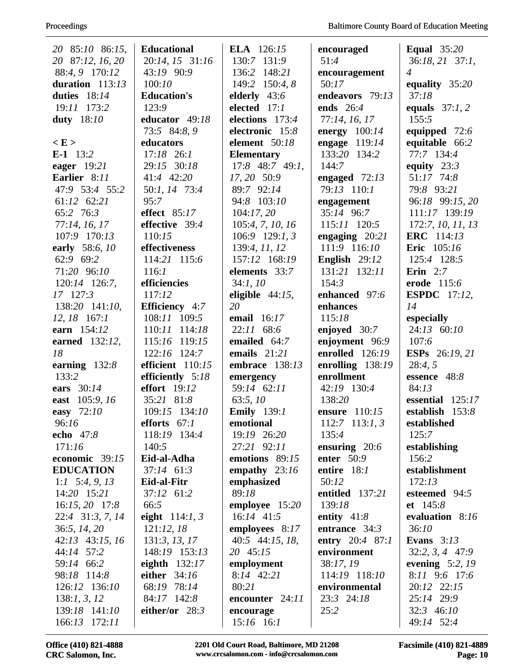| 20 85:10 86:15,   | <b>Educational</b>  | <b>ELA</b> 126:15  | encouraged       | <b>Equal</b> 35:20    |
|-------------------|---------------------|--------------------|------------------|-----------------------|
| 20 87:12, 16, 20  | 20:14, 15 31:16     | 130:7 131:9        | 51:4             | 36:18, 21 37:1,       |
| 88:4, 9 170:12    | 43:19 90:9          | 136:2 148:21       | encouragement    | $\overline{4}$        |
| duration $113:13$ | 100:10              | 149:2 150:4, 8     | 50:17            | equality 35:20        |
| duties $18:14$    | <b>Education's</b>  | elderly $43:6$     | endeavors 79:13  | 37:18                 |
| 19:11 173:2       | 123:9               | elected 17:1       | ends 26:4        | equals $37:1, 2$      |
| <b>duty</b> 18:10 | educator 49:18      | elections 173:4    | 77:14, 16, 17    | 155:5                 |
|                   | 73:5 84:8, 9        | electronic 15:8    | energy $100:14$  | equipped 72:6         |
| E >               | educators           | element 50:18      | engage $119:14$  | equitable 66:2        |
| E-1 $13:2$        | $17:18$ 26:1        | <b>Elementary</b>  | 133:20 134:2     | 77:7 134:4            |
| eager $19:21$     | 29:15 30:18         | $17:8$ 48:7 49:1,  | 144:7            | equity $23:3$         |
| Earlier 8:11      | 41:4 42:20          | 17, 20 50:9        | engaged $72:13$  | 51:17 74:8            |
| 47:9 53:4 55:2    | 50:1, 14 73:4       | 89:7 92:14         | 79:13 110:1      | 79:8 93:21            |
| 61:12 62:21       | 95:7                | 94:8 103:10        | engagement       | 96:18 99:15, 20       |
| 65:2 76:3         | effect 85:17        | 104:17,20          | 35:14 96:7       | 111:17 139:19         |
| 77:14, 16, 17     | effective 39:4      | 105:4, 7, 10, 16   | 115:11 120:5     | 172:7, 10, 11, 13     |
| 107:9 170:13      | 110:15              | $106:9$ 129:1, 3   | engaging $20:21$ | <b>ERC</b> 114:13     |
| early 58:6, 10    | effectiveness       | 139:4, 11, 12      | 111:9 116:10     | <b>Eric</b> 105:16    |
| 62:9 69:2         | 114:21 115:6        | 157:12 168:19      | English 29:12    | 125:4 128:5           |
| 71:20 96:10       | 116:1               | elements 33:7      | 131:21 132:11    | Erin $2:7$            |
| 120:14 126:7,     | efficiencies        | 34:1, 10           | 154:3            | erode 115:6           |
| 17 127:3          | 117:12              | eligible $44:15$ , | enhanced 97:6    | <b>ESPDC</b> 17:12,   |
| 138:20 141:10,    | Efficiency 4:7      | 20                 | enhances         | 14                    |
| $12, 18$ 167:1    | 108:11 109:5        | email 16:17        | 115:18           | especially            |
| earn 154:12       | 110:11 114:18       | 22:11 68:6         | enjoyed 30:7     | 24:13 60:10           |
| earned 132:12,    | 115:16 119:15       | emailed 64:7       | enjoyment 96:9   | 107:6                 |
| 18                | 122:16 124:7        | emails $21:21$     | enrolled 126:19  | <b>ESPs</b> 26:19, 21 |
| earning $132:8$   | efficient 110:15    | embrace 138:13     | enrolling 138:19 | 28:4,5                |
| 133:2             | efficiently 5:18    | emergency          | enrollment       | essence 48:8          |
| ears 30:14        | <b>effort</b> 19:12 | 59:14 62:11        | 42:19 130:4      | 84:13                 |
| east 105:9, 16    | 35:21 81:8          | 63:5,10            | 138:20           | essential $125:17$    |
| easy 72:10        | 109:15 134:10       | <b>Emily</b> 139:1 | ensure 110:15    | establish $153:8$     |
| 96:16             | efforts $67:1$      | emotional          | 112:7 113:1, 3   | established           |
| echo 47:8         | 118:19 134:4        | 19:19 26:20        | 135:4            | 125:7                 |
| 171:16            | 140:5               | 27:21 92:11        | ensuring $20:6$  | establishing          |
| economic $39:15$  | Eid-al-Adha         | emotions 89:15     | enter $50:9$     | 156:2                 |
| <b>EDUCATION</b>  | $37:14$ 61:3        | empathy $23:16$    | entire $18:1$    | establishment         |
| 1:1 $5:4, 9, 13$  | Eid-al-Fitr         | emphasized         | 50:12            | 172:13                |
| 14:20 15:21       | 37:12 61:2          | 89:18              | entitled 137:21  | esteemed 94:5         |
| $16:15, 20$ 17:8  | 66:5                | employee 15:20     | 139:18           | et 145:8              |
| 22:4 31:3, 7, 14  | eight $114:1, 3$    | $16:14$ 41:5       | entity $41:8$    | evaluation 8:16       |
| 36:5, 14, 20      | 121:12,18           | employees 8:17     | entrance $34:3$  | 36:10                 |
| 42:13 43:15, 16   | 131:3, 13, 17       | 40:5 44:15, 18,    | entry 20:4 87:1  | Evans $3:13$          |
| 44:14 57:2        | 148:19 153:13       | 20 45:15           | environment      | $32:2, 3, 4$ 47:9     |
| 59:14 66:2        | eighth $132:17$     | employment         | 38:17, 19        | evening $5:2$ , 19    |
| 98:18 114:8       | either 34:16        | 8:14 42:21         | 114:19 118:10    | 8:11 9:6 17:6         |
| 126:12 136:10     | 68:19 78:14         | 80:21              | environmental    | 20:12 22:15           |
| 138:1, 3, 12      | 84:17 142:8         | encounter 24:11    | 23:3 24:18       | 25:14 29:9            |
| 139:18 141:10     | either/or $28:3$    | encourage          | 25:2             | 32:3 46:10            |
| 166:13 172:11     |                     | $15:16$ 16:1       |                  | 49:14 52:4            |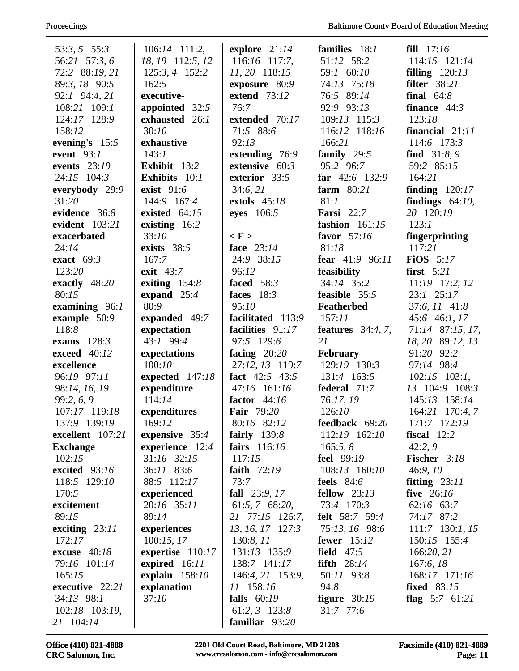| $53:3, 5$ $55:3$ | $106:14$ 111:2,      | explore $21:14$     | families 18:1         | fill $17:16$         |
|------------------|----------------------|---------------------|-----------------------|----------------------|
| 56:21 57:3,6     | 18, 19 112:5, 12     | $116:16$ 117:7,     | 51:12 58:2            | 114:15 121:14        |
| 72:2 88:19, 21   | 125:3, 4 152:2       | 11, 20 118:15       | 59:1 60:10            | filling $120:13$     |
| 89:3, 18 90:5    | 162:5                | exposure 80:9       | 74:13 75:18           | filter $38:21$       |
| 92:1 94:4, 21    | executive-           | <b>extend</b> 73:12 | 76:5 89:14            | final $64:8$         |
| 108:21 109:1     | appointed 32:5       | 76:7                | 92:9 93:13            | finance $44:3$       |
| 124:17 128:9     | exhausted 26:1       | extended 70:17      | 109:13 115:3          | 123:18               |
| 158:12           | 30:10                | 71:5 88:6           | 116:12 118:16         | financial 21:11      |
| evening's $15:5$ | exhaustive           | 92:13               | 166:21                | 114:6 173:3          |
| event $93:1$     | 143:1                | extending 76:9      | family $29:5$         | <b>find</b> $31:8,9$ |
| events $23:19$   | Exhibit 13:2         | extensive $60:3$    | 95:2 96:7             | 59:2 85:15           |
| 24:15 104:3      | <b>Exhibits</b> 10:1 | exterior 33:5       | far $42:6$ 132:9      | 164:21               |
| everybody 29:9   | exist 91:6           | 34:6, 21            | farm $80:21$          | finding $120:17$     |
| 31:20            | 144:9 167:4          | extols 45:18        | 81:1                  | findings $64:10$ ,   |
| evidence 36:8    | existed $64:15$      | eyes 106:5          | <b>Farsi</b> 22:7     | 20 120:19            |
| evident 103:21   | existing 16:2        |                     | fashion $161:15$      | 123:1                |
| exacerbated      | 33:10                | $\langle F \rangle$ | favor 57:16           | fingerprinting       |
| 24:14            | exists 38:5          | face 23:14          | 81:18                 | 117:21               |
| exact $69:3$     | 167:7                | 24:9 38:15          | fear 41:9 96:11       | FiOS $5:17$          |
| 123:20           | exit 43:7            | 96:12               | feasibility           | first $5:21$         |
| exactly 48:20    | exiting $154:8$      | faced $58:3$        | 34:14 35:2            | 11:19 17:2, 12       |
| 80:15            | expand $25:4$        | faces $18:3$        | feasible 35:5         | $23:1$ $25:17$       |
| examining $96:1$ | 80:9                 | 95:10               | Featherbed            | 37:6, 11 41:8        |
| example 50:9     | expanded 49:7        | facilitated 113:9   | 157:11                | 45:6 46:1, 17        |
| 118:8            | expectation          | facilities 91:17    | features $34:4, 7$ ,  | 71:14 87:15, 17,     |
| exams $128:3$    | 43:1 99:4            | 97:5 129:6          | 21                    | 18, 20 89:12, 13     |
| exceed 40:12     | expectations         | facing $20:20$      | February              | 91:20 92:2           |
| excellence       | 100:10               | 27:12, 13 119:7     | 129:19 130:3          | 97:14 98:4           |
| 96:19 97:11      | expected 147:18      | fact 42:5 43:5      | 131:4 163:5           | $102:15$ 103:1,      |
| 98:14, 16, 19    | expenditure          | 47:16 161:16        | federal 71:7          | 13 104:9 108:3       |
| 99:2, 6, 9       | 114:14               | factor $44:16$      | 76:17, 19             | 145:13 158:14        |
| 107:17 119:18    | expenditures         | <b>Fair</b> 79:20   | 126:10                | 164:21 170:4, 7      |
| 137:9 139:19     | 169:12               | 80:16 82:12         | feedback 69:20        | 171:7 172:19         |
| excellent 107:21 | expensive $35:4$     | fairly $139:8$      | 112:19 162:10         | fiscal $12:2$        |
| <b>Exchange</b>  | experience 12:4      | fairs 116:16        | 165:5, 8              | 42:2,9               |
| 102:15           | 31:16 32:15          | 117:15              | <b>feel</b> 99:19     | Fischer 3:18         |
| excited 93:16    | 36:11 83:6           | faith $72:19$       | 108:13 160:10         | 46:9,10              |
| 118:5 129:10     | 88:5 112:17          | 73:7                | feels $84:6$          | fitting $23:11$      |
| 170:5            | experienced          | fall 23:9, 17       | fellow $23:13$        | five $26:16$         |
| excitement       | 20:16 35:11          | 61:5, 7 68:20,      | 73:4 170:3            | $62:16$ $63:7$       |
| 89:15            | 89:14                | 21 77:15 126:7,     | <b>felt</b> 58:7 59:4 | 74:17 87:2           |
| exciting $23:11$ | experiences          | 13, 16, 17 127:3    | 75:13, 16 98:6        | $111:7$ 130:1, 15    |
| 172:17           | 100:15,17            | 130:8, 11           | fewer $15:12$         | 150:15 155:4         |
| excuse $40:18$   | expertise $110:17$   | 131:13 135:9        | field $47:5$          | 166:20, 21           |
| 79:16 101:14     | expired 16:11        | 138:7 141:17        | fifth $28:14$         | 167:6, 18            |
| 165:15           | explain $158:10$     | 146:4, 21 153:9,    | 50:11 93:8            | 168:17 171:16        |
| executive 22:21  | explanation          | 11 158:16           | 94:8                  | <b>fixed</b> 83:15   |
| $34:13$ 98:1     | 37:10                | falls $60:19$       | figure $30:19$        | flag $5:7$ 61:21     |
| 102:18 103:19,   |                      | $61:2, 3$ 123:8     | 31:7 77:6             |                      |
| 21 104:14        |                      | familiar 93:20      |                       |                      |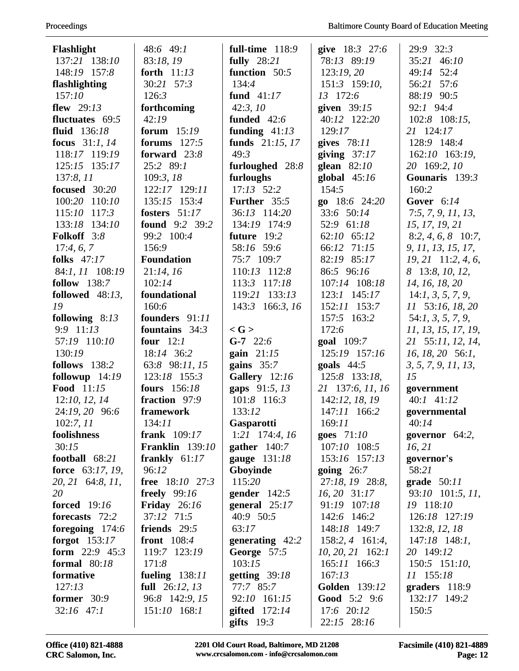| Flashlight                  | 48:6 49:1              | full-time 118:9     | give 18:3 27:6             | 29:9 32:3            |
|-----------------------------|------------------------|---------------------|----------------------------|----------------------|
| 137:21 138:10               | 83:18, 19              | fully 28:21         | 78:13 89:19                | 35:21 46:10          |
| 148:19 157:8                | forth 11:13            | function 50:5       | 123:19,20                  | 49:14 52:4           |
| flashlighting               | 30:21 57:3             | 134:4               | 151:3 159:10,              | 56:21 57:6           |
| 157:10                      | 126:3                  | fund $41:17$        | 13 172:6                   | 88:19 90:5           |
| flew $29:13$                | forthcoming            | 42:3,10             | given $39:15$              | 92:1 94:4            |
| fluctuates 69:5             | 42:19                  | funded $42:6$       | 40:12 122:20               | 102:8 108:15,        |
| fluid 136:18                | forum $15:19$          | funding $41:13$     | 129:17                     | 21 124:17            |
| focus 31:1, 14              | forums $127:5$         | funds $21:15, 17$   | gives $78:11$              | 128:9 148:4          |
| 118:17 119:19               | forward 23:8           | 49:3                | giving $37:17$             | 162:10 163:19,       |
| 125:15 135:17               | 25:2 89:1              | furloughed 28:8     | glean $82:10$              | 20 169:2, 10         |
| 137:8, 11                   | 109:3, 18              | furloughs           | global $45:16$             | Gounaris 139:3       |
| focused 30:20               | 122:17 129:11          | $17:13$ $52:2$      | 154:5                      | 160:2                |
| 100:20 110:10               | 135:15 153:4           | Further 35:5        | go $18:6$ 24:20            | Gover $6:14$         |
| 115:10 117:3                | fosters $51:17$        | 36:13 114:20        | 33:6 50:14                 | 7:5, 7, 9, 11, 13,   |
| 133:18 134:10               | <b>found</b> 9:2 39:2  | 134:19 174:9        | 52:9 61:18                 | 15, 17, 19, 21       |
| Folkoff 3:8                 | 99:2 100:4             | future 19:2         | 62:10 65:12                | $8:2, 4, 6, 8$ 10:7, |
| 17:4, 6, 7                  | 156:9                  | 58:16 59:6          | 66:12 71:15                | 9, 11, 13, 15, 17,   |
| folks $47:17$               | <b>Foundation</b>      | 75:7 109:7          | 82:19 85:17                | $19, 21$ 11:2, 4, 6, |
| 84:1, 11 108:19             | 21:14, 16              | 110:13 112:8        | 86:5 96:16                 | 8 13:8, 10, 12,      |
| follow 138:7                | 102:14                 | 113:3 117:18        | 107:14 108:18              | 14, 16, 18, 20       |
| followed $48:13$ ,          | foundational           | 119:21 133:13       | 123:1 145:17               | 14:1, 3, 5, 7, 9,    |
| 19                          | 160:6                  | 143:3 166:3, 16     | 152:11 153:7               | 11 53:16, 18, 20     |
| following $8:13$            | founders 91:11         |                     | 157:5 163:2                | 54:1, 3, 5, 7, 9,    |
| 9:9 11:13                   | fountains $34:3$       | $\langle G \rangle$ | 172:6                      | 11, 13, 15, 17, 19,  |
| 57:19 110:10                | four $12:1$            | $G-7$ 22:6          | goal 109:7                 | 21 55:11, 12, 14,    |
| 130:19                      | 18:14 36:2             | gain $21:15$        | 125:19 157:16              | 16, 18, 20, 56:1,    |
| follows 138:2               | 63:8 98:11, 15         | gains $35:7$        | goals $44:5$               | 3, 5, 7, 9, 11, 13,  |
| followup 14:19              | 123:18 155:3           | Gallery 12:16       | 125:8 133:18,              | 15                   |
| Food 11:15                  | <b>fours</b> 156:18    | gaps 91:5, 13       | 21 137:6, 11, 16           | government           |
| 12:10, 12, 14               | fraction 97:9          | 101:8 116:3         | 142:12, 18, 19             | $40:1$ $41:12$       |
| 24:19, 20 96:6              | framework              | 133:12              | 147:11 166:2               | governmental         |
| 102:7, 11                   | 134:11                 | <b>Gasparotti</b>   | 169:11                     | 40:14                |
| foolishness                 | frank $109:17$         | $1:21$ 174:4, 16    | goes $71:10$               | governor $64:2$ ,    |
| 30:15                       | <b>Franklin</b> 139:10 | gather $140:7$      | 107:10 108:5               | 16, 21               |
| football 68:21              | frankly $61:17$        | gauge 131:18        | 153:16 157:13              | governor's           |
| force 63:17, 19,            | 96:12                  | Gboyinde            | going $26:7$               | 58:21                |
| 20, 21 64:8, 11,            | <b>free</b> 18:10 27:3 | 115:20              | 27:18, 19 28:8,            | grade $50:11$        |
| 20                          | <b>freely</b> 99:16    | gender $142:5$      | 16, 20 31:17               | 93:10 101:5, 11,     |
| <b>forced</b> 19:16         | Friday $26:16$         | general $25:17$     | 91:19 107:18               | 19 118:10            |
| forecasts 72:2              | 37:12 71:5             | 40:9 50:5           | 142:6 146:2                | 126:18 127:19        |
| foregoing $174:6$           | friends 29:5           | 63:17               | 148:18 149:7               | 132:8, 12, 18        |
| forgot $153:17$             | front 108:4            | generating $42:2$   | $158:2, 4$ 161:4,          | $147:18$ 148:1,      |
| form $22:9$ 45:3            | 119:7 123:19           | George 57:5         | $10, 20, 21$ 162:1         | 20 149:12            |
| formal $80:18$              | 171:8                  | 103:15              | 165:11 166:3               | $150:5$ $151:10$ ,   |
| formative<br>127:13         | fueling 138:11         | getting $39:18$     | 167:13                     | 11 155:18            |
|                             | full $26:12, 13$       | 77:7 85:7           | Golden 139:12              | graders $118:9$      |
| former 30:9<br>$32:16$ 47:1 | 96:8 142:9, 15         | 92:10 161:15        | Good 5:2 9:6<br>17:6 20:12 | 132:17 149:2         |
|                             | 151:10 168:1           | gifted $172:14$     |                            | 150:5                |
|                             |                        | gifts $19:3$        | 22:15 28:16                |                      |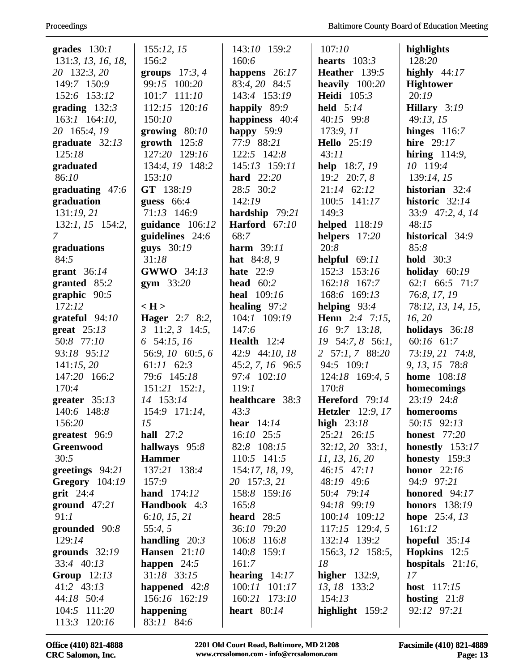| grades $130:1$        | 155:12, 15                    | 143:10 159:2       | 107:10                  | highlights             |
|-----------------------|-------------------------------|--------------------|-------------------------|------------------------|
| 131:3, 13, 16, 18,    | 156:2                         | 160:6              | hearts $103:3$          | 128:20                 |
| 20 132:3, 20          | groups $17:3, 4$              | happens 26:17      | <b>Heather</b> 139:5    | highly $44:17$         |
| 149:7 150:9           | 99:15 100:20                  | 83:4, 20 84:5      | heavily $100:20$        | <b>Hightower</b>       |
| 152:6 153:12          | 101:7 111:10                  | 143:4 153:19       | <b>Heidi</b> 105:3      | 20:19                  |
| grading $132:3$       | 112:15 120:16                 | happily 89:9       | held 5:14               | Hillary 3:19           |
| $163:1$ $164:10$ ,    | 150:10                        | happiness 40:4     | 40:15 99:8              | 49:13, 15              |
| 20 165:4, 19          | growing $80:10$               | happy $59:9$       | 173:9, 11               | hinges $116:7$         |
| graduate $32:13$      | growth $125:8$                | 77:9 88:21         | <b>Hello</b> 25:19      | hire 29:17             |
| 125:18                | 127:20 129:16                 | 122:5 142:8        | 43:11                   | hiring $114:9$ ,       |
| graduated             | 134:4, 19 148:2               | 145:13 159:11      | <b>help</b> 18:7, 19    | 10 119:4               |
| 86:10                 | 153:10                        | <b>hard</b> 22:20  | 19:2 20:7, 8            | 139:14, 15             |
| graduating $47:6$     | GT 138:19                     | 28:5 30:2          | $21:14$ 62:12           | historian 32:4         |
| graduation            | guess $66:4$                  | 142:19             | 100:5 141:17            | historic 32:14         |
| 131:19,21             | 71:13 146:9                   | hardship 79:21     | 149:3                   | 33:9 47:2, 4, 14       |
| 132:1, 15 154:2,      | guidance 106:12               | Harford 67:10      | helped 118:19           | 48:15                  |
| 7                     | guidelines $24:6$             | 68:7               | helpers 17:20           | historical 34:9        |
| graduations           | guys 30:19                    | harm 39:11         | 20:8                    | 85:8                   |
| 84:5                  | 31:18                         | <b>hat</b> 84:8, 9 | helpful $69:11$         | hold $30:3$            |
| grant $36:14$         | <b>GWWO</b> 34:13             | hate $22:9$        | 152:3 153:16            | holiday $60:19$        |
| granted 85:2          | gym $33:20$                   | head $60:2$        | 162:18 167:7            | $62:1$ $66:5$ $71:7$   |
| graphic $90:5$        |                               | <b>heal</b> 109:16 | 168:6 169:13            | 76:8, 17, 19           |
| 172:12                | $\langle H \rangle$           | healing $97:2$     | helping $93:4$          | 78:12, 13, 14, 15,     |
| grateful $94:10$      | <b>Hager</b> 2:7 8:2,         | 104:1 109:19       | <b>Henn</b> 2:4 7:15,   | 16, 20                 |
| great $25:13$         | $3 \quad 11:2, 3 \quad 14:5,$ | 147:6              | 16 9:7 13:18,           | holidays 36:18         |
| 50:8 77:10            | 6 54:15, 16                   | Health $12:4$      | 19 54:7, 8 56:1,        | 60:16 61:7             |
| 93:18 95:12           | 56:9, 10 60:5, 6              | 42:9 44:10, 18     | 2 57:1, 7 88:20         | 73:19, 21 74:8,        |
| 141:15,20             | $61:11$ $62:3$                | 45:2, 7, 16 96:5   | 94:5 109:1              | 9, 13, 15 78:8         |
| 147:20 166:2          | 79:6 145:18                   | 97:4 102:10        | 124:18 169:4, 5         | <b>home</b> 108:18     |
| 170:4                 | $151:21$ $152:1$ ,            | 119:1              | 170:8                   | homecomings            |
| greater $35:13$       | 14 153:14                     | healthcare 38:3    | Hereford 79:14          | 23:19 24:8             |
| 140:6 148:8           | 154:9 171:14,                 | 43:3               | <b>Hetzler</b> 12:9, 17 | homerooms              |
| 156:20                | 15                            | hear $14:14$       | high $23:18$            | 50:15 92:13            |
| greatest 96:9         | hall $27:2$                   | $16:10$ 25:5       | 25:21 26:15             | <b>honest</b> 77:20    |
| Greenwood             | hallways 95:8                 | 82:8 108:15        | $32:12, 20$ $33:1,$     | honestly $153:17$      |
| 30:5                  | <b>Hammer</b>                 | 110:5 141:5        | 11, 13, 16, 20          | honesty $159:3$        |
| greetings 94:21       | 137:21 138:4                  | 154:17, 18, 19,    | 46:15 47:11             | honor $22:16$          |
| <b>Gregory</b> 104:19 | 157:9                         | 20 157:3, 21       | 48:19 49:6              | 94:9 97:21             |
| grit $24:4$           | <b>hand</b> $174:12$          | 158:8 159:16       | 50:4 79:14              | honored 94:17          |
| ground $47:21$        | Handbook 4:3                  | 165:8              | 94:18 99:19             | <b>honors</b> 138:19   |
| 91:1                  | 6:10, 15, 21                  | heard $28:5$       | 100:14 109:12           | <b>hope</b> $25:4, 13$ |
| grounded 90:8         | 55:4, 5                       | 36:10 79:20        | 117:15 129:4, 5         | 161:12                 |
| 129:14                | handling $20:3$               | 106:8 116:8        | 132:14 139:2            | hopeful $35:14$        |
| grounds $32:19$       | <b>Hansen</b> 21:10           | 140:8 159:1        | 156:3, 12 158:5,        | <b>Hopkins</b> $12:5$  |
| 33:4 40:13            | happen $24:5$                 | 161:7              | 18                      | hospitals $21:16$ ,    |
| Group $12:13$         | 31:18 33:15                   | hearing $14:17$    | higher $132:9$ ,        | 17                     |
| 41:2 43:13            | happened $42:8$               | 100:11 101:17      | 13, 18 133:2            | <b>host</b> 117:15     |
| 44:18 50:4            | 156:16 162:19                 | 160:21 173:10      | 154:13                  | hosting $21:8$         |
| 104:5 111:20          | happening                     | heart $80:14$      | highlight 159:2         | 92:12 97:21            |
| 113:3 120:16          | 83:11 84:6                    |                    |                         |                        |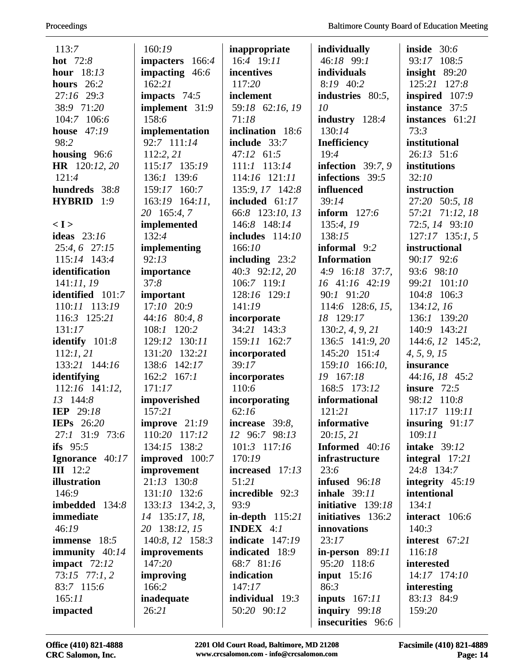| 113:7                          | 160:19                 | inappropriate                | individually                     | inside $30:6$        |
|--------------------------------|------------------------|------------------------------|----------------------------------|----------------------|
| hot 72:8                       | impacters 166:4        | 16:4 19:11                   | 46:18 99:1                       | 93:17 108:5          |
| hour $18:13$                   | impacting 46:6         | incentives                   | individuals                      | insight $89:20$      |
| hours $26:2$                   | 162:21                 | 117:20                       | 8:19 40:2                        | 125:21 127:8         |
| 27:16 29:3                     | impacts $74:5$         | inclement                    | industries 80:5,                 | inspired 107:9       |
| 38:9 71:20                     | implement 31:9         | 59:18 62:16, 19              | 10                               | instance 37:5        |
| 104:7 106:6                    | 158:6                  | 71:18                        | industry 128:4                   | instances $61:21$    |
| <b>house</b> 47:19             | implementation         | inclination 18:6             | 130:14                           | 73:3                 |
| 98:2                           | 92:7 111:14            | include 33:7                 | <b>Inefficiency</b>              | institutional        |
| housing $96:6$                 | 112:2, 21              | $47:12$ 61:5                 | 19:4                             | 26:13 51:6           |
| HR 120:12, 20                  | 115:17 135:19          | $111:1$ $113:14$             | infection $39:7,9$               | institutions         |
| 121:4                          | 136:1 139:6            | 114:16 121:11                | infections 39:5                  | 32:10                |
| hundreds 38:8                  | 159:17 160:7           | 135:9, 17 142:8              | influenced                       | instruction          |
| HYBRID 1:9                     | 163:19 164:11,         | included $61:17$             | 39:14                            | 27:20 50:5, 18       |
|                                | 20 165:4, 7            | 66:8 123:10, 13              | inform $127:6$                   | 57:21 71:12, 18      |
| < I >                          | implemented            | 146:8 148:14                 | 135:4, 19                        | 72:5, 14 93:10       |
| ideas $23:16$                  | 132:4                  | includes $114:10$            | 138:15                           | $127:17$ 135:1, 5    |
| 25:4, 6 27:15                  | implementing           | 166:10                       | informal 9:2                     | instructional        |
| 115:14 143:4                   | 92:13                  | including $23:2$             | <b>Information</b>               | 90:17 92:6           |
| identification                 | importance             | 40:3 92:12, 20               | $4:9$ 16:18 37:7,                | 93:6 98:10           |
| 141:11,19                      | 37:8                   | 106:7 119:1                  | $16$ 41:16 42:19                 | 99:21 101:10         |
| identified 101:7               | important              | 128:16 129:1                 | 90:1 91:20                       | 104:8 106:3          |
| 110:11 113:19                  | $17:10$ $20:9$         | 141:19                       | 114:6 128:6, 15,                 | 134:12, 16           |
| 116:3 125:21                   | 44:16 80:4, 8          | incorporate                  | 18 129:17                        | 136:1 139:20         |
| 131:17                         | 120:2<br>108:1         | 34:21 143:3                  | 130:2, 4, 9, 21                  | 140:9 143:21         |
| identify $101:8$               | 129:12 130:11          | 159:11 162:7                 | 136:5 141:9, 20                  | 144:6, 12 145:2,     |
| 112:1, 21                      | 131:20 132:21          | incorporated                 | 145:20 151:4                     | 4, 5, 9, 15          |
| 133:21 144:16                  | 138:6 142:17           | 39:17                        | 159:10 166:10,                   | insurance            |
| identifying                    | $162:2$ $167:1$        | incorporates                 | 19 167:18                        | 44:16, 18 45:2       |
| 112:16 141:12,                 | 171:17                 | 110:6                        | 168:5 173:12                     | insure $72:5$        |
| 13 144:8                       | impoverished           | incorporating                | informational                    | 98:12 110:8          |
| <b>IEP</b> 29:18               | 157:21                 | 62:16                        | 121:21                           | 117:17 119:11        |
| <b>IEPs</b> 26:20              | improve $21:19$        | increase 39:8,               | informative                      | insuring $91:17$     |
| 27:1 31:9 73:6                 | 110:20 117:12          | 12 96:7 98:13                | 20:15,21                         | 109:11               |
| ifs $95:5$                     | 134:15 138:2           | $101:3$ 117:16               | Informed 40:16                   | <b>intake</b> 39:12  |
| Ignorance 40:17                | <b>improved</b> 100:7  | 170:19                       | infrastructure                   | integral $17:21$     |
| <b>III</b> 12:2                | improvement            | increased 17:13              | 23:6                             | 24:8 134:7           |
| illustration                   | 21:13 130:8            | 51:21                        | infused $96:18$                  | integrity $45:19$    |
| 146:9                          | 131:10 132:6           | incredible $92:3$            | <b>inhale</b> 39:11              | intentional          |
| imbedded 134:8                 | $133:13$ $134:2, 3,$   | 93:9                         | initiative 139:18                | 134:1                |
| immediate                      | 14 135:17, 18,         | in-depth $115:21$            | initiatives 136:2                | interact $106:6$     |
| 46:19                          | 20 138:12, 15          | <b>INDEX</b> $4:1$           | innovations                      | 140:3                |
| <b>immense</b> 18:5            | 140:8, 12 158:3        | indicate $147:19$            | 23:17                            | interest $67:21$     |
| immunity $40:14$               | improvements<br>147:20 | indicated 18:9<br>68:7 81:16 | in-person $89:11$<br>95:20 118:6 | 116:18<br>interested |
| impact $72:12$                 |                        | indication                   |                                  | 14:17 174:10         |
| $73:15$ $77:1,2$<br>83:7 115:6 | improving<br>166:2     | 147:17                       | input $15:16$<br>86:3            | interesting          |
| 165:11                         | inadequate             | individual $19:3$            | inputs $167:11$                  | 83:13 84:9           |
| impacted                       | 26:21                  | 50:20 90:12                  | inquiry $99:18$                  | 159:20               |
|                                |                        |                              | insecurities 96:6                |                      |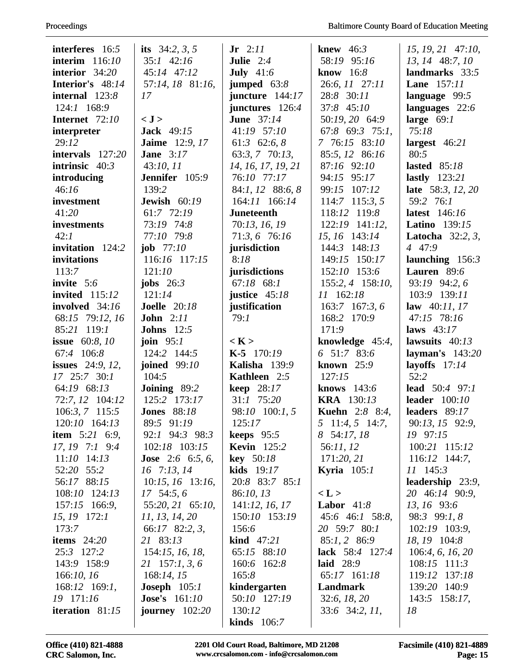| interferes 16:5                     | its $34:2, 3, 5$             | $Jr$ 2:11                    | knew $46:3$                                   | $15, 19, 21$ 47:10,       |
|-------------------------------------|------------------------------|------------------------------|-----------------------------------------------|---------------------------|
| interim $116:10$                    | $35:1$ 42:16                 | Julie $2:4$                  | 58:19 95:16                                   | 13, 14 48:7, 10           |
| interior 34:20                      | 45:14 47:12                  | July $41:6$                  | know $16:8$                                   | landmarks $33:5$          |
| Interior's 48:14                    | 57:14, 18 81:16,             | jumped $63:8$                | 26:6, 11 27:11                                | <b>Lane</b> 157:11        |
| internal 123:8                      | 17                           | juncture $144:17$            | 28:8 30:11                                    | language 99:5             |
| 124:1 168:9                         |                              | junctures $126:4$            | 37:8 45:10                                    | languages 22:6            |
| Internet 72:10                      | < J >                        | <b>June</b> 37:14            | 50:19, 20 64:9                                | large $69:1$              |
| interpreter                         | <b>Jack</b> 49:15            | $41:19$ $57:10$              | $67:8$ $69:3$ $75:1$ ,                        | 75:18                     |
| 29:12                               | <b>Jaime</b> 12:9, 17        | 61:3 62:6, 8                 | 7 76:15 83:10                                 | largest $46:21$           |
| intervals $127:20$                  | <b>Jane</b> $3:17$           | $63:3, 7$ 70:13,             | 85:5, 12 86:16                                | 80:5                      |
| intrinsic $40:3$                    | 43:10, 11                    | 14, 16, 17, 19, 21           | 87:16 92:10                                   | lasted $85:18$            |
| introducing                         | <b>Jennifer</b> 105:9        | 76:10 77:17                  | 94:15 95:17                                   | lastly $123:21$           |
| 46:16                               | 139:2                        | 84:1, 12 88:6, 8             | 99:15 107:12                                  | late 58:3, 12, 20         |
| investment                          | Jewish 60:19                 | 164:11 166:14                | 114:7 115:3, 5                                | 59:2 76:1                 |
| 41:20                               | 61:7 72:19                   | <b>Juneteenth</b>            | 118:12 119:8                                  | <b>latest</b> 146:16      |
| investments                         | 73:19 74:8                   | 70:13, 16, 19                | 122:19 141:12,                                | <b>Latino</b> 139:15      |
| 42:1                                | 77:10 79:8                   | 71:3, 6 76:16                | 15, 16 143:14                                 | <b>Latocha</b> 32:2, 3,   |
| invitation 124:2                    | <b>job</b> $77:10$           | jurisdiction                 | 144:3 148:13                                  | 4 47:9                    |
| invitations                         | 116:16 117:15                | 8:18                         | 149:15 150:17                                 | launching $156:3$         |
| 113:7                               | 121:10                       | jurisdictions                | 152:10 153:6                                  | Lauren 89:6               |
| invite $5:6$                        | jobs $26:3$                  | $67:18$ $68:1$               | 155:2, 4 158:10,                              | 93:19 94:2, 6             |
| <b>invited</b> 115:12               | 121:14                       | justice 45:18                | 11 162:18                                     | 103:9 139:11              |
| involved 34:16                      | <b>Joelle</b> 20:18          | justification                | 163:7 167:3, 6                                | law $40:11, 17$           |
| 68:15 79:12, 16                     | <b>John</b> 2:11             | 79:1                         | 168:2 170:9                                   | 47:15 78:16               |
| 85:21 119:1                         | <b>Johns</b> 12:5            |                              | 171:9                                         | laws $43:17$              |
|                                     |                              |                              |                                               |                           |
|                                     |                              | $<$ K $>$                    |                                               | lawsuits $40:13$          |
| <b>issue</b> 60:8, 10<br>67:4 106:8 | join $95:1$<br>124:2 144:5   | $K-5$ 170:19                 | knowledge $45:4$ ,<br>$6\quad 51:7\quad 83:6$ |                           |
| <b>issues</b> $24:9, 12,$           |                              | Kalisha 139:9                | known $25:9$                                  | layman's $143:20$         |
| 17 25:7 30:1                        | <b>joined</b> 99:10<br>104:5 | Kathleen 2:5                 | 127:15                                        | layoffs $17:14$<br>52:2   |
| 64:19 68:13                         | Joining 89:2                 | <b>keep</b> 28:17            | knows $143:6$                                 | <b>lead</b> $50:4$ $97:1$ |
| 72:7, 12 104:12                     | 125:2 173:17                 | 31:1 75:20                   | <b>KRA</b> 130:13                             | leader $100:10$           |
| 106:3, 7 115:5                      | <b>Jones</b> 88:18           | 98:10 100:1, 5               | <b>Kuehn</b> 2:8 8:4,                         | leaders 89:17             |
| 120:10 164:13                       | 89:5 91:19                   | 125:17                       | 5 11:4, 5 14:7,                               | 90:13, 15 92:9,           |
| <b>item</b> $5:21$ 6:9,             | 92:1 94:3 98:3               | <b>keeps</b> $95:5$          | 8 54:17, 18                                   | 19 97:15                  |
| 17, 19 7:1 9:4                      | 102:18 103:15                | <b>Kevin</b> 125:2           | 56:11, 12                                     | 100:21 115:12             |
| $11:10$ $14:13$                     | <b>Jose</b> 2:6 6:5, 6,      | key 50:18                    | 171:20, 21                                    | $116:12$ 144:7,           |
| 52:20 55:2                          | $16$ 7:13, 14                | kids $19:17$                 | Kyria $105:1$                                 | $11 \quad 145:3$          |
| 56:17 88:15                         | $10:15, 16$ 13:16,           | 20:8 83:7 85:1               |                                               | leadership $23:9$ ,       |
| 108:10 124:13                       | 17, 54:5, 6                  | 86:10, 13                    | < L >                                         | 20 46:14 90:9,            |
| 157:15 166:9,                       | 55:20, 21 65:10,             | 141:12, 16, 17               | <b>Labor</b> $41:8$                           | 13, 16 93:6               |
| 15, 19 172:1                        | 11, 13, 14, 20               | 150:10 153:19                | 45:6 46:1 58:8,                               | 98:3 99:1, 8              |
| 173:7                               | 66:17 82:2, 3,               | 156:6                        | 20 59:7 80:1                                  | 102:19 103:9,             |
| items $24:20$                       | 21 83:13                     | <b>kind</b> $47:21$          | 85:1, 2 86:9                                  | 18, 19 104:8              |
| 25:3 127:2                          | 154:15, 16, 18,              | 65:15 88:10                  | lack 58:4 127:4                               | 106:4, 6, 16, 20          |
| 143:9 158:9                         | 21 157:1, 3, 6               | 160:6 162:8                  | laid 28:9                                     | $108:15$ 111:3            |
| 166:10, 16                          | 168:14, 15                   | 165:8                        | 65:17 161:18                                  | 119:12 137:18             |
| 168:12 169:1,                       | <b>Joseph</b> $105:1$        | kindergarten                 | Landmark                                      | 139:20 140:9              |
| 19 171:16                           | <b>Jose's</b> $161:10$       | 50:10 127:19                 | 32:6, 18, 20                                  | 143:5 158:17,             |
| iteration $81:15$                   | journey $102:20$             | 130:12<br><b>kinds</b> 106:7 | 33:6 34:2, 11,                                | 18                        |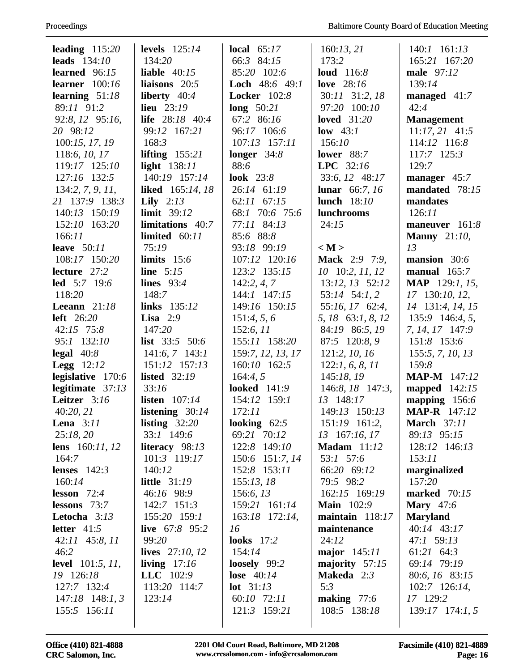| leading $115:20$                       | levels $125:14$                    | local $65:17$                  | 160:13,21                             | $140:1$ $161:13$                |
|----------------------------------------|------------------------------------|--------------------------------|---------------------------------------|---------------------------------|
| leads $134:10$                         | 134:20                             | 66:3 84:15                     | 173:2                                 | 165:21 167:20                   |
| learned $96:15$                        | liable $40:15$                     | 85:20 102:6                    | loud $116:8$                          | male 97:12                      |
| learner $100:16$                       | liaisons $20:5$                    | <b>Loch</b> $48:6$ $49:1$      | love 28:16                            | 139:14                          |
| learning $51:18$                       | liberty $40:4$                     | Locker 102:8                   | 30:11 31:2, 18                        | managed 41:7                    |
| 89:11 91:2                             | lieu $23:19$                       | long $50:21$                   | 97:20 100:10                          | 42:4                            |
| 92:8, 12 95:16,                        | life 28:18 40:4                    | 67:2 86:16                     | loved $31:20$                         | <b>Management</b>               |
| 20 98:12                               | 99:12 167:21                       | 96:17 106:6                    | low $43:1$                            | $11:17,21$ 41:5                 |
| 100:15, 17, 19                         | 168:3                              | 107:13 157:11                  | 156:10                                | 114:12 116:8                    |
| 118:6, 10, 17                          | lifting $155:21$                   | longer $34:8$                  | lower $88:7$                          | 117:7 125:3                     |
| 119:17 125:10                          | light 138:11                       | 88:6                           | LPC $32:16$                           | 129:7                           |
| 127:16 132:5                           | 140:19 157:14                      | look $23:8$                    | 33:6, 12 48:17                        | manager 45:7                    |
| 134:2, 7, 9, 11,                       | liked 165:14, 18                   | 26:14 61:19                    | <b>lunar</b> 66:7, 16                 | mandated 78:15                  |
| 21 137:9 138:3                         | Lily $2:13$                        | 62:11 67:15                    | <b>lunch</b> 18:10                    | mandates                        |
| 140:13 150:19                          | limit $39:12$                      | 68:1 70:6 75:6                 | lunchrooms                            | 126:11                          |
| 152:10 163:20                          | <b>limitations</b> 40:7            | 77:11 84:13                    | 24:15                                 | maneuver 161:8                  |
| 166:11                                 | limited $60:11$                    | 85:6 88:8                      |                                       | <b>Manny</b> 21:10,             |
| leave $50:11$                          | 75:19                              | 93:18 99:19                    | < M >                                 | 13                              |
| 108:17 150:20                          | limits $15:6$                      | 107:12 120:16                  | <b>Mack</b> 2:9 7:9,                  | mansion 30:6                    |
| lecture 27:2                           | line $5:15$                        | 123:2 135:15                   | $10$ 10:2, $11$ , $12$                | manual $165:7$                  |
| <b>led</b> 5:7 19:6                    | lines $93:4$                       | 142:2, 4, 7                    | 13:12, 13 52:12                       | <b>MAP</b> 129:1, 15,           |
| 118:20                                 | 148:7                              | 144:1 147:15                   | 53:14 54:1, 2                         | 17 130:10, 12,                  |
| Leeann $21:18$                         | links 135:12                       | 149:16 150:15                  | 55:16, 17 62:4,                       | 14 131:4, 14, 15                |
| left $26:20$                           | Lisa $2:9$                         | 151:4, 5, 6                    | 5, 18 63:1, 8, 12                     | 135:9 146:4, 5,                 |
| $42:15$ 75:8                           | 147:20                             | 152:6, 11                      | 84:19 86:5, 19                        | 7, 14, 17 147:9                 |
| 95:1 132:10                            | <b>list</b> $33:5$ 50:6            | 155:11 158:20                  | 87:5 120:8, 9                         | 151:8 153:6                     |
| legal $40:8$                           | $141:6, 7$ 143:1                   | 159:7, 12, 13, 17              | 121:2, 10, 16                         | 155:5, 7, 10, 13                |
| <b>Legg</b> $12:12$                    | 151:12 157:13                      | 160:10 162:5                   | 122:1, 6, 8, 11                       | 159:8                           |
| legislative 170:6                      | <b>listed</b> 32:19                | 164:4, 5                       | 145:18, 19                            | <b>MAP-M</b> 147:12             |
| legitimate $37:13$                     | 33:16                              | <b>looked</b> 141:9            | 146:8, 18 147:3,                      | mapped $142:15$                 |
| Leitzer 3:16                           | listen $107:14$                    | 154:12 159:1                   | 13 148:17                             | mapping $156:6$                 |
| 40:20, 21                              | listening $30:14$                  | 172:11                         | 149:13 150:13                         | <b>MAP-R</b> 147:12             |
| Lena $3:11$                            | listing $32:20$                    | looking $62:5$                 | 151:19 161:2,                         | <b>March</b> 37:11              |
| 25:18,20                               | 33:1 149:6                         | 69:21 70:12                    | 13 167:16, 17                         | 89:13 95:15                     |
| lens $160:11, 12$                      | literacy 98:13                     | 122:8 149:10                   | <b>Madam</b> $11:12$                  | 128:12 146:13                   |
| 164:7                                  | 101:3 119:17                       | 150:6 151:7, 14                | 53:1 57:6                             | 153:11                          |
| lenses $142:3$                         | 140:12                             | 152:8 153:11                   | 66:20 69:12                           | marginalized                    |
| 160:14                                 | <b>little</b> 31:19                | 155:13,18                      | 79:5 98:2                             | 157:20                          |
| lesson $72:4$                          | 46:16 98:9                         | 156:6, 13                      | 162:15 169:19                         | marked $70:15$                  |
| lessons $73:7$                         | 142:7 151:3                        | 159:21 161:14                  | <b>Main</b> 102:9                     | <b>Mary</b> 47:6                |
| Letocha 3:13                           | 155:20 159:1                       | 163:18 172:14,                 | maintain $118:17$                     | <b>Maryland</b>                 |
| letter $41:5$                          | live 67:8 95:2                     | 16                             | maintenance                           | 40:14 43:17                     |
| $42:11$ $45:8,11$                      | 99:20                              | <b>looks</b> 17:2              | 24:12                                 | 47:1 59:13                      |
| 46:2                                   | lives $27:10, 12$                  | 154:14                         | major $145:11$                        | 61:21 64:3                      |
| <b>level</b> $101:5, 11,$<br>19 126:18 | living $17:16$                     | loosely $99:2$<br>lose $40:14$ | majority 57:15<br><b>Makeda</b> $2:3$ | 69:14 79:19                     |
| 127:7 132:4                            | <b>LLC</b> $102:9$<br>113:20 114:7 | <b>lot</b> $31:13$             | 5:3                                   | 80:6, 16 83:15<br>102:7 126:14, |
| $147:18$ 148:1, 3                      | 123:14                             | 60:10 72:11                    | making $77:6$                         | 17 129:2                        |
| 155:5 156:11                           |                                    | 121:3 159:21                   | 108:5 138:18                          | $139:17$ $174:1, 5$             |
|                                        |                                    |                                |                                       |                                 |
|                                        |                                    |                                |                                       |                                 |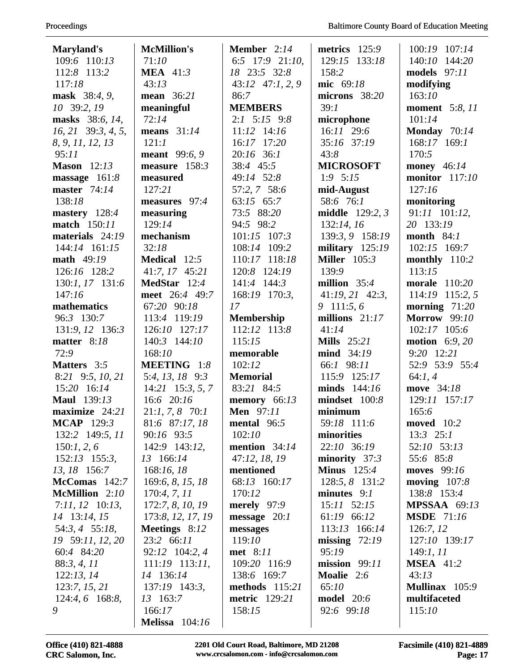| Maryland's                        | <b>McMillion's</b>    | <b>Member</b> $2:14$ | metrics $125:9$          | 100:19 107:14         |
|-----------------------------------|-----------------------|----------------------|--------------------------|-----------------------|
| 109:6 110:13                      | 71:10                 | 6:5 $17:9$ 21:10,    | 129:15 133:18            | 140:10 144:20         |
| 112:8 113:2                       | <b>MEA</b> 41:3       | 18 23:5 32:8         | 158:2                    | models $97:11$        |
| 117:18                            | 43:13                 | $43:12$ $47:1, 2, 9$ | mic 69:18                | modifying             |
| mask 38:4, 9,                     | mean 36:21            | 86:7                 | microns 38:20            | 163:10                |
| 10 39:2, 19                       | meaningful            | <b>MEMBERS</b>       | 39:1                     | <b>moment</b> 5:8, 11 |
| masks 38:6, 14,                   | 72:14                 | $2:1$ 5:15 9:8       | microphone               | 101:14                |
| $16, 21$ 39:3, 4, 5,              | means $31:14$         | $11:12$ $14:16$      | $16:11$ 29:6             | Monday 70:14          |
| 8, 9, 11, 12, 13                  | 121:1                 | 16:17 17:20          | 35:16 37:19              | 168:17 169:1          |
| 95:11                             | meant 99:6, 9         | $20:16$ 36:1         | 43:8                     | 170:5                 |
| <b>Mason</b> 12:13                | measure $158:3$       | 38:4 45:5            | <b>MICROSOFT</b>         | money 46:14           |
| massage 161:8                     | measured              | 49:14 52:8           | $1:9$ 5:15               | monitor $117:10$      |
| master $74:14$                    | 127:21                | 57:2, 7 58:6         | mid-August               | 127:16                |
| 138:18                            | measures 97:4         | 63:15 65:7           | 58:6 76:1                | monitoring            |
| mastery 128:4                     | measuring             | 73:5 88:20           | <b>middle</b> $129:2, 3$ | 91:11 101:12,         |
| match 150:11                      | 129:14                | 94:5 98:2            | 132:14, 16               | 20 133:19             |
| materials 24:19                   | mechanism             | $101:15$ $107:3$     | 139:3, 9 158:19          | month $84:1$          |
| 144:14 161:15                     | 32:18                 | 108:14 109:2         | military $125:19$        | 102:15 169:7          |
| math 49:19                        | <b>Medical</b> 12:5   | 110:17 118:18        | <b>Miller</b> 105:3      | monthly 110:2         |
| 126:16 128:2                      | 41:7, 17 45:21        | 120:8 124:19         | 139:9                    | 113:15                |
| 130:1, 17 131:6                   | MedStar 12:4          | 141:4 144:3          | million $35:4$           | morale 110:20         |
| 147:16                            | meet 26:4 49:7        | 168:19 170:3,        | $41:19, 21$ $42:3$ ,     | 114:19 115:2, 5       |
| mathematics                       | 67:20 90:18           | 17                   | 9 111:5,6                | morning $71:20$       |
| 96:3 130:7                        | 113:4 119:19          | <b>Membership</b>    | millions $21:17$         | <b>Morrow</b> 99:10   |
| 131:9, 12 136:3                   | 126:10 127:17         | 112:12 113:8         | 41:14                    | 102:17 105:6          |
| matter 8:18                       | 140:3 144:10          | 115:15               | Mills $25:21$            | motion $6:9,20$       |
| 72:9                              | 168:10                | memorable            | mind 34:19               | 9:20 12:21            |
| <b>Matters</b> 3:5                | MEETING 1:8           | 102:12               | 66:1 98:11               | 52:9 53:9 55:4        |
| 8:21 9:5, 10, 21                  | 5:4, 13, 18 9:3       | <b>Memorial</b>      | 115:9 125:17             | 64:1,4                |
| 15:20 16:14                       | $14:21$ 15:3, 5, 7    | 83:21 84:5           | minds $144:16$           | move 34:18            |
| <b>Maul</b> 139:13                | 16:6 20:16            | memory $66:13$       | mindset 100:8            | 129:11 157:17         |
| maximize 24:21                    | $21:1, 7, 8$ 70:1     | <b>Men</b> 97:11     | minimum                  | 165:6                 |
| <b>MCAP</b> 129:3                 | 81:6 87:17, 18        | mental $96:5$        | 59:18 111:6              | moved $10:2$          |
| 132:2 149:5, 11                   | 90:16 93:5            | 102:10               | minorities               | $13:3$ $25:1$         |
|                                   | 142:9 143:12,         | mention $34:14$      | 22:10 36:19              | 52:10 53:13           |
| 150:1, 2, 6<br>$152:13$ $155:3$ , | 13 166:14             | 47:12, 18, 19        | minority $37:3$          | 55:6 85:8             |
| 13, 18 156:7                      | 168:16, 18            | mentioned            | Minus $125:4$            | moves 99:16           |
|                                   |                       |                      |                          |                       |
| $McComas$ 142:7<br>McMillion 2:10 | 169:6, 8, 15, 18      | 68:13 160:17         | 128:5, 8 131:2           | moving $107:8$        |
|                                   | 170:4, 7, 11          | 170:12               | minutes $9:1$            | 138:8 153:4           |
| $7:11, 12$ 10:13,                 | 172:7, 8, 10, 19      | merely $97:9$        | $15:11$ $52:15$          | <b>MPSSAA</b> 69:13   |
| 14 13:14, 15                      | 173:8, 12, 17, 19     | message $20:1$       | 61:19 66:12              | <b>MSDE</b> 71:16     |
| 54:3, 4 55:18,                    | Meetings 8:12         | messages             | 113:13 166:14            | 126:7, 12             |
| 19 59:11, 12, 20                  | 23:2 66:11            | 119:10               | missing $72:19$          | 127:10 139:17         |
| 60:4 84:20                        | 92:12 104:2, 4        | met 8:11             | 95:19                    | 149:1, 11             |
| 88:3, 4, 11                       | $111:19$ 113:11,      | 109:20 116:9         | mission $99:11$          | <b>MSEA</b> 41:2      |
| 122:13, 14                        | 14 136:14             | 138:6 169:7          | Moalie 2:6               | 43:13                 |
| 123:7, 15, 21                     | 137:19 143:3,         | methods $115:21$     | 65:10                    | Mullinax 105:9        |
| $124:4,6$ 168:8,                  | 13 163:7              | <b>metric</b> 129:21 | <b>model</b> 20:6        | multifaceted          |
| 9                                 | 166:17                | 158:15               | 92:6 99:18               | 115:10                |
|                                   | <b>Melissa</b> 104:16 |                      |                          |                       |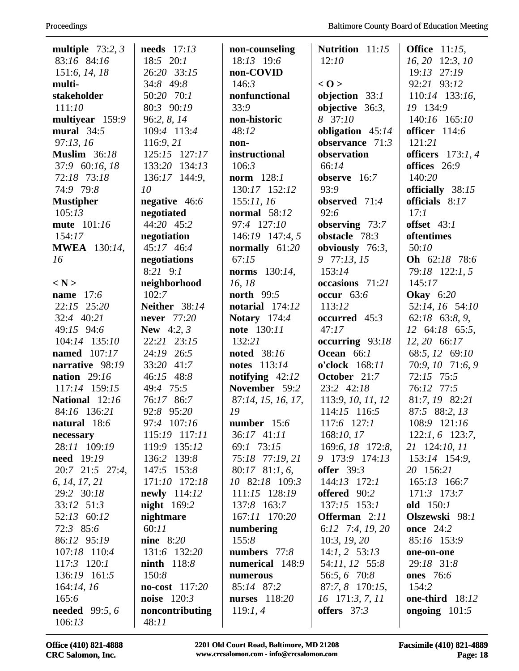| multiple $73:2,3$      | needs $17:13$     | non-counseling          | <b>Nutrition</b> 11:15 | <b>Office</b> 11:15,   |
|------------------------|-------------------|-------------------------|------------------------|------------------------|
| 83:16 84:16            | 18:5 20:1         | 18:13 19:6              | 12:10                  | 16, 20 12:3, 10        |
| 151:6, 14, 18          | 26:20 33:15       | non-COVID               |                        | $19:13$ $27:19$        |
| multi-                 | 34:8 49:8         | 146:3                   | < 0>                   | 92:21 93:12            |
| stakeholder            | 50:20 70:1        | nonfunctional           | objection $33:1$       | 110:14 133:16,         |
| 111:10                 | 80:3 90:19        | 33:9                    | objective $36:3$ ,     | 19 134:9               |
| multiyear 159:9        | 96:2, 8, 14       | non-historic            | 8 37:10                | 140:16 165:10          |
| mural $34:5$           | 109:4 113:4       | 48:12                   | obligation 45:14       | officer $114:6$        |
| 97:13,16               | 116:9, 21         | non-                    | observance 71:3        | 121:21                 |
| <b>Muslim</b> 36:18    | 125:15 127:17     | instructional           | observation            | officers $173:1, 4$    |
| 37:9 60:16, 18         | 133:20 134:13     | 106:3                   | 66:14                  | offices 26:9           |
| 72:18 73:18            | 136:17 144:9,     | norm $128:1$            | observe $16:7$         | 140:20                 |
| 74:9 79:8              | 10                | 130:17 152:12           | 93:9                   | officially 38:15       |
| <b>Mustipher</b>       | negative 46:6     | 155:11,16               | observed 71:4          | officials 8:17         |
| 105:13                 | negotiated        | <b>normal</b> 58:12     | 92:6                   | 17:1                   |
| mute 101:16            | 44:20 45:2        | 97:4 127:10             | observing $73:7$       | offset $43:1$          |
| 154:17                 | negotiation       | 146:19 147:4, 5         | obstacle 78:3          | oftentimes             |
| <b>MWEA</b> 130:14,    | 45:17 46:4        | normally $61:20$        | obviously $76:3$ ,     | 50:10                  |
| 16                     | negotiations      | 67:15                   | 9 77:13, 15            | <b>Oh</b> 62:18 78:6   |
|                        | $8:21$ $9:1$      | <b>norms</b> $130:14$ , | 153:14                 | 79:18 122:1, 5         |
| $\langle N \rangle$    | neighborhood      | 16, 18                  | occasions 71:21        | 145:17                 |
| name $17:6$            | 102:7             | <b>north</b> 99:5       | <b>occur</b> 63:6      | <b>Okay</b> 6:20       |
| $22:15$ $25:20$        | Neither 38:14     | notarial 174:12         | 113:12                 | 52:14, 16 54:10        |
| 32:4 40:21             | never 77:20       | <b>Notary</b> 174:4     | occurred 45:3          | $62:18$ $63:8, 9$ ,    |
| 49:15 94:6             | <b>New</b> 4:2, 3 | note 130:11             | 47:17                  | 12 64:18 65:5,         |
| 104:14 135:10          | 22:21 23:15       | 132:21                  | occurring $93:18$      | 12, 20 66:17           |
| named 107:17           | 24:19 26:5        | noted 38:16             | Ocean 66:1             | 68:5, 12 69:10         |
| narrative 98:19        | 33:20 41:7        | notes 113:14            | o'clock 168:11         | 70:9, 10 71:6, 9       |
| nation $29:16$         | 46:15 48:8        | notifying $42:12$       | October 21:7           | 72:15 75:5             |
| 117:14 159:15          | 49:4 75:5         | November 59:2           | 23:2 42:18             | 76:12 77:5             |
| National 12:16         | 76:17 86:7        | 87:14, 15, 16, 17,      | 113:9, 10, 11, 12      | 81:7, 19 82:21         |
| 84:16 136:21           | 92:8 95:20        | 19                      | 114:15 116:5           | 87:5 88:2, 13          |
| natural 18:6           | 97:4 107:16       | number 15:6             | 117:6 127:1            | 108:9 121:16           |
| necessary              | 115:19 117:11     | 36:17 41:11             | 168:10, 17             | $122:1, 6$ 123:7,      |
| 28:11 109:19           | 119:9 135:12      | 69:1 73:15              | 169:6, 18 172:8,       | 21 124:10, 11          |
| <b>need</b> 19:19      | 136:2 139:8       | 75:18 77:19, 21         | 9 173:9 174:13         | 153:14 154:9,          |
| $20:7$ $21:5$ $27:4$ , | 147:5 153:8       | $80:17$ $81:1, 6$ ,     | offer $39:3$           | 20 156:21              |
| 6, 14, 17, 21          | 171:10 172:18     | 10 82:18 109:3          | $144:13$ $172:1$       | $165:13$ 166:7         |
| 29:2 30:18             | newly 114:12      | 111:15 128:19           | offered 90:2           | 171:3 173:7            |
| 33:12 51:3             | night $169:2$     | 137:8 163:7             | $137:15$ $153:1$       | old $150:1$            |
| 52:13 60:12            | nightmare         | 167:11 170:20           | <b>Offerman</b> 2:11   | Olszewski 98:1         |
| 72:3 85:6              | 60:11             | numbering               | 6:12 7:4, 19, 20       | <b>once</b> 24:2       |
| 86:12 95:19            | nine $8:20$       | 155:8                   | 10:3, 19, 20           | 85:16 153:9            |
| 107:18 110:4           | 131:6 132:20      | numbers $77:8$          | $14:1, 2 \quad 53:13$  | one-on-one             |
| 117:3 120:1            | $ninth$ 118:8     | numerical 148:9         | 54:11, 12 55:8         | 29:18 31:8             |
| 136:19 161:5           | 150:8             | numerous                | 56:5, 6 70:8           | <b>ones</b> 76:6       |
| 164:14, 16             | no-cost 117:20    | 85:14 87:2              | 87:7, 8 170:15,        | 154:2                  |
| 165:6                  | noise $120:3$     | nurses 118:20           | $16$ 171:3, 7, 11      | <b>one-third</b> 18:12 |
| <b>needed</b> 99:5, 6  | noncontributing   | 119:1,4                 | offers $37:3$          | ongoing $101:5$        |
| 106:13                 | 48:11             |                         |                        |                        |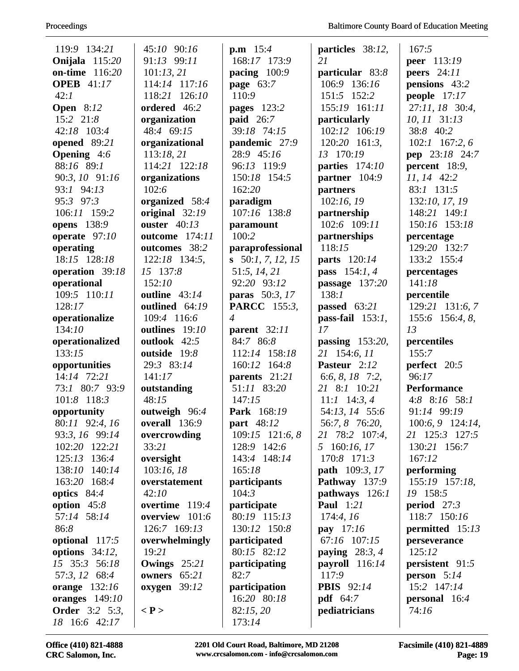| 119:9 134:21          | 45:10 90:16         | <b>p.m</b> $15:4$   | particles 38:12,      | 167:5                |
|-----------------------|---------------------|---------------------|-----------------------|----------------------|
| Onijala 115:20        | 91:13 99:11         | 168:17 173:9        | 21                    | <b>peer</b> 113:19   |
| on-time 116:20        | 101:13,21           | pacing $100:9$      | particular 83:8       | peers $24:11$        |
| <b>OPEB</b> 41:17     | 114:14 117:16       | page 63:7           | 106:9 136:16          | pensions 43:2        |
| 42:1                  | 118:21 126:10       | 110:9               | 151:5 152:2           | people $17:17$       |
| <b>Open</b> 8:12      | ordered 46:2        | pages 123:2         | 155:19 161:11         | 27:11, 18 30:4,      |
| 15:2 21:8             | organization        | <b>paid</b> 26:7    | particularly          | 10, 11 31:13         |
| 42:18 103:4           | 48:4 69:15          | 39:18 74:15         | 102:12 106:19         | 38:8 40:2            |
| opened 89:21          | organizational      | pandemic 27:9       | $120:20$ 161:3,       | $102:1$ 167:2, 6     |
| <b>Opening</b> 4:6    | 113:18,21           | 28:9 45:16          | 13 170:19             | pep 23:18 24:7       |
| 88:16 89:1            | 114:21 122:18       | 96:13 119:9         | parties $174:10$      | percent 18:9,        |
| 90:3, 10 91:16        | organizations       | 150:18 154:5        | partner 104:9         | 11, 14 42:2          |
| 93:1 94:13            | 102:6               | 162:20              | partners              | 83:1 131:5           |
| 95:3 97:3             | organized 58:4      | paradigm            | 102:16,19             | 132:10, 17, 19       |
| 106:11 159:2          | original 32:19      | 107:16 138:8        | partnership           | 148:21 149:1         |
| opens 138:9           | ouster $40:13$      | paramount           | 102:6 109:11          | 150:16 153:18        |
| operate $97:10$       | outcome 174:11      | 100:2               | partnerships          | percentage           |
| operating             | outcomes 38:2       | paraprofessional    | 118:15                | 129:20 132:7         |
| 18:15 128:18          | 122:18 134:5,       | s $50:1, 7, 12, 15$ | parts 120:14          | 133:2 155:4          |
| operation 39:18       | 15 137:8            | 51:5, 14, 21        | pass 154:1, 4         | percentages          |
| operational           | 152:10              | 92:20 93:12         | passage $137:20$      | 141:18               |
| 109:5 110:11          | outline 43:14       | paras 50:3, 17      | 138:1                 | percentile           |
| 128:17                | outlined 64:19      | <b>PARCC</b> 155:3, | passed 63:21          | 129:21 131:6, 7      |
| operationalize        | 109:4 116:6         | $\overline{4}$      | pass-fail $153:1$ ,   | 155:6 156:4, 8,      |
| 134:10                | outlines 19:10      | parent $32:11$      | 17                    | 13                   |
| operationalized       | outlook 42:5        | 84:7 86:8           | passing 153:20,       | percentiles          |
| 133:15                | outside 19:8        | 112:14 158:18       | 21 154:6, 11          | 155:7                |
| opportunities         | 29:3 83:14          | 160:12<br>164:8     | Pasteur 2:12          | perfect 20:5         |
| 14:14 72:21           | 141:17              | parents 21:21       | 6:6, 8, 18 7:2,       | 96:17                |
| 73:1 80:7 93:9        | outstanding         | 51:11 83:20         | 21 8:1 10:21          | <b>Performance</b>   |
| 101:8 118:3           | 48:15               | 147:15              | $11:1$ 14:3, 4        | 4:8 $8:16$ 58:1      |
| opportunity           | outweigh 96:4       | Park 168:19         | 54:13, 14 55:6        | 91:14 99:19          |
| 80:11 92:4, 16        | overall 136:9       | part 48:12          | 56:7, 8 76:20,        | $100:6, 9$ 124:14,   |
| 93:3, 16 99:14        | overcrowding        | 109:15 121:6, 8     | 21 78:2 107:4,        | 21 125:3 127:5       |
| 102:20 122:21         | 33:21               | 128:9 142:6         | 5 160:16, 17          | 130:21 156:7         |
| 125:13 136:4          | oversight           | 143:4 148:14        | 170:8 171:3           | 167:12               |
| 138:10 140:14         | 103:16, 18          | 165:18              | <b>path</b> 109:3, 17 | performing           |
| 163:20 168:4          | overstatement       | <i>participants</i> | Pathway 137:9         | 155:19 157:18,       |
| optics $84:4$         | 42:10               | 104:3               | pathways 126:1        | 19 158:5             |
| option $45:8$         | overtime 119:4      | participate         | <b>Paul</b> 1:21      | period $27:3$        |
| 57:14 58:14           | overview 101:6      | 80:19 115:13        | 174:4,16              | 118:7 150:16         |
| 86:8                  | 126:7 169:13        | 130:12 150:8        | <b>pay</b> $17:16$    | permitted $15:13$    |
| optional 117:5        | overwhelmingly      | participated        | 67:16 107:15          | perseverance         |
| options $34:12$ ,     | 19:21               | 80:15 82:12         | paying $28:3, 4$      | 125:12               |
| 15 35:3 56:18         | Owings $25:21$      | participating       | payroll $116:14$      | persistent 91:5      |
| 57:3, 12 68:4         | owners $65:21$      | 82:7                | 117:9                 | <b>person</b> $5:14$ |
| orange $132:16$       | oxygen $39:12$      | participation       | <b>PBIS</b> 92:14     | 15:2 147:14          |
| oranges $149:10$      |                     | 16:20 80:18         | <b>pdf</b> 64:7       | personal 16:4        |
| <b>Order</b> 3:2 5:3, | $\langle P \rangle$ | 82:15,20            | pediatricians         | 74:16                |
| 18 16:6 42:17         |                     | 173:14              |                       |                      |
|                       |                     |                     |                       |                      |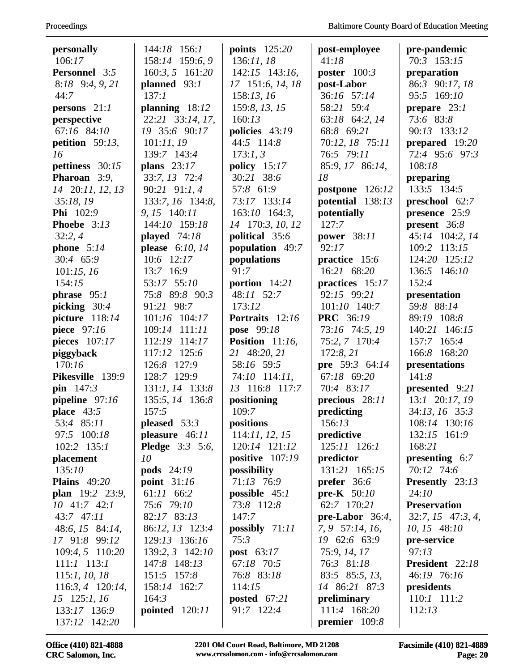| Proceedings |  |
|-------------|--|
|-------------|--|

| personally           | 144:18 156:1           | points 125:20             | post-employee        | pre-pandemic           |
|----------------------|------------------------|---------------------------|----------------------|------------------------|
| 106:17               | 158:14 159:6, 9        | 136:11,18                 | 41:18                | 70:3 153:15            |
| <b>Personnel</b> 3:5 | 160:3, 5 161:20        | 142:15 143:16,            | poster $100:3$       | preparation            |
| $8:18$ $9:4, 9, 21$  | planned 93:1           | 17 151:6, 14, 18          | post-Labor           | 86:3 90:17, 18         |
| 44:7                 | 137:1                  | 158:13, 16                | 36:16 57:14          | 95:5 169:10            |
| persons $21:1$       | planning $18:12$       | 159:8, 13, 15             | 58:21 59:4           | prepare $23:1$         |
| perspective          | 22:21 33:14, 17,       | 160:13                    | 63:18 64:2, 14       | 73:6 83:8              |
| 67:16 84:10          | 19 35:6 90:17          | policies 43:19            | 68:8 69:21           | 90:13 133:12           |
| petition $59:13$ ,   | 101:11,19              | 44:5 114:8                | 70:12, 18 75:11      | prepared $19:20$       |
| 16                   | 139:7 143:4            | 173:1, 3                  | 76:5 79:11           | 72:4 95:6 97:3         |
| pettiness 30:15      | plans $23:17$          | policy $15:17$            | 85:9, 17 86:14,      | 108:18                 |
| Pharoan 3:9,         | 33:7, 13 72:4          | 30:21 38:6                | 18                   | preparing              |
| 14 20:11, 12, 13     | 90:21 91:1, 4          | 57:8 61:9                 | postpone 126:12      | 133:5 134:5            |
| 35:18,19             | 133:7, 16 134:8,       | 73:17 133:14              | potential 138:13     | preschool 62:7         |
| <b>Phi</b> 102:9     | 9, 15 140:11           | $163:10$ 164:3,           | potentially          | presence 25:9          |
| Phoebe 3:13          | 144:10 159:18          | 14 170:3, 10, 12          | 127:7                | present 36:8           |
| 32:2,4               | played $74:18$         | political 35:6            | <b>power</b> 38:11   | 45:14 104:2, 14        |
| phone $5:14$         | please $6:10, 14$      | population 49:7           | 92:17                | 109:2 113:15           |
| 30:4 65:9            | $10:6$ 12:17           | populations               | practice 15:6        | 124:20 125:12          |
| 101:15, 16           | 13:7 16:9              | 91:7                      | 16:21 68:20          | 136:5 146:10           |
| 154:15               | 53:17 55:10            | portion 14:21             | practices 15:17      | 152:4                  |
| phrase $95:1$        | 75:8 89:8 90:3         | 48:11 52:7                | 92:15 99:21          | presentation           |
| picking $30:4$       | 91:21 98:7             | 173:12                    | $101:10$ $140:7$     | 59:8 88:14             |
| picture $118:14$     | 101:16 104:17          | Portraits 12:16           | <b>PRC</b> 36:19     | 89:19 108:8            |
| piece 97:16          | 109:14 111:11          | <b>pose</b> 99:18         | 73:16 74:5, 19       | 140:21 146:15          |
| pieces 107:17        | 112:19 114:17          | <b>Position</b> $11:16$ , | 75:2, 7 170:4        | 157:7 165:4            |
| piggyback            | 117:12 125:6           | 21 48:20, 21              | 172:8, 21            | 166:8 168:20           |
| 170:16               | 126:8 127:9            | 58:16 59:5                | pre 59:3 64:14       | presentations          |
| Pikesville 139:9     | 128:7 129:9            | 74:10 114:11,             | 67:18 69:20          | 141:8                  |
| pin $147:3$          | 131:1, 14 133:8        | 13 116:8 117:7            | 70:4 83:17           | presented 9:21         |
| pipeline 97:16       | 135:5, 14 136:8        | positioning               | precious 28:11       | 13:1 20:17, 19         |
| place $43:5$         | 157:5                  | 109:7                     | predicting           | 34:13, 16 35:3         |
| 53:4 85:11           | pleased $53:3$         | positions                 | 156:13               | 108:14 130:16          |
| 97:5 100:18          | pleasure 46:11         | 114:11, 12, 15            | predictive           | 132:15 161:9           |
| $102:2$ $135:1$      | <b>Pledge</b> 3:3 5:6, | 120:14 121:12             | 125:11 126:1         | 168:21                 |
| placement            | 10                     | positive 107:19           | predictor            | presenting $6:7$       |
| 135:10               | <b>pods</b> 24:19      | possibility               | 131:21 165:15        | 70:12 74:6             |
| <b>Plains</b> 49:20  | point $31:16$          | 71:13 76:9                | <b>prefer</b> $36:6$ | <b>Presently</b> 23:13 |
| plan 19:2 23:9,      | 61:11 66:2             | possible $45:1$           | pre-K $50:10$        | 24:10                  |
| $10$ 41:7 42:1       | 75:6 79:10             | 73:8 112:8                | 62:7 170:21          | <b>Preservation</b>    |
| 43:7 47:11           | 82:17 83:13            | 147:7                     | pre-Labor $36:4$ ,   | $32:7, 15$ 47:3, 4,    |
| 48:6, 15 84:14,      | 86:12, 13 123:4        | possibly $71:11$          | 7, 9 57:14, 16,      | $10, 15$ 48:10         |
| 17 91:8 99:12        | 129:13 136:16          | 75:3                      | 19 62:6 63:9         | pre-service            |
| 109:4, 5 110:20      | 139:2, 3 142:10        | <b>post</b> $63:17$       | 75:9, 14, 17         | 97:13                  |
| $111:1$ $113:1$      | 147:8 148:13           | 67:18 70:5                | 76:3 81:18           | President 22:18        |
| 115:1, 10, 18        | 151:5 157:8            | 76:8 83:18                | 83:5 85:5, 13,       | 46:19 76:16            |
| $116:3, 4$ 120:14,   | 158:14 162:7           | 114:15                    | 14 86:21 87:3        | presidents             |
| $15$ 125:1, 16       | 164:3                  | posted $67:21$            | preliminary          | 110:1 111:2            |
| 133:17 136:9         | <b>pointed</b> 120:11  | 91:7 122:4                | 111:4 168:20         | 112:13                 |
| 137:12 142:20        |                        |                           | premier $109:8$      |                        |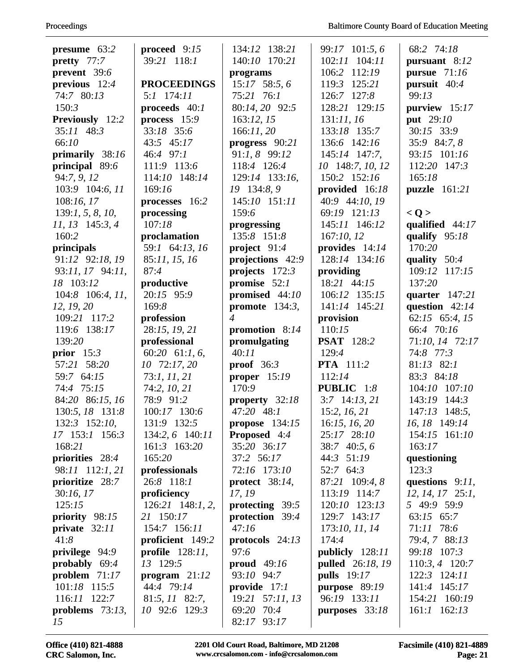| presume $63:2$     | proceed $9:15$     | 134:12 138:21     | 99:17 101:5,6           | 68:2 74:18           |
|--------------------|--------------------|-------------------|-------------------------|----------------------|
| pretty 77:7        | 39:21 118:1        | 140:10 170:21     | 102:11 104:11           | pursuant 8:12        |
| prevent 39:6       |                    | programs          | 106:2 112:19            | pursue 71:16         |
| previous $12:4$    | <b>PROCEEDINGS</b> | $15:17$ 58:5, 6   | 119:3 125:21            | pursuit 40:4         |
| 74:7 80:13         | $5:1$ 174:11       | 75:21 76:1        | 126:7 127:8             | 99:13                |
| 150:3              | proceeds $40:1$    | 80:14, 20 92:5    | 128:21 129:15           | purview 15:17        |
| Previously 12:2    | process $15:9$     | 163:12, 15        | 131:11, 16              | put 29:10            |
| $35:11$ 48:3       | 33:18 35:6         | 166:11,20         | 133:18 135:7            | 30:15 33:9           |
| 66:10              | 43:5 45:17         | progress $90:21$  | 136:6 142:16            | 35:9 84:7, 8         |
| primarily 38:16    | 46:4 97:1          | 91:1, 8 99:12     | 145:14 147:7,           | 93:15 101:16         |
| principal 89:6     | 111:9 113:6        | 118:4 126:4       | 10 148:7, 10, 12        | 112:20 147:3         |
| 94:7, 9, 12        | 114:10 148:14      | 129:14 133:16,    | 150:2 152:16            | 165:18               |
| 103:9 104:6, 11    | 169:16             | 19 134:8, 9       | provided 16:18          | puzzle 161:21        |
| 108:16, 17         | processes 16:2     | 145:10 151:11     | 40:9 44:10, 19          |                      |
| 139:1, 5, 8, 10,   | processing         | 159:6             | 69:19 121:13            | < Q >                |
| $11, 13$ 145:3, 4  | 107:18             | progressing       | 145:11 146:12           | qualified $44:17$    |
| 160:2              |                    | 135:8 151:8       | 167:10, 12              | qualify $95:18$      |
|                    | proclamation       |                   |                         | 170:20               |
| principals         | 59:1 64:13, 16     | project $91:4$    | provides $14:14$        |                      |
| 91:12 92:18, 19    | 85:11, 15, 16      | projections 42:9  | 128:14 134:16           | quality $50:4$       |
| 93:11, 17 94:11,   | 87:4               | projects 172:3    | providing               | 109:12 117:15        |
| 18 103:12          | productive         | promise $52:1$    | 18:21 44:15             | 137:20               |
| $104:8$ 106:4, 11, | 20:15 95:9         | promised 44:10    | 106:12 135:15           | quarter $147:21$     |
| 12, 19, 20         | 169:8              | promote $134:3$ , | 141:14 145:21           | question $42:14$     |
| 109:21 117:2       | profession         | $\overline{4}$    | provision               | 62:15 65:4, 15       |
| 119:6 138:17       | 28:15, 19, 21      | promotion $8:14$  | 110:15                  | 66:4 70:16           |
| 139:20             | professional       | promulgating      | <b>PSAT</b> 128:2       | 71:10, 14 72:17      |
| prior $15:3$       | 60:20 61:1, 6,     | 40:11             | 129:4                   | 74:8 77:3            |
| 57:21 58:20        | 10 72:17, 20       | proof $36:3$      | <b>PTA</b> 111:2        | $81:13$ $82:1$       |
| 59:7 64:15         | 73:1, 11, 21       | proper $15:19$    | 112:14                  | 83:3 84:18           |
| 74:4 75:15         | 74:2, 10, 21       | 170:9             | <b>PUBLIC</b> 1:8       | 104:10 107:10        |
| 84:20 86:15, 16    | 78:9 91:2          | property 32:18    | $3:7$ 14:13, 21         | 143:19 144:3         |
| 130:5, 18 131:8    | 100:17 130:6       | 47:20 48:1        | 15:2, 16, 21            | 147:13 148:5,        |
| 132:3 152:10,      | 131:9 132:5        | propose $134:15$  | 16:15, 16, 20           | 16, 18 149:14        |
| 17 153:1 156:3     | 134:2, 6 140:11    | Proposed 4:4      | 25:17 28:10             | 154:15 161:10        |
| 168:21             | 161:3 163:20       | 35:20 36:17       | 38:7 40:5, 6            | 163:17               |
| priorities 28:4    | 165:20             | 37:2 56:17        | 44:3 51:19              | questioning          |
| 98:11 112:1, 21    | professionals      | 72:16 173:10      | 52:7 64:3               | 123:3                |
| prioritize 28:7    | 26:8 118:1         | protect $38:14$ , | 87:21 109:4, 8          | questions $9:11$ ,   |
| 30:16,17           | proficiency        | 17, 19            | 113:19 114:7            | $12, 14, 17$ $25:1,$ |
| 125:15             | $126:21$ 148:1, 2, | protecting 39:5   | 120:10 123:13           | 5 49:9 59:9          |
| priority 98:15     | 21 150:17          | protection 39:4   | 129:7 143:17            | 63:15 65:7           |
| private $32:11$    | 154:7 156:11       | 47:16             | 173:10, 11, 14          | 71:11 78:6           |
| 41:8               | proficient 149:2   | protocols $24:13$ | 174:4                   | 79:4, 7 88:13        |
| privilege 94:9     | profile $128:11$ , | 97:6              | publicly 128:11         | 99:18 107:3          |
| probably $69:4$    | 13 129:5           | proud $49:16$     | <b>pulled</b> 26:18, 19 | $110:3, 4$ 120:7     |
| problem $71:17$    | program $21:12$    | 93:10 94:7        | <b>pulls</b> 19:17      | 122:3 124:11         |
| 101:18 115:5       | 44:4 79:14         | provide $17:1$    | purpose 89:19           | 141:4 145:17         |
| 116:11 122:7       | 81:5, 11 82:7,     | 19:21 57:11, 13   | 96:19 133:11            | 154:21 160:19        |
| problems $73:13$ , | 10 92:6 129:3      | 69:20 70:4        | purposes $33:18$        | $161:1$ $162:13$     |
| 15                 |                    | 93:17<br>82:17    |                         |                      |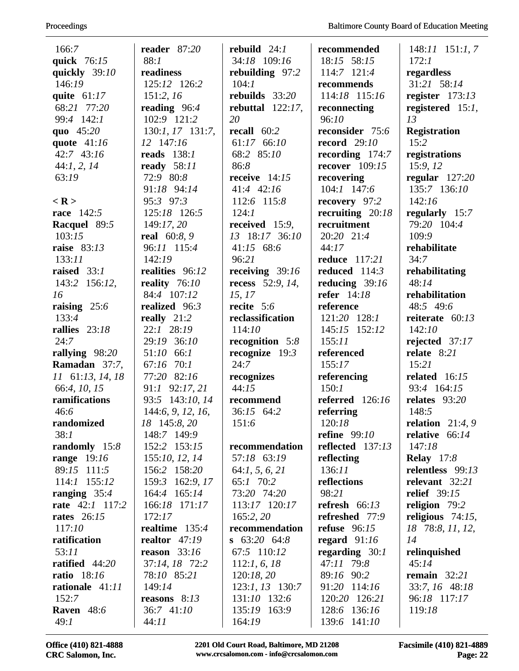| 166:7                  | reader $87:20$      | rebuild $24:1$          | recommended          | $148:11$ 151:1, 7   |
|------------------------|---------------------|-------------------------|----------------------|---------------------|
| quick 76:15            | 88:1                | 34:18 109:16            | 18:15 58:15          | 172:1               |
| quickly 39:10          | readiness           | rebuilding 97:2         | 114:7 121:4          | regardless          |
| 146:19                 | 125:12 126:2        | 104:1                   | recommends           | 31:21 58:14         |
| quite $61:17$          | 151:2, 16           | rebuilds $33:20$        | 114:18 115:16        | register $173:13$   |
| 68:21 77:20            | reading $96:4$      | rebuttal $122:17$ ,     | reconnecting         | registered $15:1$ , |
| 99:4 142:1             | 102:9 121:2         | 20                      | 96:10                | 13                  |
| quo 45:20              | 130:1, 17 131:7,    | recall $60:2$           | reconsider 75:6      | <b>Registration</b> |
| quote $41:16$          | 12 147:16           | 61:17 66:10             | record $29:10$       | 15:2                |
| 42:7 43:16             | reads $138:1$       | 68:2 85:10              | recording $174:7$    | registrations       |
| 44:1, 2, 14            | ready 58:11         | 86:8                    | recover $109:15$     | 15:9, 12            |
| 63:19                  | 72:9 80:8           | receive $14:15$         | recovering           | regular $127:20$    |
|                        | 91:18 94:14         | 41:4 42:16              | $104:1$ 147:6        | 135:7 136:10        |
| $<$ R >                | 95:3 97:3           | 112:6 115:8             | recovery 97:2        | 142:16              |
| <b>race</b> 142:5      | 125:18 126:5        | 124:1                   | recruiting $20:18$   | regularly $15:7$    |
| Racquel 89:5           | 149:17, 20          | received $15:9$ ,       | recruitment          | 79:20 104:4         |
| 103:15                 | <b>real</b> 60:8, 9 | 13 18:17 36:10          | 20:20 21:4           | 109:9               |
| raise 83:13            | 96:11 115:4         | 41:15 $68:6$            | 44:17                | rehabilitate        |
| 133:11                 | 142:19              | 96:21                   | <b>reduce</b> 117:21 | 34:7                |
| raised $33:1$          | realities 96:12     | receiving $39:16$       | reduced $114:3$      | rehabilitating      |
| 143:2 156:12,          | reality $76:10$     | <b>recess</b> 52:9, 14, | reducing $39:16$     | 48:14               |
| 16                     | 84:4 107:12         | 15, 17                  | refer 14:18          | rehabilitation      |
| raising $25:6$         | realized 96:3       | recite $5:6$            | reference            | 48:5 49:6           |
| 133:4                  | really $21:2$       | reclassification        | 121:20 128:1         | reiterate $60:13$   |
| rallies $23:18$        | 22:1 28:19          | 114:10                  | 145:15 152:12        | 142:10              |
| 24:7                   | 29:19 36:10         | recognition $5:8$       | 155:11               | rejected 37:17      |
| rallying 98:20         | 51:10 66:1          | recognize $19:3$        | referenced           | relate $8:21$       |
| Ramadan 37:7,          | 67:16 70:1          | 24:7                    | 155:17               | 15:21               |
| 11 61:13, 14, 18       | 77:20 82:16         | recognizes              | referencing          | related $16:15$     |
| 66:4, 10, 15           | 91:1 92:17, 21      | 44:15                   | 150:1                | 93:4 164:15         |
| ramifications          | 93:5 143:10, 14     | recommend               | referred $126:16$    | relates 93:20       |
| 46:6                   | 144:6, 9, 12, 16,   | 36:15 64:2              | referring            | 148:5               |
| randomized             | 18 145:8, 20        | 151:6                   | 120:18               | relation $21:4,9$   |
| 38:1                   | 148:7 149:9         |                         | <b>refine</b> 99:10  | relative $66:14$    |
| randomly 15:8          | 152:2 153:15        | recommendation          | reflected 137:13     | 147:18              |
| range $19:16$          | 155:10, 12, 14      | 57:18 63:19             | reflecting           | <b>Relay</b> 17:8   |
| 89:15 111:5            | 156:2 158:20        | 64:1, 5, 6, 21          | 136:11               | relentless 99:13    |
| $114:1$ $155:12$       | 159:3 162:9, 17     | 65:1 70:2               | reflections          | relevant 32:21      |
| ranging $35:4$         | 164:4 165:14        | 73:20 74:20             | 98:21                | <b>relief</b> 39:15 |
| <b>rate</b> 42:1 117:2 | 166:18 171:17       | 113:17 120:17           | refresh $66:13$      | religion $79:2$     |
| <b>rates</b> 26:15     | 172:17              | 165:2, 20               | refreshed 77:9       | religious $74:15$ , |
| 117:10                 | realtime $135:4$    | recommendation          | refuse $96:15$       | 18 78:8, 11, 12,    |
| ratification           | realtor $47:19$     | $\, 63:20 \, 64:8$      | regard $91:16$       | 14                  |
| 53:11                  | reason $33:16$      | 67:5 110:12             | regarding $30:1$     | relinquished        |
| ratified $44:20$       | 37:14, 18 72:2      | 112:1, 6, 18            | 47:11 79:8           | 45:14               |
| <b>ratio</b> 18:16     | 78:10 85:21         | 120:18, 20              | 89:16 90:2           | remain $32:21$      |
| rationale 41:11        | 149:14              | 123:1, 13 130:7         | 91:20 114:16         | 33:7, 16 48:18      |
| 152:7                  | reasons $8:13$      | 131:10 132:6            | 120:20 126:21        | 96:18 117:17        |
| <b>Raven</b> 48:6      | 36:7 41:10          | 135:19 163:9            | 128:6 136:16         | 119:18              |
| 49:1                   | 44:11               | 164:19                  | 139:6 141:10         |                     |

Office (410) 821-4888 2201 Old Court Road, Baltimore, MD 21208 Facsimile (410) 821-4889<br>CRC Salomon, Inc. www.crcsalomon.com - info@crcsalomon.com Page: 22  $www.crcsalomon.com - info@crcsalomon.com$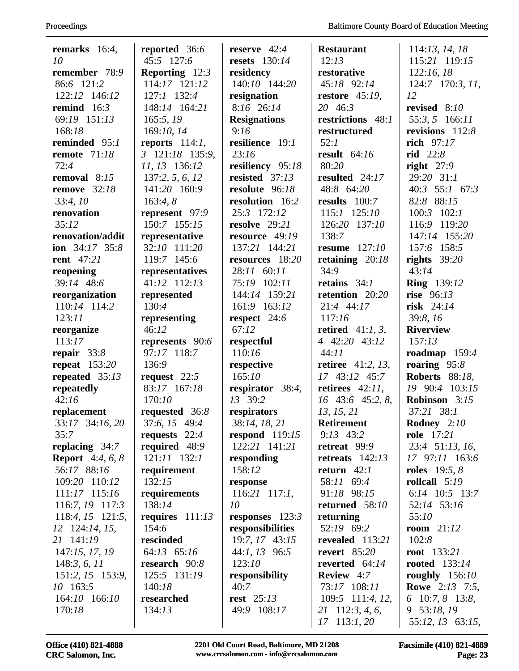| remarks $16:4$ ,        | reported 36:6                 | reserve $42:4$       | <b>Restaurant</b>          | 114:13, 14, 18         |
|-------------------------|-------------------------------|----------------------|----------------------------|------------------------|
| 10                      | 45:5 127:6                    | <b>resets</b> 130:14 | 12:13                      | 115:21 119:15          |
| remember 78:9           | <b>Reporting</b> $12:3$       | residency            | restorative                | 122:16,18              |
| 86:6 121:2              | 114:17 121:12                 | 140:10 144:20        | 45:18 92:14                | 124:7 170:3, 11,       |
| 122:12 146:12           | $127:1$ $132:4$               | resignation          | restore $45:19$ ,          | 12                     |
| remind $16:3$           | 148:14 164:21                 | 8:16 26:14           | 20 46:3                    | revised $8:10$         |
| 69:19 151:13            | 165:5, 19                     | <b>Resignations</b>  | restrictions 48:1          | 55:3, 5 166:11         |
| 168:18                  | 169:10, 14                    | 9:16                 | restructured               | revisions 112:8        |
| reminded $95:1$         | reports $114:1$ ,             | resilience 19:1      | 52:1                       | rich 97:17             |
| <b>remote</b> 71:18     | $3 \quad 121:18 \quad 135:9,$ | 23:16                | result $64:16$             | rid $22:8$             |
| 72:4                    | 11, 13 136:12                 | resiliency 95:18     | 80:20                      | right $27:9$           |
| removal $8:15$          | 137:2, 5, 6, 12               | resisted 37:13       | resulted 24:17             | 29:20 31:1             |
| <b>remove</b> 32:18     | 141:20 160:9                  | resolute 96:18       | 48:8 64:20                 | 40:3 55:1 67:3         |
| 33:4,10                 | 163:4,8                       | resolution 16:2      | results $100:7$            | 82:8 88:15             |
| renovation              | represent 97:9                | 25:3 172:12          | 115:1 125:10               | $100:3$ $102:1$        |
| 35:12                   | 150:7 155:15                  | resolve 29:21        | 126:20 137:10              | 116:9 119:20           |
| renovation/addit        | representative                | resource 49:19       | 138:7                      | 147:14 155:20          |
| ion $34:17$ $35:8$      | 32:10 111:20                  | 137:21 144:21        | resume $127:10$            | 157:6 158:5            |
| <b>rent</b> 47:21       | 119:7 145:6                   | resources 18:20      | retaining $20:18$          | rights $39:20$         |
| reopening               | representatives               | 28:11 60:11          | 34:9                       | 43:14                  |
| 39:14 48:6              | 41:12 112:13                  | 75:19 102:11         | retains $34:1$             | <b>Ring</b> 139:12     |
| reorganization          | represented                   | 144:14 159:21        | retention 20:20            | rise 96:13             |
| 110:14 114:2            | 130:4                         | 161:9 163:12         | 21:4 44:17                 | risk $24:14$           |
| 123:11                  | representing                  | respect 24:6         | 117:16                     | 39:8,16                |
| reorganize              | 46:12                         | 67:12                | retired $41:1, 3$ ,        | <b>Riverview</b>       |
| 113:17                  | represents 90:6               | respectful           | 4 42:20 43:12              | 157:13                 |
| repair $33:8$           | 97:17 118:7                   | 110:16               | 44:11                      | roadmap $159:4$        |
| repeat $153:20$         | 136:9                         | respective           | <b>retiree</b> $41:2, 13,$ | roaring $95:8$         |
| repeated $35:13$        | request $22:5$                | 165:10               | 17 43:12 45:7              | <b>Roberts</b> 88:18,  |
| repeatedly              | 83:17 167:18                  | respirator $38:4$ ,  | retirees $42:11$ ,         | 19 90:4 103:15         |
| 42:16                   | 170:10                        | 13 39:2              | $16$ 43:6 45:2, 8,         | Robinson 3:15          |
| replacement             | requested 36:8                | respirators          | 13, 15, 21                 | 37:21 38:1             |
| 33:17 34:16, 20         | 37:6, 15 49:4                 | 38:14, 18, 21        | <b>Retirement</b>          | <b>Rodney</b> $2:10$   |
| 35:7                    | requests $22:4$               | respond $119:15$     | $9:13$ 43:2                | <b>role</b> 17:21      |
| replacing $34:7$        | required 48:9                 | 122:21 141:21        | retreat 99:9               | 23:4 51:13, 16,        |
| <b>Report</b> 4:4, 6, 8 | $121:11$ $132:1$              | responding           | retreats $142:13$          | 17 97:11 163:6         |
| 56:17 88:16             | requirement                   | 158:12               | return $42:1$              | <b>roles</b> $19:5, 8$ |
| 109:20 110:12           | 132:15                        | response             | 58:11 69:4                 | rollcall $5:19$        |
| 111:17 115:16           | requirements                  | $116:21$ 117:1,      | 91:18 98:15                | 6:14 10:5 13:7         |
| 116:7, 19 117:3         | 138:14                        | 10                   | returned $58:10$           | 52:14 53:16            |
| $118:4, 15$ 121:5,      | requires $111:13$             | responses $123:3$    | returning                  | 55:10                  |
| 12 124:14, 15,          | 154:6                         | responsibilities     | 52:19 69:2                 | room $21:12$           |
| 21 141:19               | rescinded                     | 19:7, 17 43:15       | revealed 113:21            | 102:8                  |
| 147:15, 17, 19          | 64:13 65:16                   | $44:1, 13$ 96:5      | revert $85:20$             | root $133:21$          |
| 148:3, 6, 11            | research 90:8                 | 123:10               | reverted 64:14             | rooted $133:14$        |
| 151:2, 15 153:9,        | 125:5 131:19                  | responsibility       | <b>Review</b> 4:7          | roughly $156:10$       |
| 10 163:5                | 140:18                        | 40:7                 | 73:17 108:11               | <b>Rowe</b> 2:13 7:5,  |
| 164:10 166:10           | researched                    | <b>rest</b> 25:13    | 109:5 111:4, 12,           | 6 10:7, 8 13:8,        |
| 170:18                  | 134:13                        | 49:9 108:17          | 21 112:3, 4, 6,            | 9 53:18, 19            |
|                         |                               |                      | $17$ 113:1, 20             | 55:12, 13 63:15,       |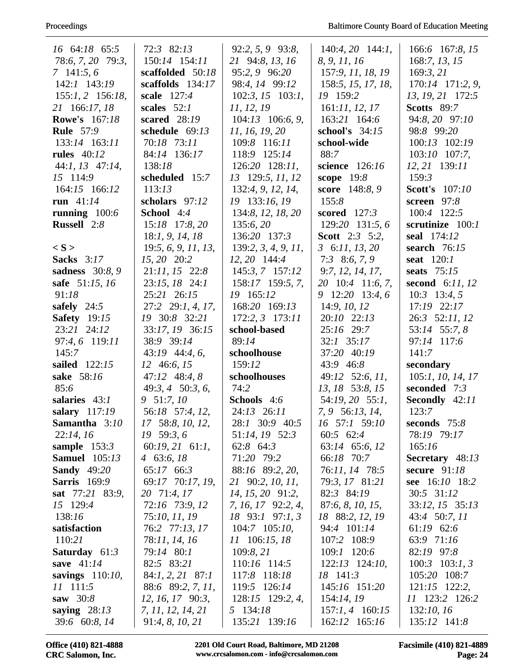| 16 64:18 65:5          | 72:3 82:13           | 92:2, 5, 9 93:8,    | $140:4, 20$ 144:1,    | 166:6 167:8, 15       |
|------------------------|----------------------|---------------------|-----------------------|-----------------------|
| 78:6, 7, 20 79:3,      | 150:14 154:11        | 21 94:8, 13, 16     | 8, 9, 11, 16          | 168:7, 13, 15         |
| 7 141:5, 6             | scaffolded 50:18     | 95:2, 9 96:20       | 157:9, 11, 18, 19     | 169:3, 21             |
| $142:1$ $143:19$       | scaffolds $134:17$   | 98:4, 14 99:12      | 158:5, 15, 17, 18,    | 170:14 171:2, 9,      |
| $155:1, 2$ 156:18,     | scale 127:4          | $102:3, 15$ 103:1,  | 19 159:2              | 13, 19, 21 172:5      |
| 21 166:17, 18          | scales $52:1$        | 11, 12, 19          | 161:11, 12, 17        | <b>Scotts</b> 89:7    |
| <b>Rowe's</b> 167:18   | scared 28:19         | $104:13$ 106:6, 9,  | 163:21 164:6          | 94:8, 20 97:10        |
| <b>Rule</b> 57:9       | schedule 69:13       | 11, 16, 19, 20      | school's 34:15        | 98:8 99:20            |
| 133:14 163:11          | 70:18 73:11          | 109:8 116:11        | school-wide           | 100:13 102:19         |
| <b>rules</b> 40:12     | 84:14 136:17         | 118:9 125:14        | 88:7                  | $103:10$ 107:7,       |
| $44:1, 13$ $47:14,$    | 138:18               | $126:20$ $128:11$ , | science 126:16        | $12, 21$ 139:11       |
| 15 114:9               | scheduled 15:7       | 13 129:5, 11, 12    | scope $19:8$          | 159:3                 |
| 164:15 166:12          | 113:13               | 132:4, 9, 12, 14,   | score 148:8, 9        | <b>Scott's</b> 107:10 |
| run $41:14$            | scholars 97:12       | 19 133:16, 19       | 155:8                 | screen 97:8           |
| running $100:6$        | School 4:4           | 134:8, 12, 18, 20   | scored $127:3$        | 100:4 122:5           |
| <b>Russell</b> 2:8     | 15:18 17:8, 20       | 135:6, 20           | 129:20 131:5, 6       | scrutinize 100:1      |
|                        | 18:1, 9, 14, 18      | 136:20 137:3        | <b>Scott</b> 2:3 5:2, | seal 174:12           |
| $\langle S \rangle$    | 19:5, 6, 9, 11, 13,  | 139:2, 3, 4, 9, 11, | 3, 6:11, 13, 20       | search $76:15$        |
| <b>Sacks</b> 3:17      | 15, 20 20:2          | $12, 20$ 144:4      | $7:3$ 8:6, 7, 9       | seat $120:1$          |
| <b>sadness</b> 30:8, 9 | $21:11, 15$ 22:8     | 145:3, 7 157:12     | 9:7, 12, 14, 17,      | seats $75:15$         |
| safe 51:15, 16         | 23:15, 18 24:1       | 158:17 159:5, 7,    | 20 10:4 11:6, 7,      | second $6:11,12$      |
| 91:18                  | 25:21 26:15          | 19 165:12           | 9 12:20 13:4, 6       | $10:3$ 13:4, 5        |
| safely $24:5$          | 27:2 29:1, 4, 17,    | 168:20 169:13       | 14:9, 10, 12          | 17:19 22:17           |
| <b>Safety</b> 19:15    | 19 30:8 32:21        | 172:2, 3 173:11     | 20:10 22:13           | 26:3 52:11, 12        |
| 23:21 24:12            | 33:17, 19 36:15      | school-based        | 25:16 29:7            | 53:14 55:7, 8         |
| 97:4, 6 119:11         | 38:9 39:14           | 89:14               | $32:1$ $35:17$        | 97:14 117:6           |
| 145:7                  | $43:19$ $44:4,6$ ,   | schoolhouse         | 37:20 40:19           | 141:7                 |
| sailed 122:15          | 12 46:6, 15          | 159:12              | 43:9 46:8             | secondary             |
| sake 58:16             | $47:12 \quad 48:4,8$ | schoolhouses        | 49:12 52:6, 11,       | 105:1, 10, 14, 17     |
| 85:6                   | 49:3, 4 50:3, 6,     | 74:2                | 13, 18 53:8, 15       | seconded 7:3          |
| salaries 43:1          | 9 51:7, 10           | Schools 4:6         | 54:19, 20 55:1,       | Secondly 42:11        |
| salary 117:19          | 56:18 57:4, 12,      | 24:13 26:11         | 7, 9 56:13, 14,       | 123:7                 |
| Samantha 3:10          | 17 58:8, 10, 12,     | 28:1 30:9 40:5      | 16 57:1 59:10         | seconds $75:8$        |
| 22:14, 16              | $19\,59:3,6$         | 51:14, 19 52:3      | 60:5 62:4             | 78:19 79:17           |
| sample $153:3$         | $60:19, 21$ $61:1,$  | 62:8 64:3           | 63:14 65:6, 12        | 165:16                |
| <b>Samuel</b> 105:13   | 4 63:6, $18$         | 71:20 79:2          | 66:18 70:7            | Secretary 48:13       |
| <b>Sandy</b> 49:20     | 65:17 66:3           | 88:16 89:2, 20,     | 76:11, 14 78:5        | secure $91:18$        |
| <b>Sarris</b> 169:9    | 69:17 70:17, 19,     | 21 90:2, 10, 11,    | 79:3, 17 81:21        | see 16:10 18:2        |
| sat 77:21 83:9,        | 20 71:4, 17          | $14, 15, 20$ 91:2,  | 82:3 84:19            | 30:5 31:12            |
| 15 129:4               | 72:16 73:9, 12       | 7, 16, 17 92:2, 4,  | 87:6, 8, 10, 15,      | 33:12, 15 35:13       |
| 138:16                 | 75:10, 11, 19        | 18 93:1 97:1, 3     | 18 88:2, 12, 19       | 43:4 50:7, 11         |
| satisfaction           | 76:2 77:13, 17       | $104:7$ $105:10$ ,  | 94:4 101:14           | $61:19$ $62:6$        |
| 110:21                 | 78:11, 14, 16        | 11 106:15, 18       | 107:2 108:9           | 63:9 71:16            |
| <b>Saturday</b> $61:3$ | 79:14 80:1           | 109:8, 21           | 109:1 120:6           | 82:19 97:8            |
| save $41:14$           | 82:5 83:21           | 110:16 114:5        | $122:13$ $124:10,$    | $100:3$ $103:1, 3$    |
| savings 110:10,        | $84:1, 2, 21$ 87:1   | 117:8 118:18        | 18 141:3              | 105:20 108:7          |
| 11 111:5               | 88:6 89:2, 7, 11,    | 119:5 126:14        | 145:16 151:20         | $121:15$ 122:2,       |
| saw 30:8               | 12, 16, 17 90:3,     | 128:15 129:2, 4,    | 154:14, 19            | 11 123:2 126:2        |
| saying $28:13$         | 7, 11, 12, 14, 21    | 5 134:18            | $157:1, 4$ 160:15     | 132:10, 16            |
| 39:6 60:8, 14          | 91:4, 8, 10, 21      | 135:21 139:16       | 162:12 165:16         | 135:12 141:8          |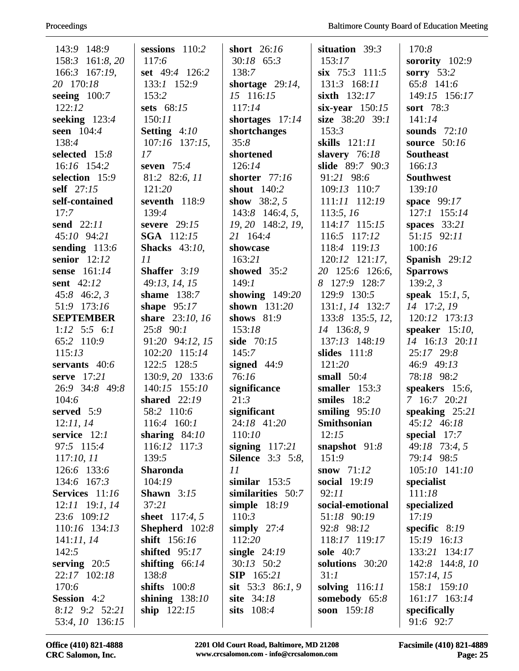| 143:9 148:9          | sessions 110:2                   | short $26:16$           | situation 39:3               | 170:8                        |
|----------------------|----------------------------------|-------------------------|------------------------------|------------------------------|
| 158:3<br>161:8,20    | 117:6                            | $30:18$ 65:3            | 153:17                       | sorority $102:9$             |
| 166:3 167:19,        | set 49:4 126:2                   | 138:7                   | $\sin$ 75:3 111:5            | sorry $53:2$                 |
| 20 170:18            | 133:1 152:9                      | shortage $29:14$ ,      | 131:3 168:11                 | 65:8 141:6                   |
| seeing $100:7$       | 153:2                            | 15 116:15               | sixth $132:17$               | 149:15 156:17                |
| 122:12               | sets 68:15                       | 117:14                  | six-year $150:15$            | sort 78:3                    |
| seeking 123:4        | 150:11                           | shortages $17:14$       | size 38:20 39:1              | 141:14                       |
| seen 104:4           | Setting 4:10                     | shortchanges            | 153:3                        | sounds 72:10                 |
| 138:4                | $107:16$ 137:15,                 | 35:8                    | skills $121:11$              | source $50:16$               |
| selected 15:8        | 17                               | shortened               | slavery 76:18                | <b>Southeast</b>             |
| 16:16 154:2          | seven $75:4$                     | 126:14                  | slide 89:7 90:3              | 166:13                       |
| selection 15:9       | 81:2 82:6, 11                    | shorter $77:16$         | 91:21 98:6                   | <b>Southwest</b>             |
| self 27:15           | 121:20                           | shout $140:2$           | 109:13 110:7                 | 139:10                       |
| self-contained       | seventh 118:9                    | show $38:2, 5$          | 111:11 112:19                | space 99:17                  |
| 17:7                 | 139:4                            | 143:8 146:4, 5,         | 113:5, 16                    | 127:1 155:14                 |
| send 22:11           | severe $29:15$                   | $19, 20$ 148:2, $19$ ,  | 114:17 115:15                | spaces $33:21$               |
| 45:10 94:21          | <b>SGA</b> 112:15                | 21 164:4                | $116:5$ $117:12$             | 51:15 92:11                  |
| sending 113:6        | <b>Shacks</b> 43:10,             | showcase                | 118:4 119:13                 | 100:16                       |
| senior $12:12$       | 11                               | 163:21                  | $120:12$ $121:17$ ,          | Spanish 29:12                |
| sense 161:14         | Shaffer 3:19                     | showed 35:2             | 20 125:6 126:6,              | <b>Sparrows</b>              |
| sent 42:12           | 49:13, 14, 15                    | 149:1                   | 8 127:9 128:7                | 139:2,3                      |
| $45:8$ 46:2, 3       | shame 138:7                      | showing $149:20$        | 129:9 130:5                  | <b>speak</b> $15:1, 5$ ,     |
| 51:9 173:16          | shape $95:17$                    | shown $131:20$          | 131:1, 14 132:7              | 14 17:2, 19                  |
| <b>SEPTEMBER</b>     | share 23:10, 16<br>25:8 90:1     | shows $81:9$            | 133:8 135:5, 12,             | 120:12 173:13                |
| $1:12$ 5:5 6:1       |                                  | 153:18                  | 14 136:8, 9<br>137:13 148:19 | speaker $15:10$ ,            |
| 65:2 110:9<br>115:13 | 91:20 94:12, 15<br>102:20 115:14 | side 70:15<br>145:7     | slides $111:8$               | 14 16:13 20:11<br>25:17 29:8 |
| servants 40:6        | 122:5 128:5                      | signed $44:9$           | 121:20                       | 46:9 49:13                   |
| serve 17:21          | 130:9, 20 133:6                  | 76:16                   | small $50:4$                 | 78:18 98:2                   |
| 26:9 34:8 49:8       | 140:15 155:10                    | significance            | smaller $153:3$              | speakers $15:6$ ,            |
| 104:6                | shared $22:19$                   | 21:3                    | smiles 18:2                  | 7 16:7 20:21                 |
| served 5:9           | 58:2 110:6                       | significant             | smiling $95:10$              | speaking $25:21$             |
| 12:11,14             | 116:4 160:1                      | 24:18 41:20             | <b>Smithsonian</b>           | 45:12 46:18                  |
| service $12:1$       | sharing $84:10$                  | 110:10                  | 12:15                        | special $17:7$               |
| 97:5 115:4           | $116:12$ $117:3$                 | signing $117:21$        | snapshot $91:8$              | 49:18 73:4, 5                |
| 117:10, 11           | 139:5                            | <b>Silence</b> 3:3 5:8, | 151:9                        | 79:14 98:5                   |
| 126:6 133:6          | <b>Sharonda</b>                  | 11                      | snow $71:12$                 | $105:10$ $141:10$            |
| 134:6 167:3          | 104:19                           | similar $153:5$         | social 19:19                 | specialist                   |
| Services 11:16       | Shawn $3:15$                     | similarities 50:7       | 92:11                        | 111:18                       |
| $12:11$ 19:1, 14     | 37:21                            | simple $18:19$          | social-emotional             | specialized                  |
| 23:6 109:12          | sheet $117:4, 5$                 | 110:3                   | 51:18 90:19                  | 17:19                        |
| 110:16 134:13        | Shepherd 102:8                   | simply $27:4$           | 92:8 98:12                   | specific $8:19$              |
| 141:11,14            | shift 156:16                     | 112:20                  | 118:17 119:17                | 15:19 16:13                  |
| 142:5                | shifted $95:17$                  | single $24:19$          | <b>sole</b> 40:7             | 133:21 134:17                |
| serving $20:5$       | shifting $66:14$                 | $30:13$ $50:2$          | solutions 30:20              | 142:8 144:8, 10              |
| 22:17 102:18         | 138:8                            | <b>SIP</b> 165:21       | 31:1                         | 157:14, 15                   |
| 170:6                | shifts $100:8$                   | sit $53:3$ 86:1, 9      | solving $116:11$             | 158:1 159:10                 |
| <b>Session</b> 4:2   | shining $138:10$                 | site 34:18              | somebody $65:8$              | 161:17 163:14                |
| 8:12 9:2 52:21       | ship $122:15$                    | sits 108:4              | soon 159:18                  | specifically                 |
| 53:4, 10 136:15      |                                  |                         |                              | 91:6 92:7                    |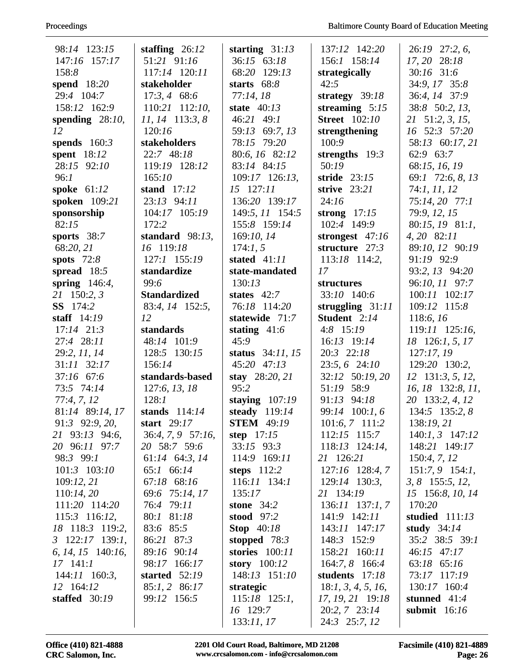| 98:14 123:15                    | staffing $26:12$               | starting $31:13$                   | 137:12 142:20                   | 26:19 27:2, 6,                       |
|---------------------------------|--------------------------------|------------------------------------|---------------------------------|--------------------------------------|
| 147:16 157:17                   | 51:21 91:16                    | 36:15 63:18                        | 156:1 158:14                    | 17, 20 28:18                         |
| 158:8                           | 117:14 120:11                  | 68:20 129:13                       | strategically                   | $30:16$ 31:6                         |
| spend 18:20                     | stakeholder                    | starts $68:8$                      | 42:5                            | 34:9, 17 35:8                        |
| 29:4 104:7                      | $17:3, 4$ 68:6                 | 77:14,18                           | strategy $39:18$                | 36:4, 14 37:9                        |
| 158:12 162:9                    | 110:21 112:10,                 | state $40:13$                      | streaming $5:15$                | 38:8 50:2, 13,                       |
| spending $28:10$ ,              | $11, 14$ 113:3, 8              | 46:21 49:1                         | <b>Street</b> 102:10            | 21 51:2, 3, 15,                      |
| 12                              | 120:16                         | 59:13 69:7, 13                     | strengthening                   | 16 52:3 57:20                        |
| spends $160:3$                  | stakeholders                   | 78:15 79:20                        | 100:9                           | 58:13 60:17, 21                      |
| spent $18:12$                   | 22:7 48:18                     | 80:6, 16 82:12                     | strengths $19:3$                | 62:9 63:7                            |
| 28:15 92:10                     | 119:19 128:12                  | 83:14 84:15                        | 50:19                           | 68:15, 16, 19                        |
| 96:1                            | 165:10                         | $109:17$ $126:13$ ,                | stride $23:15$                  | 69:1 72:6, 8, 13                     |
| spoke $61:12$                   | stand $17:12$                  | 15 127:11                          | strive $23:21$                  | 74:1, 11, 12                         |
| spoken 109:21                   | 23:13 94:11                    | 136:20 139:17                      | 24:16                           | 75:14, 20 77:1                       |
| sponsorship                     | 104:17 105:19                  | 149:5, 11 154:5                    | strong $17:15$                  | 79:9, 12, 15                         |
| 82:15                           | 172:2                          | 155:8 159:14                       | 102:4 149:9                     | 80:15, 19 81:1,                      |
| sports $38:7$                   | standard $98:13$ ,             | 169:10, 14                         | strongest $47:16$               | 4, 20 82:11                          |
| 68:20, 21                       | 16 119:18                      | 174:1, 5                           | structure $27:3$                | 89:10, 12 90:19                      |
| spots $72:8$                    | 127:1 155:19                   | stated $41:11$                     | $113:18$ 114:2,                 | 91:19 92:9                           |
| spread $18:5$                   | standardize                    | state-mandated                     | 17                              | 93:2, 13 94:20                       |
| spring $146:4$ ,                | 99:6                           | 130:13                             | structures                      | 96:10, 11 97:7                       |
| 21 150:2, 3                     | <b>Standardized</b>            | states $42:7$                      | 33:10 140:6                     | 100:11 102:17                        |
| <b>SS</b> 174:2                 | 83:4, 14 152:5,                | 76:18 114:20                       | struggling $31:11$              | 109:12 115:8                         |
| staff $14:19$                   | 12                             | statewide 71:7                     | Student 2:14                    | 118:6, 16                            |
| $17:14$ $21:3$                  | standards                      | stating $41:6$                     | $4:8$ 15:19                     | 119:11 125:16,                       |
| 27:4 28:11                      | 48:14 101:9                    | 45:9                               | 16:13 19:14                     | 18 126:1, 5, 17                      |
| 29:2, 11, 14                    | 128:5 130:15                   | status $34:11, 15$                 | 20:3 22:18                      | 127:17,19                            |
| $31:11$ $32:17$                 | 156:14                         | 45:20 47:13                        | 23:5, 6 24:10                   | 129:20 130:2,                        |
| 37:16 67:6                      | standards-based                | stay $28:20, 21$                   | 32:12 50:19, 20                 | $12$ 131:3, 5, 12,                   |
| 73:5 74:14                      | 127:6, 13, 18                  | 95:2                               | 51:19 58:9                      | $16, 18$ 132:8, $11,$                |
| 77:4, 7, 12                     | 128:1                          | staying $107:19$                   | 91:13 94:18                     | 20 133:2, 4, 12                      |
| 81:14 89:14, 17                 | stands $114:14$<br>start 29:17 | steady 119:14<br><b>STEM</b> 49:19 | 99:14 100:1,6<br>101:6, 7 111:2 | 134:5 135:2, 8                       |
| 91:3 92:9, 20,                  | $36:4, 7, 9$ 57:16,            | step $17:15$                       | 112:15 115:7                    | 138:19, 21                           |
| 21 93:13 94:6,<br>20 96:11 97:7 | 20 58:7 59:6                   | $33:15$ $93:3$                     | $118:13$ $124:14$ ,             | $140:1, 3$ $147:12$<br>148:21 149:17 |
| 98:3 99:1                       | 61:14 64:3, 14                 | 114:9 169:11                       | 21 126:21                       | 150:4, 7, 12                         |
| $101:3$ $103:10$                | 65:1 66:14                     | steps $112:2$                      | 127:16 128:4, 7                 | $151:7,9$ 154:1,                     |
| 109:12,21                       | 67:18 68:16                    | $116:11$ $134:1$                   | $129:14$ 130:3,                 | $3, 8$ 155:5, 12,                    |
| 110:14,20                       | 69:6 75:14, 17                 | 135:17                             | 21 134:19                       | 15 156:8, 10, 14                     |
| 111:20 114:20                   | 76:4 79:11                     | stone $34:2$                       | $136:11$ $137:1, 7$             | 170:20                               |
| $115:3$ 116:12,                 | 80:1 81:18                     | <b>stood</b> 97:2                  | 141:9 142:11                    | studied $111:13$                     |
| 18 118:3 119:2,                 | 83:6 85:5                      | <b>Stop</b> 40:18                  | 143:11 147:17                   | study $34:14$                        |
| $3 \quad 122:17 \quad 139:1,$   | 86:21 87:3                     | stopped $78:3$                     | 148:3 152:9                     | 35:2 38:5 39:1                       |
| $6, 14, 15$ 140:16,             | 89:16 90:14                    | stories $100:11$                   | 158:21 160:11                   | 46:15 47:17                          |
| $17$ 141:1                      | 98:17 166:17                   | story $100:12$                     | 164:7, 8 166:4                  | $63:18$ $65:16$                      |
| 144:11 160:3,                   | started $52:19$                | 148:13 151:10                      | students 17:18                  | 73:17 117:19                         |
| 12 164:12                       | 85:1, 2 86:17                  | strategic                          | 18:1, 3, 4, 5, 16,              | 130:17 160:4                         |
| staffed $30:19$                 | 99:12 156:5                    | $115:18$ 125:1,                    | 17, 19, 21 19:18                | stunned $41:4$                       |
|                                 |                                | 16 129:7                           | 20:2, 7 23:14                   | submit $16:16$                       |
|                                 |                                | 133:11,17                          | 24:3 25:7, 12                   |                                      |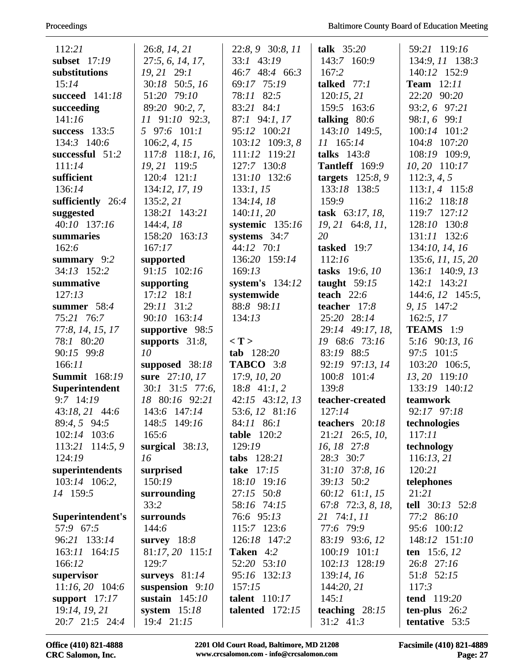| 112:21                          | 26:8, 14, 21                 | 22:8, 9 30:8, 11    | talk $35:20$                    | 59:21 119:16                      |
|---------------------------------|------------------------------|---------------------|---------------------------------|-----------------------------------|
| subset $17:19$                  | 27:5, 6, 14, 17,             | 33:1 43:19          | 143:7 160:9                     | 134:9, 11 138:3                   |
| substitutions                   | 19, 21 29:1                  | 46:7 48:4 66:3      | 167:2                           | 140:12 152:9                      |
| 15:14                           | 30:18 50:5, 16               | 69:17 75:19         | talked $77:1$                   | <b>Team</b> 12:11                 |
| succeed 141:18                  | 51:20 79:10                  | 78:11 82:5          | 120:15,21                       | 22:20 90:20                       |
| succeeding                      | 89:20 90:2, 7,               | 83:21 84:1          | 159:5 163:6                     | 93:2, 6 97:21                     |
| 141:16                          | 11 91:10 92:3,               | 87:1 94:1, 17       | talking $80:6$                  | 98:1, 6 99:1                      |
| success $133:5$                 | 5 97:6 101:1                 | 95:12 100:21        | 143:10 149:5,                   | 100:14 101:2                      |
| 134:3 140:6                     | 106:2, 4, 15                 | 103:12 109:3, 8     | 11 165:14                       | 104:8 107:20                      |
| successful 51:2                 | 117:8 118:1, 16,             | 111:12 119:21       | talks $143:8$                   | 108:19 109:9,                     |
| 111:14                          | 19, 21 119:5                 | 127:7 130:8         | <b>Tantleff</b> 169:9           | 10, 20 110:17                     |
| sufficient                      | $120:4$ $121:1$              | 131:10 132:6        | targets $125:8,9$               | 112:3, 4, 5                       |
| 136:14                          | 134:12, 17, 19               | 133:1, 15           | 133:18 138:5                    | $113:1, 4$ 115:8                  |
| sufficiently 26:4               | 135:2, 21                    | 134:14,18           | 159:9                           | 116:2 118:18                      |
| suggested                       | 138:21 143:21                | 140:11,20           | task 63:17, 18,                 | 119:7 127:12                      |
| 40:10 137:16                    | 144:4,18                     | systemic $135:16$   | 19, 21 64:8, 11,                | 128:10 130:8                      |
| summaries                       | 158:20 163:13                | systems $34:7$      | 20                              | 131:11 132:6                      |
| 162:6                           | 167:17                       | 44:12 70:1          | tasked 19:7                     | 134:10, 14, 16                    |
| summary $9:2$                   | supported                    | 136:20 159:14       | 112:16                          | 135:6, 11, 15, 20                 |
| 34:13 152:2                     | 91:15 102:16                 | 169:13              | tasks 19:6, 10                  | 136:1 140:9, 13                   |
| summative                       | supporting                   | system's $134:12$   | taught $59:15$                  | 142:1 143:21                      |
| 127:13                          | $17:12$ $18:1$               | systemwide          | teach $22:6$                    | 144:6, 12 145:5,                  |
| summer $58:4$                   | 29:11 31:2                   | 88:8 98:11          | teacher 17:8                    | 9, 15 147:2                       |
| 75:21 76:7                      | 90:10 163:14                 | 134:13              | 25:20 28:14                     | 162:5, 17                         |
| 77:8, 14, 15, 17                | supportive 98:5              |                     | 29:14 49:17, 18,                | TEAMS 1:9                         |
| 78:1 80:20                      | supports $31:8$ ,            | $\langle T \rangle$ | 19 68:6 73:16                   | 5:16 90:13, 16                    |
| 90:15 99:8                      | 10                           | $tab$ 128:20        | 83:19 88:5                      | 97:5 101:5                        |
| 166:11                          | supposed 38:18               | <b>TABCO</b> 3:8    | 92:19 97:13, 14                 | 103:20 106:5,                     |
| <b>Summit</b> 168:19            | sure 27:10, 17               | 17:9, 10, 20        | 100:8<br>101:4                  | 13, 20 119:10                     |
| Superintendent                  | $30:1$ $31:5$ $77:6$ ,       | $18:8$ 41:1, 2      | 139:8                           | 133:19 140:12                     |
| $9:7$ 14:19                     | 18 80:16 92:21               | 42:15 43:12, 13     | teacher-created                 | teamwork                          |
| 43:18, 21 44:6                  | 143:6 147:14                 | 53:6, 12 81:16      | 127:14                          | 92:17 97:18                       |
| 89:4, 5 94:5                    | 148:5 149:16                 | 84:11 86:1          | teachers 20:18                  | technologies                      |
| 102:14 103:6                    | 165:6                        | table 120:2         | 21:21 26:5, 10,                 | 117:11                            |
| 113:21<br>114:5, 9              | surgical $38:13$ ,           | 129:19              | 16, 18 27:8                     | technology                        |
| 124:19                          | 16                           | tabs 128:21         | 28:3 30:7                       | 116:13,21                         |
| superintendents                 | surprised                    | take $17:15$        | 31:10 37:8, 16                  | 120:21                            |
| 103:14 106:2,                   | 150:19                       | 18:10 19:16         | 39:13 50:2                      | telephones                        |
| 14 159:5                        | surrounding                  | 27:15 50:8          | 60:12 61:1, 15                  | 21:21                             |
|                                 | 33:2                         | 58:16 74:15         | 67:8 72:3, 8, 18,               | tell $30:13$ 52:8                 |
| Superintendent's                | surrounds                    | 76:6 95:13          | 21 74:1, 11                     | 77:2 86:10                        |
| 57:9 67:5                       | 144:6                        | 115:7 123:6         | 77:6 79:9                       | 95:6 100:12                       |
| 96:21 133:14                    | survey $18:8$                | 126:18 147:2        | 83:19 93:6, 12                  | 148:12 151:10                     |
| 163:11 164:15                   | 81:17, 20 115:1              | Taken 4:2           | 100:19 101:1                    | ten $15:6, 12$                    |
| 166:12                          | 129:7                        | 52:20 53:10         | 102:13 128:19                   | 26:8 27:16                        |
| supervisor                      | surveys $81:14$              | 95:16 132:13        | 139:14, 16                      | 51:8 52:15                        |
| $11:16, 20$ 104:6               | suspension $9:10$            | 157:15              | 144:20, 21                      | 117:3                             |
| support $17:17$                 | sustain $145:10$             | talent 110:17       | 145:1                           | tend 119:20                       |
| 19:14, 19, 21<br>20:7 21:5 24:4 | system $15:18$<br>19:4 21:15 | talented $172:15$   | teaching $28:15$<br>$31:2$ 41:3 | ten-plus $26:2$<br>tentative 53:5 |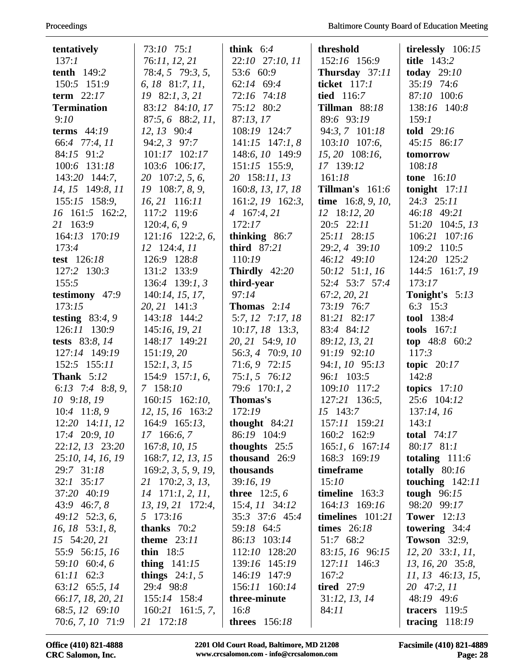| tentatively        | 73:10 75:1             | think $6:4$            | threshold            | tirelessly $106:15$ |
|--------------------|------------------------|------------------------|----------------------|---------------------|
| 137:1              | 76:11, 12, 21          | 22:10 27:10, 11        | 152:16 156:9         | title 143:2         |
| <b>tenth</b> 149:2 | 78:4, 5 79:3, 5,       | 53:6 60:9              | Thursday 37:11       | today $29:10$       |
| 150:5 151:9        | 6, 18, 81:7, 11,       | 62:14 69:4             | ticket 117:1         | 35:19 74:6          |
| term $22:17$       | $19 \quad 82:1, 3, 21$ | 72:16 74:18            | tied 116:7           | 87:10 100:6         |
| <b>Termination</b> | 83:12 84:10, 17        | 75:12 80:2             | <b>Tillman</b> 88:18 | 138:16 140:8        |
| 9:10               | 87:5, 6 88:2, 11,      | 87:13,17               | 89:6 93:19           | 159:1               |
| terms $44:19$      | 12, 13 90:4            | 108:19 124:7           | 94:3, 7 101:18       | told 29:16          |
| 66:4 77:4, 11      | 94:2, 3 97:7           | $141:15$ $147:1, 8$    | $103:10$ 107:6,      | 45:15 86:17         |
| 84:15 91:2         | 101:17 102:17          | 148:6, 10 149:9        | 15, 20 108:16,       | tomorrow            |
| 100:6 131:18       | 103:6 106:17,          | $151:15$ 155:9,        | 17 139:12            | 108:18              |
| 143:20 144:7,      | 20 107:2, 5, 6,        | 20 158:11, 13          | 161:18               | <b>tone</b> 16:10   |
| 14, 15 149:8, 11   | 108:7, 8, 9,<br>19     | 160:8, 13, 17, 18      | Tillman's $161:6$    | tonight $17:11$     |
| 155:15 158:9,      | $16, 21$ 116:11        | $161:2, 19$ 162:3,     | time $16:8, 9, 10,$  | 24:3 25:11          |
| 16 161:5 162:2,    | 117:2 119:6            | 4 167:4, 21            | 12 18:12, 20         | 46:18 49:21         |
| 21 163:9           | 120:4, 6, 9            | 172:17                 | 20:5 22:11           | 51:20 104:5, 13     |
| 164:13 170:19      | $121:16$ 122:2, 6,     | thinking $86:7$        | 25:11 28:15          | 106:21 107:16       |
| 173:4              | $12$ 124:4, $11$       | third 87:21            | 29:2, 4 39:10        | 109:2 110:5         |
| test 126:18        | 126:9 128:8            | 110:19                 | 46:12 49:10          | 124:20 125:2        |
| 127:2 130:3        | 131:2 133:9            | Thirdly $42:20$        | 50:12 51:1, 16       | 144:5 161:7, 19     |
| 155:5              | 136:4 139:1, 3         | third-year             | 52:4 53:7 57:4       | 173:17              |
| testimony $47:9$   | 140:14, 15, 17,        | 97:14                  | 67:2, 20, 21         | Tonight's 5:13      |
| 173:15             | 20, 21 141:3           | <b>Thomas</b> $2:14$   | 73:19 76:7           | 6:3 $15:3$          |
| testing $83:4,9$   | 143:18 144:2           | $5:7, 12$ 7:17, 18     | 81:21 82:17          | tool 138:4          |
| 126:11 130:9       | 145:16, 19, 21         | $10:17, 18$ 13:3,      | 83:4 84:12           | tools $167:1$       |
| tests 83:8, 14     | 148:17 149:21          | 20, 21 54:9, 10        | 89:12, 13, 21        | top 48:8 60:2       |
| 127:14 149:19      | 151:19,20              | 56:3, 4 70:9, 10       | 91:19 92:10          | 117:3               |
| $152:5$ $155:11$   | 152:1, 3, 15           | 71:6, 9 72:15          | 94:1, 10 95:13       | topic $20:17$       |
| <b>Thank</b> 5:12  | $154:9$ 157:1, 6,      | 75:1, 5 76:12          | 96:1 103:5           | 142:8               |
| 6:13 7:4 8:8, 9,   | 7 158:10               | 79:6 170:1, 2          | 109:10 117:2         | topics $17:10$      |
| 10 9:18, 19        | $160:15$ $162:10$ ,    | Thomas's               | 127:21 136:5,        | 25:6 104:12         |
| $10:4$ 11:8, 9     | 12, 15, 16 163:2       | 172:19                 | 15 143:7             | 137:14, 16          |
| 12:20 14:11, 12    | 164:9 165:13,          | thought $84:21$        | 157:11 159:21        | 143:1               |
| 17:4 20:9, 10      | 17 166:6, 7            | 86:19 104:9            | 160:2 162:9          | total $74:17$       |
| 22:12, 13 23:20    | 167:8, 10, 15          | thoughts $25:5$        | 165:1, 6 167:14      | $80:17$ $81:1$      |
| 25:10, 14, 16, 19  | 168:7, 12, 13, 15      | thousand 26:9          | 168:3 169:19         | totaling $111:6$    |
| 29:7 31:18         | 169:2, 3, 5, 9, 19,    | thousands              | timeframe            | totally $80:16$     |
| 32:1 35:17         | 21 170:2, 3, 13,       | 39:16,19               | 15:10                | touching $142:11$   |
| 37:20 40:19        | $14$ 171:1, 2, 11,     | <b>three</b> $12:5, 6$ | timeline $163:3$     | tough $96:15$       |
| 43:9 46:7, 8       | 13, 19, 21 172:4,      | $15:4, 11$ 34:12       | 164:13 169:16        | 98:20 99:17         |
| 49:12 52:3, 6,     | 5 173:16               | 35:3 37:6 45:4         | timelines $101:21$   | <b>Tower</b> 12:13  |
| $16, 18$ 53:1, 8,  | thanks $70:2$          | 59:18 64:5             | times $26:18$        | towering $34:4$     |
| 15 54:20, 21       | theme $23:11$          | 86:13 103:14           | 51:7 68:2            | Towson $32:9$ ,     |
| 55:9 56:15, 16     | thin $18:5$            | 112:10 128:20          | 83:15, 16 96:15      | $12, 20$ 33:1, 11,  |
| 59:10 60:4, 6      | thing $141:15$         | 139:16 145:19          | 127:11 146:3         | 13, 16, 20 35:8,    |
| $61:11$ $62:3$     | things $24:1, 5$       | 146:19 147:9           | 167:2                | $11, 13$ 46:13, 15, |
| 63:12 65:5, 14     | 29:4 98:8              | 156:11 160:14          | tired $27:9$         | 20 47:2, 11         |
| 66:17, 18, 20, 21  | 155:14 158:4           | three-minute           | 31:12, 13, 14        | 48:19 49:6          |
| 68:5, 12 69:10     | $160:21$ 161:5, 7,     | 16:8                   | 84:11                | tracers $119:5$     |
| 70:6, 7, 10 71:9   | 21 172:18              | <b>threes</b> 156:18   |                      | tracing $118:19$    |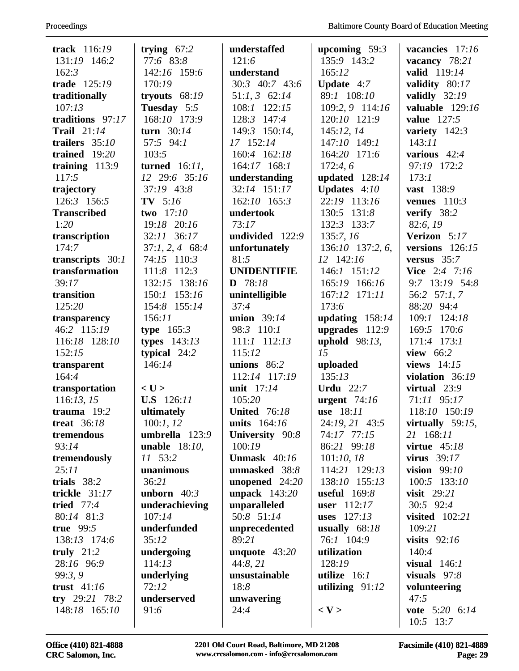| track 116:19                       | trying $67:2$           | understaffed                   | upcoming $59:3$               | vacancies 17:16                 |
|------------------------------------|-------------------------|--------------------------------|-------------------------------|---------------------------------|
| 131:19 146:2                       | 77:6 83:8               | 121:6                          | 135:9 143:2                   | vacancy 78:21                   |
| 162:3                              | 142:16 159:6            | understand                     | 165:12                        | valid 119:14                    |
| trade 125:19                       | 170:19                  | 30:3 40:7 43:6                 | <b>Update</b> $4:7$           | validity 80:17                  |
| traditionally                      | tryouts $68:19$         | $51:1, 3$ 62:14                | 89:1 108:10                   | validly $32:19$                 |
| 107:13                             | Tuesday 5:5             | 108:1 122:15                   | 109:2, 9 114:16               | valuable 129:16                 |
| traditions 97:17                   | 168:10 173:9            | 128:3 147:4                    | 120:10 121:9                  | <b>value</b> 127:5              |
| <b>Trail</b> 21:14                 | turn $30:14$            | 149:3 150:14,                  | 145:12, 14                    | variety $142:3$                 |
| trailers $35:10$                   | 57:5 94:1               | 17 152:14                      | 147:10 149:1                  | 143:11                          |
| trained $19:20$                    | 103:5                   | 160:4 162:18                   | 164:20 171:6                  | various $42:4$                  |
| training 113:9                     | turned $16:11$ ,        | $164:17$ $168:1$               | 172:4,6                       | 97:19 172:2                     |
| 117:5                              | 12 29:6 35:16           | understanding                  | updated $128:14$              | 173:1                           |
| trajectory                         | 37:19 43:8              | 32:14 151:17                   | Updates $4:10$                | vast 138:9                      |
| 126:3 156:5                        | $TV$ 5:16               | 162:10 165:3                   | 22:19 113:16                  | venues $110:3$                  |
| <b>Transcribed</b>                 | two 17:10               | undertook                      | 130:5 131:8                   | verify 38:2                     |
| 1:20                               | 19:18 20:16             | 73:17                          | 132:3 133:7                   | 82:6, 19                        |
| transcription                      | 32:11 36:17             | undivided $122:9$              | 135:7, 16                     | Verizon 5:17                    |
| 174:7                              | $37:1, 2, 4$ 68:4       | unfortunately                  | 136:10 137:2, 6,              | versions $126:15$               |
|                                    | 74:15 110:3             | 81:5                           | 12 142:16                     | versus $35:7$                   |
| transcripts 30:1<br>transformation | 111:8 112:3             | <b>UNIDENTIFIE</b>             | 146:1 151:12                  | <b>Vice</b> 2:4 7:16            |
| 39:17                              | 132:15 138:16           | $D$ 78:18                      | 165:19 166:16                 | 9:7 13:19 54:8                  |
| transition                         | 153:16<br>150:1         |                                | 167:12 171:11                 | 56:2 57:1,7                     |
| 125:20                             | 154:8 155:14            | unintelligible<br>37:4         | 173:6                         | 88:20 94:4                      |
|                                    | 156:11                  | union $39:14$                  |                               | 109:1 124:18                    |
| transparency<br>46:2 115:19        |                         | 98:3 110:1                     | updating $158:14$             | 169:5<br>170:6                  |
|                                    | type $165:3$            | $111:1$ $112:13$               | upgrades $112:9$              | 171:4 173:1                     |
| 116:18 128:10                      | types $143:13$          |                                | uphold $98:13$ ,<br>15        |                                 |
| 152:15                             | typical $24:2$          | 115:12                         |                               | view 66:2                       |
| transparent<br>164:4               | 146:14                  | unions $86:2$<br>112:14 117:19 | uploaded<br>135:13            | views $14:15$                   |
|                                    | $<$ U $>$               |                                |                               | violation 36:19                 |
| transportation                     | <b>U.S</b> 126:11       | unit 17:14                     | <b>Urdu</b> 22:7              | virtual $23:9$                  |
| 116:13, 15                         |                         | 105:20                         | urgent $74:16$                | 71:11 95:17                     |
| trauma $19:2$                      | ultimately              | <b>United</b> 76:18            | use 18:11                     | 118:10 150:19                   |
| <b>treat</b> 36:18                 | 100:1, 12               | units 164:16                   | 24:19, 21 43:5<br>74:17 77:15 | virtually $59:15$ ,             |
| tremendous                         | umbrella 123:9          | University 90:8                |                               | 21 168:11                       |
| 93:14                              | <b>unable</b> $18:10$ , | 100:19<br>Unmask $40:16$       | 86:21 99:18                   | virtue $45:18$                  |
| tremendously                       | 11 53:2                 |                                | 101:10, 18                    | virus $39:17$<br>vision $99:10$ |
| 25:11                              | unanimous               | unmasked 38:8                  | 114:21 129:13                 |                                 |
| trials $38:2$<br>trickle 31:17     | 36:21                   | unopened $24:20$               | 138:10 155:13                 | 100:5 133:10                    |
|                                    | unborn $40:3$           | unpack $143:20$                | useful $169:8$                | visit $29:21$                   |
| tried 77:4                         | underachieving          | unparalleled                   | user $112:17$                 | 30:5 92:4                       |
| 80:14 81:3                         | 107:14                  | 50:8 51:14                     | uses $127:13$                 | visited $102:21$                |
| true $99:5$                        | underfunded             | unprecedented                  | usually $68:18$               | 109:21                          |
| 138:13 174:6                       | 35:12                   | 89:21                          | 76:1 104:9                    | visits $92:16$                  |
| truly $21:2$                       | undergoing              | unquote $43:20$                | utilization                   | 140:4                           |
| 28:16 96:9                         | 114:13                  | 44:8,21                        | 128:19                        | visual $146:1$                  |
| 99:3, 9                            | underlying              | unsustainable                  | utilize $16:1$                | visuals $97:8$                  |
| trust $41:16$                      | 72:12                   | 18:8                           | utilizing $91:12$             | volunteering                    |
| try $29:21$ 78:2                   | underserved             | unwavering                     |                               | 47:5                            |
| 148:18 165:10                      | 91:6                    | 24:4                           | $<$ V $>$                     | vote 5:20 6:14<br>10:5 13:7     |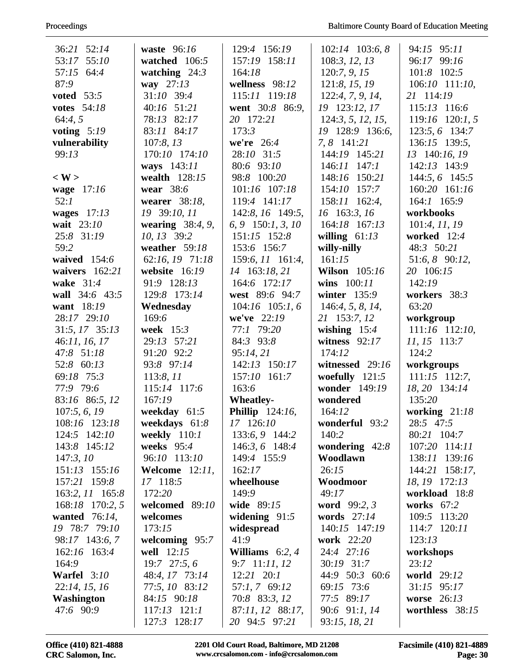| 36:21 52:14                    | waste $96:16$                  | 129:4 156:19                              | $102:14$ 103:6, 8            | 94:15 95:11                       |
|--------------------------------|--------------------------------|-------------------------------------------|------------------------------|-----------------------------------|
| 53:17 55:10                    | watched 106:5                  | 157:19 158:11                             | 108:3, 12, 13                | 96:17 99:16                       |
| 57:15 64:4                     | watching $24:3$                | 164:18                                    | 120:7, 9, 15                 | 101:8 102:5                       |
| 87:9                           | way 27:13                      | wellness 98:12                            | 121:8, 15, 19                | 106:10 111:10,                    |
| <b>voted</b> 53:5              | 31:10 39:4                     | 115:11 119:18                             | 122:4, 7, 9, 14,             | 21 114:19                         |
| <b>votes</b> 54:18             | 40:16 51:21                    | went 30:8 86:9,                           | 19 123:12, 17                | 115:13 116:6                      |
| 64:4,5                         | 78:13 82:17                    | 20 172:21                                 | 124:3, 5, 12, 15,            | $119:16$ $120:1, 5$               |
| voting $5:19$                  | 83:11 84:17                    | 173:3                                     | 19 128:9 136:6,              | 123:5, 6 134:7                    |
| vulnerability                  | 107:8,13                       | we're $26:4$                              | 7, 8 141:21                  | 136:15 139:5,                     |
| 99:13                          | 170:10 174:10                  | 28:10 31:5                                | 144:19 145:21                | 13 140:16, 19                     |
|                                | ways 143:11                    | 80:6 93:10                                | 146:11 147:1                 | 142:13 143:9                      |
| $<$ W $>$                      | wealth 128:15                  | 98:8 100:20                               | 148:16 150:21                | 144:5, 6 145:5                    |
| wage 17:16                     | wear 38:6                      | 101:16 107:18                             | 154:10 157:7                 | 160:20 161:16                     |
| 52:1                           | wearer 38:18,                  | 119:4 141:17                              | 158:11 162:4,                | 164:1 165:9                       |
| wages $17:13$                  | 19 39:10, 11                   | 142:8, 16 149:5,                          | 16 163:3, 16                 | workbooks                         |
| wait 23:10                     | wearing $38:4, 9$ ,            | 6, 9 150:1, 3, 10                         | 164:18 167:13                | 101:4, 11, 19                     |
| 25:8 31:19                     | 10, 13 39:2                    | $151:15$ $152:8$                          | willing $61:13$              | worked 12:4                       |
| 59:2                           | weather $59:18$                | 153:6 156:7                               | willy-nilly                  | 48:3 50:21                        |
| waived 154:6                   | 62:16, 19 71:18                | 159:6, 11 161:4,                          | 161:15                       | 51:6, 8 90:12,                    |
| waivers $162:21$               | website 16:19                  | 14 163:18, 21                             | <b>Wilson</b> 105:16         | 20 106:15                         |
| wake 31:4                      | 91:9 128:13                    | 164:6 172:17                              | wins $100:11$                | 142:19                            |
| wall 34:6 43:5                 | 129:8 173:14                   | west 89:6 94:7                            | winter 135:9                 | workers 38:3                      |
| want 18:19                     | Wednesday                      | $104:16$ $105:1, 6$                       | 146:4, 5, 8, 14,             | 63:20                             |
| 28:17 29:10                    | 169:6                          | we've 22:19                               | 21 153:7, 12                 | workgroup                         |
| 31:5, 17 35:13                 | week $15:3$                    | 77:1 79:20                                | wishing $15:4$               | 111:16 112:10,                    |
| 46:11, 16, 17                  | 29:13 57:21                    | 84:3 93:8                                 | witness $92:17$              | 11, 15 113:7                      |
| 47:8 51:18                     | 91:20 92:2                     | 95:14,21                                  | 174:12                       | 124:2                             |
| 52:8 60:13                     | 93:8 97:14                     | 142:13 150:17                             | witnessed 29:16              | workgroups                        |
| 69:18 75:3                     | 113:8, 11                      | 157:10 161:7                              | woefully $121:5$             | $111:15$ 112:7,                   |
| 77:9 79:6                      | 115:14 117:6                   | 163:6                                     | wonder 149:19                | 18, 20 134:14                     |
| 83:16 86:5, 12                 | 167:19                         | <b>Wheatley-</b>                          | wondered                     | 135:20                            |
| 107:5, 6, 19                   | weekday $61:5$                 | <b>Phillip</b> 124:16,                    | 164:12                       | working $21:18$                   |
| 108:16 123:18                  | weekdays $61:8$                | 17 126:10                                 | wonderful 93:2               | 28:5 47:5                         |
| 124:5 142:10                   | weekly $110:1$                 | 133:6, 9 144:2                            | 140:2                        | 80:21 104:7                       |
| 143:8 145:12                   | weeks $95:4$                   | 146:3, 6 148:4                            | wondering $42:8$             | 107:20 114:11                     |
| 147:3,10                       | 96:10 113:10                   | 149:4 155:9                               | Woodlawn                     | 138:11 139:16                     |
| 151:13 155:16                  | Welcome $12:11$ ,              | 162:17                                    | 26:15                        | 144:21 158:17,                    |
| 157:21 159:8                   | 17 118:5                       | wheelhouse                                | Woodmoor                     | 18, 19 172:13                     |
| 163:2, 11 165:8                | 172:20                         | 149:9                                     | 49:17                        | workload 18:8                     |
| 168:18 170:2, 5                | welcomed 89:10                 | wide 89:15                                | <b>word</b> 99:2, 3          | works $67:2$                      |
| wanted $76:14$ ,               | welcomes                       | widening $91:5$                           | words 27:14<br>140:15 147:19 | 109:5 113:20                      |
| 19 78:7 79:10                  | 173:15                         | widespread                                |                              | 114:7 120:11                      |
| 98:17 143:6, 7<br>162:16 163:4 | welcoming $95:7$<br>well 12:15 | 41:9                                      | work 22:20<br>24:4 27:16     | 123:13                            |
| 164:9                          | $19:7$ 27:5, 6                 | <b>Williams</b> 6:2, 4<br>$9:7$ 11:11, 12 | 30:19 31:7                   | workshops<br>23:12                |
|                                |                                | $12:21$ $20:1$                            |                              |                                   |
| <b>Warfel</b> $3:10$           | 48:4, 17 73:14                 |                                           | 44:9 50:3 60:6<br>69:15 73:6 | <b>world</b> 29:12<br>31:15 95:17 |
| 22:14, 15, 16<br>Washington    | 77:5, 10 83:12<br>84:15 90:18  | 57:1, 7 69:12<br>70:8 83:3, 12            | 77:5 89:17                   | worse 26:13                       |
| 47:6 90:9                      | $117:13$ $121:1$               | 87:11, 12 88:17,                          | 90:6 91:1, 14                | worthless $38:15$                 |
|                                | 127:3 128:17                   | 20 94:5 97:21                             | 93:15, 18, 21                |                                   |